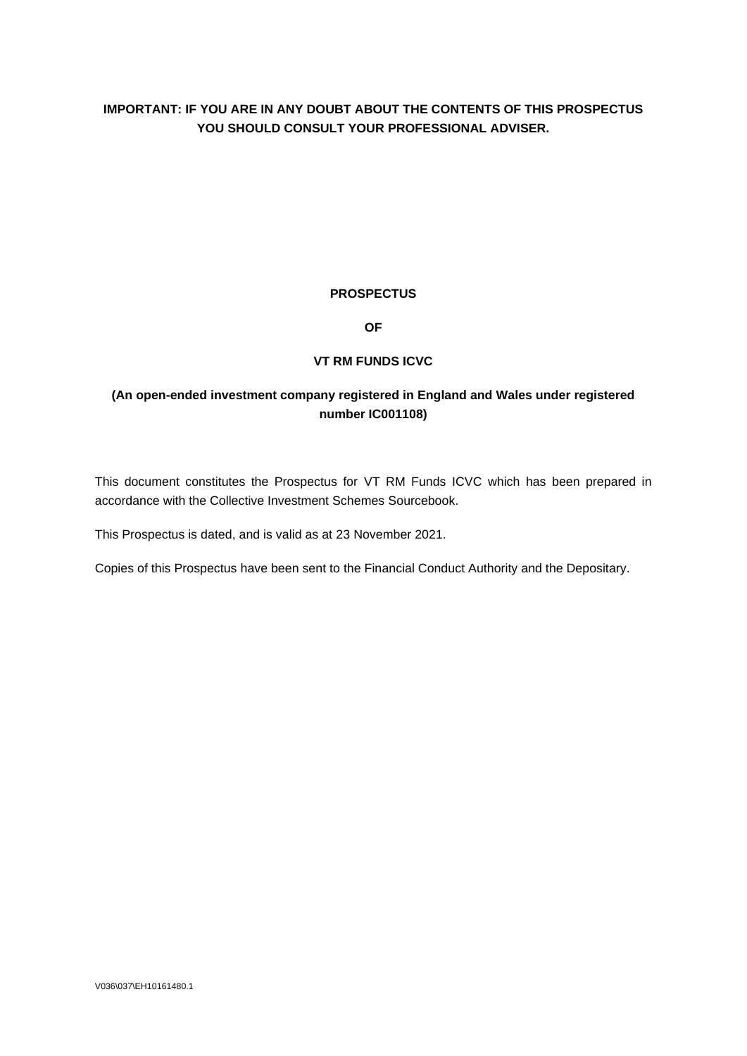# **IMPORTANT: IF YOU ARE IN ANY DOUBT ABOUT THE CONTENTS OF THIS PROSPECTUS YOU SHOULD CONSULT YOUR PROFESSIONAL ADVISER.**

# **PROSPECTUS**

**OF**

# **VT RM FUNDS ICVC**

# **(An open-ended investment company registered in England and Wales under registered number IC001108)**

This document constitutes the Prospectus for VT RM Funds ICVC which has been prepared in accordance with the Collective Investment Schemes Sourcebook.

This Prospectus is dated, and is valid as at 23 November 2021.

Copies of this Prospectus have been sent to the Financial Conduct Authority and the Depositary.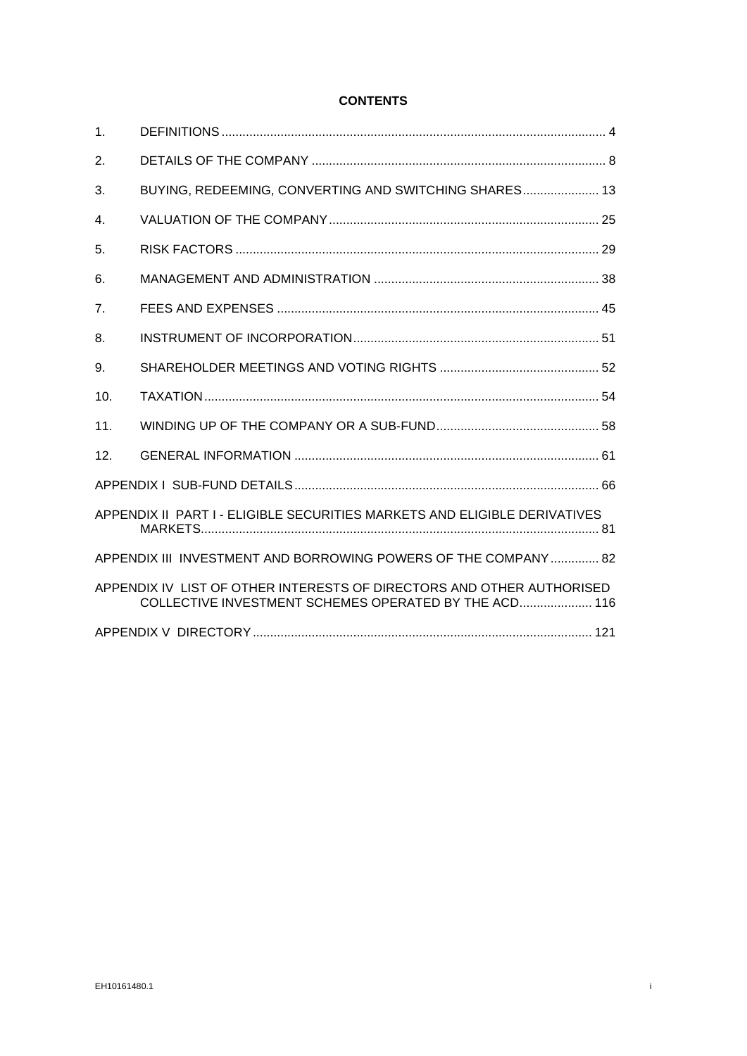# **CONTENTS**

| 1.                                                             |                                                                                                                                |
|----------------------------------------------------------------|--------------------------------------------------------------------------------------------------------------------------------|
| 2.                                                             |                                                                                                                                |
| 3.                                                             | BUYING, REDEEMING, CONVERTING AND SWITCHING SHARES 13                                                                          |
| 4.                                                             |                                                                                                                                |
| 5.                                                             |                                                                                                                                |
| 6.                                                             |                                                                                                                                |
| 7.                                                             |                                                                                                                                |
| 8.                                                             |                                                                                                                                |
| 9.                                                             |                                                                                                                                |
| 10 <sub>1</sub>                                                |                                                                                                                                |
| 11.                                                            |                                                                                                                                |
| 12.                                                            |                                                                                                                                |
|                                                                |                                                                                                                                |
|                                                                | APPENDIX II PART I - ELIGIBLE SECURITIES MARKETS AND ELIGIBLE DERIVATIVES                                                      |
| APPENDIX III INVESTMENT AND BORROWING POWERS OF THE COMPANY 82 |                                                                                                                                |
|                                                                | APPENDIX IV LIST OF OTHER INTERESTS OF DIRECTORS AND OTHER AUTHORISED<br>COLLECTIVE INVESTMENT SCHEMES OPERATED BY THE ACD 116 |
|                                                                |                                                                                                                                |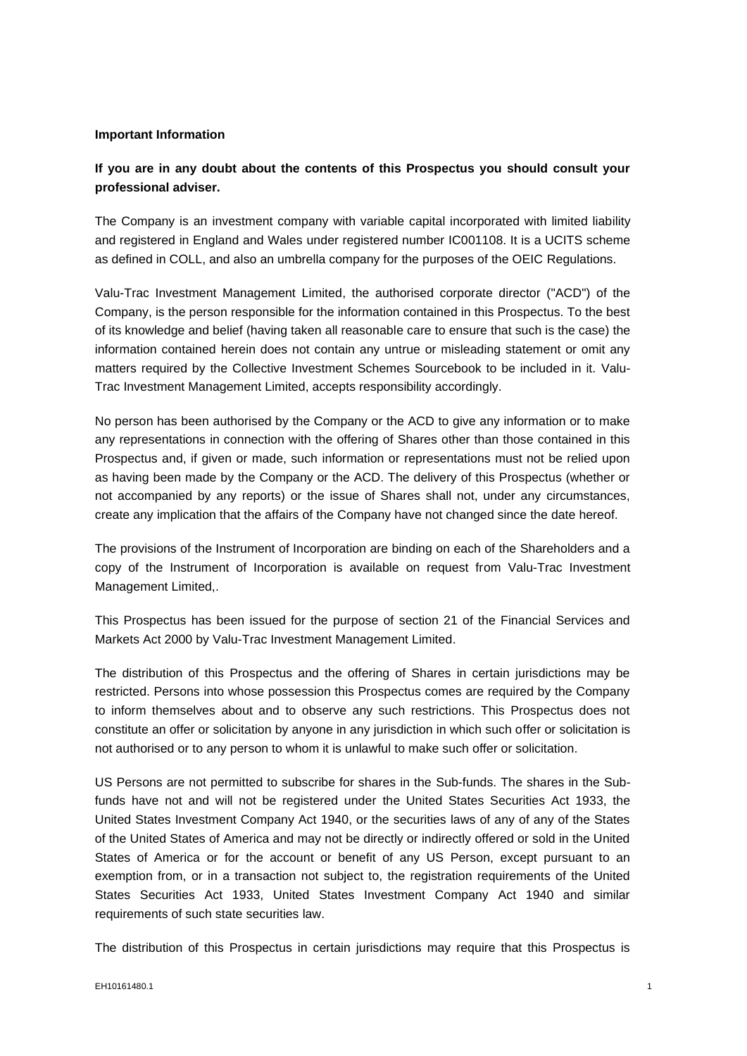#### **Important Information**

# **If you are in any doubt about the contents of this Prospectus you should consult your professional adviser.**

The Company is an investment company with variable capital incorporated with limited liability and registered in England and Wales under registered number IC001108. It is a UCITS scheme as defined in COLL, and also an umbrella company for the purposes of the OEIC Regulations.

Valu-Trac Investment Management Limited, the authorised corporate director ("ACD") of the Company, is the person responsible for the information contained in this Prospectus. To the best of its knowledge and belief (having taken all reasonable care to ensure that such is the case) the information contained herein does not contain any untrue or misleading statement or omit any matters required by the Collective Investment Schemes Sourcebook to be included in it. Valu-Trac Investment Management Limited, accepts responsibility accordingly.

No person has been authorised by the Company or the ACD to give any information or to make any representations in connection with the offering of Shares other than those contained in this Prospectus and, if given or made, such information or representations must not be relied upon as having been made by the Company or the ACD. The delivery of this Prospectus (whether or not accompanied by any reports) or the issue of Shares shall not, under any circumstances, create any implication that the affairs of the Company have not changed since the date hereof.

The provisions of the Instrument of Incorporation are binding on each of the Shareholders and a copy of the Instrument of Incorporation is available on request from Valu-Trac Investment Management Limited,.

This Prospectus has been issued for the purpose of section 21 of the Financial Services and Markets Act 2000 by Valu-Trac Investment Management Limited.

The distribution of this Prospectus and the offering of Shares in certain jurisdictions may be restricted. Persons into whose possession this Prospectus comes are required by the Company to inform themselves about and to observe any such restrictions. This Prospectus does not constitute an offer or solicitation by anyone in any jurisdiction in which such offer or solicitation is not authorised or to any person to whom it is unlawful to make such offer or solicitation.

US Persons are not permitted to subscribe for shares in the Sub-funds. The shares in the Subfunds have not and will not be registered under the United States Securities Act 1933, the United States Investment Company Act 1940, or the securities laws of any of any of the States of the United States of America and may not be directly or indirectly offered or sold in the United States of America or for the account or benefit of any US Person, except pursuant to an exemption from, or in a transaction not subject to, the registration requirements of the United States Securities Act 1933, United States Investment Company Act 1940 and similar requirements of such state securities law.

The distribution of this Prospectus in certain jurisdictions may require that this Prospectus is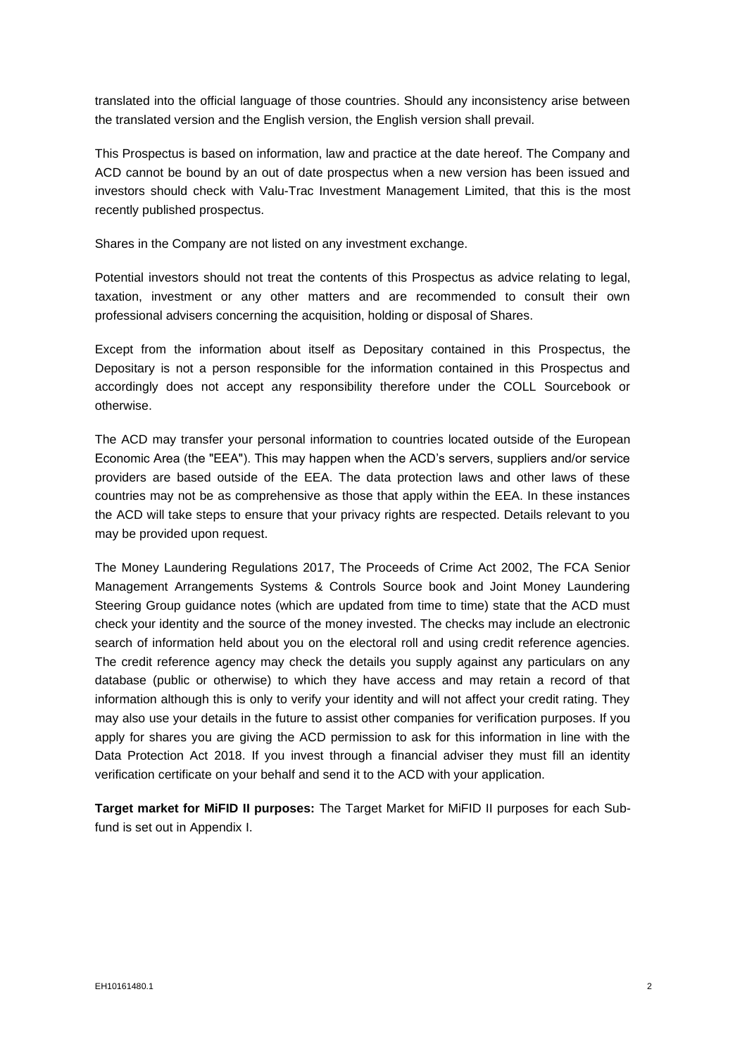translated into the official language of those countries. Should any inconsistency arise between the translated version and the English version, the English version shall prevail.

This Prospectus is based on information, law and practice at the date hereof. The Company and ACD cannot be bound by an out of date prospectus when a new version has been issued and investors should check with Valu-Trac Investment Management Limited, that this is the most recently published prospectus.

Shares in the Company are not listed on any investment exchange.

Potential investors should not treat the contents of this Prospectus as advice relating to legal, taxation, investment or any other matters and are recommended to consult their own professional advisers concerning the acquisition, holding or disposal of Shares.

Except from the information about itself as Depositary contained in this Prospectus, the Depositary is not a person responsible for the information contained in this Prospectus and accordingly does not accept any responsibility therefore under the COLL Sourcebook or otherwise.

The ACD may transfer your personal information to countries located outside of the European Economic Area (the "EEA"). This may happen when the ACD's servers, suppliers and/or service providers are based outside of the EEA. The data protection laws and other laws of these countries may not be as comprehensive as those that apply within the EEA. In these instances the ACD will take steps to ensure that your privacy rights are respected. Details relevant to you may be provided upon request.

The Money Laundering Regulations 2017, The Proceeds of Crime Act 2002, The FCA Senior Management Arrangements Systems & Controls Source book and Joint Money Laundering Steering Group guidance notes (which are updated from time to time) state that the ACD must check your identity and the source of the money invested. The checks may include an electronic search of information held about you on the electoral roll and using credit reference agencies. The credit reference agency may check the details you supply against any particulars on any database (public or otherwise) to which they have access and may retain a record of that information although this is only to verify your identity and will not affect your credit rating. They may also use your details in the future to assist other companies for verification purposes. If you apply for shares you are giving the ACD permission to ask for this information in line with the Data Protection Act 2018. If you invest through a financial adviser they must fill an identity verification certificate on your behalf and send it to the ACD with your application.

**Target market for MiFID II purposes:** The Target Market for MiFID II purposes for each Subfund is set out in Appendix I.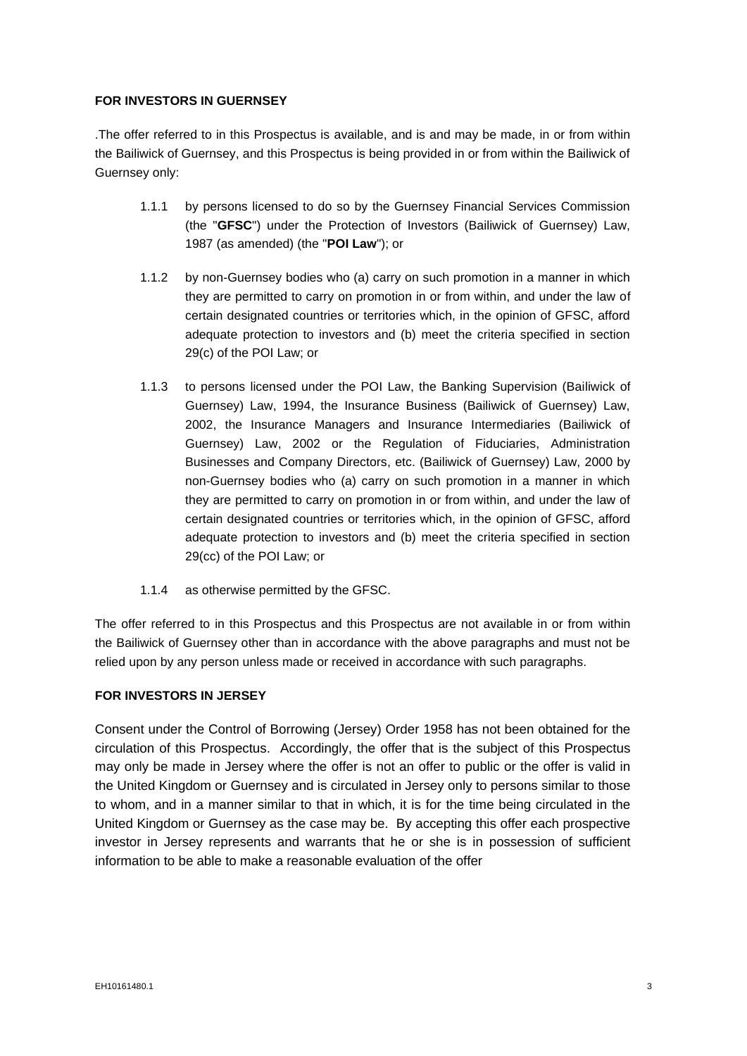# **FOR INVESTORS IN GUERNSEY**

.The offer referred to in this Prospectus is available, and is and may be made, in or from within the Bailiwick of Guernsey, and this Prospectus is being provided in or from within the Bailiwick of Guernsey only:

- 1.1.1 by persons licensed to do so by the Guernsey Financial Services Commission (the "**GFSC**") under the Protection of Investors (Bailiwick of Guernsey) Law, 1987 (as amended) (the "**POI Law**"); or
- 1.1.2 by non-Guernsey bodies who (a) carry on such promotion in a manner in which they are permitted to carry on promotion in or from within, and under the law of certain designated countries or territories which, in the opinion of GFSC, afford adequate protection to investors and (b) meet the criteria specified in section 29(c) of the POI Law; or
- 1.1.3 to persons licensed under the POI Law, the Banking Supervision (Bailiwick of Guernsey) Law, 1994, the Insurance Business (Bailiwick of Guernsey) Law, 2002, the Insurance Managers and Insurance Intermediaries (Bailiwick of Guernsey) Law, 2002 or the Regulation of Fiduciaries, Administration Businesses and Company Directors, etc. (Bailiwick of Guernsey) Law, 2000 by non-Guernsey bodies who (a) carry on such promotion in a manner in which they are permitted to carry on promotion in or from within, and under the law of certain designated countries or territories which, in the opinion of GFSC, afford adequate protection to investors and (b) meet the criteria specified in section 29(cc) of the POI Law; or
- 1.1.4 as otherwise permitted by the GFSC.

The offer referred to in this Prospectus and this Prospectus are not available in or from within the Bailiwick of Guernsey other than in accordance with the above paragraphs and must not be relied upon by any person unless made or received in accordance with such paragraphs.

# **FOR INVESTORS IN JERSEY**

Consent under the Control of Borrowing (Jersey) Order 1958 has not been obtained for the circulation of this Prospectus. Accordingly, the offer that is the subject of this Prospectus may only be made in Jersey where the offer is not an offer to public or the offer is valid in the United Kingdom or Guernsey and is circulated in Jersey only to persons similar to those to whom, and in a manner similar to that in which, it is for the time being circulated in the United Kingdom or Guernsey as the case may be. By accepting this offer each prospective investor in Jersey represents and warrants that he or she is in possession of sufficient information to be able to make a reasonable evaluation of the offer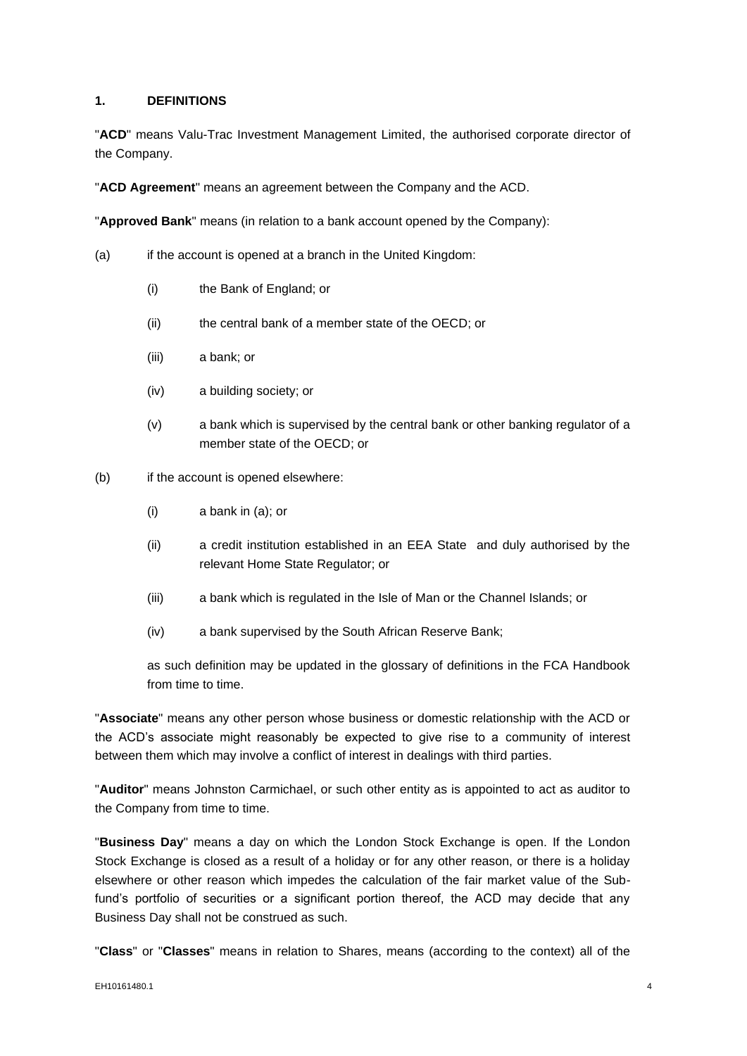## <span id="page-5-0"></span>**1. DEFINITIONS**

"**ACD**" means Valu-Trac Investment Management Limited, the authorised corporate director of the Company.

"**ACD Agreement**" means an agreement between the Company and the ACD.

"**Approved Bank**" means (in relation to a bank account opened by the Company):

- (a) if the account is opened at a branch in the United Kingdom:
	- (i) the Bank of England; or
	- (ii) the central bank of a member state of the OECD; or
	- (iii) a bank; or
	- (iv) a building society; or
	- (v) a bank which is supervised by the central bank or other banking regulator of a member state of the OECD; or
- (b) if the account is opened elsewhere:
	- (i) a bank in (a); or
	- (ii) a credit institution established in an EEA State and duly authorised by the relevant Home State Regulator; or
	- (iii) a bank which is regulated in the Isle of Man or the Channel Islands; or
	- (iv) a bank supervised by the South African Reserve Bank;

as such definition may be updated in the glossary of definitions in the FCA Handbook from time to time.

"**Associate**" means any other person whose business or domestic relationship with the ACD or the ACD's associate might reasonably be expected to give rise to a community of interest between them which may involve a conflict of interest in dealings with third parties.

"**Auditor**" means Johnston Carmichael, or such other entity as is appointed to act as auditor to the Company from time to time.

"**Business Day**" means a day on which the London Stock Exchange is open. If the London Stock Exchange is closed as a result of a holiday or for any other reason, or there is a holiday elsewhere or other reason which impedes the calculation of the fair market value of the Subfund's portfolio of securities or a significant portion thereof, the ACD may decide that any Business Day shall not be construed as such.

"**Class**" or "**Classes**" means in relation to Shares, means (according to the context) all of the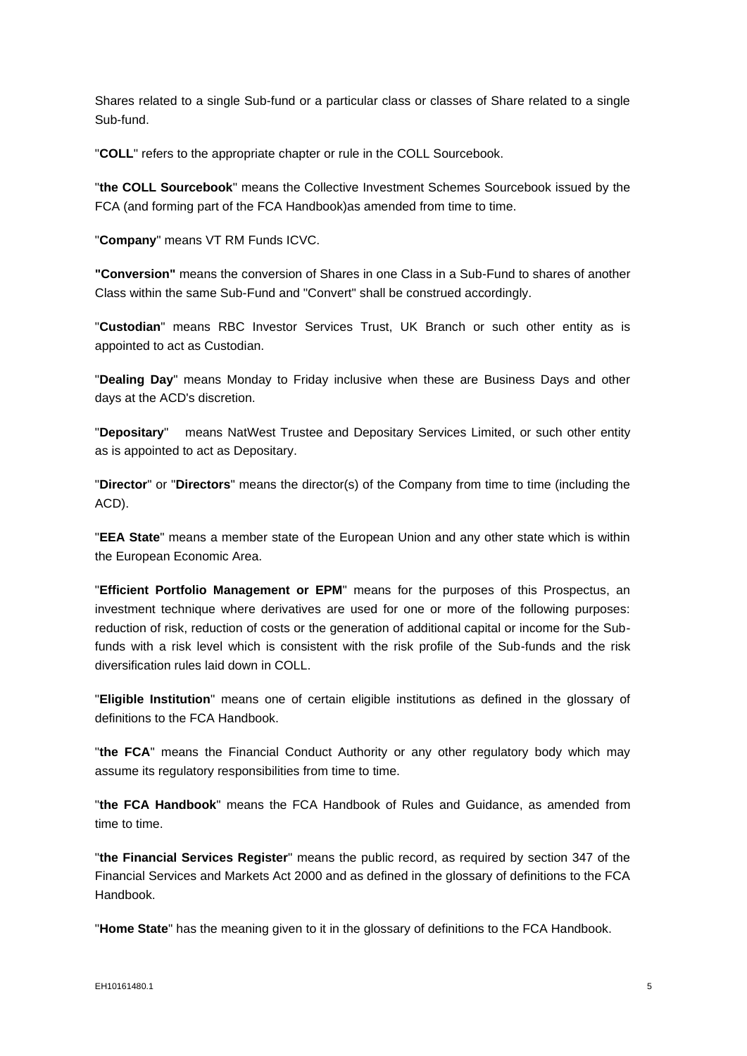Shares related to a single Sub-fund or a particular class or classes of Share related to a single Sub-fund.

"**COLL**" refers to the appropriate chapter or rule in the COLL Sourcebook.

"**the COLL Sourcebook**" means the Collective Investment Schemes Sourcebook issued by the FCA (and forming part of the FCA Handbook)as amended from time to time.

"**Company**" means VT RM Funds ICVC.

**"Conversion"** means the conversion of Shares in one Class in a Sub-Fund to shares of another Class within the same Sub-Fund and "Convert" shall be construed accordingly.

"**Custodian**" means RBC Investor Services Trust, UK Branch or such other entity as is appointed to act as Custodian.

"**Dealing Day**" means Monday to Friday inclusive when these are Business Days and other days at the ACD's discretion.

"**Depositary**" means NatWest Trustee and Depositary Services Limited, or such other entity as is appointed to act as Depositary.

"**Director**" or "**Directors**" means the director(s) of the Company from time to time (including the ACD).

"**EEA State**" means a member state of the European Union and any other state which is within the European Economic Area.

"**Efficient Portfolio Management or EPM**" means for the purposes of this Prospectus, an investment technique where derivatives are used for one or more of the following purposes: reduction of risk, reduction of costs or the generation of additional capital or income for the Subfunds with a risk level which is consistent with the risk profile of the Sub-funds and the risk diversification rules laid down in COLL.

"**Eligible Institution**" means one of certain eligible institutions as defined in the glossary of definitions to the FCA Handbook.

"**the FCA**" means the Financial Conduct Authority or any other regulatory body which may assume its regulatory responsibilities from time to time.

"**the FCA Handbook**" means the FCA Handbook of Rules and Guidance, as amended from time to time.

"**the Financial Services Register**" means the public record, as required by section 347 of the Financial Services and Markets Act 2000 and as defined in the glossary of definitions to the FCA Handbook.

"**Home State**" has the meaning given to it in the glossary of definitions to the FCA Handbook.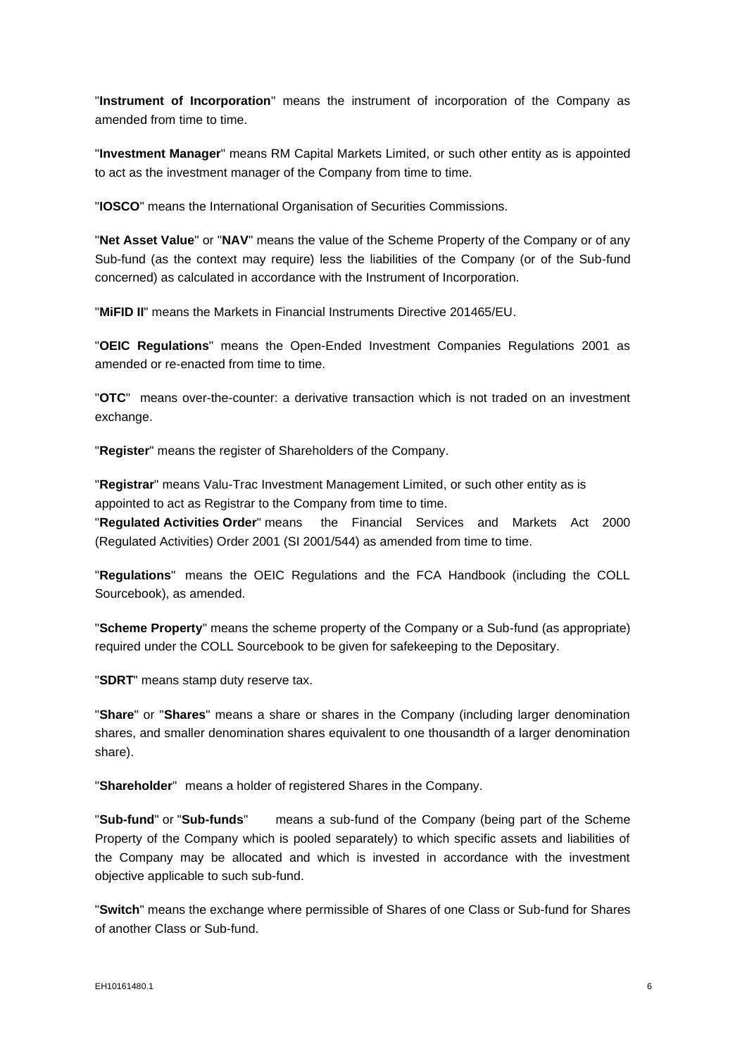"**Instrument of Incorporation**" means the instrument of incorporation of the Company as amended from time to time.

"**Investment Manager**" means RM Capital Markets Limited, or such other entity as is appointed to act as the investment manager of the Company from time to time.

"**IOSCO**" means the International Organisation of Securities Commissions.

"**Net Asset Value**" or "**NAV**" means the value of the Scheme Property of the Company or of any Sub-fund (as the context may require) less the liabilities of the Company (or of the Sub-fund concerned) as calculated in accordance with the Instrument of Incorporation.

"**MiFID II**" means the Markets in Financial Instruments Directive 201465/EU.

"**OEIC Regulations**" means the Open-Ended Investment Companies Regulations 2001 as amended or re-enacted from time to time.

"**OTC**" means over-the-counter: a derivative transaction which is not traded on an investment exchange.

"**Register**" means the register of Shareholders of the Company.

"**Registrar**" means Valu-Trac Investment Management Limited, or such other entity as is appointed to act as Registrar to the Company from time to time.

"**Regulated Activities Order**" means the Financial Services and Markets Act 2000 (Regulated Activities) Order 2001 (SI 2001/544) as amended from time to time.

"**Regulations**" means the OEIC Regulations and the FCA Handbook (including the COLL Sourcebook), as amended.

"**Scheme Property**" means the scheme property of the Company or a Sub-fund (as appropriate) required under the COLL Sourcebook to be given for safekeeping to the Depositary.

"**SDRT**" means stamp duty reserve tax.

"**Share**" or "**Shares**" means a share or shares in the Company (including larger denomination shares, and smaller denomination shares equivalent to one thousandth of a larger denomination share).

"**Shareholder**" means a holder of registered Shares in the Company.

"**Sub-fund**" or "**Sub-funds**" means a sub-fund of the Company (being part of the Scheme Property of the Company which is pooled separately) to which specific assets and liabilities of the Company may be allocated and which is invested in accordance with the investment objective applicable to such sub-fund.

"**Switch**" means the exchange where permissible of Shares of one Class or Sub-fund for Shares of another Class or Sub-fund.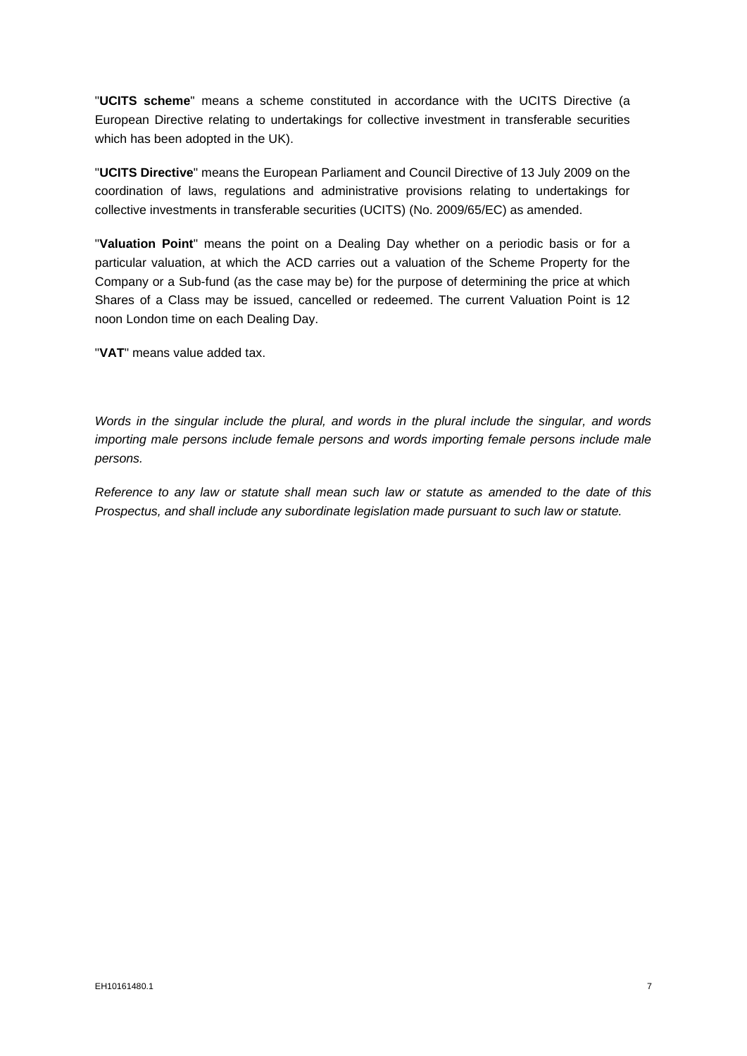"**UCITS scheme**" means a scheme constituted in accordance with the UCITS Directive (a European Directive relating to undertakings for collective investment in transferable securities which has been adopted in the UK).

"**UCITS Directive**" means the European Parliament and Council Directive of 13 July 2009 on the coordination of laws, regulations and administrative provisions relating to undertakings for collective investments in transferable securities (UCITS) (No. 2009/65/EC) as amended.

"**Valuation Point**" means the point on a Dealing Day whether on a periodic basis or for a particular valuation, at which the ACD carries out a valuation of the Scheme Property for the Company or a Sub-fund (as the case may be) for the purpose of determining the price at which Shares of a Class may be issued, cancelled or redeemed. The current Valuation Point is 12 noon London time on each Dealing Day.

"**VAT**" means value added tax.

*Words in the singular include the plural, and words in the plural include the singular, and words importing male persons include female persons and words importing female persons include male persons.*

*Reference to any law or statute shall mean such law or statute as amended to the date of this Prospectus, and shall include any subordinate legislation made pursuant to such law or statute.*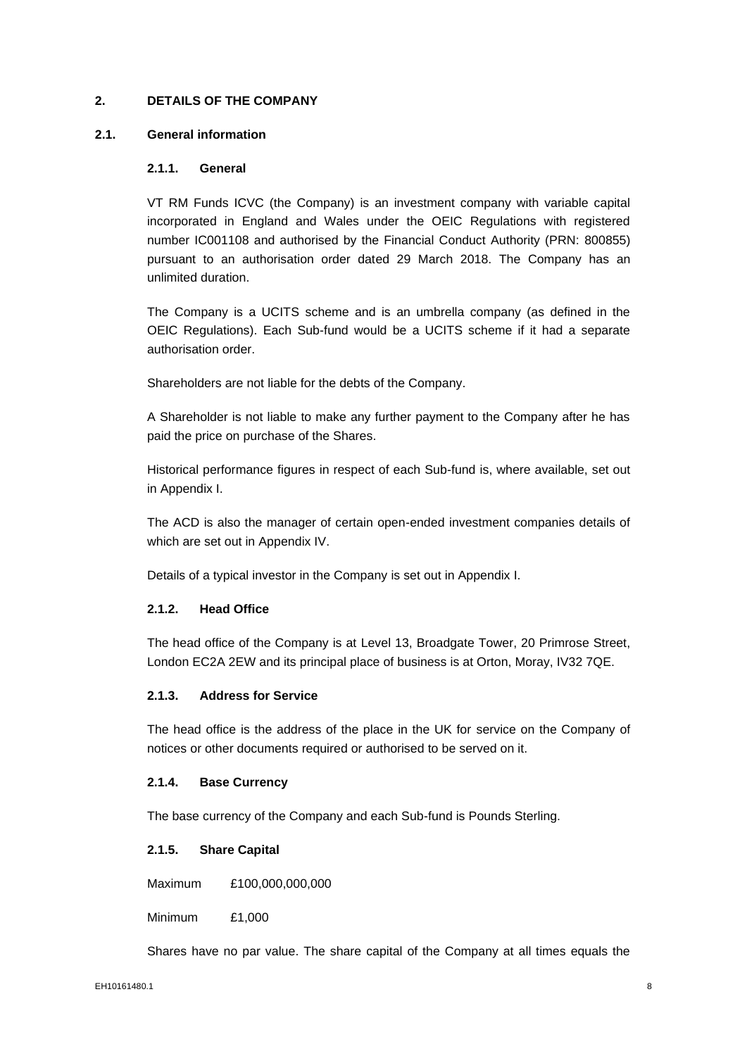# <span id="page-9-0"></span>**2. DETAILS OF THE COMPANY**

## **2.1. General information**

## **2.1.1. General**

VT RM Funds ICVC (the Company) is an investment company with variable capital incorporated in England and Wales under the OEIC Regulations with registered number IC001108 and authorised by the Financial Conduct Authority (PRN: 800855) pursuant to an authorisation order dated 29 March 2018. The Company has an unlimited duration.

The Company is a UCITS scheme and is an umbrella company (as defined in the OEIC Regulations). Each Sub-fund would be a UCITS scheme if it had a separate authorisation order.

Shareholders are not liable for the debts of the Company.

A Shareholder is not liable to make any further payment to the Company after he has paid the price on purchase of the Shares.

Historical performance figures in respect of each Sub-fund is, where available, set out in Appendix I.

The ACD is also the manager of certain open-ended investment companies details of which are set out in Appendix IV.

Details of a typical investor in the Company is set out in Appendix I.

#### **2.1.2. Head Office**

The head office of the Company is at Level 13, Broadgate Tower, 20 Primrose Street, London EC2A 2EW and its principal place of business is at Orton, Moray, IV32 7QE.

## **2.1.3. Address for Service**

The head office is the address of the place in the UK for service on the Company of notices or other documents required or authorised to be served on it.

#### **2.1.4. Base Currency**

The base currency of the Company and each Sub-fund is Pounds Sterling.

## **2.1.5. Share Capital**

Maximum £100,000,000,000

Minimum £1,000

Shares have no par value. The share capital of the Company at all times equals the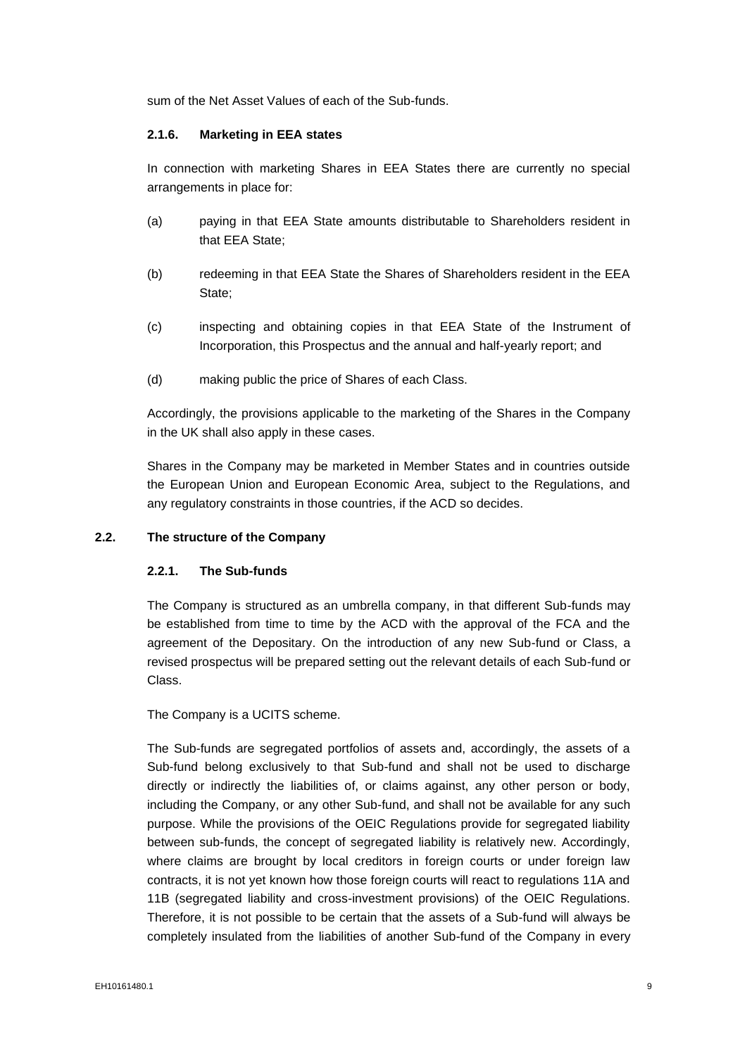sum of the Net Asset Values of each of the Sub-funds.

## **2.1.6. Marketing in EEA states**

In connection with marketing Shares in EEA States there are currently no special arrangements in place for:

- (a) paying in that EEA State amounts distributable to Shareholders resident in that EEA State;
- (b) redeeming in that EEA State the Shares of Shareholders resident in the EEA State;
- (c) inspecting and obtaining copies in that EEA State of the Instrument of Incorporation, this Prospectus and the annual and half-yearly report; and
- (d) making public the price of Shares of each Class.

Accordingly, the provisions applicable to the marketing of the Shares in the Company in the UK shall also apply in these cases.

Shares in the Company may be marketed in Member States and in countries outside the European Union and European Economic Area, subject to the Regulations, and any regulatory constraints in those countries, if the ACD so decides.

# **2.2. The structure of the Company**

# **2.2.1. The Sub-funds**

The Company is structured as an umbrella company, in that different Sub-funds may be established from time to time by the ACD with the approval of the FCA and the agreement of the Depositary. On the introduction of any new Sub-fund or Class, a revised prospectus will be prepared setting out the relevant details of each Sub-fund or Class.

The Company is a UCITS scheme.

The Sub-funds are segregated portfolios of assets and, accordingly, the assets of a Sub-fund belong exclusively to that Sub-fund and shall not be used to discharge directly or indirectly the liabilities of, or claims against, any other person or body, including the Company, or any other Sub-fund, and shall not be available for any such purpose. While the provisions of the OEIC Regulations provide for segregated liability between sub-funds, the concept of segregated liability is relatively new. Accordingly, where claims are brought by local creditors in foreign courts or under foreign law contracts, it is not yet known how those foreign courts will react to regulations 11A and 11B (segregated liability and cross-investment provisions) of the OEIC Regulations. Therefore, it is not possible to be certain that the assets of a Sub-fund will always be completely insulated from the liabilities of another Sub-fund of the Company in every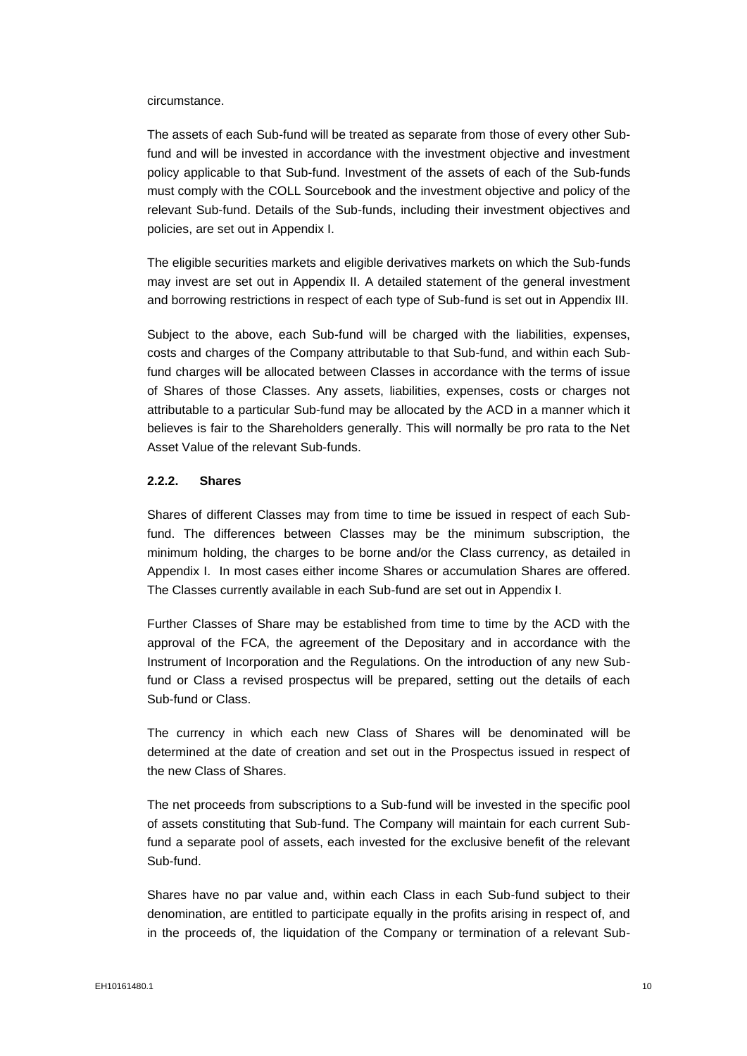circumstance.

The assets of each Sub-fund will be treated as separate from those of every other Subfund and will be invested in accordance with the investment objective and investment policy applicable to that Sub-fund. Investment of the assets of each of the Sub-funds must comply with the COLL Sourcebook and the investment objective and policy of the relevant Sub-fund. Details of the Sub-funds, including their investment objectives and policies, are set out in Appendix I.

The eligible securities markets and eligible derivatives markets on which the Sub-funds may invest are set out in Appendix II. A detailed statement of the general investment and borrowing restrictions in respect of each type of Sub-fund is set out in Appendix III.

Subject to the above, each Sub-fund will be charged with the liabilities, expenses, costs and charges of the Company attributable to that Sub-fund, and within each Subfund charges will be allocated between Classes in accordance with the terms of issue of Shares of those Classes. Any assets, liabilities, expenses, costs or charges not attributable to a particular Sub-fund may be allocated by the ACD in a manner which it believes is fair to the Shareholders generally. This will normally be pro rata to the Net Asset Value of the relevant Sub-funds.

#### **2.2.2. Shares**

Shares of different Classes may from time to time be issued in respect of each Subfund. The differences between Classes may be the minimum subscription, the minimum holding, the charges to be borne and/or the Class currency, as detailed in Appendix I. In most cases either income Shares or accumulation Shares are offered. The Classes currently available in each Sub-fund are set out in Appendix I.

Further Classes of Share may be established from time to time by the ACD with the approval of the FCA, the agreement of the Depositary and in accordance with the Instrument of Incorporation and the Regulations. On the introduction of any new Subfund or Class a revised prospectus will be prepared, setting out the details of each Sub-fund or Class.

The currency in which each new Class of Shares will be denominated will be determined at the date of creation and set out in the Prospectus issued in respect of the new Class of Shares.

The net proceeds from subscriptions to a Sub-fund will be invested in the specific pool of assets constituting that Sub-fund. The Company will maintain for each current Subfund a separate pool of assets, each invested for the exclusive benefit of the relevant Sub-fund.

Shares have no par value and, within each Class in each Sub-fund subject to their denomination, are entitled to participate equally in the profits arising in respect of, and in the proceeds of, the liquidation of the Company or termination of a relevant Sub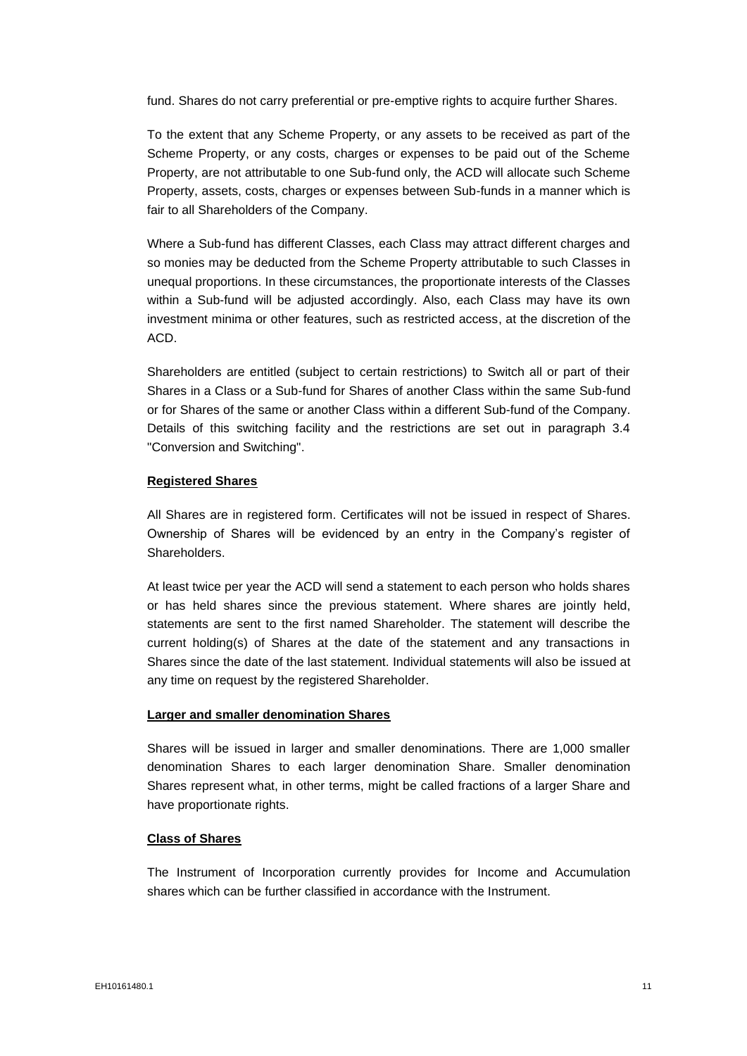fund. Shares do not carry preferential or pre-emptive rights to acquire further Shares.

To the extent that any Scheme Property, or any assets to be received as part of the Scheme Property, or any costs, charges or expenses to be paid out of the Scheme Property, are not attributable to one Sub-fund only, the ACD will allocate such Scheme Property, assets, costs, charges or expenses between Sub-funds in a manner which is fair to all Shareholders of the Company.

Where a Sub-fund has different Classes, each Class may attract different charges and so monies may be deducted from the Scheme Property attributable to such Classes in unequal proportions. In these circumstances, the proportionate interests of the Classes within a Sub-fund will be adjusted accordingly. Also, each Class may have its own investment minima or other features, such as restricted access, at the discretion of the ACD.

Shareholders are entitled (subject to certain restrictions) to Switch all or part of their Shares in a Class or a Sub-fund for Shares of another Class within the same Sub-fund or for Shares of the same or another Class within a different Sub-fund of the Company. Details of this switching facility and the restrictions are set out in paragraph 3.4 "Conversion and Switching".

## **Registered Shares**

All Shares are in registered form. Certificates will not be issued in respect of Shares. Ownership of Shares will be evidenced by an entry in the Company's register of Shareholders.

At least twice per year the ACD will send a statement to each person who holds shares or has held shares since the previous statement. Where shares are jointly held, statements are sent to the first named Shareholder. The statement will describe the current holding(s) of Shares at the date of the statement and any transactions in Shares since the date of the last statement. Individual statements will also be issued at any time on request by the registered Shareholder.

#### **Larger and smaller denomination Shares**

Shares will be issued in larger and smaller denominations. There are 1,000 smaller denomination Shares to each larger denomination Share. Smaller denomination Shares represent what, in other terms, might be called fractions of a larger Share and have proportionate rights.

#### **Class of Shares**

The Instrument of Incorporation currently provides for Income and Accumulation shares which can be further classified in accordance with the Instrument.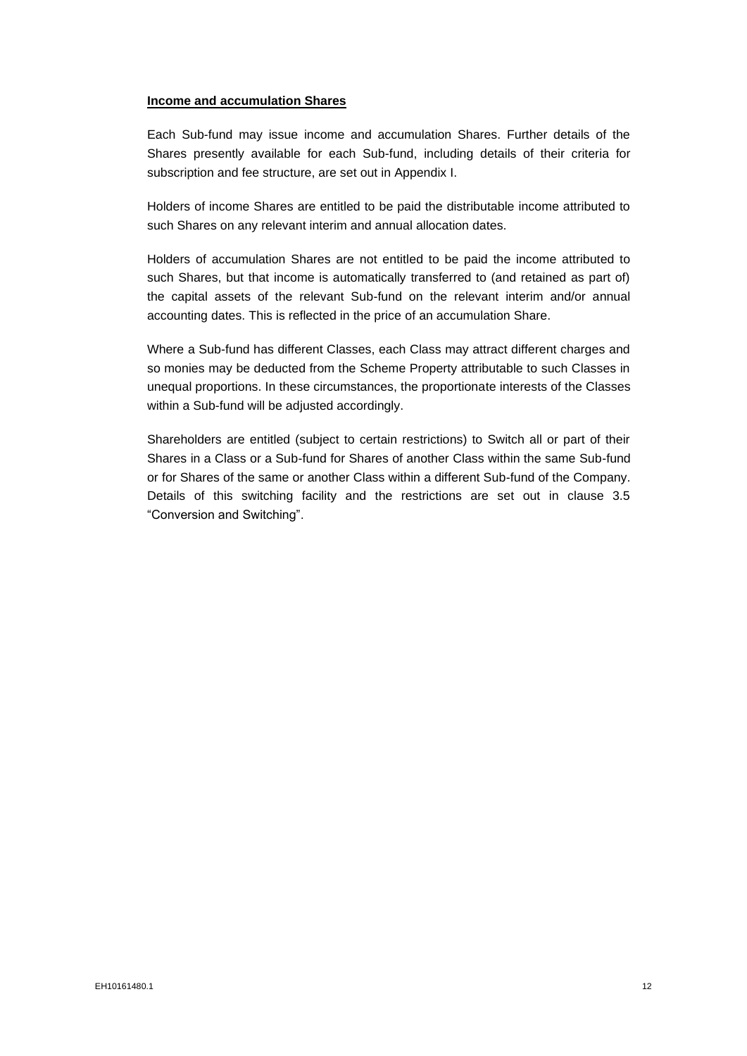#### **Income and accumulation Shares**

Each Sub-fund may issue income and accumulation Shares. Further details of the Shares presently available for each Sub-fund, including details of their criteria for subscription and fee structure, are set out in Appendix I.

Holders of income Shares are entitled to be paid the distributable income attributed to such Shares on any relevant interim and annual allocation dates.

Holders of accumulation Shares are not entitled to be paid the income attributed to such Shares, but that income is automatically transferred to (and retained as part of) the capital assets of the relevant Sub-fund on the relevant interim and/or annual accounting dates. This is reflected in the price of an accumulation Share.

Where a Sub-fund has different Classes, each Class may attract different charges and so monies may be deducted from the Scheme Property attributable to such Classes in unequal proportions. In these circumstances, the proportionate interests of the Classes within a Sub-fund will be adjusted accordingly.

Shareholders are entitled (subject to certain restrictions) to Switch all or part of their Shares in a Class or a Sub-fund for Shares of another Class within the same Sub-fund or for Shares of the same or another Class within a different Sub-fund of the Company. Details of this switching facility and the restrictions are set out in clause 3.5 "Conversion and Switching".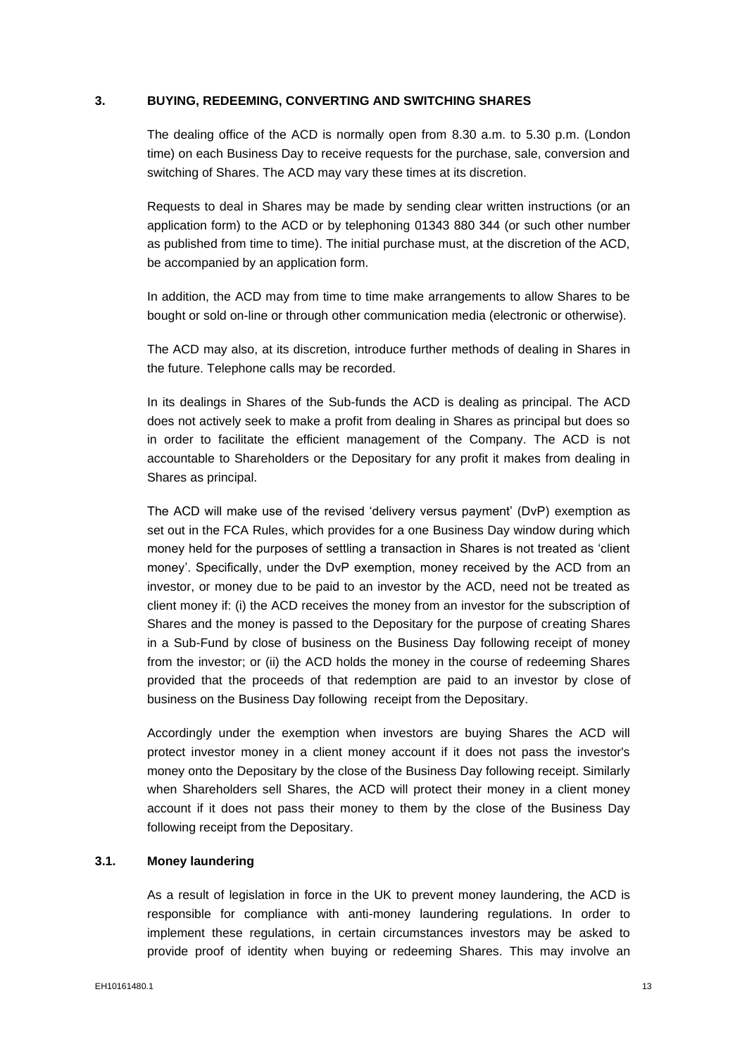## **3. BUYING, REDEEMING, CONVERTING AND SWITCHING SHARES**

<span id="page-14-0"></span>The dealing office of the ACD is normally open from 8.30 a.m. to 5.30 p.m. (London time) on each Business Day to receive requests for the purchase, sale, conversion and switching of Shares. The ACD may vary these times at its discretion.

Requests to deal in Shares may be made by sending clear written instructions (or an application form) to the ACD or by telephoning 01343 880 344 (or such other number as published from time to time). The initial purchase must, at the discretion of the ACD, be accompanied by an application form.

In addition, the ACD may from time to time make arrangements to allow Shares to be bought or sold on-line or through other communication media (electronic or otherwise).

The ACD may also, at its discretion, introduce further methods of dealing in Shares in the future. Telephone calls may be recorded.

In its dealings in Shares of the Sub-funds the ACD is dealing as principal. The ACD does not actively seek to make a profit from dealing in Shares as principal but does so in order to facilitate the efficient management of the Company. The ACD is not accountable to Shareholders or the Depositary for any profit it makes from dealing in Shares as principal.

The ACD will make use of the revised 'delivery versus payment' (DvP) exemption as set out in the FCA Rules, which provides for a one Business Day window during which money held for the purposes of settling a transaction in Shares is not treated as 'client money'. Specifically, under the DvP exemption, money received by the ACD from an investor, or money due to be paid to an investor by the ACD, need not be treated as client money if: (i) the ACD receives the money from an investor for the subscription of Shares and the money is passed to the Depositary for the purpose of creating Shares in a Sub-Fund by close of business on the Business Day following receipt of money from the investor; or (ii) the ACD holds the money in the course of redeeming Shares provided that the proceeds of that redemption are paid to an investor by close of business on the Business Day following receipt from the Depositary.

Accordingly under the exemption when investors are buying Shares the ACD will protect investor money in a client money account if it does not pass the investor's money onto the Depositary by the close of the Business Day following receipt. Similarly when Shareholders sell Shares, the ACD will protect their money in a client money account if it does not pass their money to them by the close of the Business Day following receipt from the Depositary.

# **3.1. Money laundering**

As a result of legislation in force in the UK to prevent money laundering, the ACD is responsible for compliance with anti-money laundering regulations. In order to implement these regulations, in certain circumstances investors may be asked to provide proof of identity when buying or redeeming Shares. This may involve an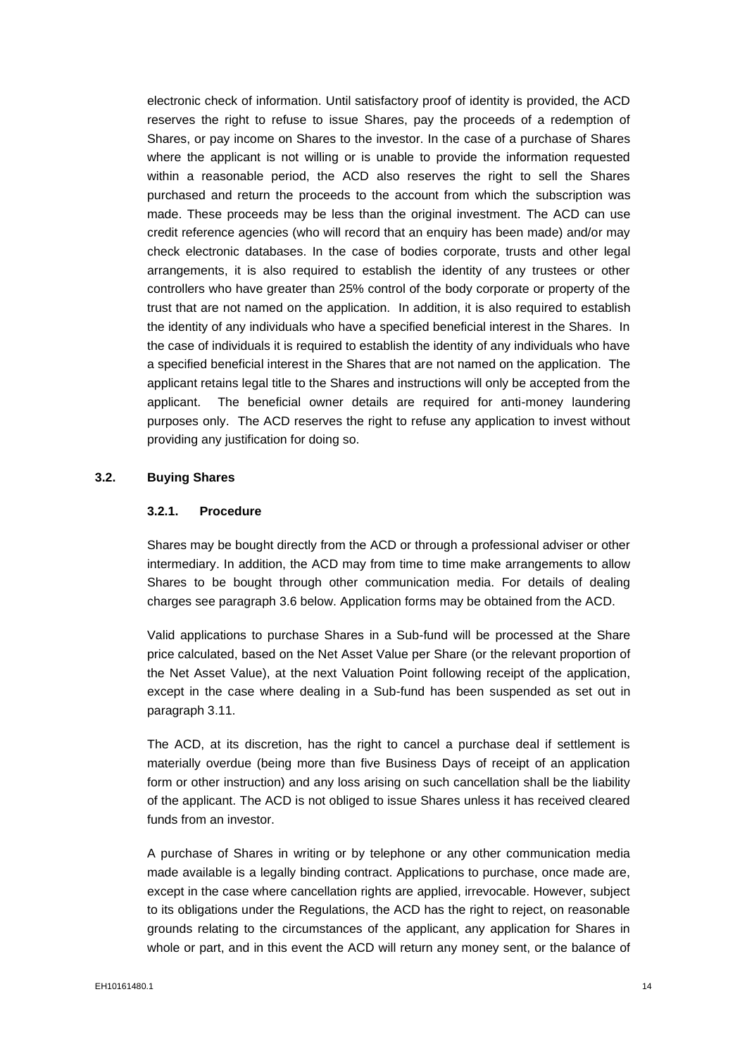electronic check of information. Until satisfactory proof of identity is provided, the ACD reserves the right to refuse to issue Shares, pay the proceeds of a redemption of Shares, or pay income on Shares to the investor. In the case of a purchase of Shares where the applicant is not willing or is unable to provide the information requested within a reasonable period, the ACD also reserves the right to sell the Shares purchased and return the proceeds to the account from which the subscription was made. These proceeds may be less than the original investment. The ACD can use credit reference agencies (who will record that an enquiry has been made) and/or may check electronic databases. In the case of bodies corporate, trusts and other legal arrangements, it is also required to establish the identity of any trustees or other controllers who have greater than 25% control of the body corporate or property of the trust that are not named on the application. In addition, it is also required to establish the identity of any individuals who have a specified beneficial interest in the Shares. In the case of individuals it is required to establish the identity of any individuals who have a specified beneficial interest in the Shares that are not named on the application. The applicant retains legal title to the Shares and instructions will only be accepted from the applicant. The beneficial owner details are required for anti-money laundering purposes only. The ACD reserves the right to refuse any application to invest without providing any justification for doing so.

#### **3.2. Buying Shares**

#### **3.2.1. Procedure**

Shares may be bought directly from the ACD or through a professional adviser or other intermediary. In addition, the ACD may from time to time make arrangements to allow Shares to be bought through other communication media. For details of dealing charges see paragraph 3.6 below. Application forms may be obtained from the ACD.

Valid applications to purchase Shares in a Sub-fund will be processed at the Share price calculated, based on the Net Asset Value per Share (or the relevant proportion of the Net Asset Value), at the next Valuation Point following receipt of the application, except in the case where dealing in a Sub-fund has been suspended as set out in paragraph 3.11.

The ACD, at its discretion, has the right to cancel a purchase deal if settlement is materially overdue (being more than five Business Days of receipt of an application form or other instruction) and any loss arising on such cancellation shall be the liability of the applicant. The ACD is not obliged to issue Shares unless it has received cleared funds from an investor.

A purchase of Shares in writing or by telephone or any other communication media made available is a legally binding contract. Applications to purchase, once made are, except in the case where cancellation rights are applied, irrevocable. However, subject to its obligations under the Regulations, the ACD has the right to reject, on reasonable grounds relating to the circumstances of the applicant, any application for Shares in whole or part, and in this event the ACD will return any money sent, or the balance of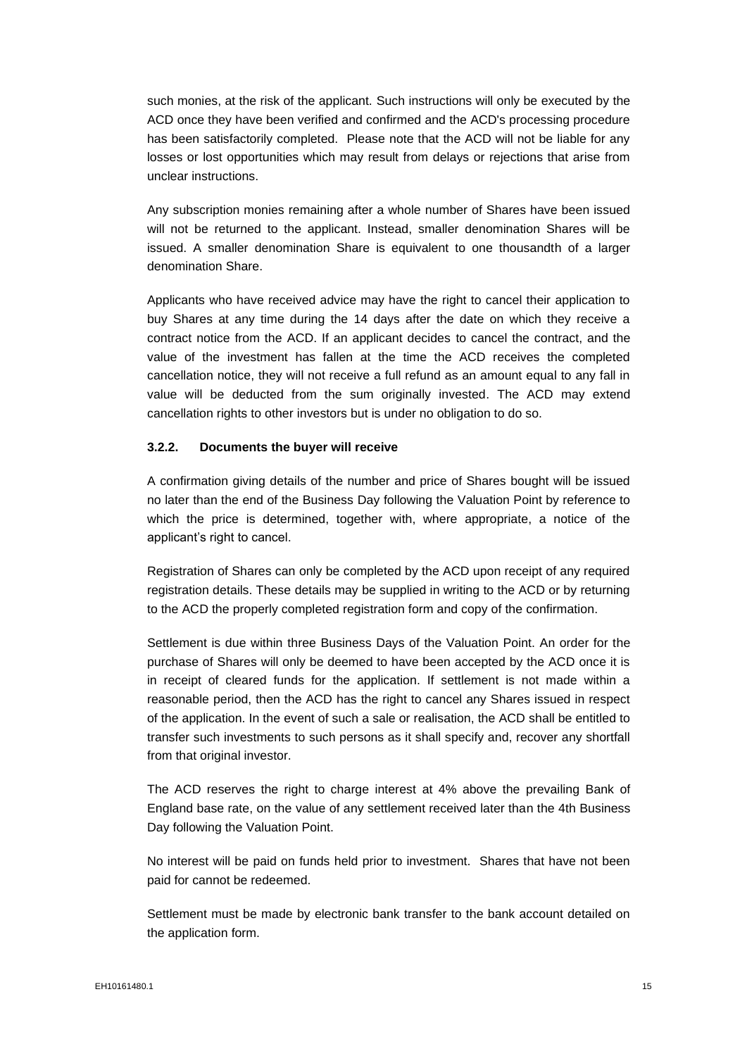such monies, at the risk of the applicant. Such instructions will only be executed by the ACD once they have been verified and confirmed and the ACD's processing procedure has been satisfactorily completed. Please note that the ACD will not be liable for any losses or lost opportunities which may result from delays or rejections that arise from unclear instructions.

Any subscription monies remaining after a whole number of Shares have been issued will not be returned to the applicant. Instead, smaller denomination Shares will be issued. A smaller denomination Share is equivalent to one thousandth of a larger denomination Share.

Applicants who have received advice may have the right to cancel their application to buy Shares at any time during the 14 days after the date on which they receive a contract notice from the ACD. If an applicant decides to cancel the contract, and the value of the investment has fallen at the time the ACD receives the completed cancellation notice, they will not receive a full refund as an amount equal to any fall in value will be deducted from the sum originally invested. The ACD may extend cancellation rights to other investors but is under no obligation to do so.

## **3.2.2. Documents the buyer will receive**

A confirmation giving details of the number and price of Shares bought will be issued no later than the end of the Business Day following the Valuation Point by reference to which the price is determined, together with, where appropriate, a notice of the applicant's right to cancel.

Registration of Shares can only be completed by the ACD upon receipt of any required registration details. These details may be supplied in writing to the ACD or by returning to the ACD the properly completed registration form and copy of the confirmation.

Settlement is due within three Business Days of the Valuation Point. An order for the purchase of Shares will only be deemed to have been accepted by the ACD once it is in receipt of cleared funds for the application. If settlement is not made within a reasonable period, then the ACD has the right to cancel any Shares issued in respect of the application. In the event of such a sale or realisation, the ACD shall be entitled to transfer such investments to such persons as it shall specify and, recover any shortfall from that original investor.

The ACD reserves the right to charge interest at 4% above the prevailing Bank of England base rate, on the value of any settlement received later than the 4th Business Day following the Valuation Point.

No interest will be paid on funds held prior to investment. Shares that have not been paid for cannot be redeemed.

Settlement must be made by electronic bank transfer to the bank account detailed on the application form.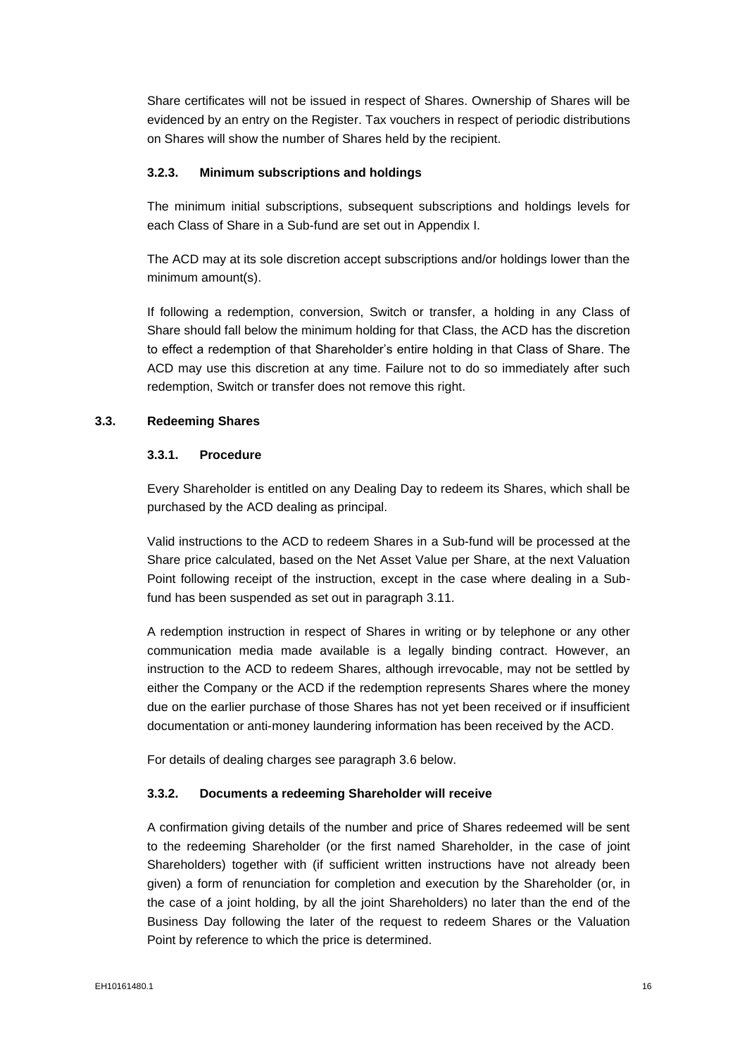Share certificates will not be issued in respect of Shares. Ownership of Shares will be evidenced by an entry on the Register. Tax vouchers in respect of periodic distributions on Shares will show the number of Shares held by the recipient.

#### **3.2.3. Minimum subscriptions and holdings**

The minimum initial subscriptions, subsequent subscriptions and holdings levels for each Class of Share in a Sub-fund are set out in Appendix I.

The ACD may at its sole discretion accept subscriptions and/or holdings lower than the minimum amount(s).

If following a redemption, conversion, Switch or transfer, a holding in any Class of Share should fall below the minimum holding for that Class, the ACD has the discretion to effect a redemption of that Shareholder's entire holding in that Class of Share. The ACD may use this discretion at any time. Failure not to do so immediately after such redemption, Switch or transfer does not remove this right.

## **3.3. Redeeming Shares**

#### **3.3.1. Procedure**

Every Shareholder is entitled on any Dealing Day to redeem its Shares, which shall be purchased by the ACD dealing as principal.

Valid instructions to the ACD to redeem Shares in a Sub-fund will be processed at the Share price calculated, based on the Net Asset Value per Share, at the next Valuation Point following receipt of the instruction, except in the case where dealing in a Subfund has been suspended as set out in paragraph 3.11.

A redemption instruction in respect of Shares in writing or by telephone or any other communication media made available is a legally binding contract. However, an instruction to the ACD to redeem Shares, although irrevocable, may not be settled by either the Company or the ACD if the redemption represents Shares where the money due on the earlier purchase of those Shares has not yet been received or if insufficient documentation or anti-money laundering information has been received by the ACD.

For details of dealing charges see paragraph 3.6 below.

#### **3.3.2. Documents a redeeming Shareholder will receive**

A confirmation giving details of the number and price of Shares redeemed will be sent to the redeeming Shareholder (or the first named Shareholder, in the case of joint Shareholders) together with (if sufficient written instructions have not already been given) a form of renunciation for completion and execution by the Shareholder (or, in the case of a joint holding, by all the joint Shareholders) no later than the end of the Business Day following the later of the request to redeem Shares or the Valuation Point by reference to which the price is determined.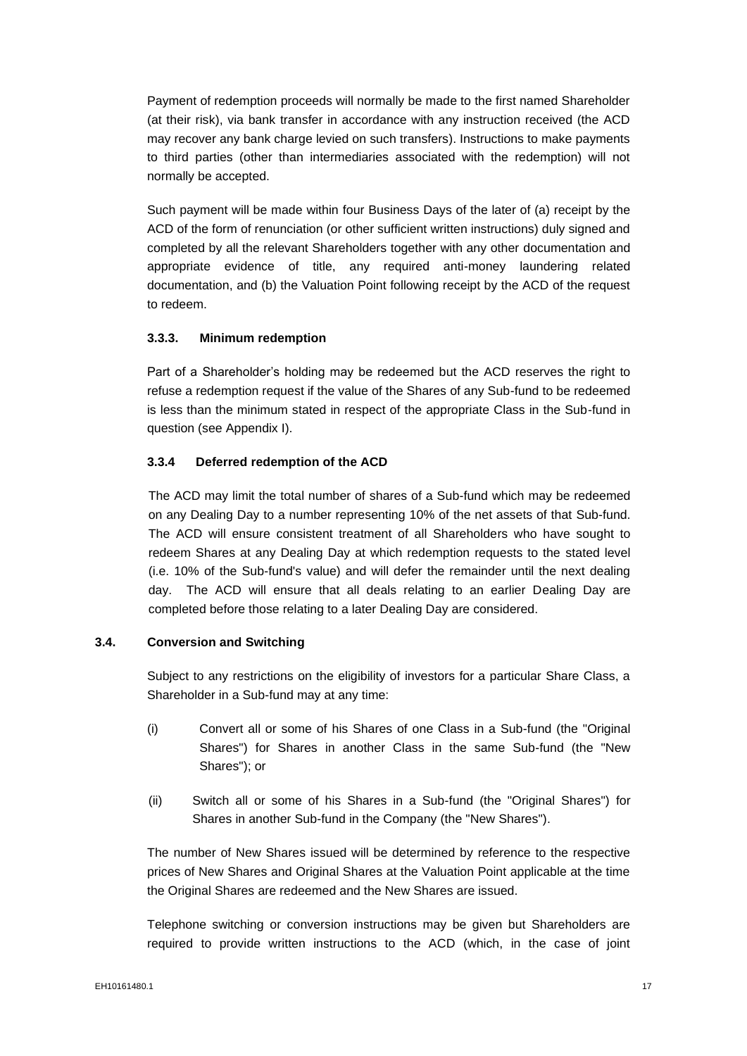Payment of redemption proceeds will normally be made to the first named Shareholder (at their risk), via bank transfer in accordance with any instruction received (the ACD may recover any bank charge levied on such transfers). Instructions to make payments to third parties (other than intermediaries associated with the redemption) will not normally be accepted.

Such payment will be made within four Business Days of the later of (a) receipt by the ACD of the form of renunciation (or other sufficient written instructions) duly signed and completed by all the relevant Shareholders together with any other documentation and appropriate evidence of title, any required anti-money laundering related documentation, and (b) the Valuation Point following receipt by the ACD of the request to redeem.

## **3.3.3. Minimum redemption**

Part of a Shareholder's holding may be redeemed but the ACD reserves the right to refuse a redemption request if the value of the Shares of any Sub-fund to be redeemed is less than the minimum stated in respect of the appropriate Class in the Sub-fund in question (see Appendix I).

## **3.3.4 Deferred redemption of the ACD**

The ACD may limit the total number of shares of a Sub-fund which may be redeemed on any Dealing Day to a number representing 10% of the net assets of that Sub-fund. The ACD will ensure consistent treatment of all Shareholders who have sought to redeem Shares at any Dealing Day at which redemption requests to the stated level (i.e. 10% of the Sub-fund's value) and will defer the remainder until the next dealing day. The ACD will ensure that all deals relating to an earlier Dealing Day are completed before those relating to a later Dealing Day are considered.

# **3.4. Conversion and Switching**

Subject to any restrictions on the eligibility of investors for a particular Share Class, a Shareholder in a Sub-fund may at any time:

- (i) Convert all or some of his Shares of one Class in a Sub-fund (the "Original Shares") for Shares in another Class in the same Sub-fund (the "New Shares"); or
- (ii) Switch all or some of his Shares in a Sub-fund (the "Original Shares") for Shares in another Sub-fund in the Company (the "New Shares").

The number of New Shares issued will be determined by reference to the respective prices of New Shares and Original Shares at the Valuation Point applicable at the time the Original Shares are redeemed and the New Shares are issued.

Telephone switching or conversion instructions may be given but Shareholders are required to provide written instructions to the ACD (which, in the case of joint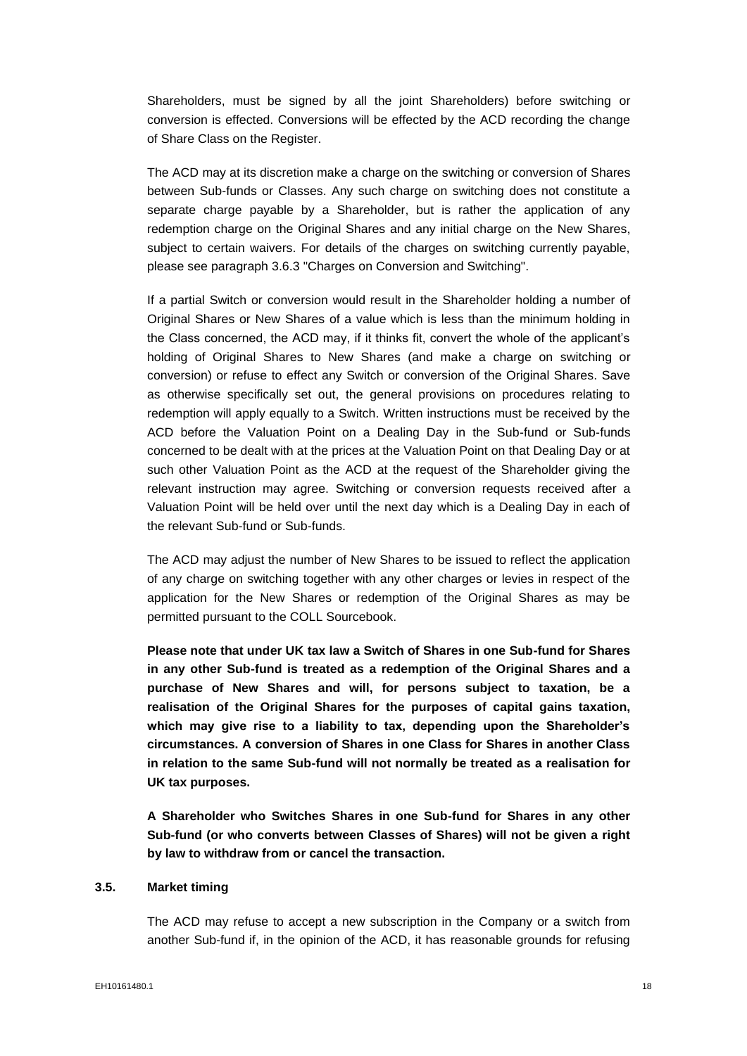Shareholders, must be signed by all the joint Shareholders) before switching or conversion is effected. Conversions will be effected by the ACD recording the change of Share Class on the Register.

The ACD may at its discretion make a charge on the switching or conversion of Shares between Sub-funds or Classes. Any such charge on switching does not constitute a separate charge payable by a Shareholder, but is rather the application of any redemption charge on the Original Shares and any initial charge on the New Shares, subject to certain waivers. For details of the charges on switching currently payable, please see paragraph 3.6.3 "Charges on Conversion and Switching".

If a partial Switch or conversion would result in the Shareholder holding a number of Original Shares or New Shares of a value which is less than the minimum holding in the Class concerned, the ACD may, if it thinks fit, convert the whole of the applicant's holding of Original Shares to New Shares (and make a charge on switching or conversion) or refuse to effect any Switch or conversion of the Original Shares. Save as otherwise specifically set out, the general provisions on procedures relating to redemption will apply equally to a Switch. Written instructions must be received by the ACD before the Valuation Point on a Dealing Day in the Sub-fund or Sub-funds concerned to be dealt with at the prices at the Valuation Point on that Dealing Day or at such other Valuation Point as the ACD at the request of the Shareholder giving the relevant instruction may agree. Switching or conversion requests received after a Valuation Point will be held over until the next day which is a Dealing Day in each of the relevant Sub-fund or Sub-funds.

The ACD may adjust the number of New Shares to be issued to reflect the application of any charge on switching together with any other charges or levies in respect of the application for the New Shares or redemption of the Original Shares as may be permitted pursuant to the COLL Sourcebook.

**Please note that under UK tax law a Switch of Shares in one Sub-fund for Shares in any other Sub-fund is treated as a redemption of the Original Shares and a purchase of New Shares and will, for persons subject to taxation, be a realisation of the Original Shares for the purposes of capital gains taxation, which may give rise to a liability to tax, depending upon the Shareholder's circumstances. A conversion of Shares in one Class for Shares in another Class in relation to the same Sub-fund will not normally be treated as a realisation for UK tax purposes.** 

**A Shareholder who Switches Shares in one Sub-fund for Shares in any other Sub-fund (or who converts between Classes of Shares) will not be given a right by law to withdraw from or cancel the transaction.**

## **3.5. Market timing**

The ACD may refuse to accept a new subscription in the Company or a switch from another Sub-fund if, in the opinion of the ACD, it has reasonable grounds for refusing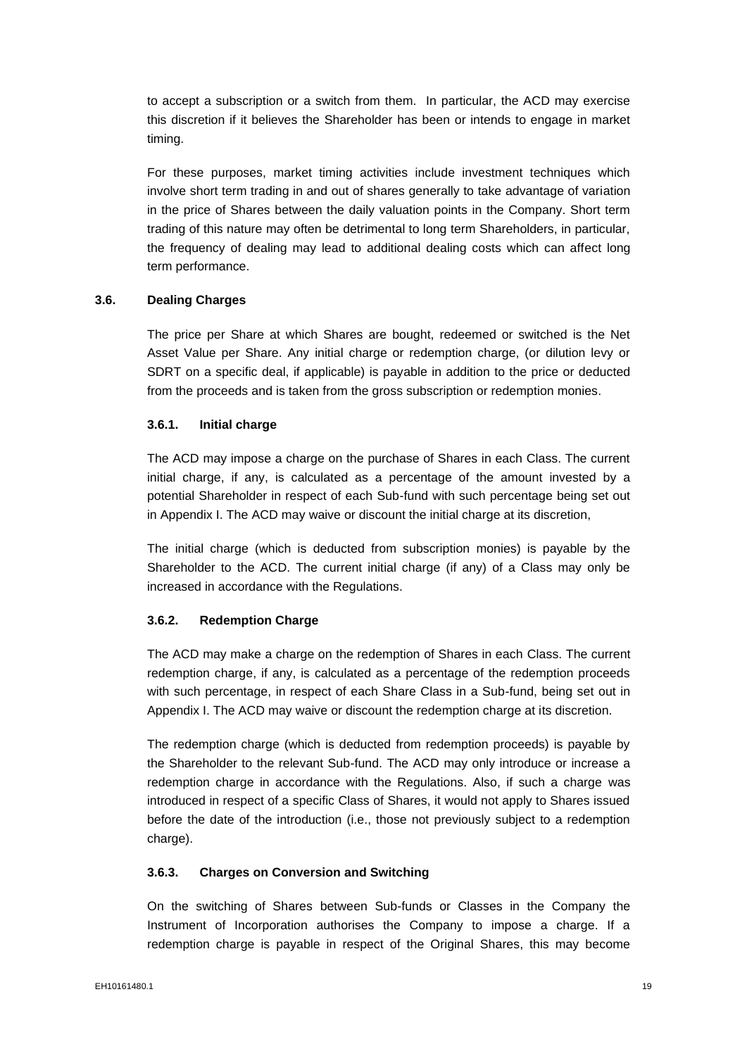to accept a subscription or a switch from them. In particular, the ACD may exercise this discretion if it believes the Shareholder has been or intends to engage in market timing.

For these purposes, market timing activities include investment techniques which involve short term trading in and out of shares generally to take advantage of variation in the price of Shares between the daily valuation points in the Company. Short term trading of this nature may often be detrimental to long term Shareholders, in particular, the frequency of dealing may lead to additional dealing costs which can affect long term performance.

#### **3.6. Dealing Charges**

The price per Share at which Shares are bought, redeemed or switched is the Net Asset Value per Share. Any initial charge or redemption charge, (or dilution levy or SDRT on a specific deal, if applicable) is payable in addition to the price or deducted from the proceeds and is taken from the gross subscription or redemption monies.

#### **3.6.1. Initial charge**

The ACD may impose a charge on the purchase of Shares in each Class. The current initial charge, if any, is calculated as a percentage of the amount invested by a potential Shareholder in respect of each Sub-fund with such percentage being set out in Appendix I. The ACD may waive or discount the initial charge at its discretion,

The initial charge (which is deducted from subscription monies) is payable by the Shareholder to the ACD. The current initial charge (if any) of a Class may only be increased in accordance with the Regulations.

#### **3.6.2. Redemption Charge**

The ACD may make a charge on the redemption of Shares in each Class. The current redemption charge, if any, is calculated as a percentage of the redemption proceeds with such percentage, in respect of each Share Class in a Sub-fund, being set out in Appendix I. The ACD may waive or discount the redemption charge at its discretion.

The redemption charge (which is deducted from redemption proceeds) is payable by the Shareholder to the relevant Sub-fund. The ACD may only introduce or increase a redemption charge in accordance with the Regulations. Also, if such a charge was introduced in respect of a specific Class of Shares, it would not apply to Shares issued before the date of the introduction (i.e., those not previously subject to a redemption charge).

# **3.6.3. Charges on Conversion and Switching**

On the switching of Shares between Sub-funds or Classes in the Company the Instrument of Incorporation authorises the Company to impose a charge. If a redemption charge is payable in respect of the Original Shares, this may become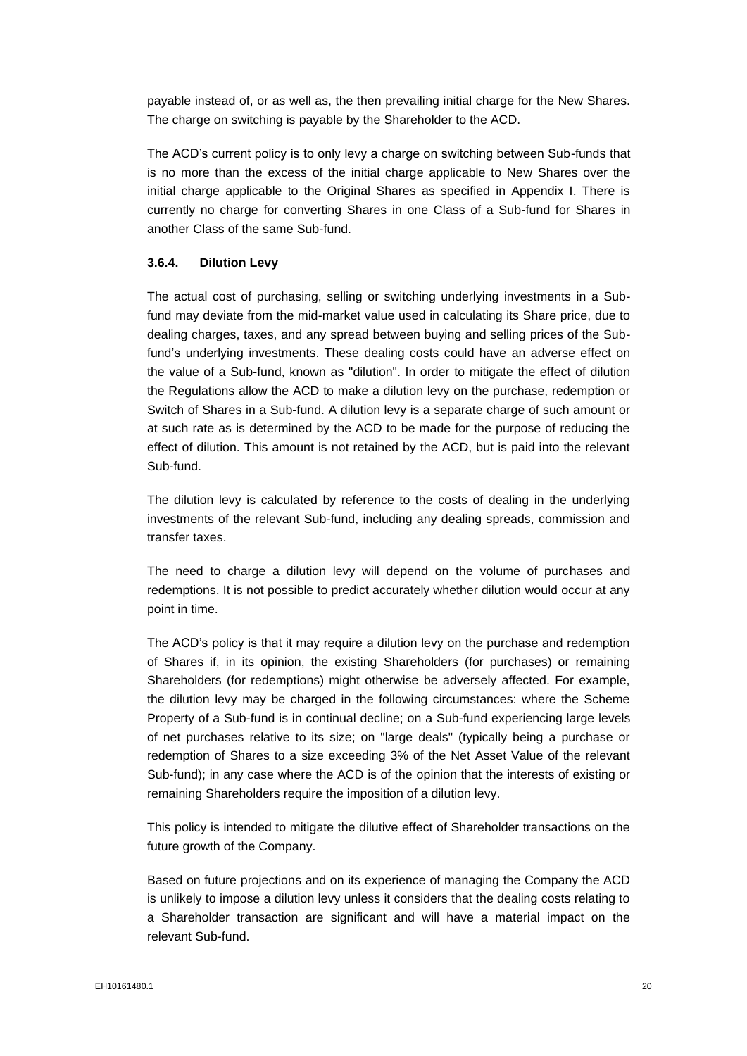payable instead of, or as well as, the then prevailing initial charge for the New Shares. The charge on switching is payable by the Shareholder to the ACD.

The ACD's current policy is to only levy a charge on switching between Sub-funds that is no more than the excess of the initial charge applicable to New Shares over the initial charge applicable to the Original Shares as specified in Appendix I. There is currently no charge for converting Shares in one Class of a Sub-fund for Shares in another Class of the same Sub-fund.

## **3.6.4. Dilution Levy**

The actual cost of purchasing, selling or switching underlying investments in a Subfund may deviate from the mid-market value used in calculating its Share price, due to dealing charges, taxes, and any spread between buying and selling prices of the Subfund's underlying investments. These dealing costs could have an adverse effect on the value of a Sub-fund, known as "dilution". In order to mitigate the effect of dilution the Regulations allow the ACD to make a dilution levy on the purchase, redemption or Switch of Shares in a Sub-fund. A dilution levy is a separate charge of such amount or at such rate as is determined by the ACD to be made for the purpose of reducing the effect of dilution. This amount is not retained by the ACD, but is paid into the relevant Sub-fund.

The dilution levy is calculated by reference to the costs of dealing in the underlying investments of the relevant Sub-fund, including any dealing spreads, commission and transfer taxes.

The need to charge a dilution levy will depend on the volume of purchases and redemptions. It is not possible to predict accurately whether dilution would occur at any point in time.

The ACD's policy is that it may require a dilution levy on the purchase and redemption of Shares if, in its opinion, the existing Shareholders (for purchases) or remaining Shareholders (for redemptions) might otherwise be adversely affected. For example, the dilution levy may be charged in the following circumstances: where the Scheme Property of a Sub-fund is in continual decline; on a Sub-fund experiencing large levels of net purchases relative to its size; on "large deals" (typically being a purchase or redemption of Shares to a size exceeding 3% of the Net Asset Value of the relevant Sub-fund); in any case where the ACD is of the opinion that the interests of existing or remaining Shareholders require the imposition of a dilution levy.

This policy is intended to mitigate the dilutive effect of Shareholder transactions on the future growth of the Company.

Based on future projections and on its experience of managing the Company the ACD is unlikely to impose a dilution levy unless it considers that the dealing costs relating to a Shareholder transaction are significant and will have a material impact on the relevant Sub-fund.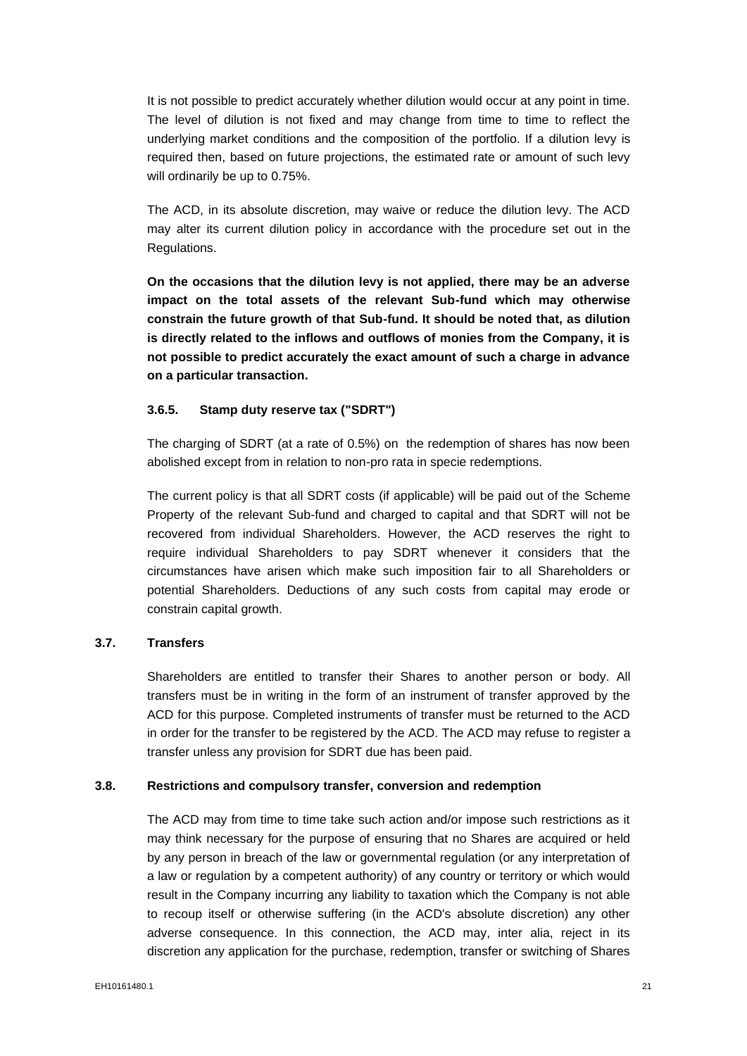It is not possible to predict accurately whether dilution would occur at any point in time. The level of dilution is not fixed and may change from time to time to reflect the underlying market conditions and the composition of the portfolio. If a dilution levy is required then, based on future projections, the estimated rate or amount of such levy will ordinarily be up to 0.75%.

The ACD, in its absolute discretion, may waive or reduce the dilution levy. The ACD may alter its current dilution policy in accordance with the procedure set out in the Regulations.

**On the occasions that the dilution levy is not applied, there may be an adverse impact on the total assets of the relevant Sub-fund which may otherwise constrain the future growth of that Sub-fund. It should be noted that, as dilution is directly related to the inflows and outflows of monies from the Company, it is not possible to predict accurately the exact amount of such a charge in advance on a particular transaction.**

## **3.6.5. Stamp duty reserve tax ("SDRT")**

The charging of SDRT (at a rate of 0.5%) on the redemption of shares has now been abolished except from in relation to non-pro rata in specie redemptions.

The current policy is that all SDRT costs (if applicable) will be paid out of the Scheme Property of the relevant Sub-fund and charged to capital and that SDRT will not be recovered from individual Shareholders. However, the ACD reserves the right to require individual Shareholders to pay SDRT whenever it considers that the circumstances have arisen which make such imposition fair to all Shareholders or potential Shareholders. Deductions of any such costs from capital may erode or constrain capital growth.

# **3.7. Transfers**

Shareholders are entitled to transfer their Shares to another person or body. All transfers must be in writing in the form of an instrument of transfer approved by the ACD for this purpose. Completed instruments of transfer must be returned to the ACD in order for the transfer to be registered by the ACD. The ACD may refuse to register a transfer unless any provision for SDRT due has been paid.

#### **3.8. Restrictions and compulsory transfer, conversion and redemption**

The ACD may from time to time take such action and/or impose such restrictions as it may think necessary for the purpose of ensuring that no Shares are acquired or held by any person in breach of the law or governmental regulation (or any interpretation of a law or regulation by a competent authority) of any country or territory or which would result in the Company incurring any liability to taxation which the Company is not able to recoup itself or otherwise suffering (in the ACD's absolute discretion) any other adverse consequence. In this connection, the ACD may, inter alia, reject in its discretion any application for the purchase, redemption, transfer or switching of Shares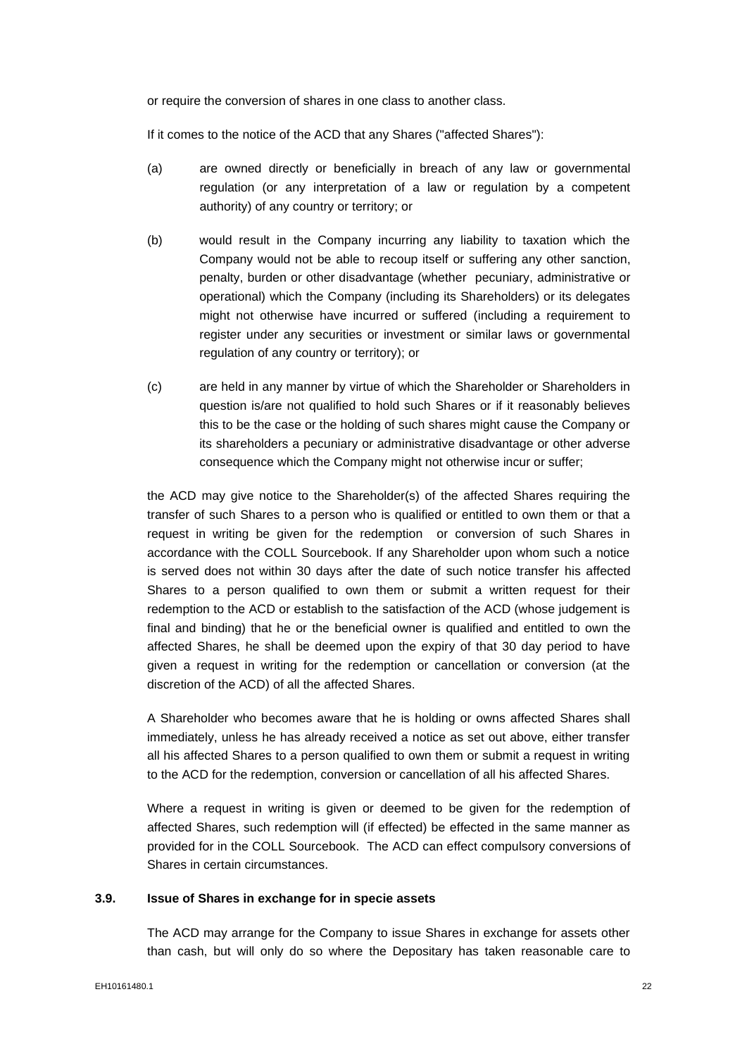or require the conversion of shares in one class to another class.

If it comes to the notice of the ACD that any Shares ("affected Shares"):

- (a) are owned directly or beneficially in breach of any law or governmental regulation (or any interpretation of a law or regulation by a competent authority) of any country or territory; or
- (b) would result in the Company incurring any liability to taxation which the Company would not be able to recoup itself or suffering any other sanction, penalty, burden or other disadvantage (whether pecuniary, administrative or operational) which the Company (including its Shareholders) or its delegates might not otherwise have incurred or suffered (including a requirement to register under any securities or investment or similar laws or governmental regulation of any country or territory); or
- (c) are held in any manner by virtue of which the Shareholder or Shareholders in question is/are not qualified to hold such Shares or if it reasonably believes this to be the case or the holding of such shares might cause the Company or its shareholders a pecuniary or administrative disadvantage or other adverse consequence which the Company might not otherwise incur or suffer;

the ACD may give notice to the Shareholder(s) of the affected Shares requiring the transfer of such Shares to a person who is qualified or entitled to own them or that a request in writing be given for the redemption or conversion of such Shares in accordance with the COLL Sourcebook. If any Shareholder upon whom such a notice is served does not within 30 days after the date of such notice transfer his affected Shares to a person qualified to own them or submit a written request for their redemption to the ACD or establish to the satisfaction of the ACD (whose judgement is final and binding) that he or the beneficial owner is qualified and entitled to own the affected Shares, he shall be deemed upon the expiry of that 30 day period to have given a request in writing for the redemption or cancellation or conversion (at the discretion of the ACD) of all the affected Shares.

A Shareholder who becomes aware that he is holding or owns affected Shares shall immediately, unless he has already received a notice as set out above, either transfer all his affected Shares to a person qualified to own them or submit a request in writing to the ACD for the redemption, conversion or cancellation of all his affected Shares.

Where a request in writing is given or deemed to be given for the redemption of affected Shares, such redemption will (if effected) be effected in the same manner as provided for in the COLL Sourcebook. The ACD can effect compulsory conversions of Shares in certain circumstances.

## **3.9. Issue of Shares in exchange for in specie assets**

The ACD may arrange for the Company to issue Shares in exchange for assets other than cash, but will only do so where the Depositary has taken reasonable care to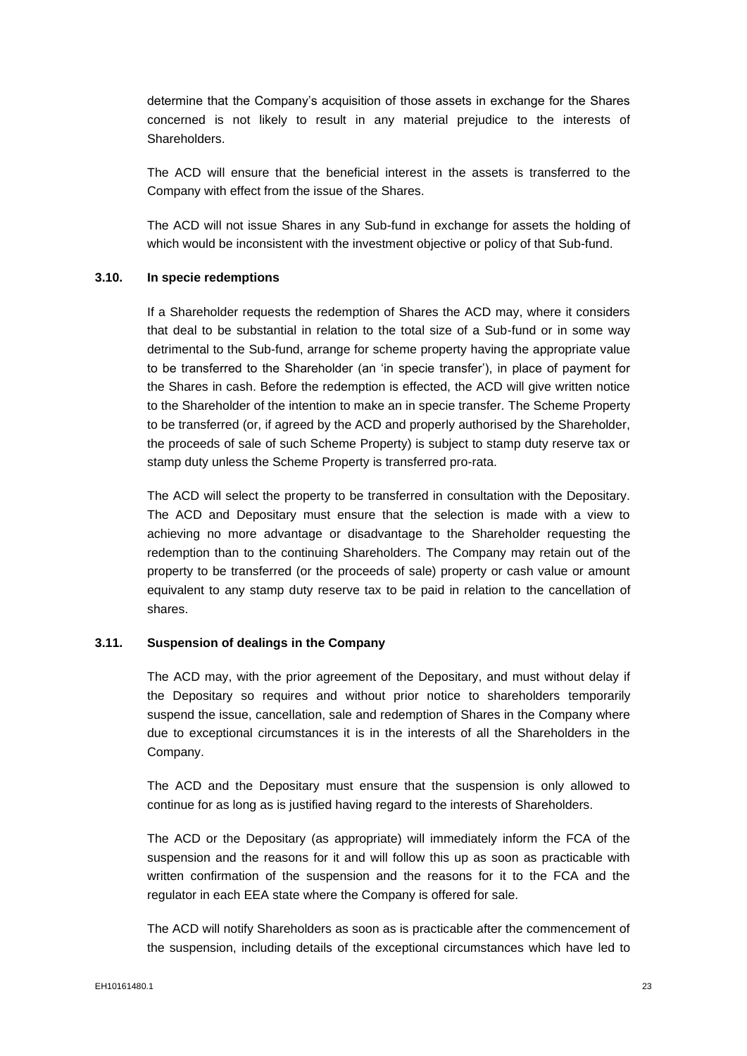determine that the Company's acquisition of those assets in exchange for the Shares concerned is not likely to result in any material prejudice to the interests of **Shareholders** 

The ACD will ensure that the beneficial interest in the assets is transferred to the Company with effect from the issue of the Shares.

The ACD will not issue Shares in any Sub-fund in exchange for assets the holding of which would be inconsistent with the investment objective or policy of that Sub-fund.

#### **3.10. In specie redemptions**

If a Shareholder requests the redemption of Shares the ACD may, where it considers that deal to be substantial in relation to the total size of a Sub-fund or in some way detrimental to the Sub-fund, arrange for scheme property having the appropriate value to be transferred to the Shareholder (an 'in specie transfer'), in place of payment for the Shares in cash. Before the redemption is effected, the ACD will give written notice to the Shareholder of the intention to make an in specie transfer. The Scheme Property to be transferred (or, if agreed by the ACD and properly authorised by the Shareholder, the proceeds of sale of such Scheme Property) is subject to stamp duty reserve tax or stamp duty unless the Scheme Property is transferred pro-rata.

The ACD will select the property to be transferred in consultation with the Depositary. The ACD and Depositary must ensure that the selection is made with a view to achieving no more advantage or disadvantage to the Shareholder requesting the redemption than to the continuing Shareholders. The Company may retain out of the property to be transferred (or the proceeds of sale) property or cash value or amount equivalent to any stamp duty reserve tax to be paid in relation to the cancellation of shares.

# **3.11. Suspension of dealings in the Company**

The ACD may, with the prior agreement of the Depositary, and must without delay if the Depositary so requires and without prior notice to shareholders temporarily suspend the issue, cancellation, sale and redemption of Shares in the Company where due to exceptional circumstances it is in the interests of all the Shareholders in the Company.

The ACD and the Depositary must ensure that the suspension is only allowed to continue for as long as is justified having regard to the interests of Shareholders.

The ACD or the Depositary (as appropriate) will immediately inform the FCA of the suspension and the reasons for it and will follow this up as soon as practicable with written confirmation of the suspension and the reasons for it to the FCA and the regulator in each EEA state where the Company is offered for sale.

The ACD will notify Shareholders as soon as is practicable after the commencement of the suspension, including details of the exceptional circumstances which have led to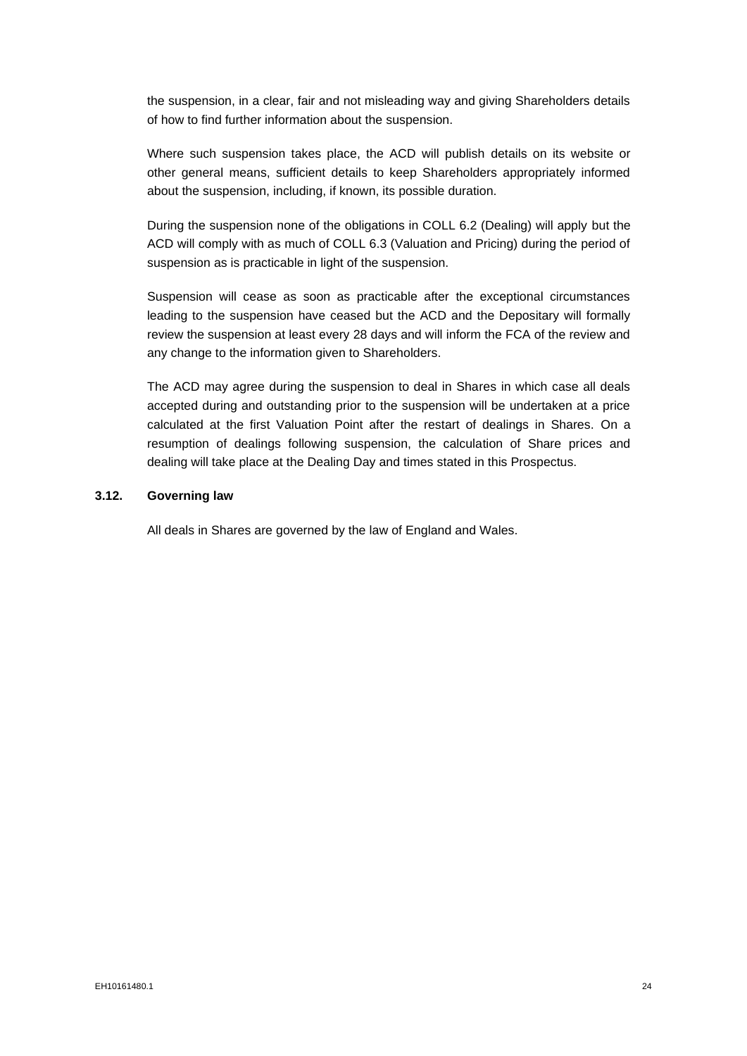the suspension, in a clear, fair and not misleading way and giving Shareholders details of how to find further information about the suspension.

Where such suspension takes place, the ACD will publish details on its website or other general means, sufficient details to keep Shareholders appropriately informed about the suspension, including, if known, its possible duration.

During the suspension none of the obligations in COLL 6.2 (Dealing) will apply but the ACD will comply with as much of COLL 6.3 (Valuation and Pricing) during the period of suspension as is practicable in light of the suspension.

Suspension will cease as soon as practicable after the exceptional circumstances leading to the suspension have ceased but the ACD and the Depositary will formally review the suspension at least every 28 days and will inform the FCA of the review and any change to the information given to Shareholders.

The ACD may agree during the suspension to deal in Shares in which case all deals accepted during and outstanding prior to the suspension will be undertaken at a price calculated at the first Valuation Point after the restart of dealings in Shares. On a resumption of dealings following suspension, the calculation of Share prices and dealing will take place at the Dealing Day and times stated in this Prospectus.

#### **3.12. Governing law**

All deals in Shares are governed by the law of England and Wales.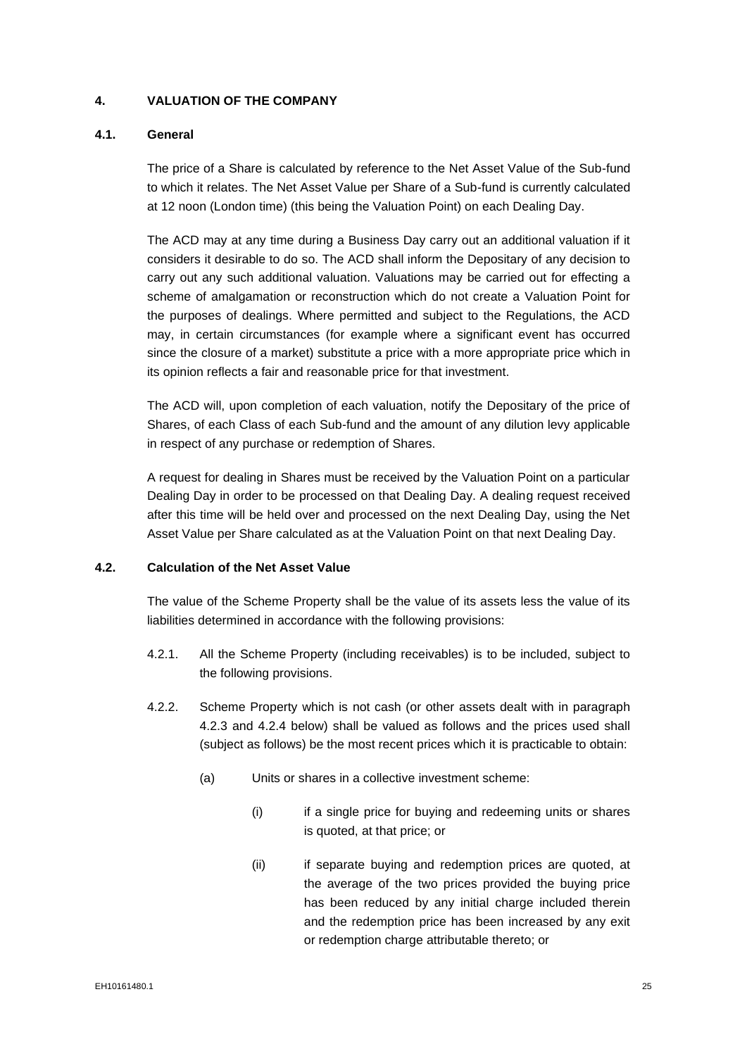# <span id="page-26-0"></span>**4. VALUATION OF THE COMPANY**

## **4.1. General**

The price of a Share is calculated by reference to the Net Asset Value of the Sub-fund to which it relates. The Net Asset Value per Share of a Sub-fund is currently calculated at 12 noon (London time) (this being the Valuation Point) on each Dealing Day.

The ACD may at any time during a Business Day carry out an additional valuation if it considers it desirable to do so. The ACD shall inform the Depositary of any decision to carry out any such additional valuation. Valuations may be carried out for effecting a scheme of amalgamation or reconstruction which do not create a Valuation Point for the purposes of dealings. Where permitted and subject to the Regulations, the ACD may, in certain circumstances (for example where a significant event has occurred since the closure of a market) substitute a price with a more appropriate price which in its opinion reflects a fair and reasonable price for that investment.

The ACD will, upon completion of each valuation, notify the Depositary of the price of Shares, of each Class of each Sub-fund and the amount of any dilution levy applicable in respect of any purchase or redemption of Shares.

A request for dealing in Shares must be received by the Valuation Point on a particular Dealing Day in order to be processed on that Dealing Day. A dealing request received after this time will be held over and processed on the next Dealing Day, using the Net Asset Value per Share calculated as at the Valuation Point on that next Dealing Day.

#### **4.2. Calculation of the Net Asset Value**

The value of the Scheme Property shall be the value of its assets less the value of its liabilities determined in accordance with the following provisions:

- 4.2.1. All the Scheme Property (including receivables) is to be included, subject to the following provisions.
- 4.2.2. Scheme Property which is not cash (or other assets dealt with in paragraph 4.2.3 and 4.2.4 below) shall be valued as follows and the prices used shall (subject as follows) be the most recent prices which it is practicable to obtain:
	- (a) Units or shares in a collective investment scheme:
		- (i) if a single price for buying and redeeming units or shares is quoted, at that price; or
		- (ii) if separate buying and redemption prices are quoted, at the average of the two prices provided the buying price has been reduced by any initial charge included therein and the redemption price has been increased by any exit or redemption charge attributable thereto; or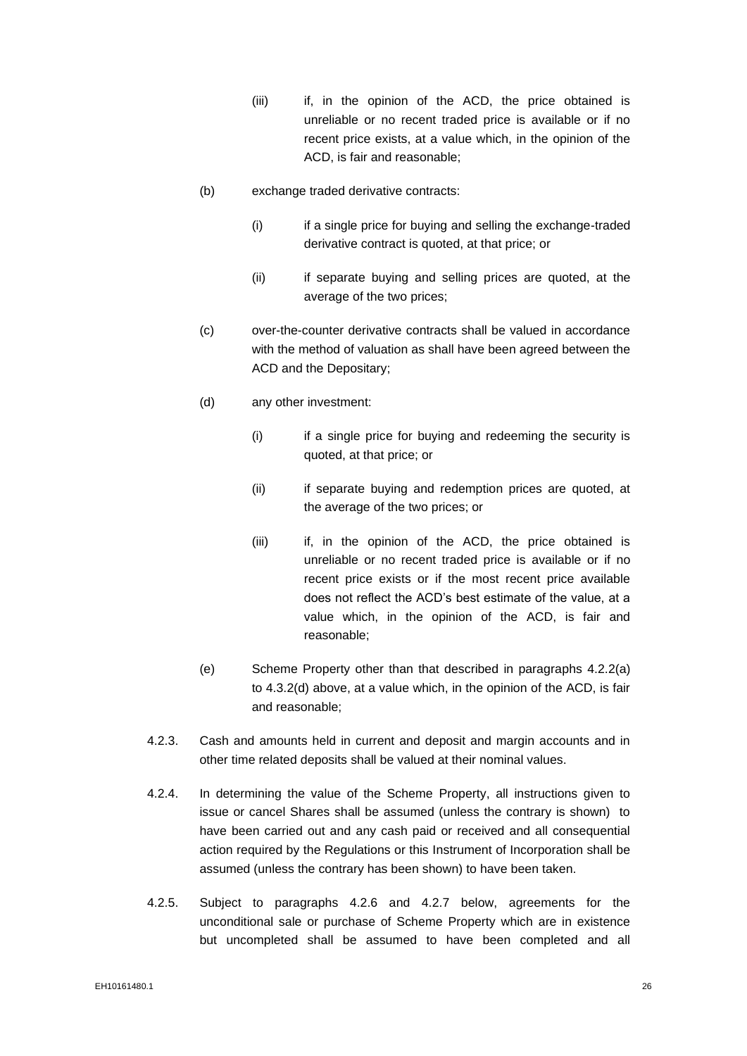- (iii) if, in the opinion of the ACD, the price obtained is unreliable or no recent traded price is available or if no recent price exists, at a value which, in the opinion of the ACD, is fair and reasonable;
- (b) exchange traded derivative contracts:
	- (i) if a single price for buying and selling the exchange-traded derivative contract is quoted, at that price; or
	- (ii) if separate buying and selling prices are quoted, at the average of the two prices;
- (c) over-the-counter derivative contracts shall be valued in accordance with the method of valuation as shall have been agreed between the ACD and the Depositary;
- (d) any other investment:
	- (i) if a single price for buying and redeeming the security is quoted, at that price; or
	- (ii) if separate buying and redemption prices are quoted, at the average of the two prices; or
	- (iii) if, in the opinion of the ACD, the price obtained is unreliable or no recent traded price is available or if no recent price exists or if the most recent price available does not reflect the ACD's best estimate of the value, at a value which, in the opinion of the ACD, is fair and reasonable;
- (e) Scheme Property other than that described in paragraphs 4.2.2(a) to 4.3.2(d) above, at a value which, in the opinion of the ACD, is fair and reasonable;
- 4.2.3. Cash and amounts held in current and deposit and margin accounts and in other time related deposits shall be valued at their nominal values.
- 4.2.4. In determining the value of the Scheme Property, all instructions given to issue or cancel Shares shall be assumed (unless the contrary is shown) to have been carried out and any cash paid or received and all consequential action required by the Regulations or this Instrument of Incorporation shall be assumed (unless the contrary has been shown) to have been taken.
- 4.2.5. Subject to paragraphs 4.2.6 and 4.2.7 below, agreements for the unconditional sale or purchase of Scheme Property which are in existence but uncompleted shall be assumed to have been completed and all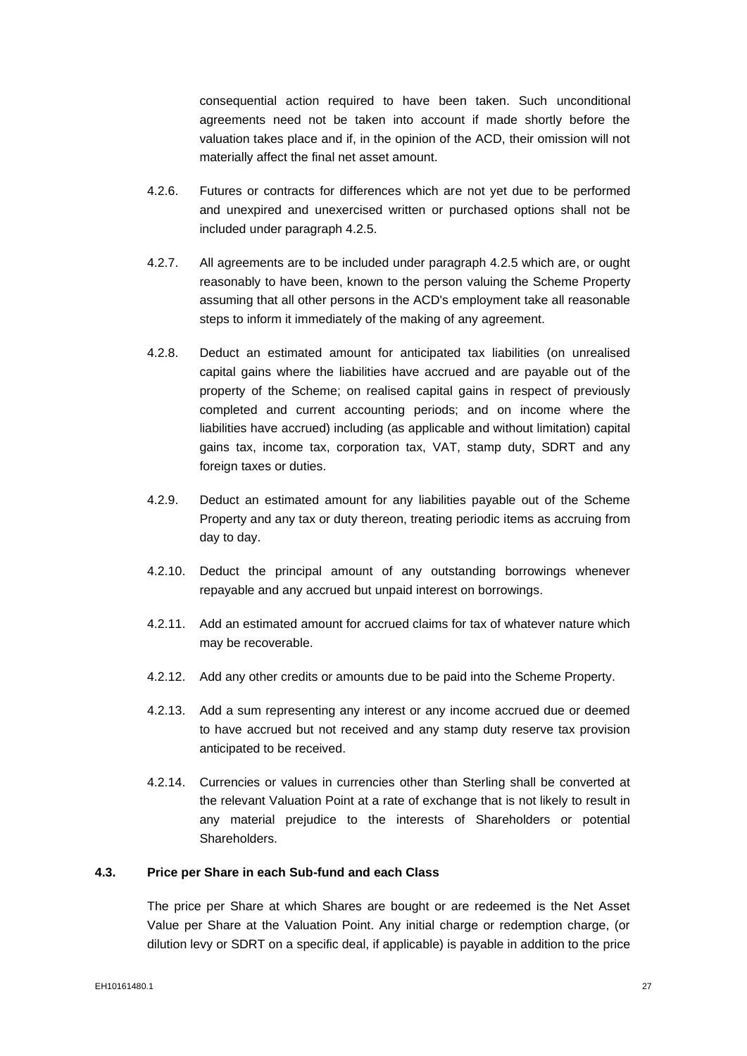consequential action required to have been taken. Such unconditional agreements need not be taken into account if made shortly before the valuation takes place and if, in the opinion of the ACD, their omission will not materially affect the final net asset amount.

- 4.2.6. Futures or contracts for differences which are not yet due to be performed and unexpired and unexercised written or purchased options shall not be included under paragraph 4.2.5.
- 4.2.7. All agreements are to be included under paragraph 4.2.5 which are, or ought reasonably to have been, known to the person valuing the Scheme Property assuming that all other persons in the ACD's employment take all reasonable steps to inform it immediately of the making of any agreement.
- 4.2.8. Deduct an estimated amount for anticipated tax liabilities (on unrealised capital gains where the liabilities have accrued and are payable out of the property of the Scheme; on realised capital gains in respect of previously completed and current accounting periods; and on income where the liabilities have accrued) including (as applicable and without limitation) capital gains tax, income tax, corporation tax, VAT, stamp duty, SDRT and any foreign taxes or duties.
- 4.2.9. Deduct an estimated amount for any liabilities payable out of the Scheme Property and any tax or duty thereon, treating periodic items as accruing from day to day.
- 4.2.10. Deduct the principal amount of any outstanding borrowings whenever repayable and any accrued but unpaid interest on borrowings.
- 4.2.11. Add an estimated amount for accrued claims for tax of whatever nature which may be recoverable.
- 4.2.12. Add any other credits or amounts due to be paid into the Scheme Property.
- 4.2.13. Add a sum representing any interest or any income accrued due or deemed to have accrued but not received and any stamp duty reserve tax provision anticipated to be received.
- 4.2.14. Currencies or values in currencies other than Sterling shall be converted at the relevant Valuation Point at a rate of exchange that is not likely to result in any material prejudice to the interests of Shareholders or potential Shareholders.

# **4.3. Price per Share in each Sub-fund and each Class**

The price per Share at which Shares are bought or are redeemed is the Net Asset Value per Share at the Valuation Point. Any initial charge or redemption charge, (or dilution levy or SDRT on a specific deal, if applicable) is payable in addition to the price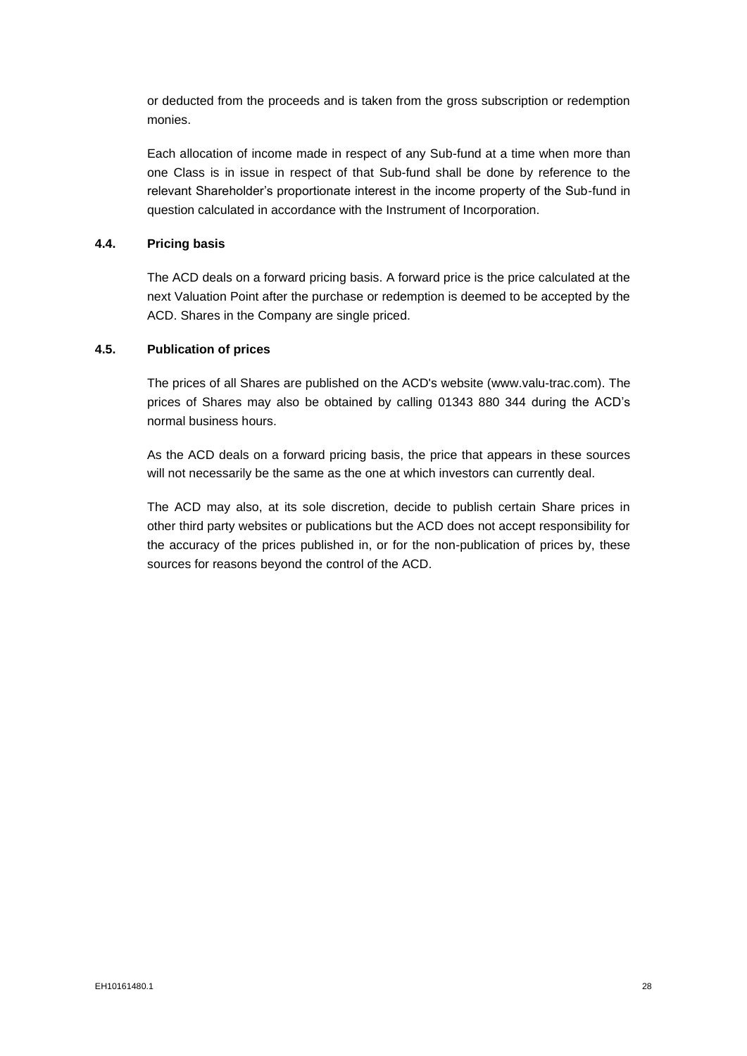or deducted from the proceeds and is taken from the gross subscription or redemption monies.

Each allocation of income made in respect of any Sub-fund at a time when more than one Class is in issue in respect of that Sub-fund shall be done by reference to the relevant Shareholder's proportionate interest in the income property of the Sub-fund in question calculated in accordance with the Instrument of Incorporation.

## **4.4. Pricing basis**

The ACD deals on a forward pricing basis. A forward price is the price calculated at the next Valuation Point after the purchase or redemption is deemed to be accepted by the ACD. Shares in the Company are single priced.

## **4.5. Publication of prices**

The prices of all Shares are published on the ACD's website (www.valu-trac.com). The prices of Shares may also be obtained by calling 01343 880 344 during the ACD's normal business hours.

As the ACD deals on a forward pricing basis, the price that appears in these sources will not necessarily be the same as the one at which investors can currently deal.

The ACD may also, at its sole discretion, decide to publish certain Share prices in other third party websites or publications but the ACD does not accept responsibility for the accuracy of the prices published in, or for the non-publication of prices by, these sources for reasons beyond the control of the ACD.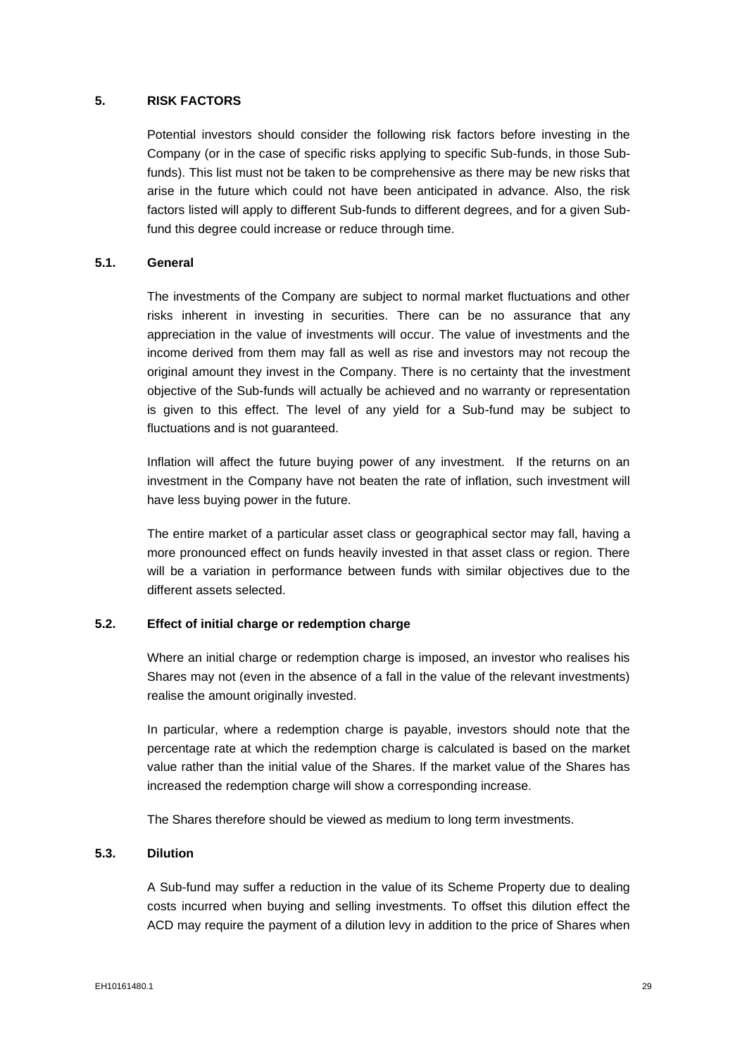## **5. RISK FACTORS**

<span id="page-30-0"></span>Potential investors should consider the following risk factors before investing in the Company (or in the case of specific risks applying to specific Sub-funds, in those Subfunds). This list must not be taken to be comprehensive as there may be new risks that arise in the future which could not have been anticipated in advance. Also, the risk factors listed will apply to different Sub-funds to different degrees, and for a given Subfund this degree could increase or reduce through time.

## **5.1. General**

The investments of the Company are subject to normal market fluctuations and other risks inherent in investing in securities. There can be no assurance that any appreciation in the value of investments will occur. The value of investments and the income derived from them may fall as well as rise and investors may not recoup the original amount they invest in the Company. There is no certainty that the investment objective of the Sub-funds will actually be achieved and no warranty or representation is given to this effect. The level of any yield for a Sub-fund may be subject to fluctuations and is not guaranteed.

Inflation will affect the future buying power of any investment. If the returns on an investment in the Company have not beaten the rate of inflation, such investment will have less buying power in the future.

The entire market of a particular asset class or geographical sector may fall, having a more pronounced effect on funds heavily invested in that asset class or region. There will be a variation in performance between funds with similar objectives due to the different assets selected.

# **5.2. Effect of initial charge or redemption charge**

Where an initial charge or redemption charge is imposed, an investor who realises his Shares may not (even in the absence of a fall in the value of the relevant investments) realise the amount originally invested.

In particular, where a redemption charge is payable, investors should note that the percentage rate at which the redemption charge is calculated is based on the market value rather than the initial value of the Shares. If the market value of the Shares has increased the redemption charge will show a corresponding increase.

The Shares therefore should be viewed as medium to long term investments.

## **5.3. Dilution**

A Sub-fund may suffer a reduction in the value of its Scheme Property due to dealing costs incurred when buying and selling investments. To offset this dilution effect the ACD may require the payment of a dilution levy in addition to the price of Shares when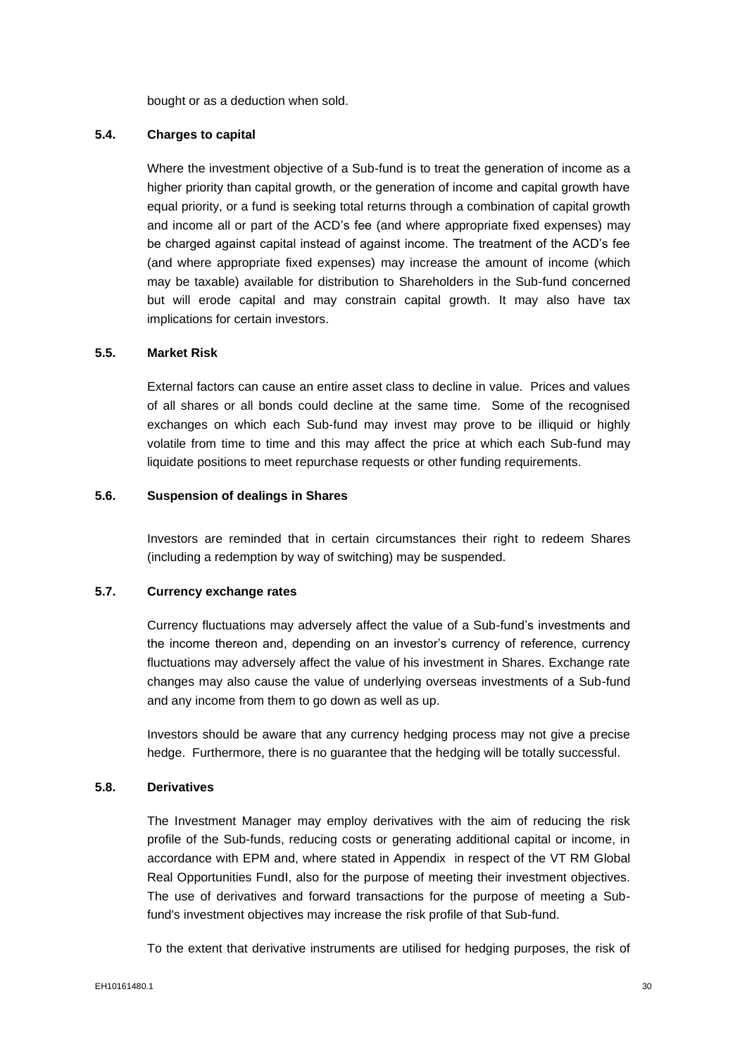bought or as a deduction when sold.

# **5.4. Charges to capital**

Where the investment objective of a Sub-fund is to treat the generation of income as a higher priority than capital growth, or the generation of income and capital growth have equal priority, or a fund is seeking total returns through a combination of capital growth and income all or part of the ACD's fee (and where appropriate fixed expenses) may be charged against capital instead of against income. The treatment of the ACD's fee (and where appropriate fixed expenses) may increase the amount of income (which may be taxable) available for distribution to Shareholders in the Sub-fund concerned but will erode capital and may constrain capital growth. It may also have tax implications for certain investors.

#### **5.5. Market Risk**

External factors can cause an entire asset class to decline in value. Prices and values of all shares or all bonds could decline at the same time. Some of the recognised exchanges on which each Sub-fund may invest may prove to be illiquid or highly volatile from time to time and this may affect the price at which each Sub-fund may liquidate positions to meet repurchase requests or other funding requirements.

#### **5.6. Suspension of dealings in Shares**

Investors are reminded that in certain circumstances their right to redeem Shares (including a redemption by way of switching) may be suspended.

## **5.7. Currency exchange rates**

Currency fluctuations may adversely affect the value of a Sub-fund's investments and the income thereon and, depending on an investor's currency of reference, currency fluctuations may adversely affect the value of his investment in Shares. Exchange rate changes may also cause the value of underlying overseas investments of a Sub-fund and any income from them to go down as well as up.

Investors should be aware that any currency hedging process may not give a precise hedge. Furthermore, there is no guarantee that the hedging will be totally successful.

## **5.8. Derivatives**

The Investment Manager may employ derivatives with the aim of reducing the risk profile of the Sub-funds, reducing costs or generating additional capital or income, in accordance with EPM and, where stated in Appendix in respect of the VT RM Global Real Opportunities FundI, also for the purpose of meeting their investment objectives. The use of derivatives and forward transactions for the purpose of meeting a Subfund's investment objectives may increase the risk profile of that Sub-fund.

To the extent that derivative instruments are utilised for hedging purposes, the risk of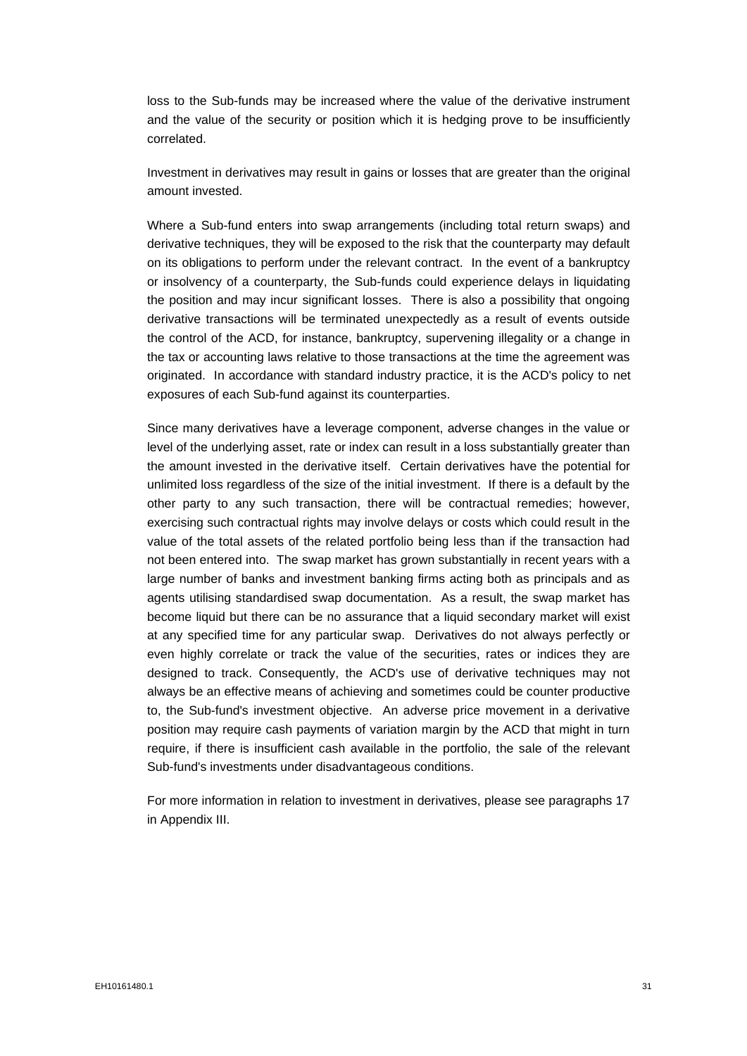loss to the Sub-funds may be increased where the value of the derivative instrument and the value of the security or position which it is hedging prove to be insufficiently correlated.

Investment in derivatives may result in gains or losses that are greater than the original amount invested.

Where a Sub-fund enters into swap arrangements (including total return swaps) and derivative techniques, they will be exposed to the risk that the counterparty may default on its obligations to perform under the relevant contract. In the event of a bankruptcy or insolvency of a counterparty, the Sub-funds could experience delays in liquidating the position and may incur significant losses. There is also a possibility that ongoing derivative transactions will be terminated unexpectedly as a result of events outside the control of the ACD, for instance, bankruptcy, supervening illegality or a change in the tax or accounting laws relative to those transactions at the time the agreement was originated. In accordance with standard industry practice, it is the ACD's policy to net exposures of each Sub-fund against its counterparties.

Since many derivatives have a leverage component, adverse changes in the value or level of the underlying asset, rate or index can result in a loss substantially greater than the amount invested in the derivative itself. Certain derivatives have the potential for unlimited loss regardless of the size of the initial investment. If there is a default by the other party to any such transaction, there will be contractual remedies; however, exercising such contractual rights may involve delays or costs which could result in the value of the total assets of the related portfolio being less than if the transaction had not been entered into. The swap market has grown substantially in recent years with a large number of banks and investment banking firms acting both as principals and as agents utilising standardised swap documentation. As a result, the swap market has become liquid but there can be no assurance that a liquid secondary market will exist at any specified time for any particular swap. Derivatives do not always perfectly or even highly correlate or track the value of the securities, rates or indices they are designed to track. Consequently, the ACD's use of derivative techniques may not always be an effective means of achieving and sometimes could be counter productive to, the Sub-fund's investment objective. An adverse price movement in a derivative position may require cash payments of variation margin by the ACD that might in turn require, if there is insufficient cash available in the portfolio, the sale of the relevant Sub-fund's investments under disadvantageous conditions.

For more information in relation to investment in derivatives, please see paragraphs 17 in Appendix III.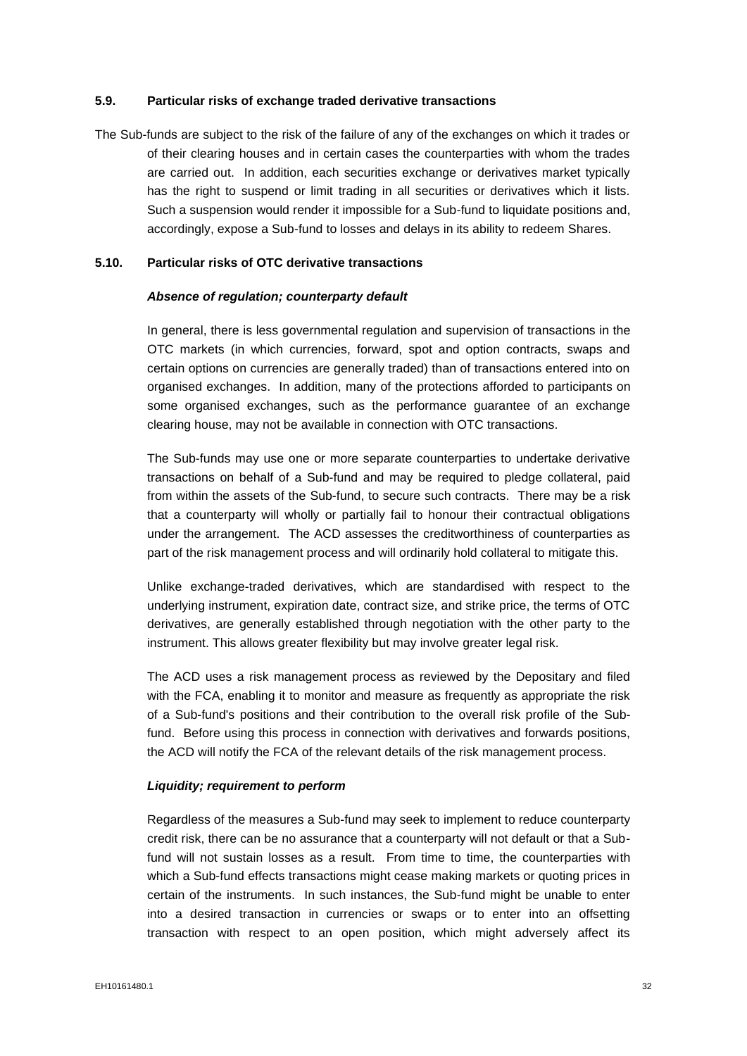#### **5.9. Particular risks of exchange traded derivative transactions**

The Sub-funds are subject to the risk of the failure of any of the exchanges on which it trades or of their clearing houses and in certain cases the counterparties with whom the trades are carried out. In addition, each securities exchange or derivatives market typically has the right to suspend or limit trading in all securities or derivatives which it lists. Such a suspension would render it impossible for a Sub-fund to liquidate positions and, accordingly, expose a Sub-fund to losses and delays in its ability to redeem Shares.

## **5.10. Particular risks of OTC derivative transactions**

## *Absence of regulation; counterparty default*

In general, there is less governmental regulation and supervision of transactions in the OTC markets (in which currencies, forward, spot and option contracts, swaps and certain options on currencies are generally traded) than of transactions entered into on organised exchanges. In addition, many of the protections afforded to participants on some organised exchanges, such as the performance guarantee of an exchange clearing house, may not be available in connection with OTC transactions.

The Sub-funds may use one or more separate counterparties to undertake derivative transactions on behalf of a Sub-fund and may be required to pledge collateral, paid from within the assets of the Sub-fund, to secure such contracts. There may be a risk that a counterparty will wholly or partially fail to honour their contractual obligations under the arrangement. The ACD assesses the creditworthiness of counterparties as part of the risk management process and will ordinarily hold collateral to mitigate this.

Unlike exchange-traded derivatives, which are standardised with respect to the underlying instrument, expiration date, contract size, and strike price, the terms of OTC derivatives, are generally established through negotiation with the other party to the instrument. This allows greater flexibility but may involve greater legal risk.

The ACD uses a risk management process as reviewed by the Depositary and filed with the FCA, enabling it to monitor and measure as frequently as appropriate the risk of a Sub-fund's positions and their contribution to the overall risk profile of the Subfund. Before using this process in connection with derivatives and forwards positions, the ACD will notify the FCA of the relevant details of the risk management process.

#### *Liquidity; requirement to perform*

Regardless of the measures a Sub-fund may seek to implement to reduce counterparty credit risk, there can be no assurance that a counterparty will not default or that a Subfund will not sustain losses as a result. From time to time, the counterparties with which a Sub-fund effects transactions might cease making markets or quoting prices in certain of the instruments. In such instances, the Sub-fund might be unable to enter into a desired transaction in currencies or swaps or to enter into an offsetting transaction with respect to an open position, which might adversely affect its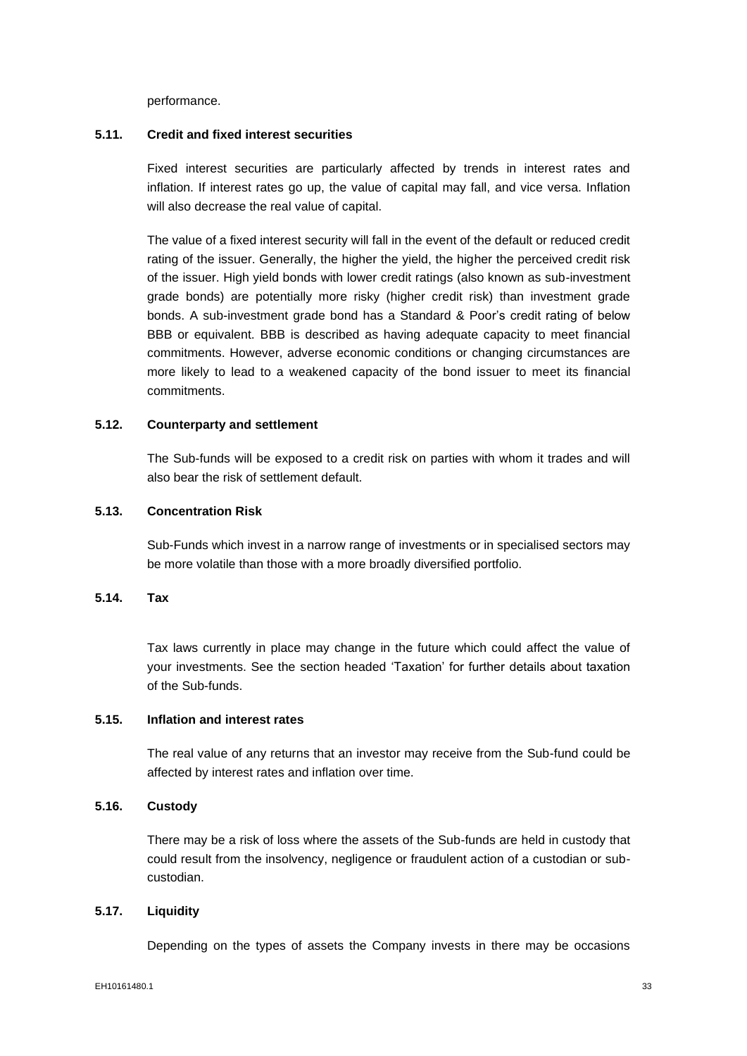performance.

#### **5.11. Credit and fixed interest securities**

Fixed interest securities are particularly affected by trends in interest rates and inflation. If interest rates go up, the value of capital may fall, and vice versa. Inflation will also decrease the real value of capital.

The value of a fixed interest security will fall in the event of the default or reduced credit rating of the issuer. Generally, the higher the yield, the higher the perceived credit risk of the issuer. High yield bonds with lower credit ratings (also known as sub-investment grade bonds) are potentially more risky (higher credit risk) than investment grade bonds. A sub-investment grade bond has a Standard & Poor's credit rating of below BBB or equivalent. BBB is described as having adequate capacity to meet financial commitments. However, adverse economic conditions or changing circumstances are more likely to lead to a weakened capacity of the bond issuer to meet its financial commitments.

## **5.12. Counterparty and settlement**

The Sub-funds will be exposed to a credit risk on parties with whom it trades and will also bear the risk of settlement default.

#### **5.13. Concentration Risk**

Sub-Funds which invest in a narrow range of investments or in specialised sectors may be more volatile than those with a more broadly diversified portfolio.

## **5.14. Tax**

Tax laws currently in place may change in the future which could affect the value of your investments. See the section headed 'Taxation' for further details about taxation of the Sub-funds.

## **5.15. Inflation and interest rates**

The real value of any returns that an investor may receive from the Sub-fund could be affected by interest rates and inflation over time.

#### **5.16. Custody**

There may be a risk of loss where the assets of the Sub-funds are held in custody that could result from the insolvency, negligence or fraudulent action of a custodian or subcustodian.

#### **5.17. Liquidity**

Depending on the types of assets the Company invests in there may be occasions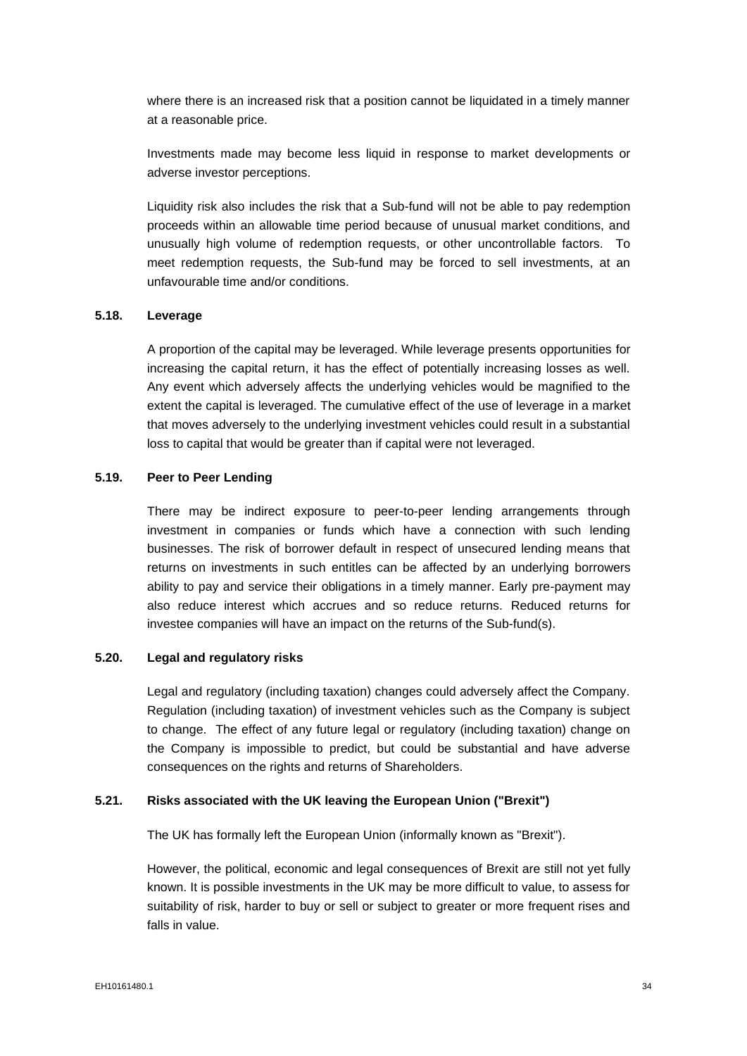where there is an increased risk that a position cannot be liquidated in a timely manner at a reasonable price.

Investments made may become less liquid in response to market developments or adverse investor perceptions.

Liquidity risk also includes the risk that a Sub-fund will not be able to pay redemption proceeds within an allowable time period because of unusual market conditions, and unusually high volume of redemption requests, or other uncontrollable factors. To meet redemption requests, the Sub-fund may be forced to sell investments, at an unfavourable time and/or conditions.

# **5.18. Leverage**

A proportion of the capital may be leveraged. While leverage presents opportunities for increasing the capital return, it has the effect of potentially increasing losses as well. Any event which adversely affects the underlying vehicles would be magnified to the extent the capital is leveraged. The cumulative effect of the use of leverage in a market that moves adversely to the underlying investment vehicles could result in a substantial loss to capital that would be greater than if capital were not leveraged.

## **5.19. Peer to Peer Lending**

There may be indirect exposure to peer-to-peer lending arrangements through investment in companies or funds which have a connection with such lending businesses. The risk of borrower default in respect of unsecured lending means that returns on investments in such entitles can be affected by an underlying borrowers ability to pay and service their obligations in a timely manner. Early pre-payment may also reduce interest which accrues and so reduce returns. Reduced returns for investee companies will have an impact on the returns of the Sub-fund(s).

# **5.20. Legal and regulatory risks**

Legal and regulatory (including taxation) changes could adversely affect the Company. Regulation (including taxation) of investment vehicles such as the Company is subject to change. The effect of any future legal or regulatory (including taxation) change on the Company is impossible to predict, but could be substantial and have adverse consequences on the rights and returns of Shareholders.

#### **5.21. Risks associated with the UK leaving the European Union ("Brexit")**

The UK has formally left the European Union (informally known as "Brexit").

However, the political, economic and legal consequences of Brexit are still not yet fully known. It is possible investments in the UK may be more difficult to value, to assess for suitability of risk, harder to buy or sell or subject to greater or more frequent rises and falls in value.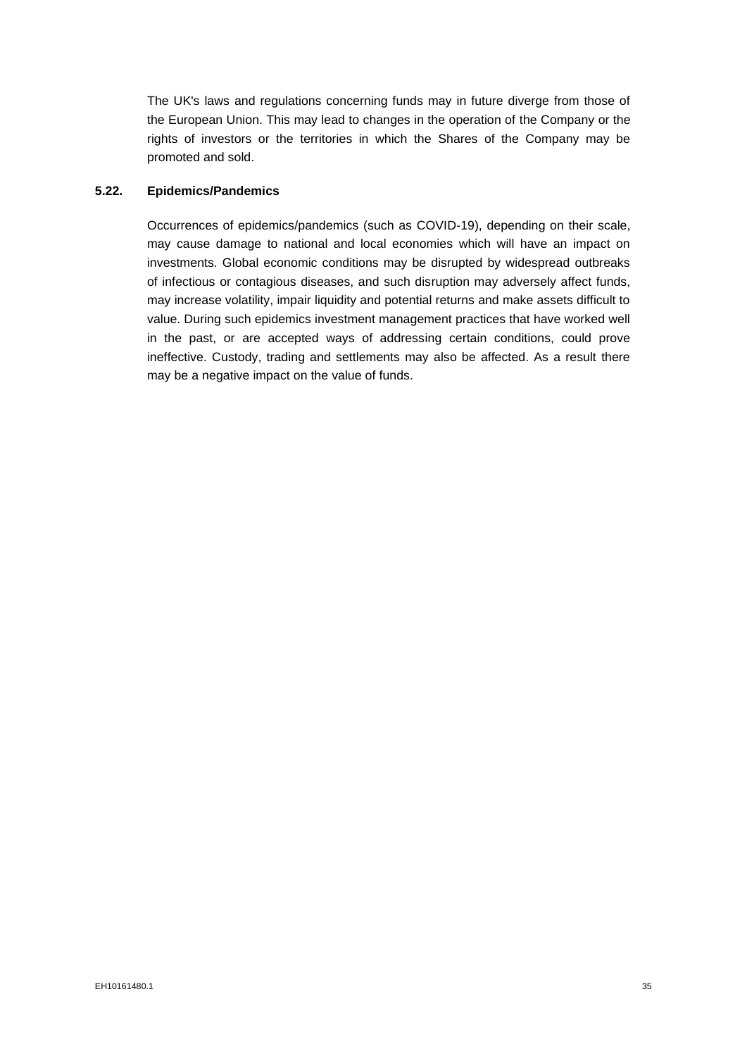The UK's laws and regulations concerning funds may in future diverge from those of the European Union. This may lead to changes in the operation of the Company or the rights of investors or the territories in which the Shares of the Company may be promoted and sold.

### **5.22. Epidemics/Pandemics**

Occurrences of epidemics/pandemics (such as COVID-19), depending on their scale, may cause damage to national and local economies which will have an impact on investments. Global economic conditions may be disrupted by widespread outbreaks of infectious or contagious diseases, and such disruption may adversely affect funds, may increase volatility, impair liquidity and potential returns and make assets difficult to value. During such epidemics investment management practices that have worked well in the past, or are accepted ways of addressing certain conditions, could prove ineffective. Custody, trading and settlements may also be affected. As a result there may be a negative impact on the value of funds.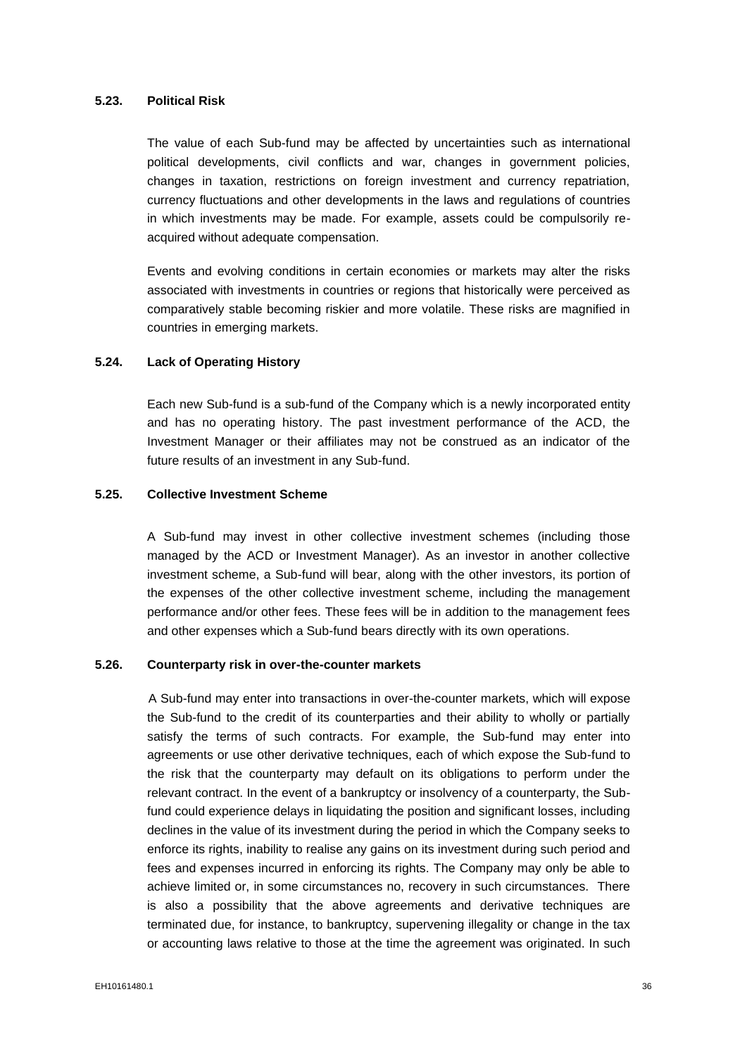#### **5.23. Political Risk**

The value of each Sub-fund may be affected by uncertainties such as international political developments, civil conflicts and war, changes in government policies, changes in taxation, restrictions on foreign investment and currency repatriation, currency fluctuations and other developments in the laws and regulations of countries in which investments may be made. For example, assets could be compulsorily reacquired without adequate compensation.

Events and evolving conditions in certain economies or markets may alter the risks associated with investments in countries or regions that historically were perceived as comparatively stable becoming riskier and more volatile. These risks are magnified in countries in emerging markets.

### **5.24. Lack of Operating History**

Each new Sub-fund is a sub-fund of the Company which is a newly incorporated entity and has no operating history. The past investment performance of the ACD, the Investment Manager or their affiliates may not be construed as an indicator of the future results of an investment in any Sub-fund.

#### **5.25. Collective Investment Scheme**

A Sub-fund may invest in other collective investment schemes (including those managed by the ACD or Investment Manager). As an investor in another collective investment scheme, a Sub-fund will bear, along with the other investors, its portion of the expenses of the other collective investment scheme, including the management performance and/or other fees. These fees will be in addition to the management fees and other expenses which a Sub-fund bears directly with its own operations.

#### **5.26. Counterparty risk in over-the-counter markets**

A Sub-fund may enter into transactions in over-the-counter markets, which will expose the Sub-fund to the credit of its counterparties and their ability to wholly or partially satisfy the terms of such contracts. For example, the Sub-fund may enter into agreements or use other derivative techniques, each of which expose the Sub-fund to the risk that the counterparty may default on its obligations to perform under the relevant contract. In the event of a bankruptcy or insolvency of a counterparty, the Subfund could experience delays in liquidating the position and significant losses, including declines in the value of its investment during the period in which the Company seeks to enforce its rights, inability to realise any gains on its investment during such period and fees and expenses incurred in enforcing its rights. The Company may only be able to achieve limited or, in some circumstances no, recovery in such circumstances. There is also a possibility that the above agreements and derivative techniques are terminated due, for instance, to bankruptcy, supervening illegality or change in the tax or accounting laws relative to those at the time the agreement was originated. In such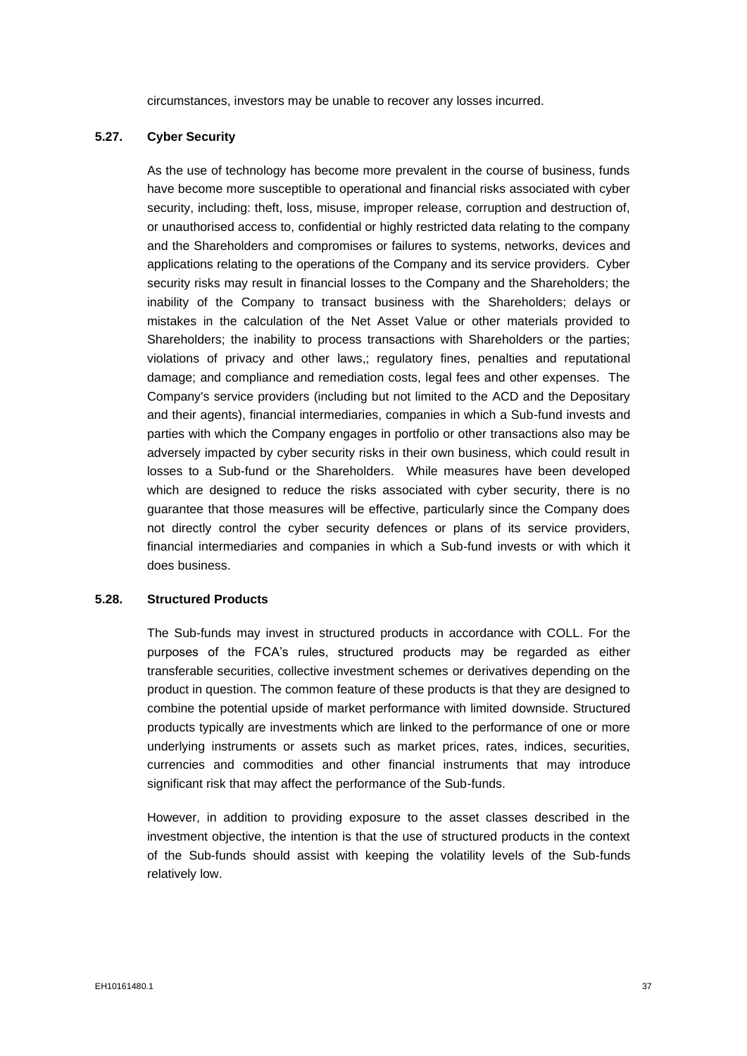circumstances, investors may be unable to recover any losses incurred.

# **5.27. Cyber Security**

As the use of technology has become more prevalent in the course of business, funds have become more susceptible to operational and financial risks associated with cyber security, including: theft, loss, misuse, improper release, corruption and destruction of, or unauthorised access to, confidential or highly restricted data relating to the company and the Shareholders and compromises or failures to systems, networks, devices and applications relating to the operations of the Company and its service providers. Cyber security risks may result in financial losses to the Company and the Shareholders; the inability of the Company to transact business with the Shareholders; delays or mistakes in the calculation of the Net Asset Value or other materials provided to Shareholders; the inability to process transactions with Shareholders or the parties; violations of privacy and other laws,; regulatory fines, penalties and reputational damage; and compliance and remediation costs, legal fees and other expenses. The Company's service providers (including but not limited to the ACD and the Depositary and their agents), financial intermediaries, companies in which a Sub-fund invests and parties with which the Company engages in portfolio or other transactions also may be adversely impacted by cyber security risks in their own business, which could result in losses to a Sub-fund or the Shareholders. While measures have been developed which are designed to reduce the risks associated with cyber security, there is no guarantee that those measures will be effective, particularly since the Company does not directly control the cyber security defences or plans of its service providers, financial intermediaries and companies in which a Sub-fund invests or with which it does business.

### **5.28. Structured Products**

The Sub-funds may invest in structured products in accordance with COLL. For the purposes of the FCA's rules, structured products may be regarded as either transferable securities, collective investment schemes or derivatives depending on the product in question. The common feature of these products is that they are designed to combine the potential upside of market performance with limited downside. Structured products typically are investments which are linked to the performance of one or more underlying instruments or assets such as market prices, rates, indices, securities, currencies and commodities and other financial instruments that may introduce significant risk that may affect the performance of the Sub-funds.

However, in addition to providing exposure to the asset classes described in the investment objective, the intention is that the use of structured products in the context of the Sub-funds should assist with keeping the volatility levels of the Sub-funds relatively low.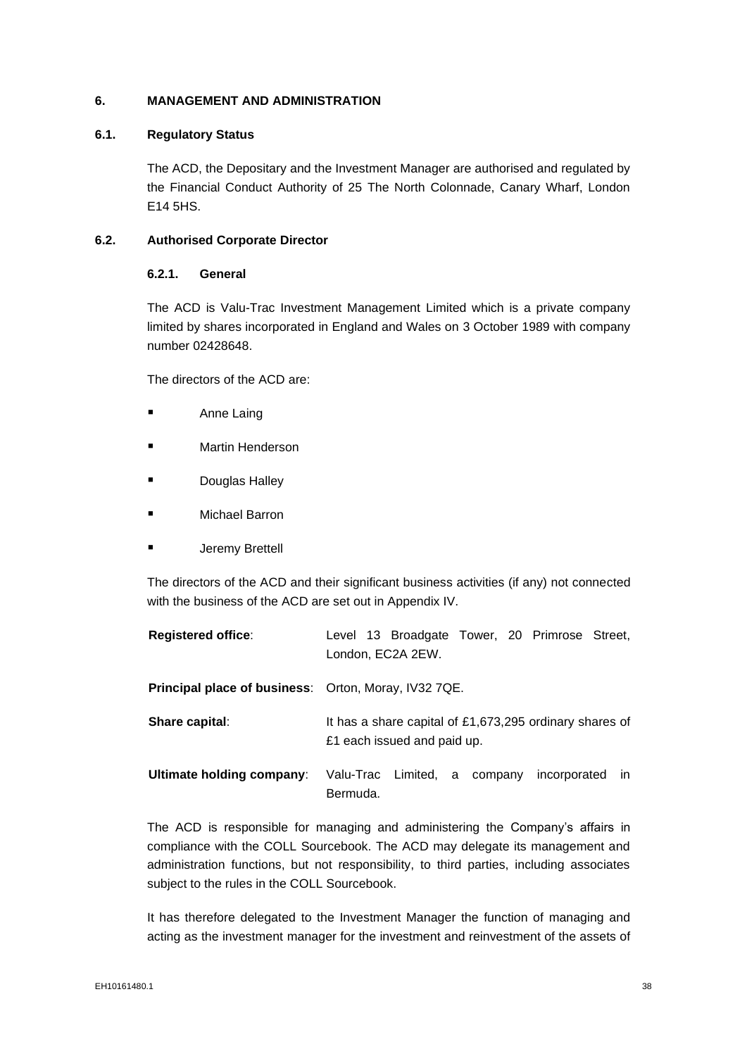## **6. MANAGEMENT AND ADMINISTRATION**

### **6.1. Regulatory Status**

The ACD, the Depositary and the Investment Manager are authorised and regulated by the Financial Conduct Authority of 25 The North Colonnade, Canary Wharf, London E14 5HS.

## **6.2. Authorised Corporate Director**

### **6.2.1. General**

The ACD is Valu-Trac Investment Management Limited which is a private company limited by shares incorporated in England and Wales on 3 October 1989 with company number 02428648.

The directors of the ACD are:

- Anne Laing
- Martin Henderson
- **Douglas Halley**
- Michael Barron
- Jeremy Brettell

The directors of the ACD and their significant business activities (if any) not connected with the business of the ACD are set out in Appendix IV.

| <b>Registered office:</b>                                   | Level 13 Broadgate Tower, 20 Primrose Street,<br>London, EC2A 2EW.                     |  |  |  |  |
|-------------------------------------------------------------|----------------------------------------------------------------------------------------|--|--|--|--|
| <b>Principal place of business:</b> Orton, Moray, IV32 7QE. |                                                                                        |  |  |  |  |
| Share capital:                                              | It has a share capital of £1,673,295 ordinary shares of<br>£1 each issued and paid up. |  |  |  |  |
| Ultimate holding company:                                   | Valu-Trac Limited, a company<br>incorporated<br>- in<br>Bermuda.                       |  |  |  |  |

The ACD is responsible for managing and administering the Company's affairs in compliance with the COLL Sourcebook. The ACD may delegate its management and administration functions, but not responsibility, to third parties, including associates subject to the rules in the COLL Sourcebook.

It has therefore delegated to the Investment Manager the function of managing and acting as the investment manager for the investment and reinvestment of the assets of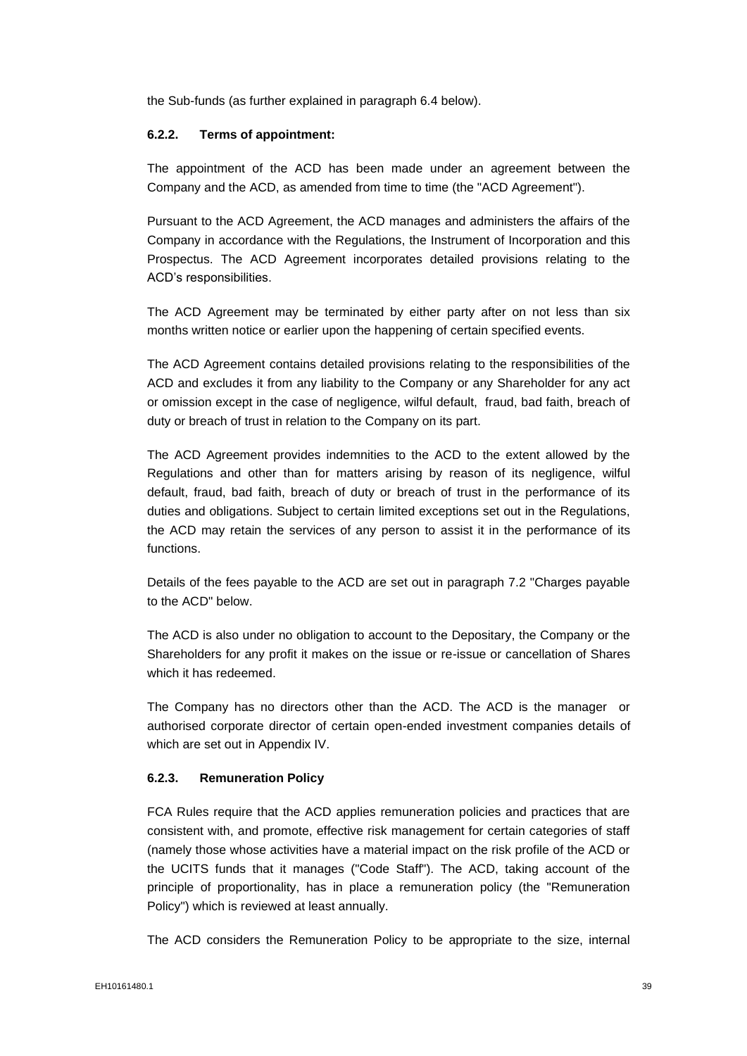the Sub-funds (as further explained in paragraph 6.4 below).

### **6.2.2. Terms of appointment:**

The appointment of the ACD has been made under an agreement between the Company and the ACD, as amended from time to time (the "ACD Agreement").

Pursuant to the ACD Agreement, the ACD manages and administers the affairs of the Company in accordance with the Regulations, the Instrument of Incorporation and this Prospectus. The ACD Agreement incorporates detailed provisions relating to the ACD's responsibilities.

The ACD Agreement may be terminated by either party after on not less than six months written notice or earlier upon the happening of certain specified events.

The ACD Agreement contains detailed provisions relating to the responsibilities of the ACD and excludes it from any liability to the Company or any Shareholder for any act or omission except in the case of negligence, wilful default, fraud, bad faith, breach of duty or breach of trust in relation to the Company on its part.

The ACD Agreement provides indemnities to the ACD to the extent allowed by the Regulations and other than for matters arising by reason of its negligence, wilful default, fraud, bad faith, breach of duty or breach of trust in the performance of its duties and obligations. Subject to certain limited exceptions set out in the Regulations, the ACD may retain the services of any person to assist it in the performance of its functions.

Details of the fees payable to the ACD are set out in paragraph 7.2 "Charges payable to the ACD" below.

The ACD is also under no obligation to account to the Depositary, the Company or the Shareholders for any profit it makes on the issue or re-issue or cancellation of Shares which it has redeemed.

The Company has no directors other than the ACD. The ACD is the manager or authorised corporate director of certain open-ended investment companies details of which are set out in Appendix IV.

#### **6.2.3. Remuneration Policy**

FCA Rules require that the ACD applies remuneration policies and practices that are consistent with, and promote, effective risk management for certain categories of staff (namely those whose activities have a material impact on the risk profile of the ACD or the UCITS funds that it manages ("Code Staff"). The ACD, taking account of the principle of proportionality, has in place a remuneration policy (the "Remuneration Policy") which is reviewed at least annually.

The ACD considers the Remuneration Policy to be appropriate to the size, internal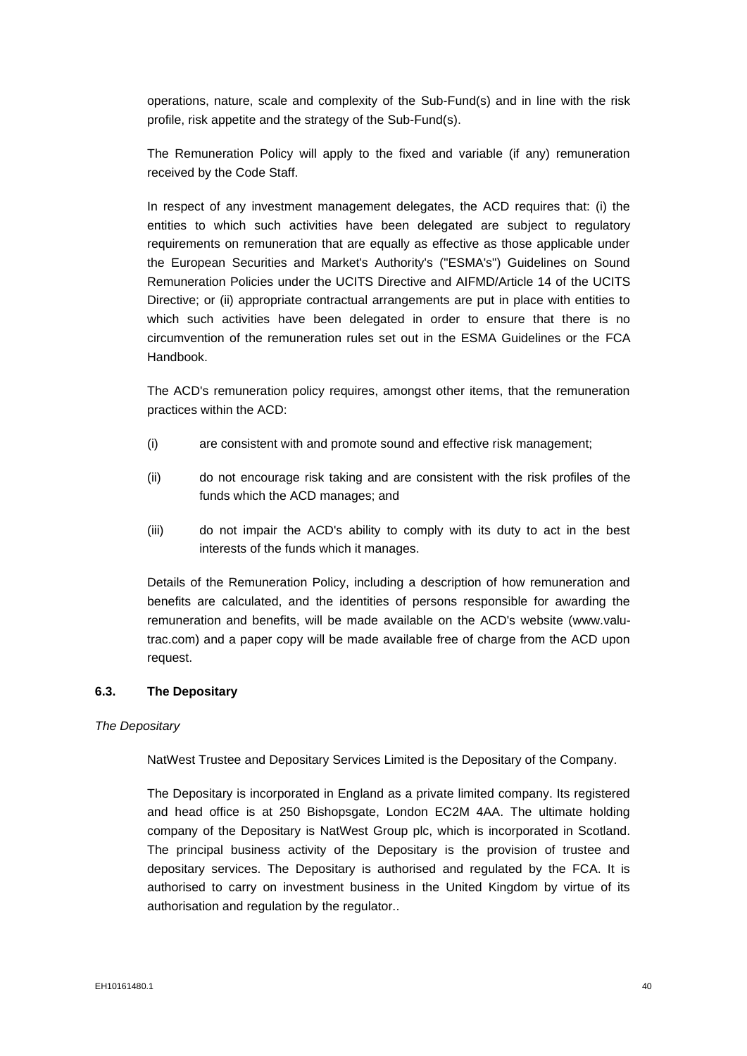operations, nature, scale and complexity of the Sub-Fund(s) and in line with the risk profile, risk appetite and the strategy of the Sub-Fund(s).

The Remuneration Policy will apply to the fixed and variable (if any) remuneration received by the Code Staff.

In respect of any investment management delegates, the ACD requires that: (i) the entities to which such activities have been delegated are subject to regulatory requirements on remuneration that are equally as effective as those applicable under the European Securities and Market's Authority's ("ESMA's") Guidelines on Sound Remuneration Policies under the UCITS Directive and AIFMD/Article 14 of the UCITS Directive; or (ii) appropriate contractual arrangements are put in place with entities to which such activities have been delegated in order to ensure that there is no circumvention of the remuneration rules set out in the ESMA Guidelines or the FCA Handbook.

The ACD's remuneration policy requires, amongst other items, that the remuneration practices within the ACD:

- (i) are consistent with and promote sound and effective risk management;
- (ii) do not encourage risk taking and are consistent with the risk profiles of the funds which the ACD manages; and
- (iii) do not impair the ACD's ability to comply with its duty to act in the best interests of the funds which it manages.

Details of the Remuneration Policy, including a description of how remuneration and benefits are calculated, and the identities of persons responsible for awarding the remuneration and benefits, will be made available on the ACD's website (www.valutrac.com) and a paper copy will be made available free of charge from the ACD upon request.

#### **6.3. The Depositary**

#### *The Depositary*

NatWest Trustee and Depositary Services Limited is the Depositary of the Company.

The Depositary is incorporated in England as a private limited company. Its registered and head office is at 250 Bishopsgate, London EC2M 4AA. The ultimate holding company of the Depositary is NatWest Group plc, which is incorporated in Scotland. The principal business activity of the Depositary is the provision of trustee and depositary services. The Depositary is authorised and regulated by the FCA. It is authorised to carry on investment business in the United Kingdom by virtue of its authorisation and regulation by the regulator..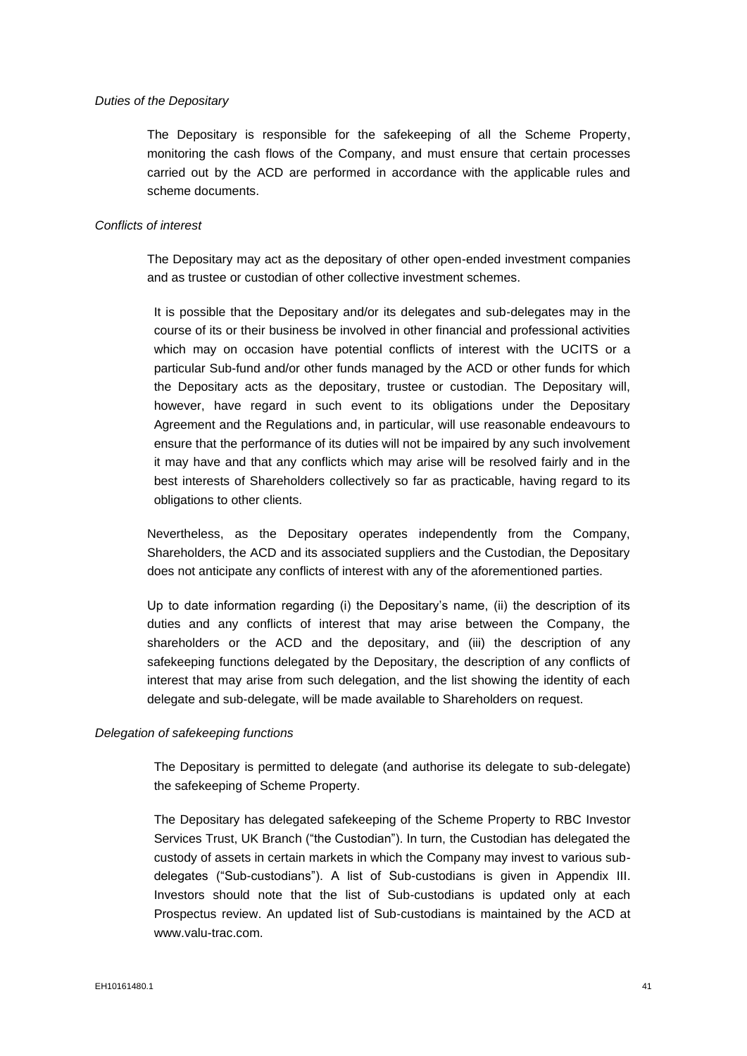#### *Duties of the Depositary*

The Depositary is responsible for the safekeeping of all the Scheme Property, monitoring the cash flows of the Company, and must ensure that certain processes carried out by the ACD are performed in accordance with the applicable rules and scheme documents.

#### *Conflicts of interest*

The Depositary may act as the depositary of other open-ended investment companies and as trustee or custodian of other collective investment schemes.

It is possible that the Depositary and/or its delegates and sub-delegates may in the course of its or their business be involved in other financial and professional activities which may on occasion have potential conflicts of interest with the UCITS or a particular Sub-fund and/or other funds managed by the ACD or other funds for which the Depositary acts as the depositary, trustee or custodian. The Depositary will, however, have regard in such event to its obligations under the Depositary Agreement and the Regulations and, in particular, will use reasonable endeavours to ensure that the performance of its duties will not be impaired by any such involvement it may have and that any conflicts which may arise will be resolved fairly and in the best interests of Shareholders collectively so far as practicable, having regard to its obligations to other clients.

Nevertheless, as the Depositary operates independently from the Company, Shareholders, the ACD and its associated suppliers and the Custodian, the Depositary does not anticipate any conflicts of interest with any of the aforementioned parties.

Up to date information regarding (i) the Depositary's name, (ii) the description of its duties and any conflicts of interest that may arise between the Company, the shareholders or the ACD and the depositary, and (iii) the description of any safekeeping functions delegated by the Depositary, the description of any conflicts of interest that may arise from such delegation, and the list showing the identity of each delegate and sub-delegate, will be made available to Shareholders on request.

#### *Delegation of safekeeping functions*

The Depositary is permitted to delegate (and authorise its delegate to sub-delegate) the safekeeping of Scheme Property.

The Depositary has delegated safekeeping of the Scheme Property to RBC Investor Services Trust, UK Branch ("the Custodian"). In turn, the Custodian has delegated the custody of assets in certain markets in which the Company may invest to various subdelegates ("Sub-custodians"). A list of Sub-custodians is given in Appendix III. Investors should note that the list of Sub-custodians is updated only at each Prospectus review. An updated list of Sub-custodians is maintained by the ACD at www.valu-trac.com.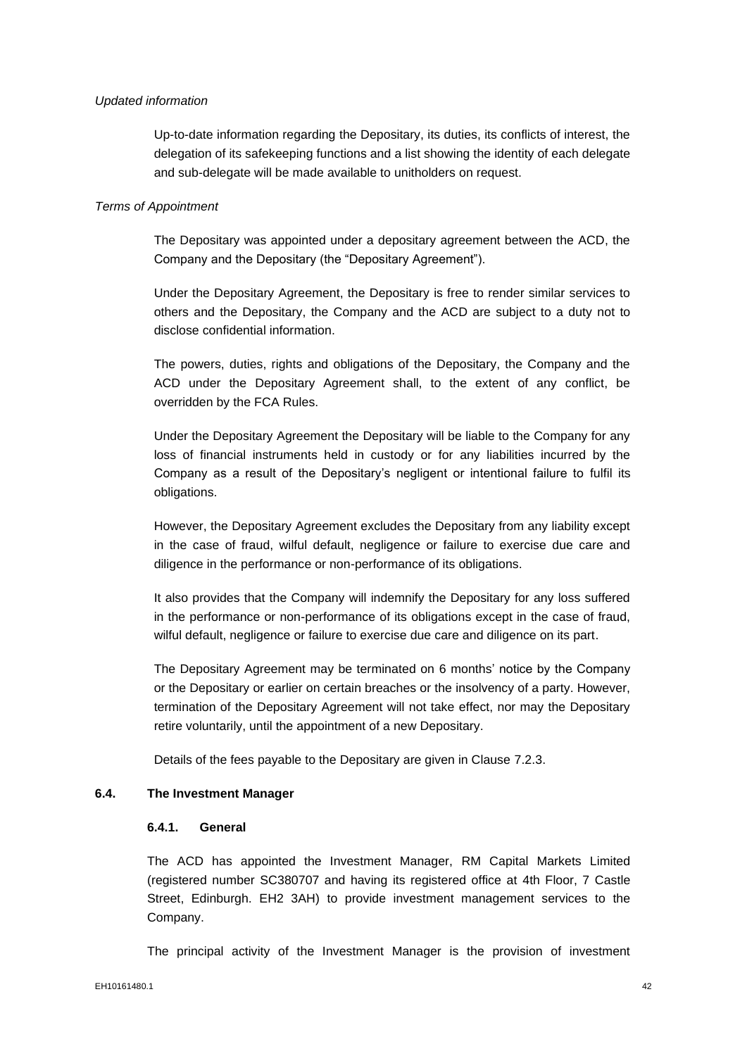#### *Updated information*

Up-to-date information regarding the Depositary, its duties, its conflicts of interest, the delegation of its safekeeping functions and a list showing the identity of each delegate and sub-delegate will be made available to unitholders on request.

#### *Terms of Appointment*

The Depositary was appointed under a depositary agreement between the ACD, the Company and the Depositary (the "Depositary Agreement").

Under the Depositary Agreement, the Depositary is free to render similar services to others and the Depositary, the Company and the ACD are subject to a duty not to disclose confidential information.

The powers, duties, rights and obligations of the Depositary, the Company and the ACD under the Depositary Agreement shall, to the extent of any conflict, be overridden by the FCA Rules.

Under the Depositary Agreement the Depositary will be liable to the Company for any loss of financial instruments held in custody or for any liabilities incurred by the Company as a result of the Depositary's negligent or intentional failure to fulfil its obligations.

However, the Depositary Agreement excludes the Depositary from any liability except in the case of fraud, wilful default, negligence or failure to exercise due care and diligence in the performance or non-performance of its obligations.

It also provides that the Company will indemnify the Depositary for any loss suffered in the performance or non-performance of its obligations except in the case of fraud, wilful default, negligence or failure to exercise due care and diligence on its part.

The Depositary Agreement may be terminated on 6 months' notice by the Company or the Depositary or earlier on certain breaches or the insolvency of a party. However, termination of the Depositary Agreement will not take effect, nor may the Depositary retire voluntarily, until the appointment of a new Depositary.

Details of the fees payable to the Depositary are given in Clause 7.2.3.

#### **6.4. The Investment Manager**

#### **6.4.1. General**

The ACD has appointed the Investment Manager, RM Capital Markets Limited (registered number SC380707 and having its registered office at 4th Floor, 7 Castle Street, Edinburgh. EH2 3AH) to provide investment management services to the Company.

The principal activity of the Investment Manager is the provision of investment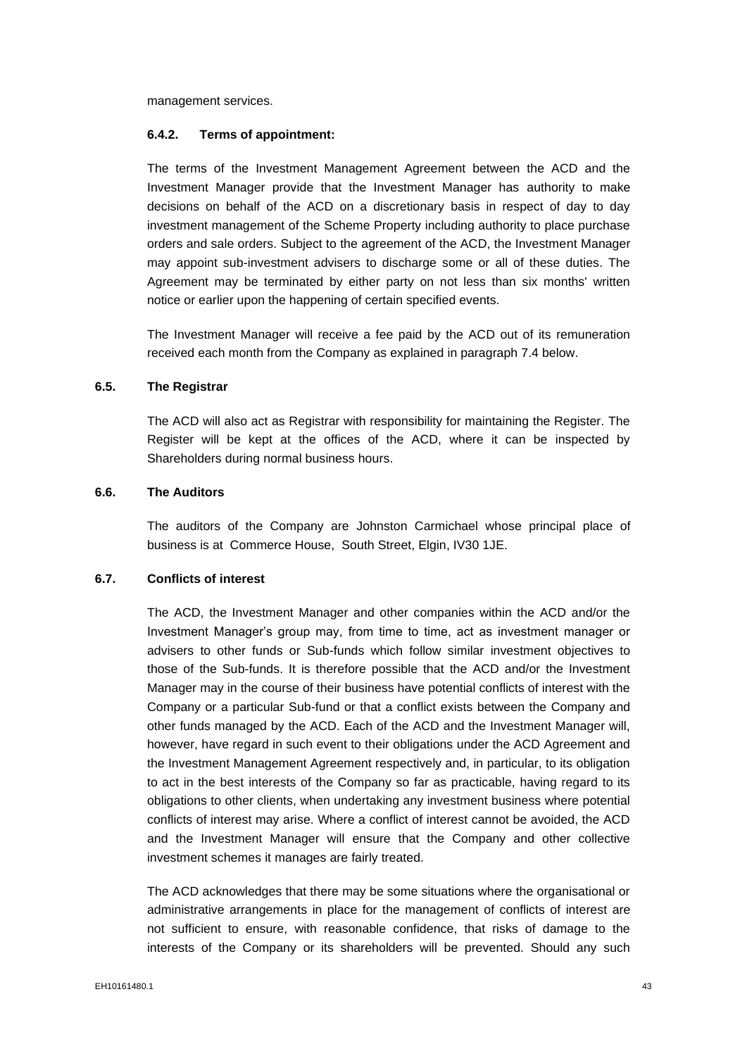management services.

#### **6.4.2. Terms of appointment:**

The terms of the Investment Management Agreement between the ACD and the Investment Manager provide that the Investment Manager has authority to make decisions on behalf of the ACD on a discretionary basis in respect of day to day investment management of the Scheme Property including authority to place purchase orders and sale orders. Subject to the agreement of the ACD, the Investment Manager may appoint sub-investment advisers to discharge some or all of these duties. The Agreement may be terminated by either party on not less than six months' written notice or earlier upon the happening of certain specified events.

The Investment Manager will receive a fee paid by the ACD out of its remuneration received each month from the Company as explained in paragraph 7.4 below.

#### **6.5. The Registrar**

The ACD will also act as Registrar with responsibility for maintaining the Register. The Register will be kept at the offices of the ACD, where it can be inspected by Shareholders during normal business hours.

## **6.6. The Auditors**

The auditors of the Company are Johnston Carmichael whose principal place of business is at Commerce House, South Street, Elgin, IV30 1JE.

# **6.7. Conflicts of interest**

The ACD, the Investment Manager and other companies within the ACD and/or the Investment Manager's group may, from time to time, act as investment manager or advisers to other funds or Sub-funds which follow similar investment objectives to those of the Sub-funds. It is therefore possible that the ACD and/or the Investment Manager may in the course of their business have potential conflicts of interest with the Company or a particular Sub-fund or that a conflict exists between the Company and other funds managed by the ACD. Each of the ACD and the Investment Manager will, however, have regard in such event to their obligations under the ACD Agreement and the Investment Management Agreement respectively and, in particular, to its obligation to act in the best interests of the Company so far as practicable, having regard to its obligations to other clients, when undertaking any investment business where potential conflicts of interest may arise. Where a conflict of interest cannot be avoided, the ACD and the Investment Manager will ensure that the Company and other collective investment schemes it manages are fairly treated.

The ACD acknowledges that there may be some situations where the organisational or administrative arrangements in place for the management of conflicts of interest are not sufficient to ensure, with reasonable confidence, that risks of damage to the interests of the Company or its shareholders will be prevented. Should any such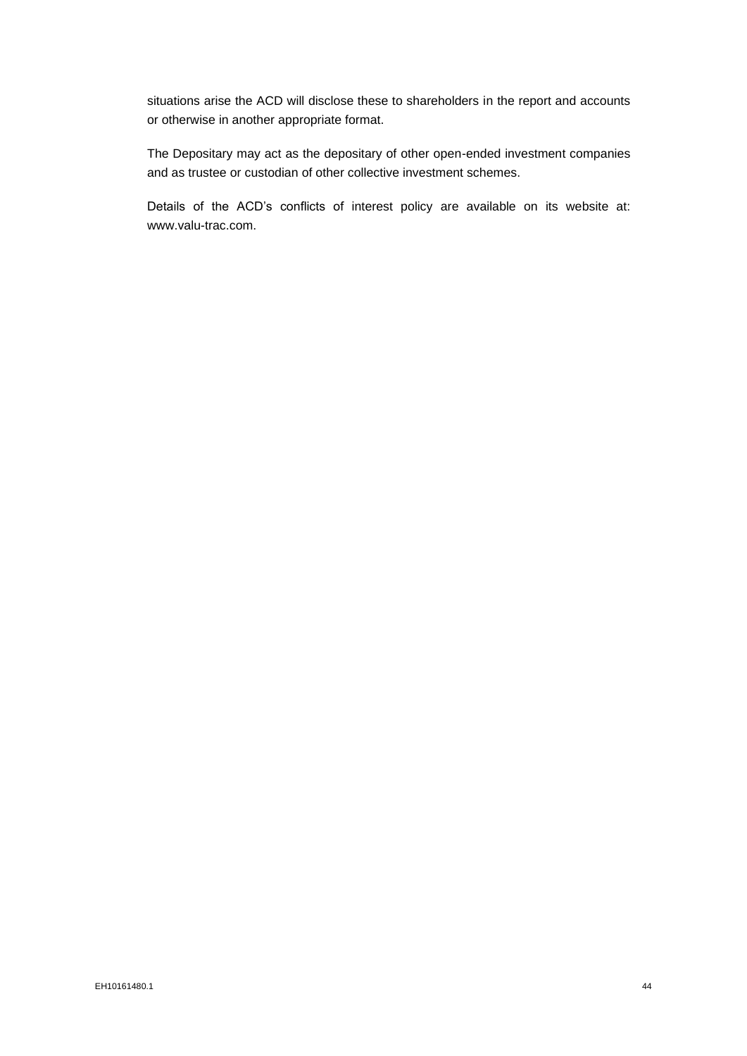situations arise the ACD will disclose these to shareholders in the report and accounts or otherwise in another appropriate format.

The Depositary may act as the depositary of other open-ended investment companies and as trustee or custodian of other collective investment schemes.

Details of the ACD's conflicts of interest policy are available on its website at: www.valu-trac.com.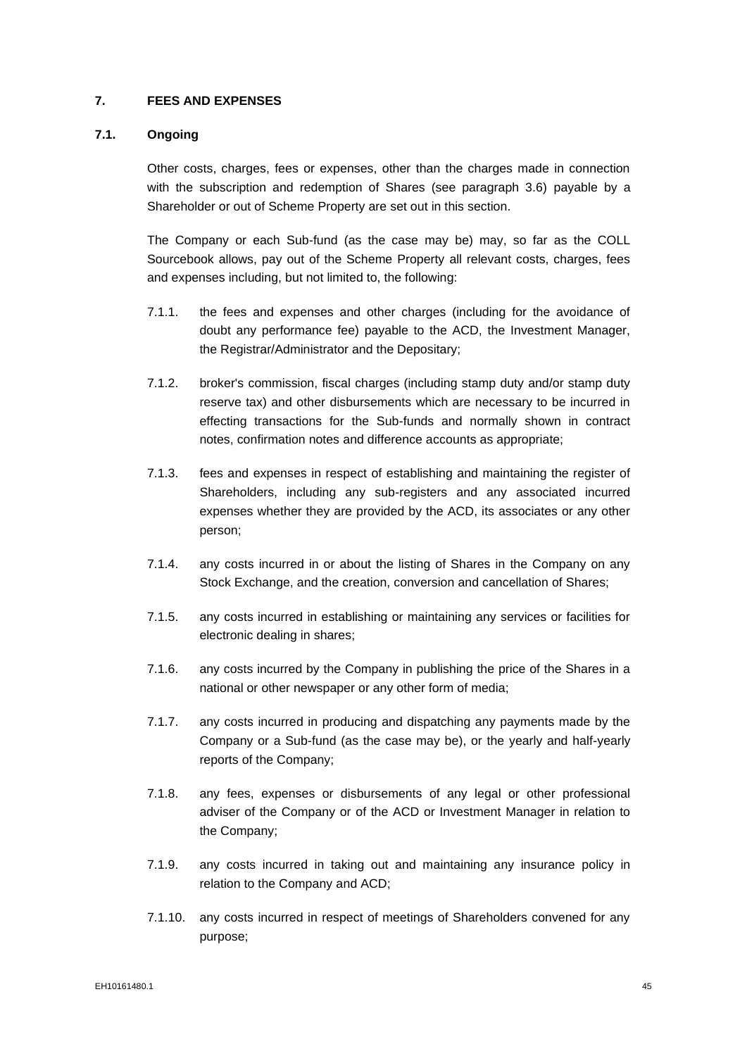### **7. FEES AND EXPENSES**

# **7.1. Ongoing**

Other costs, charges, fees or expenses, other than the charges made in connection with the subscription and redemption of Shares (see paragraph 3.6) payable by a Shareholder or out of Scheme Property are set out in this section.

The Company or each Sub-fund (as the case may be) may, so far as the COLL Sourcebook allows, pay out of the Scheme Property all relevant costs, charges, fees and expenses including, but not limited to, the following:

- 7.1.1. the fees and expenses and other charges (including for the avoidance of doubt any performance fee) payable to the ACD, the Investment Manager, the Registrar/Administrator and the Depositary;
- 7.1.2. broker's commission, fiscal charges (including stamp duty and/or stamp duty reserve tax) and other disbursements which are necessary to be incurred in effecting transactions for the Sub-funds and normally shown in contract notes, confirmation notes and difference accounts as appropriate;
- 7.1.3. fees and expenses in respect of establishing and maintaining the register of Shareholders, including any sub-registers and any associated incurred expenses whether they are provided by the ACD, its associates or any other person;
- 7.1.4. any costs incurred in or about the listing of Shares in the Company on any Stock Exchange, and the creation, conversion and cancellation of Shares;
- 7.1.5. any costs incurred in establishing or maintaining any services or facilities for electronic dealing in shares;
- 7.1.6. any costs incurred by the Company in publishing the price of the Shares in a national or other newspaper or any other form of media;
- 7.1.7. any costs incurred in producing and dispatching any payments made by the Company or a Sub-fund (as the case may be), or the yearly and half-yearly reports of the Company;
- 7.1.8. any fees, expenses or disbursements of any legal or other professional adviser of the Company or of the ACD or Investment Manager in relation to the Company;
- 7.1.9. any costs incurred in taking out and maintaining any insurance policy in relation to the Company and ACD;
- 7.1.10. any costs incurred in respect of meetings of Shareholders convened for any purpose;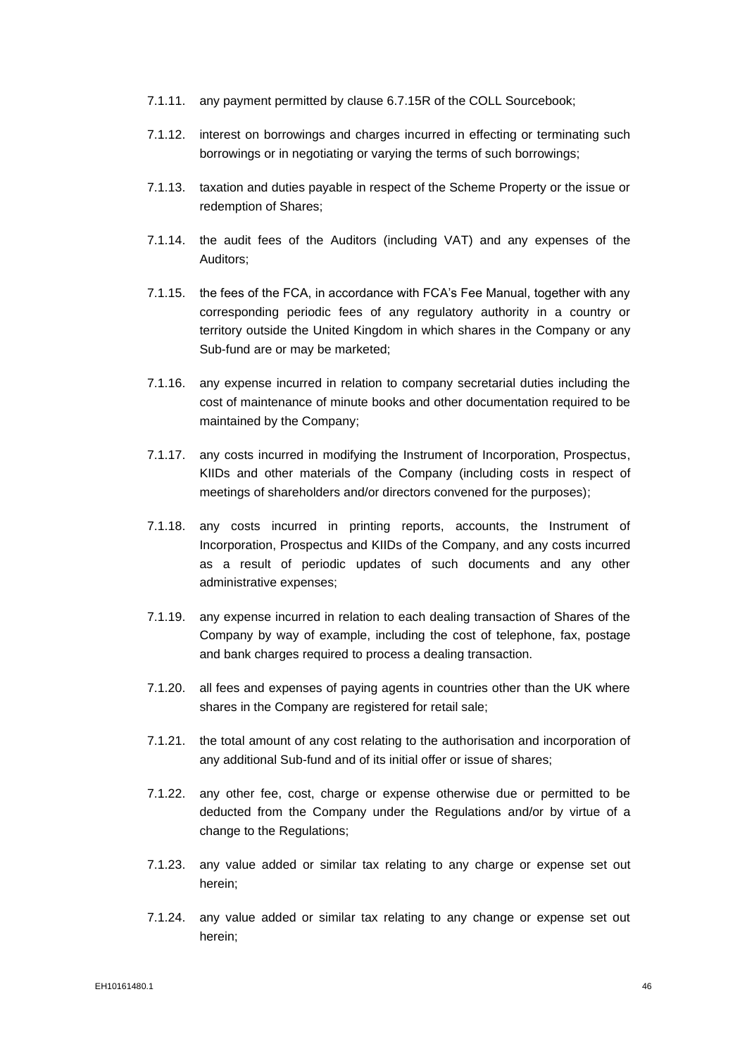- 7.1.11. any payment permitted by clause 6.7.15R of the COLL Sourcebook;
- 7.1.12. interest on borrowings and charges incurred in effecting or terminating such borrowings or in negotiating or varying the terms of such borrowings;
- 7.1.13. taxation and duties payable in respect of the Scheme Property or the issue or redemption of Shares;
- 7.1.14. the audit fees of the Auditors (including VAT) and any expenses of the Auditors;
- 7.1.15. the fees of the FCA, in accordance with FCA's Fee Manual, together with any corresponding periodic fees of any regulatory authority in a country or territory outside the United Kingdom in which shares in the Company or any Sub-fund are or may be marketed;
- 7.1.16. any expense incurred in relation to company secretarial duties including the cost of maintenance of minute books and other documentation required to be maintained by the Company;
- 7.1.17. any costs incurred in modifying the Instrument of Incorporation, Prospectus, KIIDs and other materials of the Company (including costs in respect of meetings of shareholders and/or directors convened for the purposes);
- 7.1.18. any costs incurred in printing reports, accounts, the Instrument of Incorporation, Prospectus and KIIDs of the Company, and any costs incurred as a result of periodic updates of such documents and any other administrative expenses;
- 7.1.19. any expense incurred in relation to each dealing transaction of Shares of the Company by way of example, including the cost of telephone, fax, postage and bank charges required to process a dealing transaction.
- 7.1.20. all fees and expenses of paying agents in countries other than the UK where shares in the Company are registered for retail sale;
- 7.1.21. the total amount of any cost relating to the authorisation and incorporation of any additional Sub-fund and of its initial offer or issue of shares;
- 7.1.22. any other fee, cost, charge or expense otherwise due or permitted to be deducted from the Company under the Regulations and/or by virtue of a change to the Regulations;
- 7.1.23. any value added or similar tax relating to any charge or expense set out herein;
- 7.1.24. any value added or similar tax relating to any change or expense set out herein;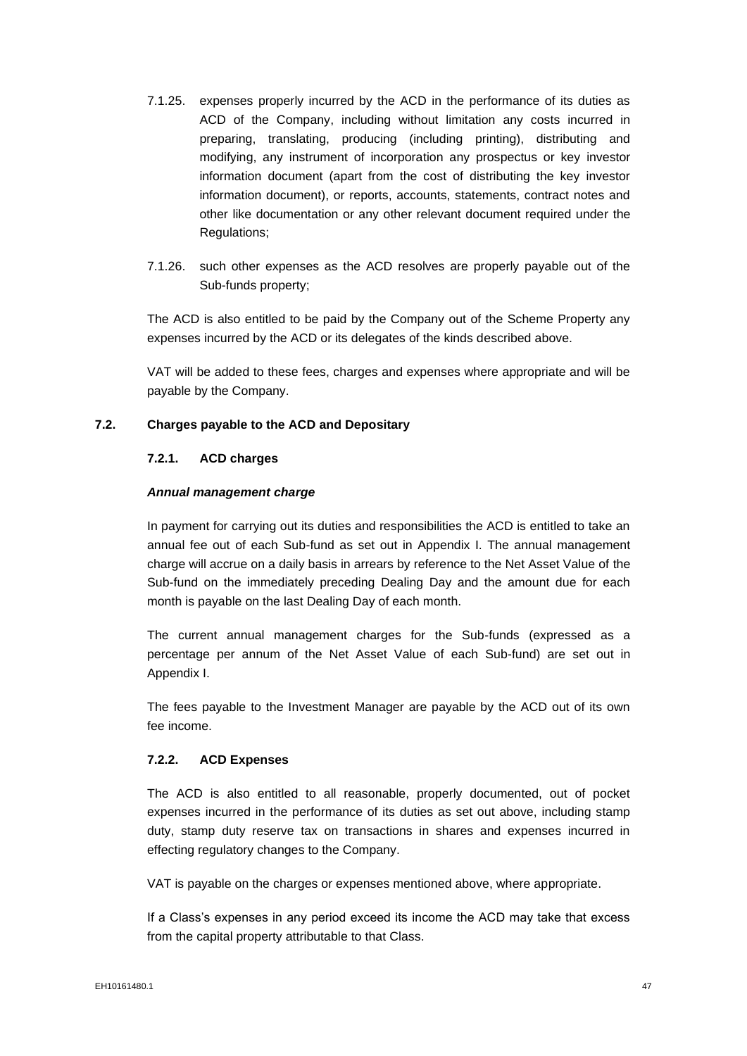- 7.1.25. expenses properly incurred by the ACD in the performance of its duties as ACD of the Company, including without limitation any costs incurred in preparing, translating, producing (including printing), distributing and modifying, any instrument of incorporation any prospectus or key investor information document (apart from the cost of distributing the key investor information document), or reports, accounts, statements, contract notes and other like documentation or any other relevant document required under the Regulations;
- 7.1.26. such other expenses as the ACD resolves are properly payable out of the Sub-funds property;

The ACD is also entitled to be paid by the Company out of the Scheme Property any expenses incurred by the ACD or its delegates of the kinds described above.

VAT will be added to these fees, charges and expenses where appropriate and will be payable by the Company.

## **7.2. Charges payable to the ACD and Depositary**

#### **7.2.1. ACD charges**

#### *Annual management charge*

In payment for carrying out its duties and responsibilities the ACD is entitled to take an annual fee out of each Sub-fund as set out in Appendix I. The annual management charge will accrue on a daily basis in arrears by reference to the Net Asset Value of the Sub-fund on the immediately preceding Dealing Day and the amount due for each month is payable on the last Dealing Day of each month.

The current annual management charges for the Sub-funds (expressed as a percentage per annum of the Net Asset Value of each Sub-fund) are set out in Appendix I.

The fees payable to the Investment Manager are payable by the ACD out of its own fee income.

#### **7.2.2. ACD Expenses**

The ACD is also entitled to all reasonable, properly documented, out of pocket expenses incurred in the performance of its duties as set out above, including stamp duty, stamp duty reserve tax on transactions in shares and expenses incurred in effecting regulatory changes to the Company.

VAT is payable on the charges or expenses mentioned above, where appropriate.

If a Class's expenses in any period exceed its income the ACD may take that excess from the capital property attributable to that Class.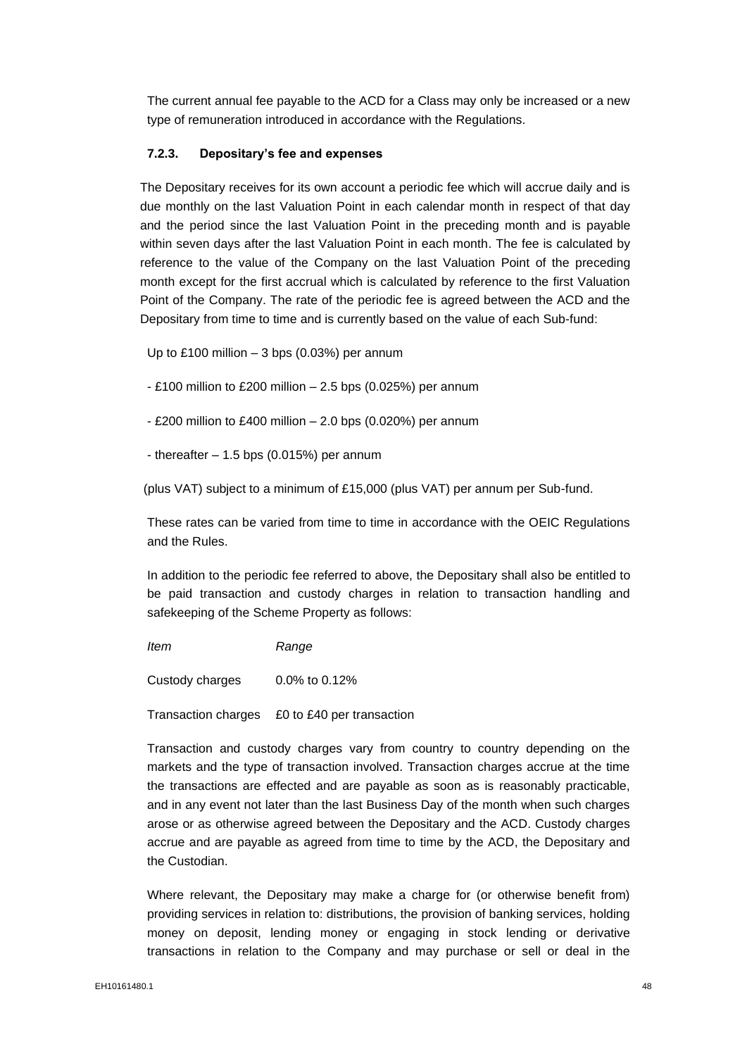The current annual fee payable to the ACD for a Class may only be increased or a new type of remuneration introduced in accordance with the Regulations.

### **7.2.3. Depositary's fee and expenses**

The Depositary receives for its own account a periodic fee which will accrue daily and is due monthly on the last Valuation Point in each calendar month in respect of that day and the period since the last Valuation Point in the preceding month and is payable within seven days after the last Valuation Point in each month. The fee is calculated by reference to the value of the Company on the last Valuation Point of the preceding month except for the first accrual which is calculated by reference to the first Valuation Point of the Company. The rate of the periodic fee is agreed between the ACD and the Depositary from time to time and is currently based on the value of each Sub-fund:

Up to £100 million – 3 bps (0.03%) per annum

- $-$  £100 million to £200 million  $-$  2.5 bps (0.025%) per annum
- £200 million to £400 million 2.0 bps (0.020%) per annum
- thereafter  $-1.5$  bps (0.015%) per annum

(plus VAT) subject to a minimum of £15,000 (plus VAT) per annum per Sub-fund.

These rates can be varied from time to time in accordance with the OEIC Regulations and the Rules.

In addition to the periodic fee referred to above, the Depositary shall also be entitled to be paid transaction and custody charges in relation to transaction handling and safekeeping of the Scheme Property as follows:

*Item Range*

Custody charges 0.0% to 0.12%

Transaction charges £0 to £40 per transaction

Transaction and custody charges vary from country to country depending on the markets and the type of transaction involved. Transaction charges accrue at the time the transactions are effected and are payable as soon as is reasonably practicable, and in any event not later than the last Business Day of the month when such charges arose or as otherwise agreed between the Depositary and the ACD. Custody charges accrue and are payable as agreed from time to time by the ACD, the Depositary and the Custodian.

Where relevant, the Depositary may make a charge for (or otherwise benefit from) providing services in relation to: distributions, the provision of banking services, holding money on deposit, lending money or engaging in stock lending or derivative transactions in relation to the Company and may purchase or sell or deal in the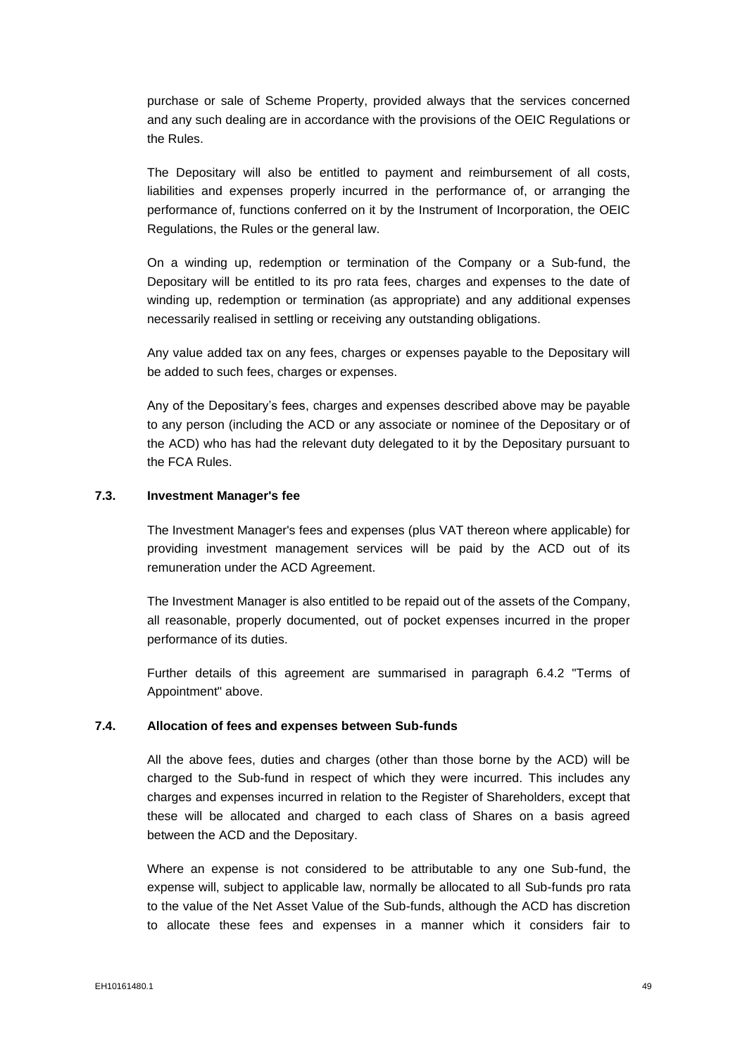purchase or sale of Scheme Property, provided always that the services concerned and any such dealing are in accordance with the provisions of the OEIC Regulations or the Rules.

The Depositary will also be entitled to payment and reimbursement of all costs, liabilities and expenses properly incurred in the performance of, or arranging the performance of, functions conferred on it by the Instrument of Incorporation, the OEIC Regulations, the Rules or the general law.

On a winding up, redemption or termination of the Company or a Sub-fund, the Depositary will be entitled to its pro rata fees, charges and expenses to the date of winding up, redemption or termination (as appropriate) and any additional expenses necessarily realised in settling or receiving any outstanding obligations.

Any value added tax on any fees, charges or expenses payable to the Depositary will be added to such fees, charges or expenses.

Any of the Depositary's fees, charges and expenses described above may be payable to any person (including the ACD or any associate or nominee of the Depositary or of the ACD) who has had the relevant duty delegated to it by the Depositary pursuant to the FCA Rules.

#### **7.3. Investment Manager's fee**

The Investment Manager's fees and expenses (plus VAT thereon where applicable) for providing investment management services will be paid by the ACD out of its remuneration under the ACD Agreement.

The Investment Manager is also entitled to be repaid out of the assets of the Company, all reasonable, properly documented, out of pocket expenses incurred in the proper performance of its duties.

Further details of this agreement are summarised in paragraph 6.4.2 "Terms of Appointment" above.

#### **7.4. Allocation of fees and expenses between Sub-funds**

All the above fees, duties and charges (other than those borne by the ACD) will be charged to the Sub-fund in respect of which they were incurred. This includes any charges and expenses incurred in relation to the Register of Shareholders, except that these will be allocated and charged to each class of Shares on a basis agreed between the ACD and the Depositary.

Where an expense is not considered to be attributable to any one Sub-fund, the expense will, subject to applicable law, normally be allocated to all Sub-funds pro rata to the value of the Net Asset Value of the Sub-funds, although the ACD has discretion to allocate these fees and expenses in a manner which it considers fair to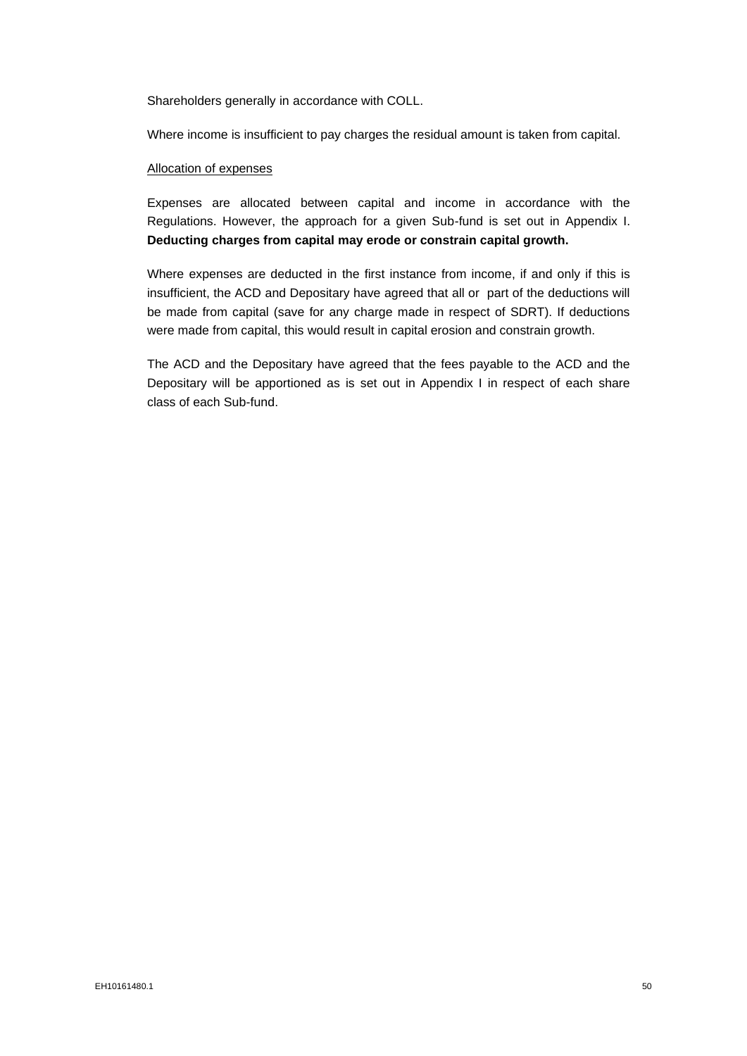Shareholders generally in accordance with COLL.

Where income is insufficient to pay charges the residual amount is taken from capital.

#### Allocation of expenses

Expenses are allocated between capital and income in accordance with the Regulations. However, the approach for a given Sub-fund is set out in Appendix I. **Deducting charges from capital may erode or constrain capital growth.**

Where expenses are deducted in the first instance from income, if and only if this is insufficient, the ACD and Depositary have agreed that all or part of the deductions will be made from capital (save for any charge made in respect of SDRT). If deductions were made from capital, this would result in capital erosion and constrain growth.

The ACD and the Depositary have agreed that the fees payable to the ACD and the Depositary will be apportioned as is set out in Appendix I in respect of each share class of each Sub-fund.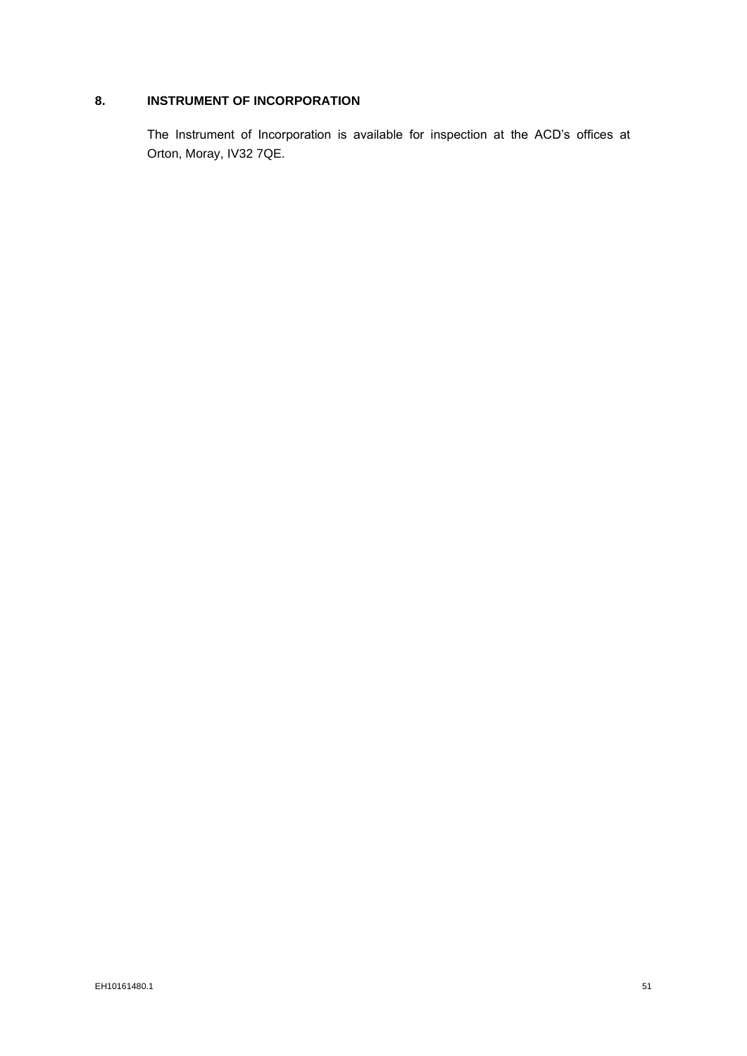# **8. INSTRUMENT OF INCORPORATION**

The Instrument of Incorporation is available for inspection at the ACD's offices at Orton, Moray, IV32 7QE.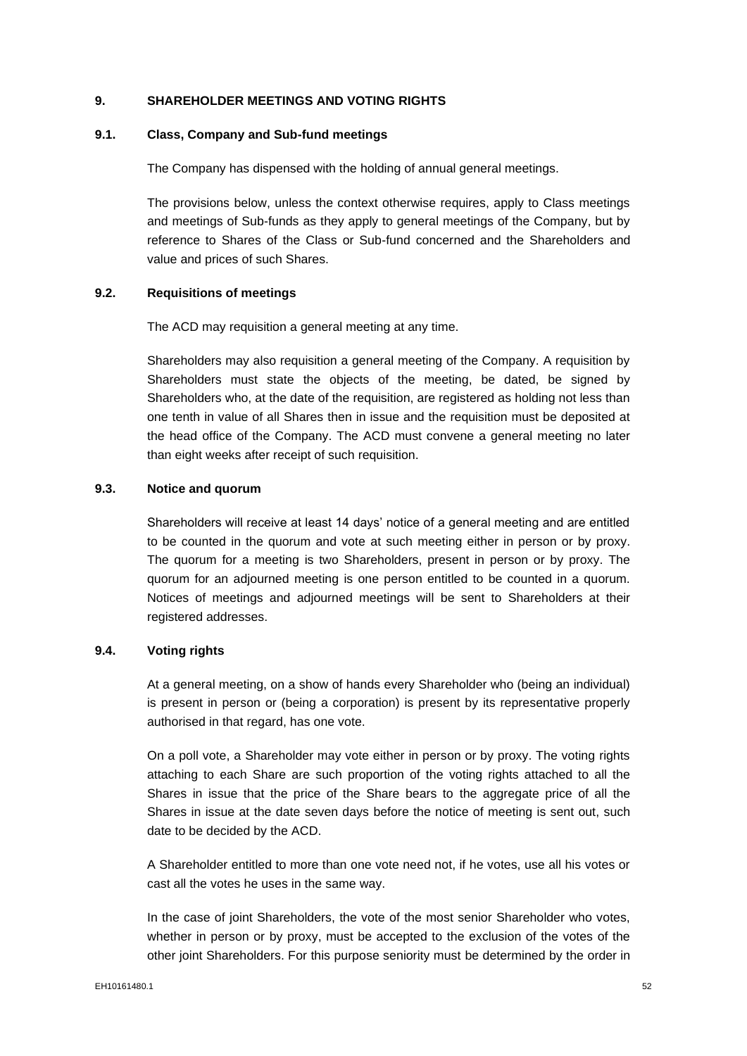### **9. SHAREHOLDER MEETINGS AND VOTING RIGHTS**

### **9.1. Class, Company and Sub-fund meetings**

The Company has dispensed with the holding of annual general meetings.

The provisions below, unless the context otherwise requires, apply to Class meetings and meetings of Sub-funds as they apply to general meetings of the Company, but by reference to Shares of the Class or Sub-fund concerned and the Shareholders and value and prices of such Shares.

#### **9.2. Requisitions of meetings**

The ACD may requisition a general meeting at any time.

Shareholders may also requisition a general meeting of the Company. A requisition by Shareholders must state the objects of the meeting, be dated, be signed by Shareholders who, at the date of the requisition, are registered as holding not less than one tenth in value of all Shares then in issue and the requisition must be deposited at the head office of the Company. The ACD must convene a general meeting no later than eight weeks after receipt of such requisition.

## **9.3. Notice and quorum**

Shareholders will receive at least 14 days' notice of a general meeting and are entitled to be counted in the quorum and vote at such meeting either in person or by proxy. The quorum for a meeting is two Shareholders, present in person or by proxy. The quorum for an adjourned meeting is one person entitled to be counted in a quorum. Notices of meetings and adjourned meetings will be sent to Shareholders at their registered addresses.

#### **9.4. Voting rights**

At a general meeting, on a show of hands every Shareholder who (being an individual) is present in person or (being a corporation) is present by its representative properly authorised in that regard, has one vote.

On a poll vote, a Shareholder may vote either in person or by proxy. The voting rights attaching to each Share are such proportion of the voting rights attached to all the Shares in issue that the price of the Share bears to the aggregate price of all the Shares in issue at the date seven days before the notice of meeting is sent out, such date to be decided by the ACD.

A Shareholder entitled to more than one vote need not, if he votes, use all his votes or cast all the votes he uses in the same way.

In the case of joint Shareholders, the vote of the most senior Shareholder who votes, whether in person or by proxy, must be accepted to the exclusion of the votes of the other joint Shareholders. For this purpose seniority must be determined by the order in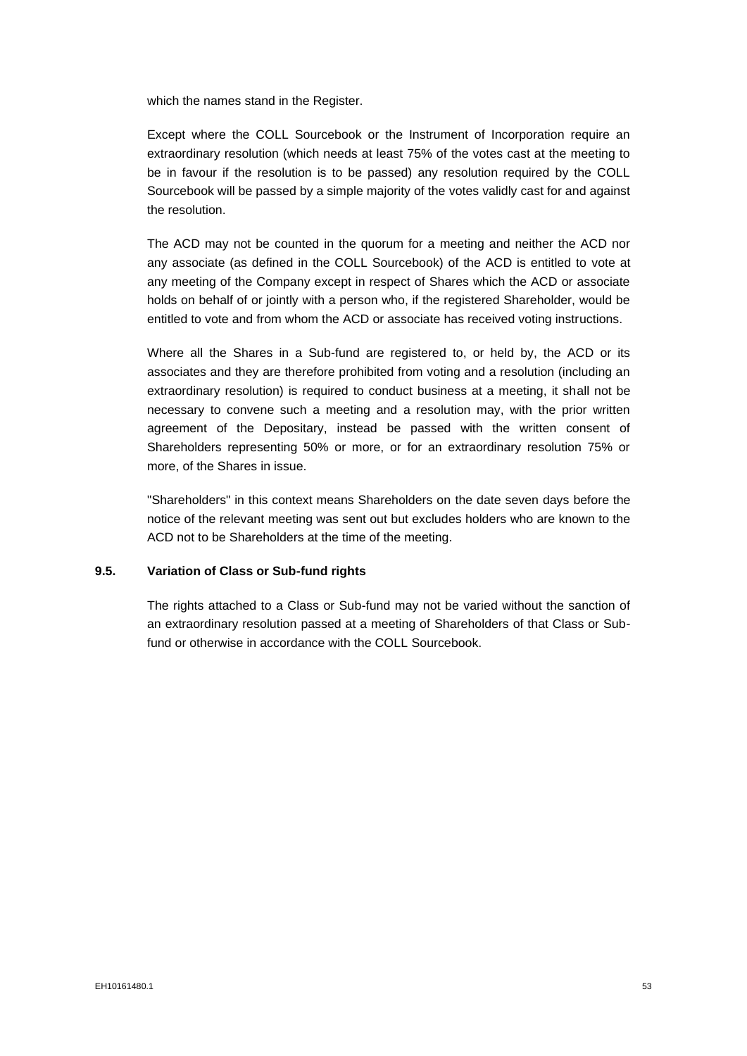which the names stand in the Register.

Except where the COLL Sourcebook or the Instrument of Incorporation require an extraordinary resolution (which needs at least 75% of the votes cast at the meeting to be in favour if the resolution is to be passed) any resolution required by the COLL Sourcebook will be passed by a simple majority of the votes validly cast for and against the resolution.

The ACD may not be counted in the quorum for a meeting and neither the ACD nor any associate (as defined in the COLL Sourcebook) of the ACD is entitled to vote at any meeting of the Company except in respect of Shares which the ACD or associate holds on behalf of or jointly with a person who, if the registered Shareholder, would be entitled to vote and from whom the ACD or associate has received voting instructions.

Where all the Shares in a Sub-fund are registered to, or held by, the ACD or its associates and they are therefore prohibited from voting and a resolution (including an extraordinary resolution) is required to conduct business at a meeting, it shall not be necessary to convene such a meeting and a resolution may, with the prior written agreement of the Depositary, instead be passed with the written consent of Shareholders representing 50% or more, or for an extraordinary resolution 75% or more, of the Shares in issue.

"Shareholders" in this context means Shareholders on the date seven days before the notice of the relevant meeting was sent out but excludes holders who are known to the ACD not to be Shareholders at the time of the meeting.

# **9.5. Variation of Class or Sub-fund rights**

The rights attached to a Class or Sub-fund may not be varied without the sanction of an extraordinary resolution passed at a meeting of Shareholders of that Class or Subfund or otherwise in accordance with the COLL Sourcebook.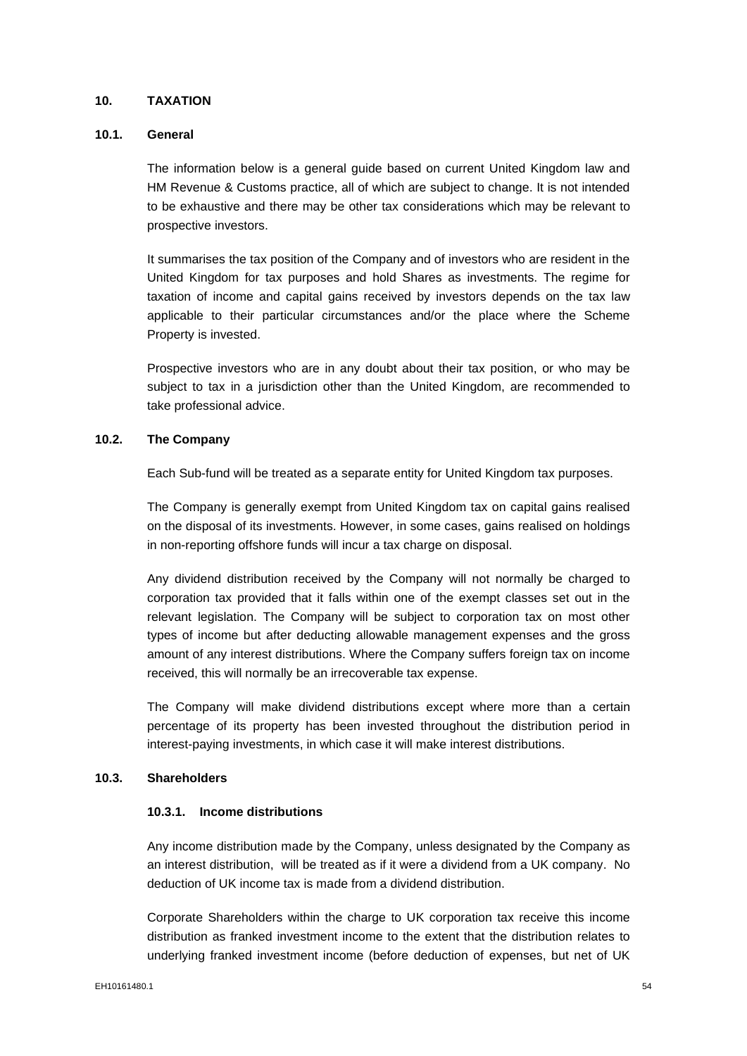## **10. TAXATION**

### **10.1. General**

The information below is a general guide based on current United Kingdom law and HM Revenue & Customs practice, all of which are subject to change. It is not intended to be exhaustive and there may be other tax considerations which may be relevant to prospective investors.

It summarises the tax position of the Company and of investors who are resident in the United Kingdom for tax purposes and hold Shares as investments. The regime for taxation of income and capital gains received by investors depends on the tax law applicable to their particular circumstances and/or the place where the Scheme Property is invested.

Prospective investors who are in any doubt about their tax position, or who may be subject to tax in a jurisdiction other than the United Kingdom, are recommended to take professional advice.

#### **10.2. The Company**

Each Sub-fund will be treated as a separate entity for United Kingdom tax purposes.

The Company is generally exempt from United Kingdom tax on capital gains realised on the disposal of its investments. However, in some cases, gains realised on holdings in non-reporting offshore funds will incur a tax charge on disposal.

Any dividend distribution received by the Company will not normally be charged to corporation tax provided that it falls within one of the exempt classes set out in the relevant legislation. The Company will be subject to corporation tax on most other types of income but after deducting allowable management expenses and the gross amount of any interest distributions. Where the Company suffers foreign tax on income received, this will normally be an irrecoverable tax expense.

The Company will make dividend distributions except where more than a certain percentage of its property has been invested throughout the distribution period in interest-paying investments, in which case it will make interest distributions.

#### **10.3. Shareholders**

## **10.3.1. Income distributions**

Any income distribution made by the Company, unless designated by the Company as an interest distribution, will be treated as if it were a dividend from a UK company. No deduction of UK income tax is made from a dividend distribution.

Corporate Shareholders within the charge to UK corporation tax receive this income distribution as franked investment income to the extent that the distribution relates to underlying franked investment income (before deduction of expenses, but net of UK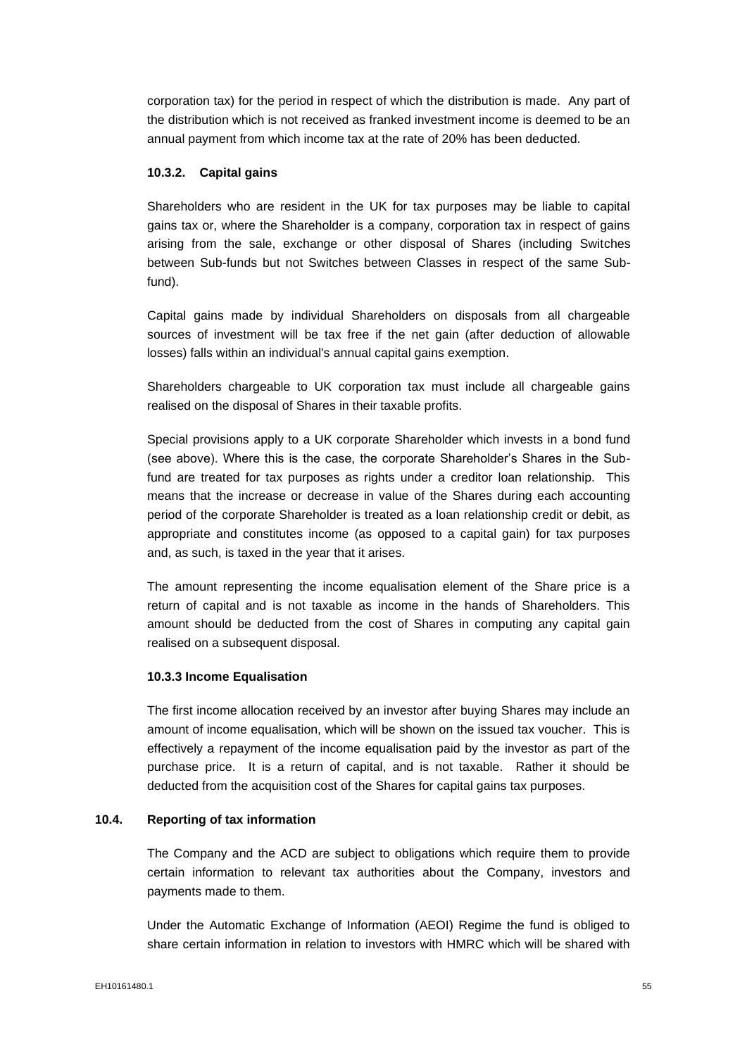corporation tax) for the period in respect of which the distribution is made. Any part of the distribution which is not received as franked investment income is deemed to be an annual payment from which income tax at the rate of 20% has been deducted.

### **10.3.2. Capital gains**

Shareholders who are resident in the UK for tax purposes may be liable to capital gains tax or, where the Shareholder is a company, corporation tax in respect of gains arising from the sale, exchange or other disposal of Shares (including Switches between Sub-funds but not Switches between Classes in respect of the same Subfund).

Capital gains made by individual Shareholders on disposals from all chargeable sources of investment will be tax free if the net gain (after deduction of allowable losses) falls within an individual's annual capital gains exemption.

Shareholders chargeable to UK corporation tax must include all chargeable gains realised on the disposal of Shares in their taxable profits.

Special provisions apply to a UK corporate Shareholder which invests in a bond fund (see above). Where this is the case, the corporate Shareholder's Shares in the Subfund are treated for tax purposes as rights under a creditor loan relationship. This means that the increase or decrease in value of the Shares during each accounting period of the corporate Shareholder is treated as a loan relationship credit or debit, as appropriate and constitutes income (as opposed to a capital gain) for tax purposes and, as such, is taxed in the year that it arises.

The amount representing the income equalisation element of the Share price is a return of capital and is not taxable as income in the hands of Shareholders. This amount should be deducted from the cost of Shares in computing any capital gain realised on a subsequent disposal.

#### **10.3.3 Income Equalisation**

The first income allocation received by an investor after buying Shares may include an amount of income equalisation, which will be shown on the issued tax voucher. This is effectively a repayment of the income equalisation paid by the investor as part of the purchase price. It is a return of capital, and is not taxable. Rather it should be deducted from the acquisition cost of the Shares for capital gains tax purposes.

#### **10.4. Reporting of tax information**

The Company and the ACD are subject to obligations which require them to provide certain information to relevant tax authorities about the Company, investors and payments made to them.

Under the Automatic Exchange of Information (AEOI) Regime the fund is obliged to share certain information in relation to investors with HMRC which will be shared with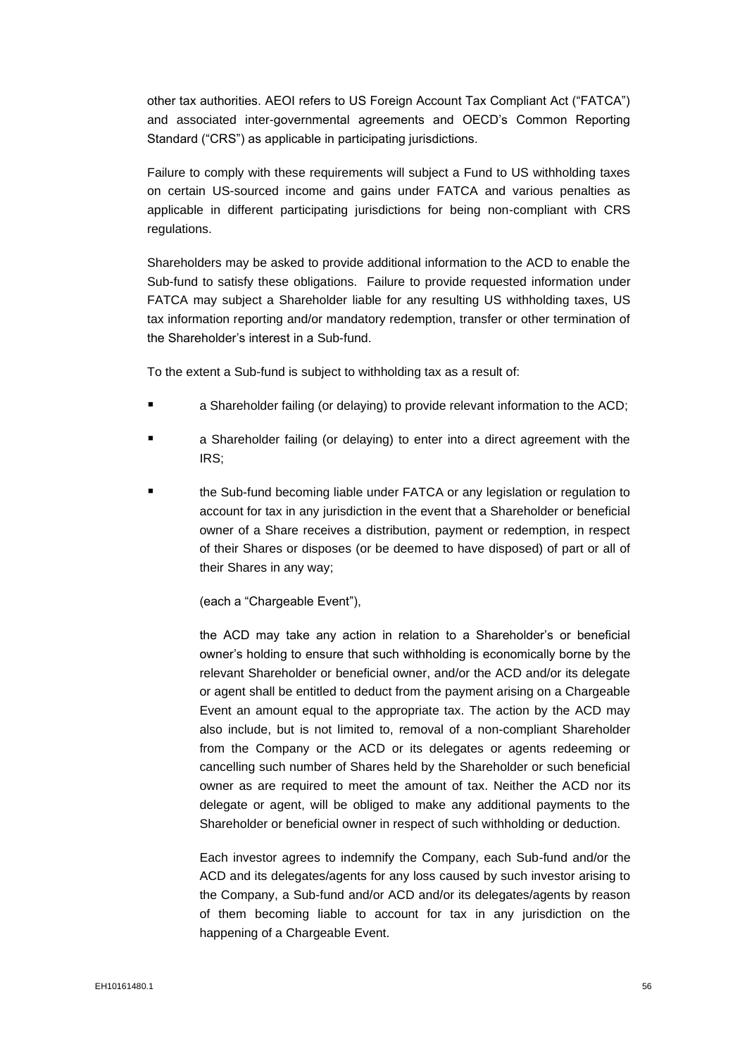other tax authorities. AEOI refers to US Foreign Account Tax Compliant Act ("FATCA") and associated inter-governmental agreements and OECD's Common Reporting Standard ("CRS") as applicable in participating jurisdictions.

Failure to comply with these requirements will subject a Fund to US withholding taxes on certain US-sourced income and gains under FATCA and various penalties as applicable in different participating jurisdictions for being non-compliant with CRS regulations.

Shareholders may be asked to provide additional information to the ACD to enable the Sub-fund to satisfy these obligations. Failure to provide requested information under FATCA may subject a Shareholder liable for any resulting US withholding taxes, US tax information reporting and/or mandatory redemption, transfer or other termination of the Shareholder's interest in a Sub-fund.

To the extent a Sub-fund is subject to withholding tax as a result of:

- a Shareholder failing (or delaying) to provide relevant information to the ACD;
- a Shareholder failing (or delaying) to enter into a direct agreement with the IRS;
- the Sub-fund becoming liable under FATCA or any legislation or regulation to account for tax in any jurisdiction in the event that a Shareholder or beneficial owner of a Share receives a distribution, payment or redemption, in respect of their Shares or disposes (or be deemed to have disposed) of part or all of their Shares in any way;

(each a "Chargeable Event"),

the ACD may take any action in relation to a Shareholder's or beneficial owner's holding to ensure that such withholding is economically borne by the relevant Shareholder or beneficial owner, and/or the ACD and/or its delegate or agent shall be entitled to deduct from the payment arising on a Chargeable Event an amount equal to the appropriate tax. The action by the ACD may also include, but is not limited to, removal of a non-compliant Shareholder from the Company or the ACD or its delegates or agents redeeming or cancelling such number of Shares held by the Shareholder or such beneficial owner as are required to meet the amount of tax. Neither the ACD nor its delegate or agent, will be obliged to make any additional payments to the Shareholder or beneficial owner in respect of such withholding or deduction.

Each investor agrees to indemnify the Company, each Sub-fund and/or the ACD and its delegates/agents for any loss caused by such investor arising to the Company, a Sub-fund and/or ACD and/or its delegates/agents by reason of them becoming liable to account for tax in any jurisdiction on the happening of a Chargeable Event.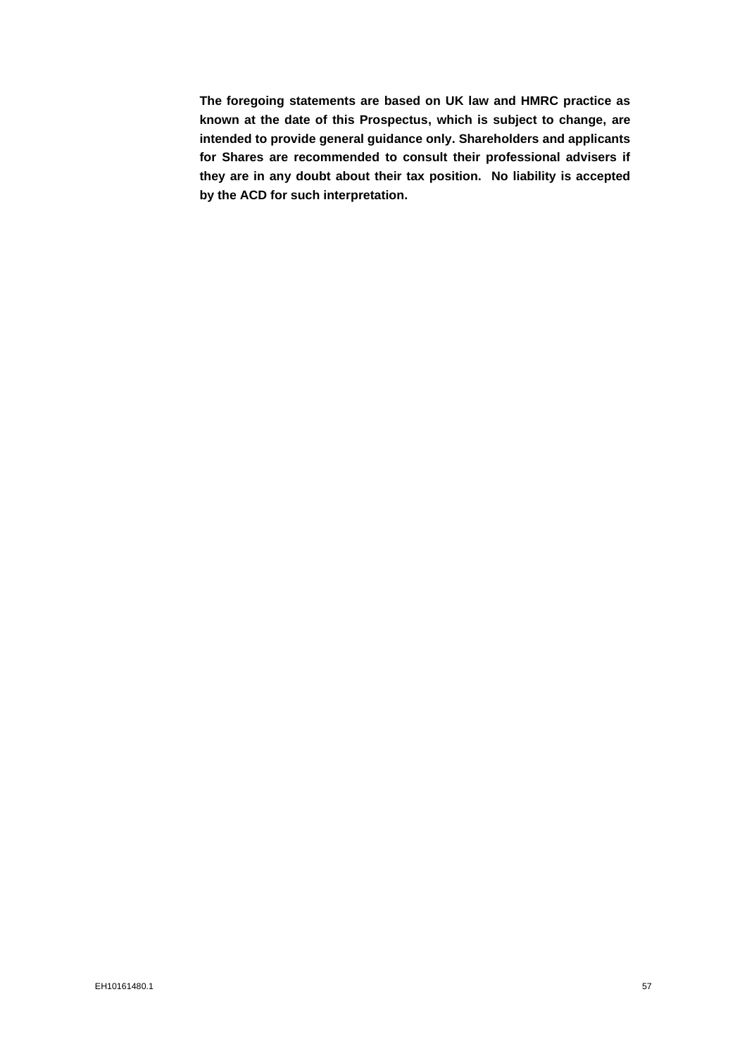**The foregoing statements are based on UK law and HMRC practice as known at the date of this Prospectus, which is subject to change, are intended to provide general guidance only. Shareholders and applicants for Shares are recommended to consult their professional advisers if they are in any doubt about their tax position. No liability is accepted by the ACD for such interpretation.**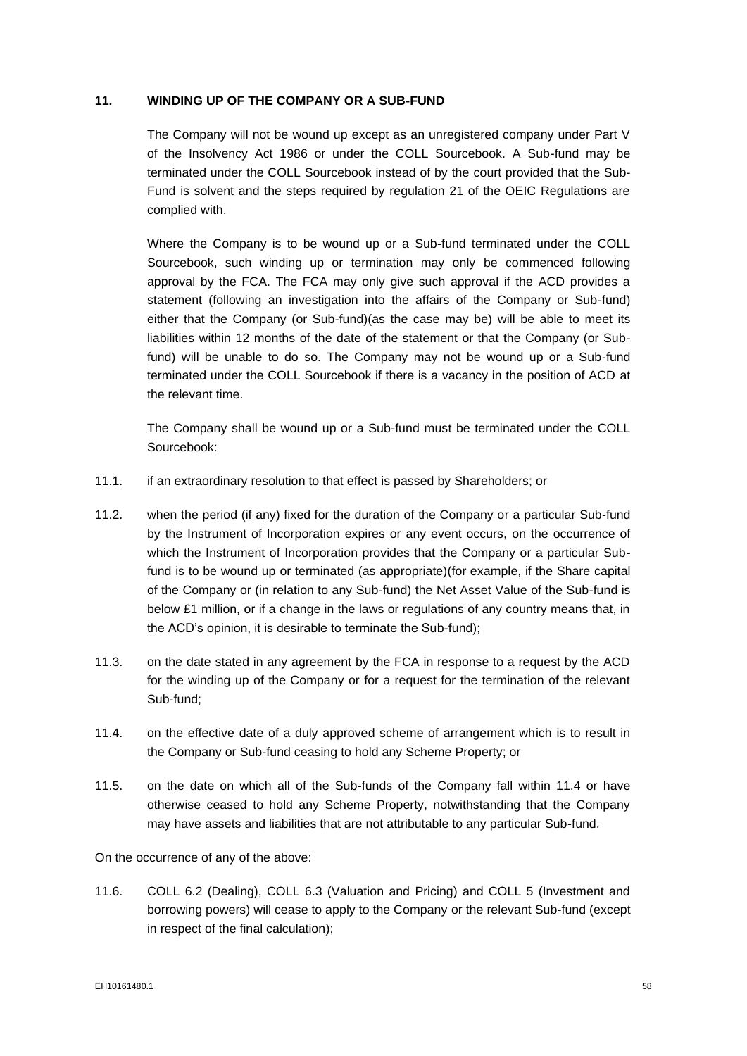### **11. WINDING UP OF THE COMPANY OR A SUB-FUND**

The Company will not be wound up except as an unregistered company under Part V of the Insolvency Act 1986 or under the COLL Sourcebook. A Sub-fund may be terminated under the COLL Sourcebook instead of by the court provided that the Sub-Fund is solvent and the steps required by regulation 21 of the OEIC Regulations are complied with.

Where the Company is to be wound up or a Sub-fund terminated under the COLL Sourcebook, such winding up or termination may only be commenced following approval by the FCA. The FCA may only give such approval if the ACD provides a statement (following an investigation into the affairs of the Company or Sub-fund) either that the Company (or Sub-fund)(as the case may be) will be able to meet its liabilities within 12 months of the date of the statement or that the Company (or Subfund) will be unable to do so. The Company may not be wound up or a Sub-fund terminated under the COLL Sourcebook if there is a vacancy in the position of ACD at the relevant time.

The Company shall be wound up or a Sub-fund must be terminated under the COLL Sourcebook:

- 11.1. if an extraordinary resolution to that effect is passed by Shareholders; or
- 11.2. when the period (if any) fixed for the duration of the Company or a particular Sub-fund by the Instrument of Incorporation expires or any event occurs, on the occurrence of which the Instrument of Incorporation provides that the Company or a particular Subfund is to be wound up or terminated (as appropriate)(for example, if the Share capital of the Company or (in relation to any Sub-fund) the Net Asset Value of the Sub-fund is below £1 million, or if a change in the laws or regulations of any country means that, in the ACD's opinion, it is desirable to terminate the Sub-fund);
- 11.3. on the date stated in any agreement by the FCA in response to a request by the ACD for the winding up of the Company or for a request for the termination of the relevant Sub-fund;
- 11.4. on the effective date of a duly approved scheme of arrangement which is to result in the Company or Sub-fund ceasing to hold any Scheme Property; or
- 11.5. on the date on which all of the Sub-funds of the Company fall within 11.4 or have otherwise ceased to hold any Scheme Property, notwithstanding that the Company may have assets and liabilities that are not attributable to any particular Sub-fund.

On the occurrence of any of the above:

11.6. COLL 6.2 (Dealing), COLL 6.3 (Valuation and Pricing) and COLL 5 (Investment and borrowing powers) will cease to apply to the Company or the relevant Sub-fund (except in respect of the final calculation);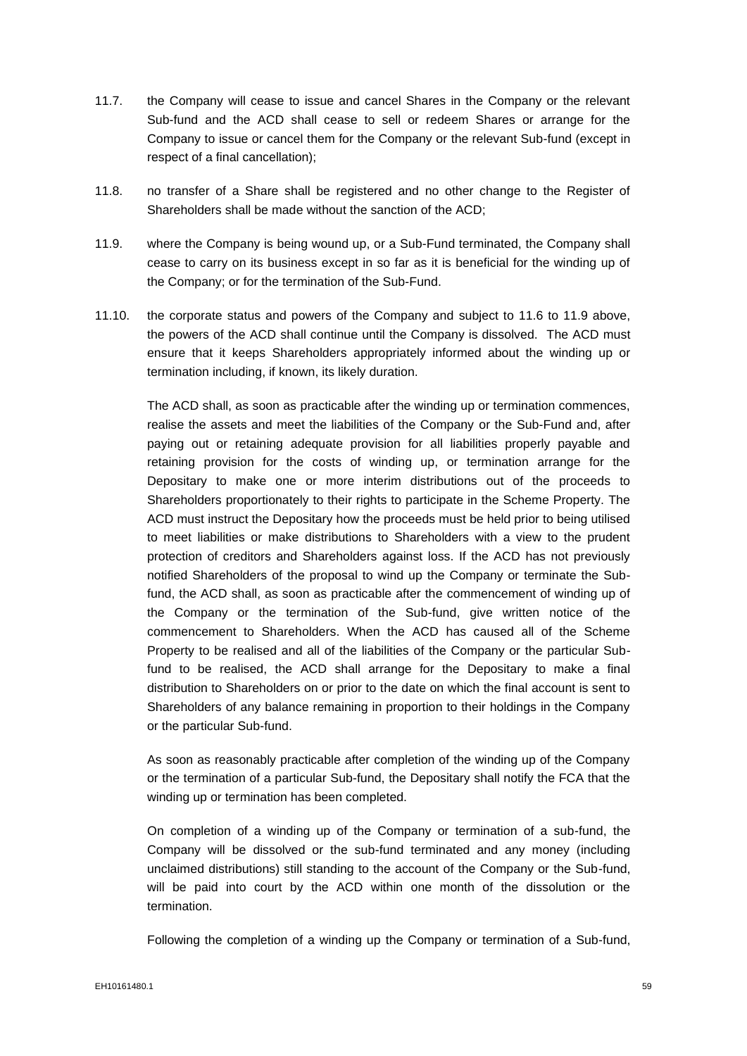- 11.7. the Company will cease to issue and cancel Shares in the Company or the relevant Sub-fund and the ACD shall cease to sell or redeem Shares or arrange for the Company to issue or cancel them for the Company or the relevant Sub-fund (except in respect of a final cancellation);
- 11.8. no transfer of a Share shall be registered and no other change to the Register of Shareholders shall be made without the sanction of the ACD;
- 11.9. where the Company is being wound up, or a Sub-Fund terminated, the Company shall cease to carry on its business except in so far as it is beneficial for the winding up of the Company; or for the termination of the Sub-Fund.
- 11.10. the corporate status and powers of the Company and subject to 11.6 to 11.9 above, the powers of the ACD shall continue until the Company is dissolved. The ACD must ensure that it keeps Shareholders appropriately informed about the winding up or termination including, if known, its likely duration.

The ACD shall, as soon as practicable after the winding up or termination commences, realise the assets and meet the liabilities of the Company or the Sub-Fund and, after paying out or retaining adequate provision for all liabilities properly payable and retaining provision for the costs of winding up, or termination arrange for the Depositary to make one or more interim distributions out of the proceeds to Shareholders proportionately to their rights to participate in the Scheme Property. The ACD must instruct the Depositary how the proceeds must be held prior to being utilised to meet liabilities or make distributions to Shareholders with a view to the prudent protection of creditors and Shareholders against loss. If the ACD has not previously notified Shareholders of the proposal to wind up the Company or terminate the Subfund, the ACD shall, as soon as practicable after the commencement of winding up of the Company or the termination of the Sub-fund, give written notice of the commencement to Shareholders. When the ACD has caused all of the Scheme Property to be realised and all of the liabilities of the Company or the particular Subfund to be realised, the ACD shall arrange for the Depositary to make a final distribution to Shareholders on or prior to the date on which the final account is sent to Shareholders of any balance remaining in proportion to their holdings in the Company or the particular Sub-fund.

As soon as reasonably practicable after completion of the winding up of the Company or the termination of a particular Sub-fund, the Depositary shall notify the FCA that the winding up or termination has been completed.

On completion of a winding up of the Company or termination of a sub-fund, the Company will be dissolved or the sub-fund terminated and any money (including unclaimed distributions) still standing to the account of the Company or the Sub-fund, will be paid into court by the ACD within one month of the dissolution or the termination.

Following the completion of a winding up the Company or termination of a Sub-fund,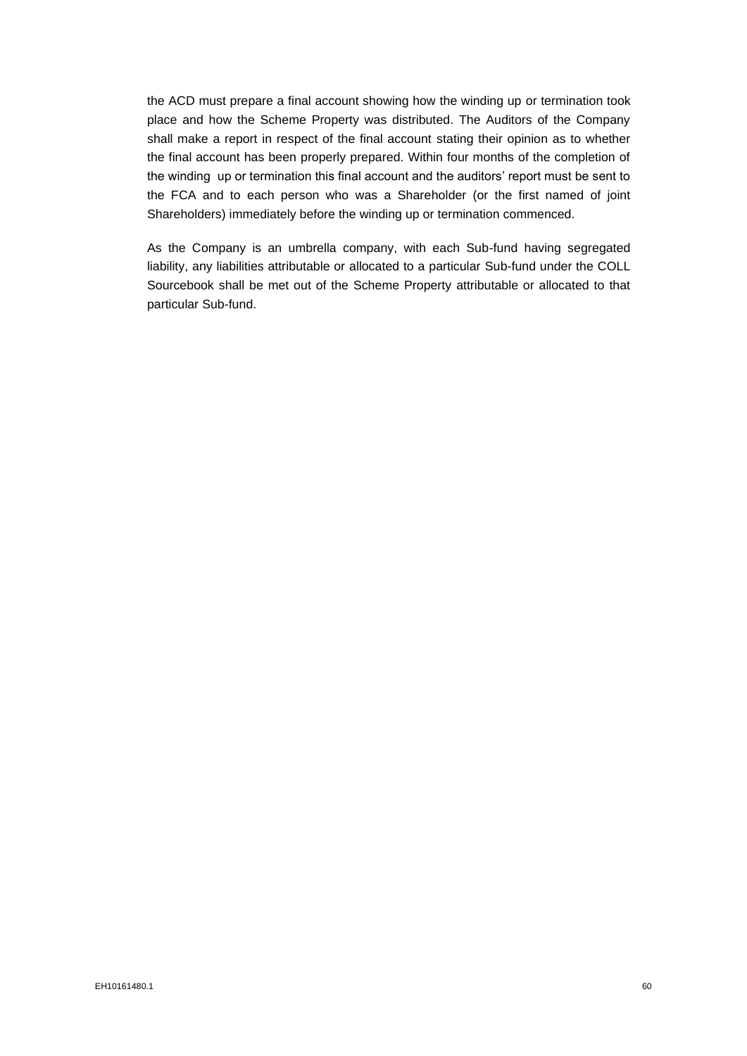the ACD must prepare a final account showing how the winding up or termination took place and how the Scheme Property was distributed. The Auditors of the Company shall make a report in respect of the final account stating their opinion as to whether the final account has been properly prepared. Within four months of the completion of the winding up or termination this final account and the auditors' report must be sent to the FCA and to each person who was a Shareholder (or the first named of joint Shareholders) immediately before the winding up or termination commenced.

As the Company is an umbrella company, with each Sub-fund having segregated liability, any liabilities attributable or allocated to a particular Sub-fund under the COLL Sourcebook shall be met out of the Scheme Property attributable or allocated to that particular Sub-fund.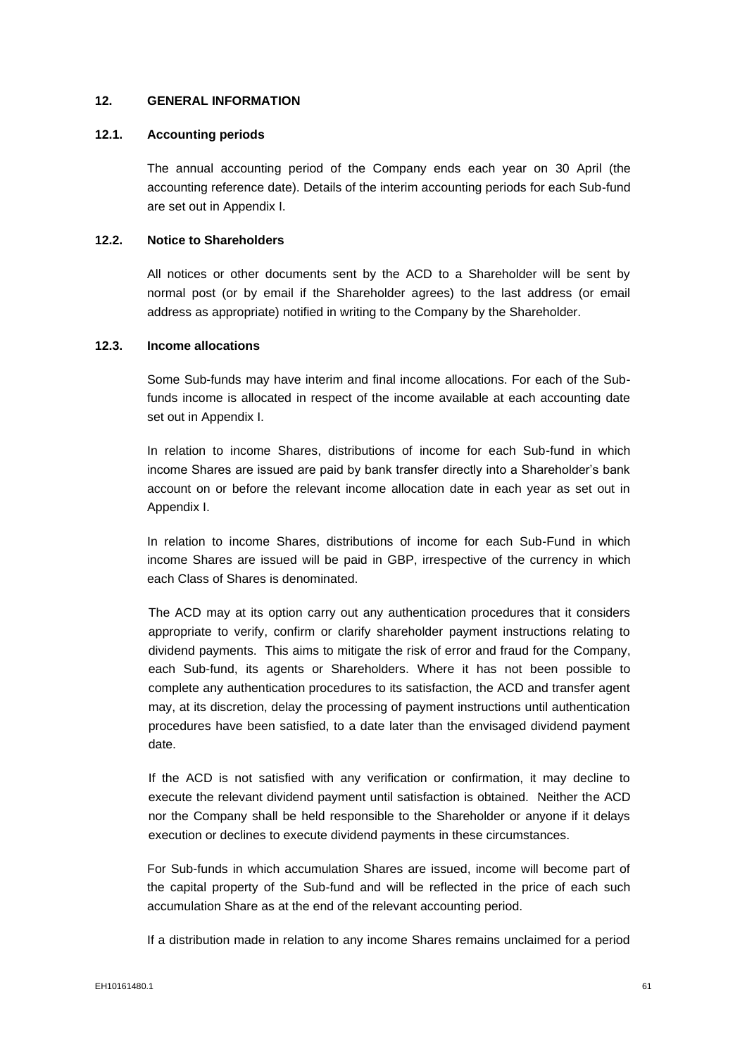### **12. GENERAL INFORMATION**

### **12.1. Accounting periods**

The annual accounting period of the Company ends each year on 30 April (the accounting reference date). Details of the interim accounting periods for each Sub-fund are set out in Appendix I.

### **12.2. Notice to Shareholders**

All notices or other documents sent by the ACD to a Shareholder will be sent by normal post (or by email if the Shareholder agrees) to the last address (or email address as appropriate) notified in writing to the Company by the Shareholder.

### **12.3. Income allocations**

Some Sub-funds may have interim and final income allocations. For each of the Subfunds income is allocated in respect of the income available at each accounting date set out in Appendix I.

In relation to income Shares, distributions of income for each Sub-fund in which income Shares are issued are paid by bank transfer directly into a Shareholder's bank account on or before the relevant income allocation date in each year as set out in Appendix I.

In relation to income Shares, distributions of income for each Sub-Fund in which income Shares are issued will be paid in GBP, irrespective of the currency in which each Class of Shares is denominated.

The ACD may at its option carry out any authentication procedures that it considers appropriate to verify, confirm or clarify shareholder payment instructions relating to dividend payments. This aims to mitigate the risk of error and fraud for the Company, each Sub-fund, its agents or Shareholders. Where it has not been possible to complete any authentication procedures to its satisfaction, the ACD and transfer agent may, at its discretion, delay the processing of payment instructions until authentication procedures have been satisfied, to a date later than the envisaged dividend payment date.

If the ACD is not satisfied with any verification or confirmation, it may decline to execute the relevant dividend payment until satisfaction is obtained. Neither the ACD nor the Company shall be held responsible to the Shareholder or anyone if it delays execution or declines to execute dividend payments in these circumstances.

For Sub-funds in which accumulation Shares are issued, income will become part of the capital property of the Sub-fund and will be reflected in the price of each such accumulation Share as at the end of the relevant accounting period.

If a distribution made in relation to any income Shares remains unclaimed for a period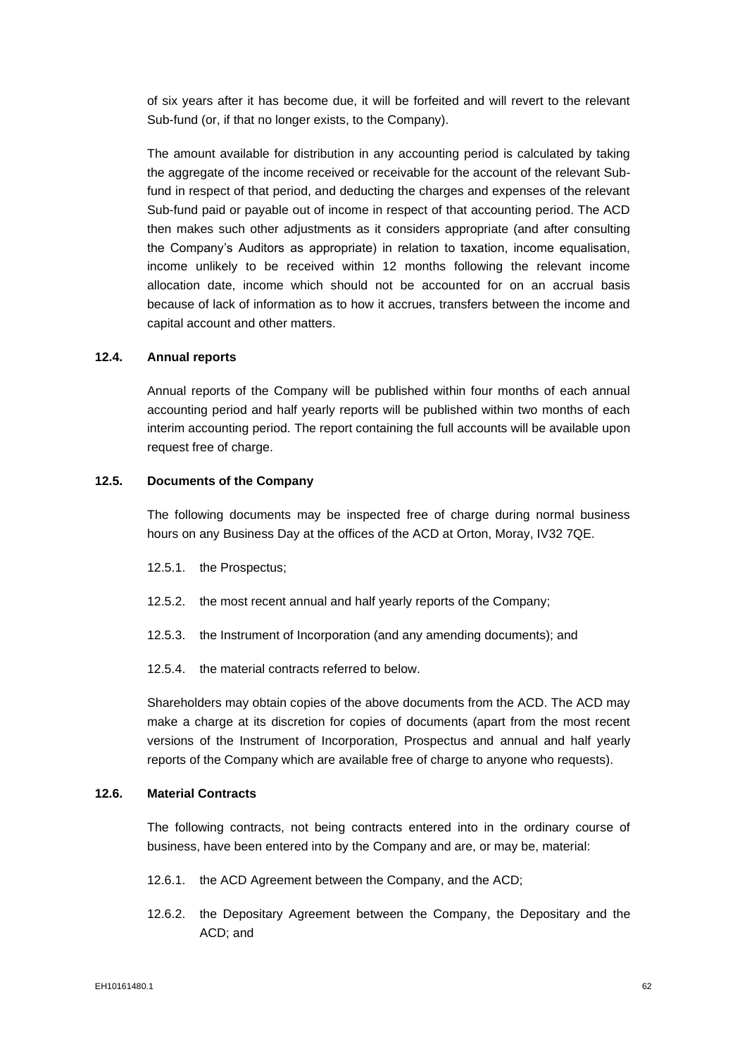of six years after it has become due, it will be forfeited and will revert to the relevant Sub-fund (or, if that no longer exists, to the Company).

The amount available for distribution in any accounting period is calculated by taking the aggregate of the income received or receivable for the account of the relevant Subfund in respect of that period, and deducting the charges and expenses of the relevant Sub-fund paid or payable out of income in respect of that accounting period. The ACD then makes such other adjustments as it considers appropriate (and after consulting the Company's Auditors as appropriate) in relation to taxation, income equalisation, income unlikely to be received within 12 months following the relevant income allocation date, income which should not be accounted for on an accrual basis because of lack of information as to how it accrues, transfers between the income and capital account and other matters.

## **12.4. Annual reports**

Annual reports of the Company will be published within four months of each annual accounting period and half yearly reports will be published within two months of each interim accounting period. The report containing the full accounts will be available upon request free of charge.

## **12.5. Documents of the Company**

The following documents may be inspected free of charge during normal business hours on any Business Day at the offices of the ACD at Orton, Moray, IV32 7QE.

- 12.5.1. the Prospectus;
- 12.5.2. the most recent annual and half yearly reports of the Company;
- 12.5.3. the Instrument of Incorporation (and any amending documents); and
- 12.5.4. the material contracts referred to below.

Shareholders may obtain copies of the above documents from the ACD. The ACD may make a charge at its discretion for copies of documents (apart from the most recent versions of the Instrument of Incorporation, Prospectus and annual and half yearly reports of the Company which are available free of charge to anyone who requests).

### **12.6. Material Contracts**

The following contracts, not being contracts entered into in the ordinary course of business, have been entered into by the Company and are, or may be, material:

- 12.6.1. the ACD Agreement between the Company, and the ACD;
- 12.6.2. the Depositary Agreement between the Company, the Depositary and the ACD; and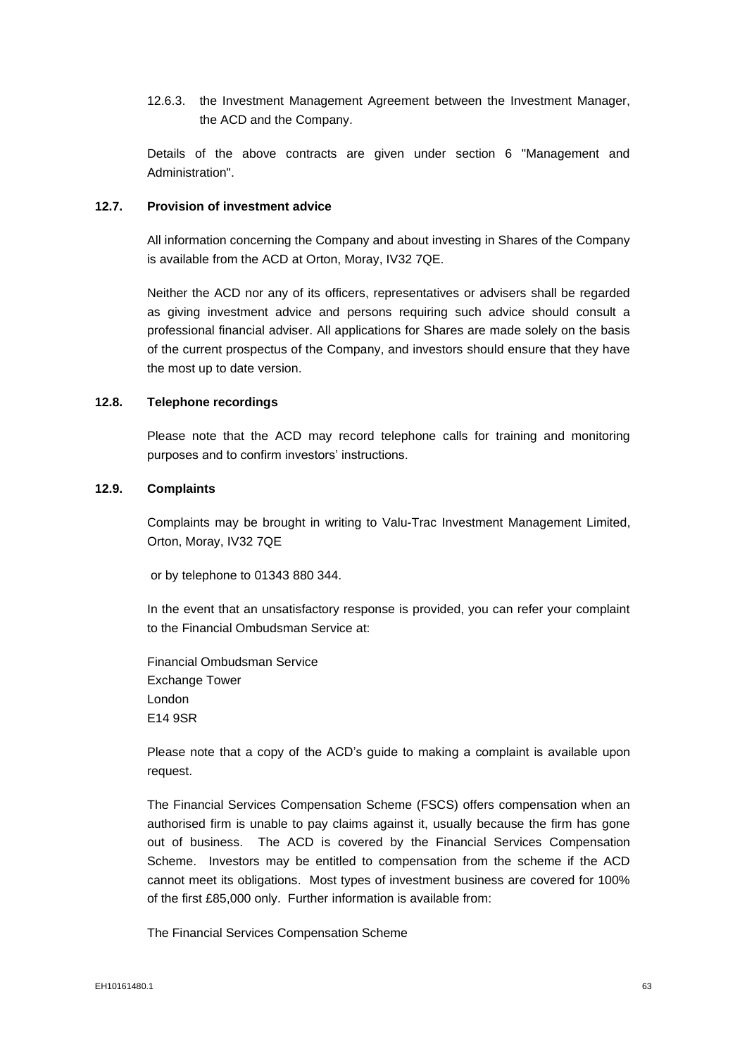12.6.3. the Investment Management Agreement between the Investment Manager, the ACD and the Company.

Details of the above contracts are given under section 6 "Management and Administration".

#### **12.7. Provision of investment advice**

All information concerning the Company and about investing in Shares of the Company is available from the ACD at Orton, Moray, IV32 7QE.

Neither the ACD nor any of its officers, representatives or advisers shall be regarded as giving investment advice and persons requiring such advice should consult a professional financial adviser. All applications for Shares are made solely on the basis of the current prospectus of the Company, and investors should ensure that they have the most up to date version.

#### **12.8. Telephone recordings**

Please note that the ACD may record telephone calls for training and monitoring purposes and to confirm investors' instructions.

# **12.9. Complaints**

Complaints may be brought in writing to Valu-Trac Investment Management Limited, Orton, Moray, IV32 7QE

or by telephone to 01343 880 344.

In the event that an unsatisfactory response is provided, you can refer your complaint to the Financial Ombudsman Service at:

Financial Ombudsman Service Exchange Tower London E14 9SR

Please note that a copy of the ACD's guide to making a complaint is available upon request.

The Financial Services Compensation Scheme (FSCS) offers compensation when an authorised firm is unable to pay claims against it, usually because the firm has gone out of business. The ACD is covered by the Financial Services Compensation Scheme. Investors may be entitled to compensation from the scheme if the ACD cannot meet its obligations. Most types of investment business are covered for 100% of the first £85,000 only. Further information is available from:

The Financial Services Compensation Scheme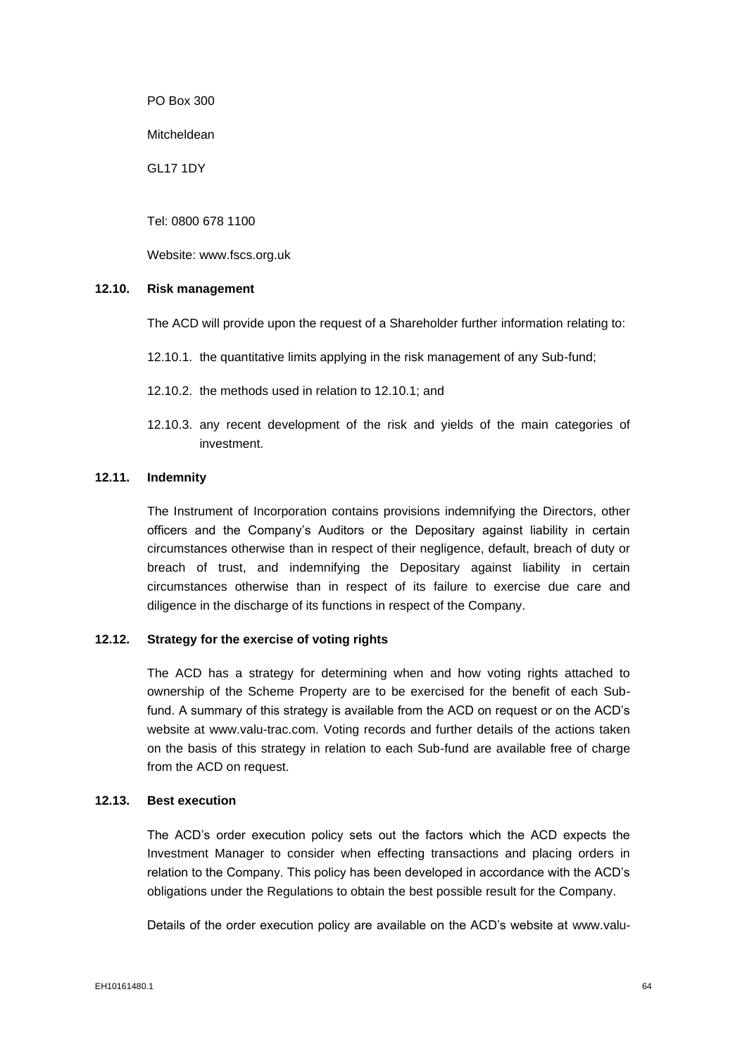PO Box 300

Mitcheldean

GL17 1DY

Tel: 0800 678 1100

Website: www.fscs.org.uk

### **12.10. Risk management**

The ACD will provide upon the request of a Shareholder further information relating to:

- 12.10.1. the quantitative limits applying in the risk management of any Sub-fund;
- 12.10.2. the methods used in relation to 12.10.1; and
- 12.10.3. any recent development of the risk and yields of the main categories of investment.

### **12.11. Indemnity**

The Instrument of Incorporation contains provisions indemnifying the Directors, other officers and the Company's Auditors or the Depositary against liability in certain circumstances otherwise than in respect of their negligence, default, breach of duty or breach of trust, and indemnifying the Depositary against liability in certain circumstances otherwise than in respect of its failure to exercise due care and diligence in the discharge of its functions in respect of the Company.

# **12.12. Strategy for the exercise of voting rights**

The ACD has a strategy for determining when and how voting rights attached to ownership of the Scheme Property are to be exercised for the benefit of each Subfund. A summary of this strategy is available from the ACD on request or on the ACD's website at www.valu-trac.com. Voting records and further details of the actions taken on the basis of this strategy in relation to each Sub-fund are available free of charge from the ACD on request.

#### **12.13. Best execution**

The ACD's order execution policy sets out the factors which the ACD expects the Investment Manager to consider when effecting transactions and placing orders in relation to the Company. This policy has been developed in accordance with the ACD's obligations under the Regulations to obtain the best possible result for the Company.

Details of the order execution policy are available on the ACD's website at www.valu-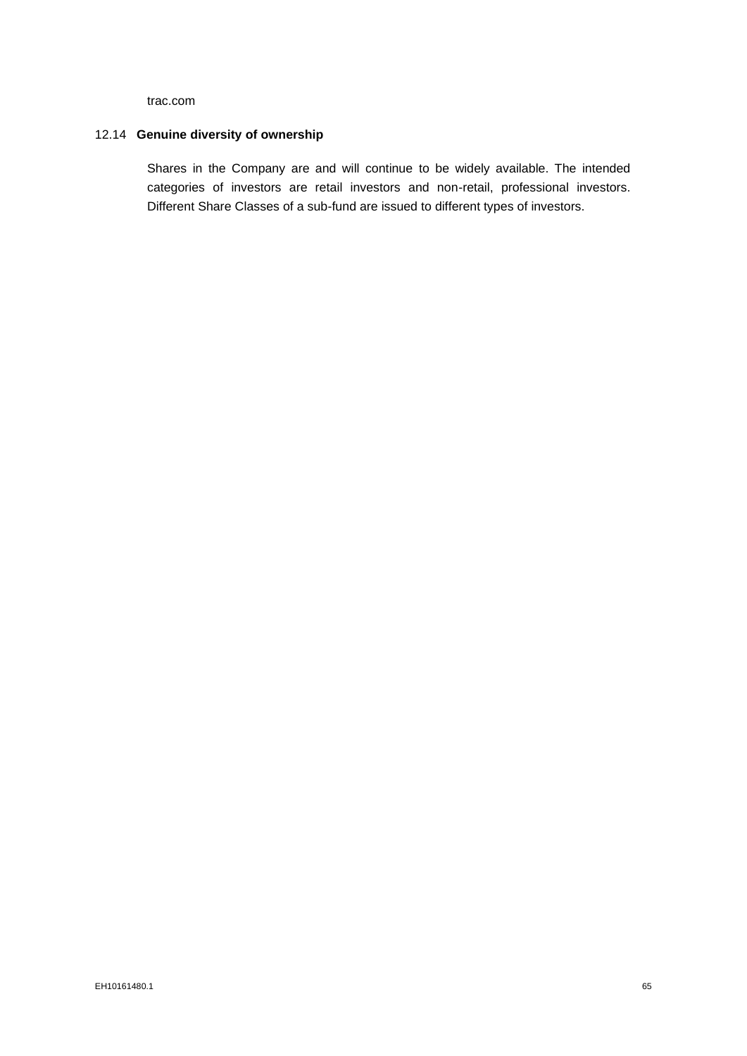trac.com

# 12.14 **Genuine diversity of ownership**

Shares in the Company are and will continue to be widely available. The intended categories of investors are retail investors and non-retail, professional investors. Different Share Classes of a sub-fund are issued to different types of investors.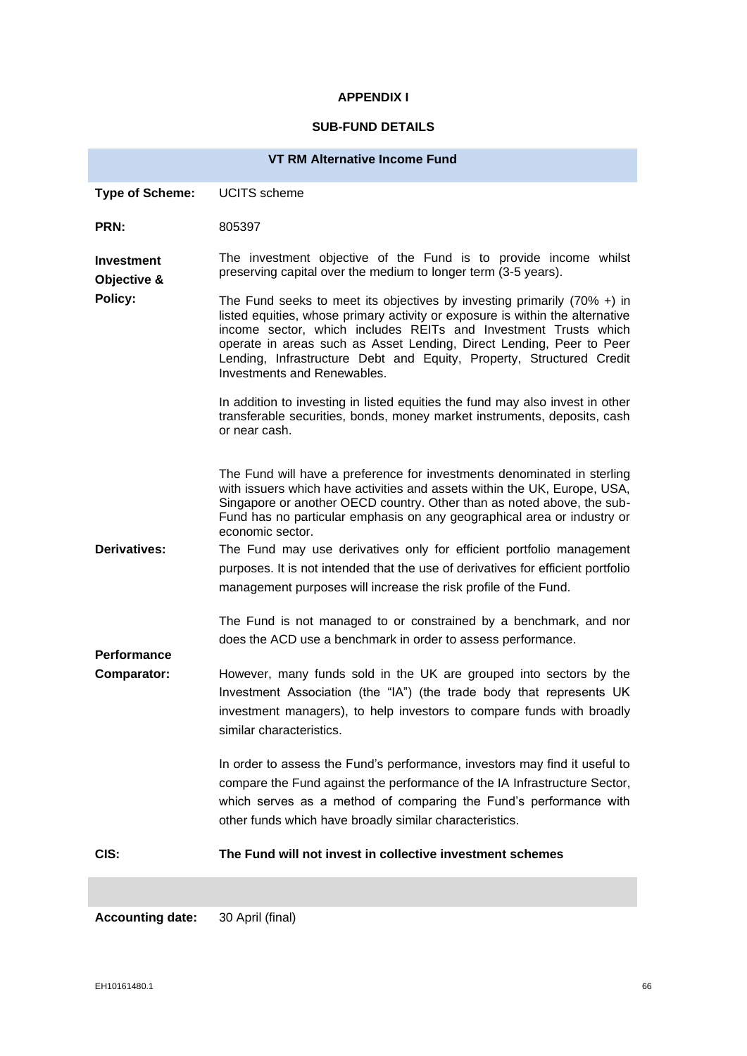# **APPENDIX I**

# **SUB-FUND DETAILS**

| <b>VT RM Alternative Income Fund</b>                     |                                                                                                                                                                                                                                                                                                                                                                                                            |  |  |  |  |
|----------------------------------------------------------|------------------------------------------------------------------------------------------------------------------------------------------------------------------------------------------------------------------------------------------------------------------------------------------------------------------------------------------------------------------------------------------------------------|--|--|--|--|
| <b>Type of Scheme:</b>                                   | <b>UCITS</b> scheme                                                                                                                                                                                                                                                                                                                                                                                        |  |  |  |  |
| PRN:                                                     | 805397                                                                                                                                                                                                                                                                                                                                                                                                     |  |  |  |  |
| <b>Investment</b><br>Objective &<br>Policy:              | The investment objective of the Fund is to provide income whilst<br>preserving capital over the medium to longer term (3-5 years).                                                                                                                                                                                                                                                                         |  |  |  |  |
|                                                          | The Fund seeks to meet its objectives by investing primarily (70% +) in<br>listed equities, whose primary activity or exposure is within the alternative<br>income sector, which includes REITs and Investment Trusts which<br>operate in areas such as Asset Lending, Direct Lending, Peer to Peer<br>Lending, Infrastructure Debt and Equity, Property, Structured Credit<br>Investments and Renewables. |  |  |  |  |
|                                                          | In addition to investing in listed equities the fund may also invest in other<br>transferable securities, bonds, money market instruments, deposits, cash<br>or near cash.                                                                                                                                                                                                                                 |  |  |  |  |
|                                                          | The Fund will have a preference for investments denominated in sterling<br>with issuers which have activities and assets within the UK, Europe, USA,<br>Singapore or another OECD country. Other than as noted above, the sub-<br>Fund has no particular emphasis on any geographical area or industry or<br>economic sector.                                                                              |  |  |  |  |
| Derivatives:<br><b>Performance</b><br><b>Comparator:</b> | The Fund may use derivatives only for efficient portfolio management<br>purposes. It is not intended that the use of derivatives for efficient portfolio<br>management purposes will increase the risk profile of the Fund.                                                                                                                                                                                |  |  |  |  |
|                                                          | The Fund is not managed to or constrained by a benchmark, and nor<br>does the ACD use a benchmark in order to assess performance.                                                                                                                                                                                                                                                                          |  |  |  |  |
|                                                          | However, many funds sold in the UK are grouped into sectors by the<br>Investment Association (the "IA") (the trade body that represents UK<br>investment managers), to help investors to compare funds with broadly<br>similar characteristics.                                                                                                                                                            |  |  |  |  |
|                                                          | In order to assess the Fund's performance, investors may find it useful to<br>compare the Fund against the performance of the IA Infrastructure Sector,<br>which serves as a method of comparing the Fund's performance with<br>other funds which have broadly similar characteristics.                                                                                                                    |  |  |  |  |
| CIS:                                                     | The Fund will not invest in collective investment schemes                                                                                                                                                                                                                                                                                                                                                  |  |  |  |  |
|                                                          |                                                                                                                                                                                                                                                                                                                                                                                                            |  |  |  |  |

**Accounting date:** 30 April (final)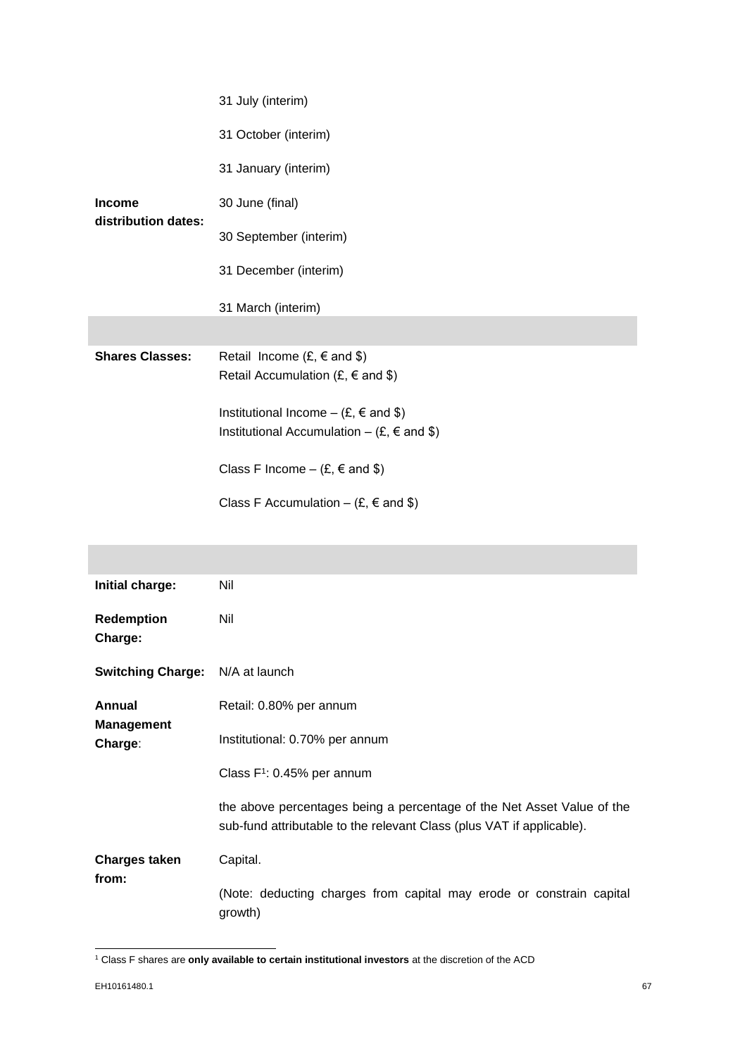|                                      | 31 July (interim)                                                                                                    |
|--------------------------------------|----------------------------------------------------------------------------------------------------------------------|
| <b>Income</b><br>distribution dates: | 31 October (interim)                                                                                                 |
|                                      | 31 January (interim)                                                                                                 |
|                                      | 30 June (final)                                                                                                      |
|                                      | 30 September (interim)                                                                                               |
|                                      | 31 December (interim)                                                                                                |
|                                      | 31 March (interim)                                                                                                   |
|                                      |                                                                                                                      |
| <b>Shares Classes:</b>               | Retail Income $(E, \in \text{and } \$)$<br>Retail Accumulation (£, $\epsilon$ and \$)                                |
|                                      | Institutional Income – $(E, \in \text{and } \$)$<br>Institutional Accumulation – $(E, \epsilon \text{ and } \theta)$ |
|                                      | Class F Income $-$ (£, $\in$ and \$)                                                                                 |
|                                      | Class F Accumulation – $(E, \epsilon \text{ and } \theta)$                                                           |

| Initial charge:                        | Nil                                                                                                                                             |
|----------------------------------------|-------------------------------------------------------------------------------------------------------------------------------------------------|
| <b>Redemption</b><br>Charge:           | Nil                                                                                                                                             |
| <b>Switching Charge:</b> N/A at launch |                                                                                                                                                 |
| Annual<br><b>Management</b><br>Charge: | Retail: 0.80% per annum                                                                                                                         |
|                                        | Institutional: 0.70% per annum                                                                                                                  |
|                                        | Class $F^1$ : 0.45% per annum                                                                                                                   |
|                                        | the above percentages being a percentage of the Net Asset Value of the<br>sub-fund attributable to the relevant Class (plus VAT if applicable). |
| <b>Charges taken</b><br>from:          | Capital.                                                                                                                                        |
|                                        | (Note: deducting charges from capital may erode or constrain capital<br>growth)                                                                 |

<sup>1</sup> Class F shares are **only available to certain institutional investors** at the discretion of the ACD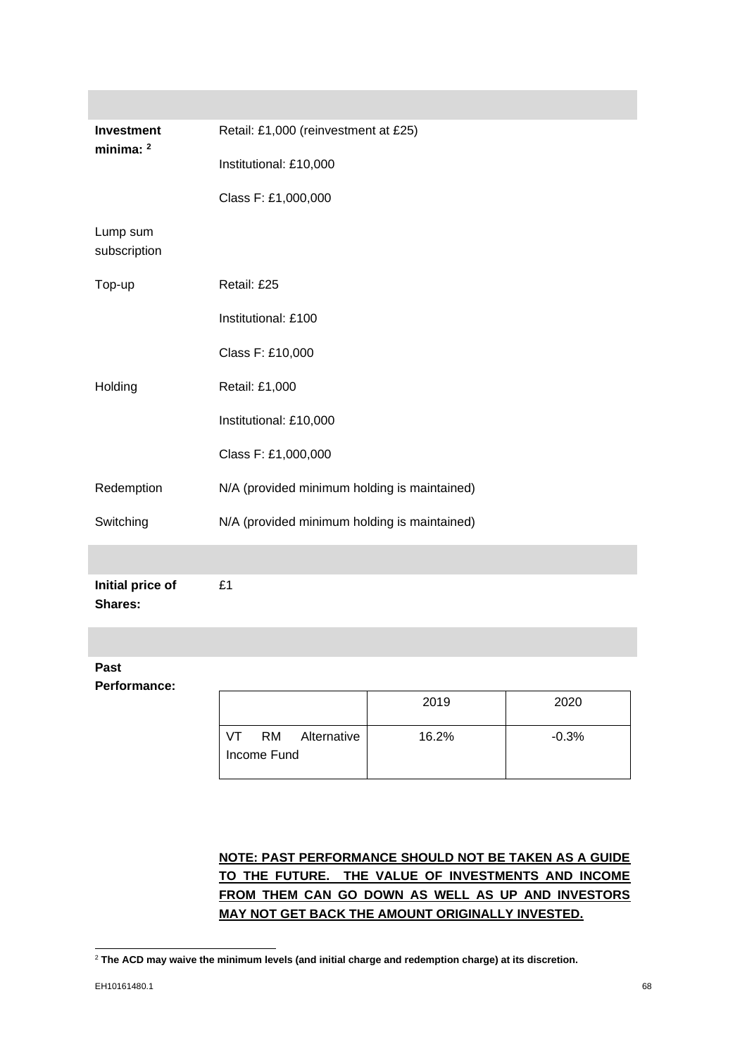| Investment<br>minima: $2$          | Retail: £1,000 (reinvestment at £25)          |       |         |  |  |
|------------------------------------|-----------------------------------------------|-------|---------|--|--|
|                                    | Institutional: £10,000                        |       |         |  |  |
|                                    | Class F: £1,000,000                           |       |         |  |  |
| Lump sum<br>subscription           |                                               |       |         |  |  |
| Top-up                             | Retail: £25                                   |       |         |  |  |
|                                    | Institutional: £100                           |       |         |  |  |
|                                    | Class F: £10,000                              |       |         |  |  |
| Holding                            | Retail: £1,000                                |       |         |  |  |
|                                    | Institutional: £10,000                        |       |         |  |  |
|                                    | Class F: £1,000,000                           |       |         |  |  |
| Redemption                         | N/A (provided minimum holding is maintained)  |       |         |  |  |
| Switching                          | N/A (provided minimum holding is maintained)  |       |         |  |  |
|                                    |                                               |       |         |  |  |
| Initial price of<br><b>Shares:</b> | £1                                            |       |         |  |  |
|                                    |                                               |       |         |  |  |
| Past<br><b>Performance:</b>        |                                               |       |         |  |  |
|                                    |                                               | 2019  | 2020    |  |  |
|                                    | <b>RM</b><br>Alternative<br>VT<br>Income Fund | 16.2% | $-0.3%$ |  |  |
|                                    |                                               |       |         |  |  |

**NOTE: PAST PERFORMANCE SHOULD NOT BE TAKEN AS A GUIDE TO THE FUTURE. THE VALUE OF INVESTMENTS AND INCOME FROM THEM CAN GO DOWN AS WELL AS UP AND INVESTORS MAY NOT GET BACK THE AMOUNT ORIGINALLY INVESTED.**

<sup>2</sup> **The ACD may waive the minimum levels (and initial charge and redemption charge) at its discretion.**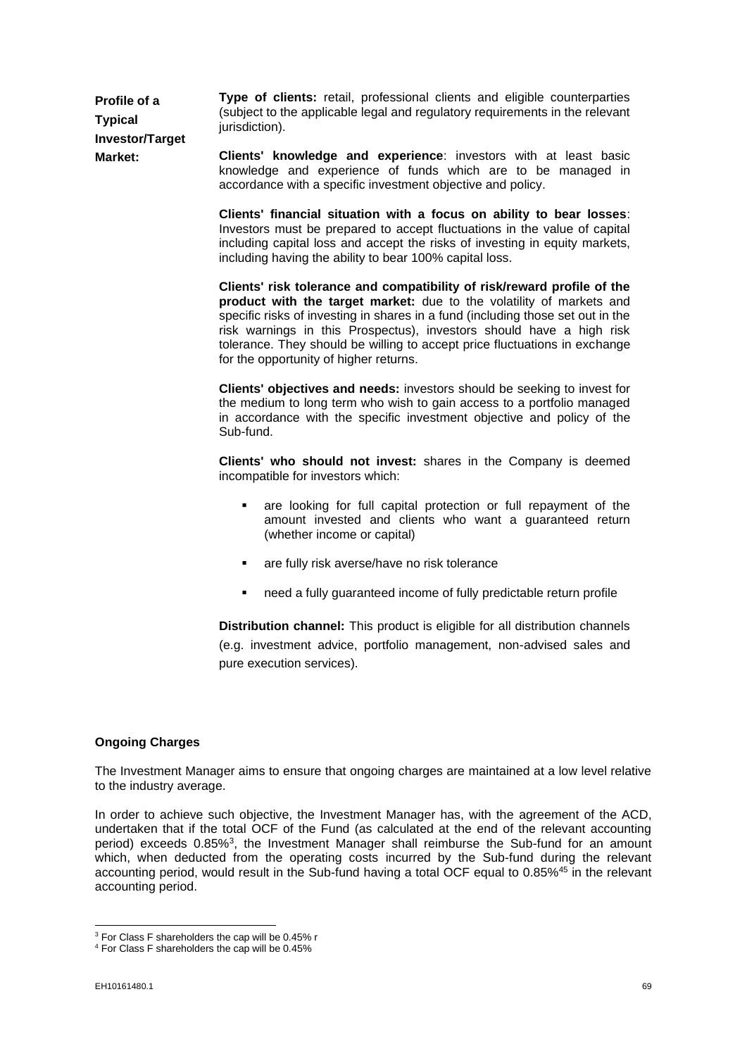**Profile of a Typical Investor/Target Market: Type of clients:** retail, professional clients and eligible counterparties (subject to the applicable legal and regulatory requirements in the relevant iurisdiction).

**Clients' knowledge and experience**: investors with at least basic knowledge and experience of funds which are to be managed in accordance with a specific investment objective and policy.

**Clients' financial situation with a focus on ability to bear losses**: Investors must be prepared to accept fluctuations in the value of capital including capital loss and accept the risks of investing in equity markets, including having the ability to bear 100% capital loss.

**Clients' risk tolerance and compatibility of risk/reward profile of the product with the target market:** due to the volatility of markets and specific risks of investing in shares in a fund (including those set out in the risk warnings in this Prospectus), investors should have a high risk tolerance. They should be willing to accept price fluctuations in exchange for the opportunity of higher returns.

**Clients' objectives and needs:** investors should be seeking to invest for the medium to long term who wish to gain access to a portfolio managed in accordance with the specific investment objective and policy of the Sub-fund.

**Clients' who should not invest:** shares in the Company is deemed incompatible for investors which:

- are looking for full capital protection or full repayment of the amount invested and clients who want a guaranteed return (whether income or capital)
- are fully risk averse/have no risk tolerance
- need a fully guaranteed income of fully predictable return profile

**Distribution channel:** This product is eligible for all distribution channels (e.g. investment advice, portfolio management, non-advised sales and pure execution services).

## **Ongoing Charges**

The Investment Manager aims to ensure that ongoing charges are maintained at a low level relative to the industry average.

In order to achieve such objective, the Investment Manager has, with the agreement of the ACD, undertaken that if the total OCF of the Fund (as calculated at the end of the relevant accounting period) exceeds 0.85%<sup>3</sup>, the Investment Manager shall reimburse the Sub-fund for an amount which, when deducted from the operating costs incurred by the Sub-fund during the relevant accounting period, would result in the Sub-fund having a total OCF equal to 0.85%<sup>45</sup> in the relevant accounting period.

 $3$  For Class F shareholders the cap will be 0.45% r

<sup>4</sup> For Class F shareholders the cap will be 0.45%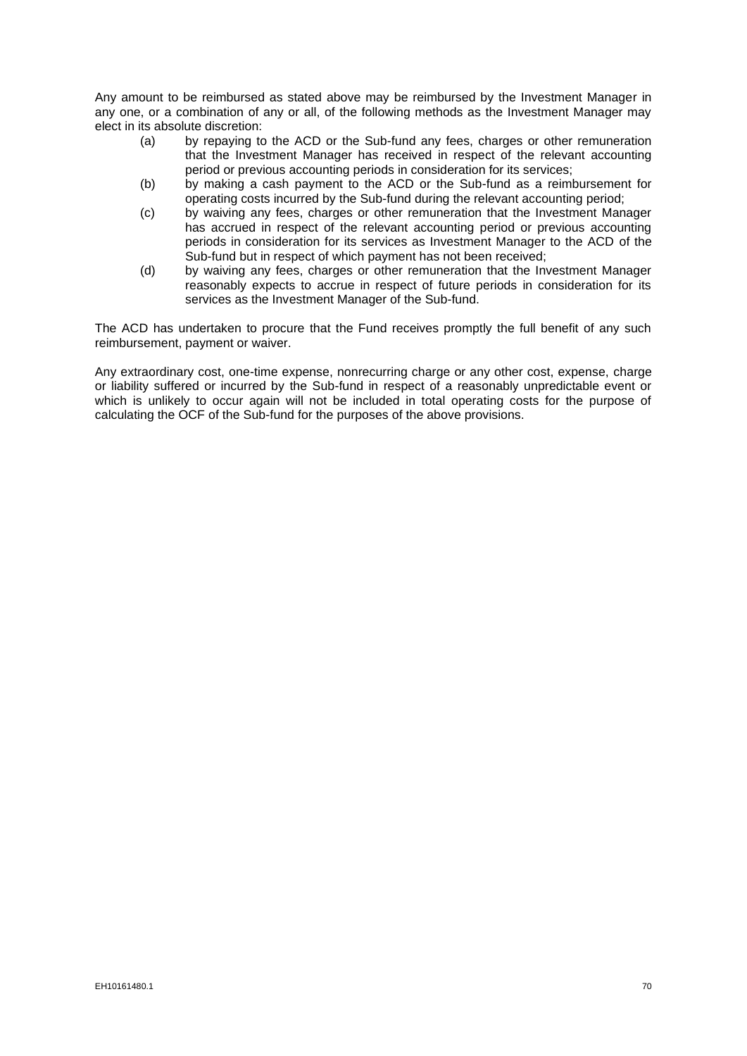Any amount to be reimbursed as stated above may be reimbursed by the Investment Manager in any one, or a combination of any or all, of the following methods as the Investment Manager may elect in its absolute discretion:

- (a) by repaying to the ACD or the Sub-fund any fees, charges or other remuneration that the Investment Manager has received in respect of the relevant accounting period or previous accounting periods in consideration for its services;
- (b) by making a cash payment to the ACD or the Sub-fund as a reimbursement for operating costs incurred by the Sub-fund during the relevant accounting period;
- (c) by waiving any fees, charges or other remuneration that the Investment Manager has accrued in respect of the relevant accounting period or previous accounting periods in consideration for its services as Investment Manager to the ACD of the Sub-fund but in respect of which payment has not been received;
- (d) by waiving any fees, charges or other remuneration that the Investment Manager reasonably expects to accrue in respect of future periods in consideration for its services as the Investment Manager of the Sub-fund.

The ACD has undertaken to procure that the Fund receives promptly the full benefit of any such reimbursement, payment or waiver.

Any extraordinary cost, one-time expense, nonrecurring charge or any other cost, expense, charge or liability suffered or incurred by the Sub-fund in respect of a reasonably unpredictable event or which is unlikely to occur again will not be included in total operating costs for the purpose of calculating the OCF of the Sub-fund for the purposes of the above provisions.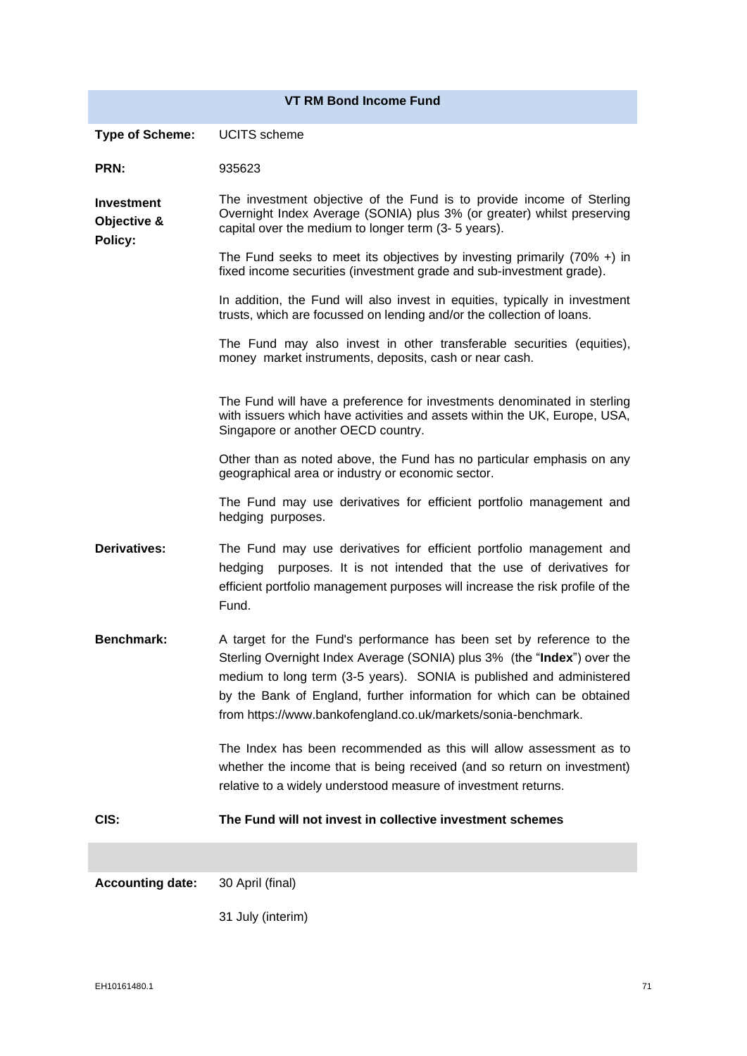|                                             | <b>VT RM Bond Income Fund</b>                                                                                                                                                                                                                                                                                                                                     |
|---------------------------------------------|-------------------------------------------------------------------------------------------------------------------------------------------------------------------------------------------------------------------------------------------------------------------------------------------------------------------------------------------------------------------|
|                                             |                                                                                                                                                                                                                                                                                                                                                                   |
| <b>Type of Scheme:</b>                      | <b>UCITS</b> scheme                                                                                                                                                                                                                                                                                                                                               |
| PRN:                                        | 935623                                                                                                                                                                                                                                                                                                                                                            |
| <b>Investment</b><br>Objective &<br>Policy: | The investment objective of the Fund is to provide income of Sterling<br>Overnight Index Average (SONIA) plus 3% (or greater) whilst preserving<br>capital over the medium to longer term (3- 5 years).                                                                                                                                                           |
|                                             | The Fund seeks to meet its objectives by investing primarily $(70\% +)$ in<br>fixed income securities (investment grade and sub-investment grade).                                                                                                                                                                                                                |
|                                             | In addition, the Fund will also invest in equities, typically in investment<br>trusts, which are focussed on lending and/or the collection of loans.                                                                                                                                                                                                              |
|                                             | The Fund may also invest in other transferable securities (equities),<br>money market instruments, deposits, cash or near cash.                                                                                                                                                                                                                                   |
|                                             | The Fund will have a preference for investments denominated in sterling<br>with issuers which have activities and assets within the UK, Europe, USA,<br>Singapore or another OECD country.                                                                                                                                                                        |
|                                             | Other than as noted above, the Fund has no particular emphasis on any<br>geographical area or industry or economic sector.                                                                                                                                                                                                                                        |
|                                             | The Fund may use derivatives for efficient portfolio management and<br>hedging purposes.                                                                                                                                                                                                                                                                          |
| <b>Derivatives:</b>                         | The Fund may use derivatives for efficient portfolio management and<br>hedging<br>purposes. It is not intended that the use of derivatives for<br>efficient portfolio management purposes will increase the risk profile of the<br>Fund.                                                                                                                          |
| <b>Benchmark:</b>                           | A target for the Fund's performance has been set by reference to the<br>Sterling Overnight Index Average (SONIA) plus 3% (the "Index") over the<br>medium to long term (3-5 years). SONIA is published and administered<br>by the Bank of England, further information for which can be obtained<br>from https://www.bankofengland.co.uk/markets/sonia-benchmark. |
|                                             | The Index has been recommended as this will allow assessment as to<br>whether the income that is being received (and so return on investment)<br>relative to a widely understood measure of investment returns.                                                                                                                                                   |
| CIS:                                        | The Fund will not invest in collective investment schemes                                                                                                                                                                                                                                                                                                         |
|                                             |                                                                                                                                                                                                                                                                                                                                                                   |
| <b>Accounting date:</b>                     | 30 April (final)                                                                                                                                                                                                                                                                                                                                                  |
|                                             | 31 July (interim)                                                                                                                                                                                                                                                                                                                                                 |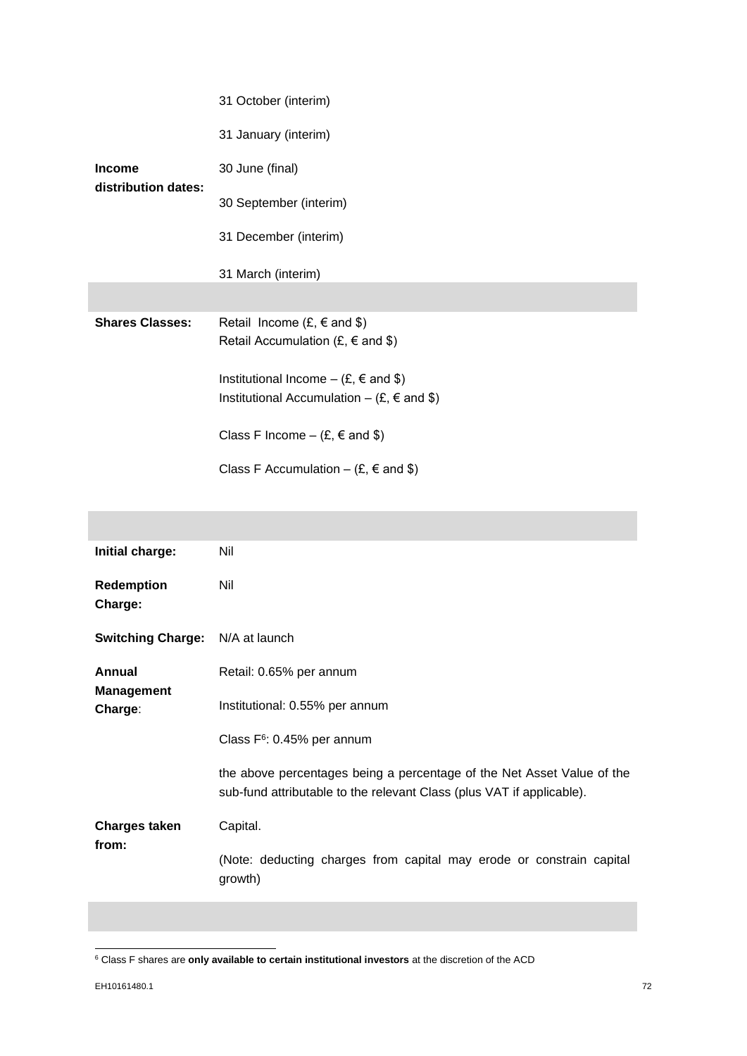|                                      | 31 October (interim)                                                                                                 |
|--------------------------------------|----------------------------------------------------------------------------------------------------------------------|
| <b>Income</b><br>distribution dates: | 31 January (interim)                                                                                                 |
|                                      | 30 June (final)                                                                                                      |
|                                      | 30 September (interim)                                                                                               |
|                                      | 31 December (interim)                                                                                                |
|                                      | 31 March (interim)                                                                                                   |
|                                      |                                                                                                                      |
| <b>Shares Classes:</b>               | Retail Income $(E, \in \text{and } \$)$<br>Retail Accumulation (£, $\epsilon$ and \$)                                |
|                                      | Institutional Income – $(E, \in \text{and } \$)$<br>Institutional Accumulation – $(E, \epsilon \text{ and } \theta)$ |
|                                      | Class F Income – $(E, \epsilon \text{ and } \$)$                                                                     |
|                                      | Class F Accumulation – $(E, \epsilon \text{ and } \theta)$                                                           |

| Initial charge:                        | Nil                                                                                                                                             |
|----------------------------------------|-------------------------------------------------------------------------------------------------------------------------------------------------|
| <b>Redemption</b><br>Charge:           | Nil                                                                                                                                             |
| <b>Switching Charge:</b> N/A at launch |                                                                                                                                                 |
| Annual                                 | Retail: 0.65% per annum                                                                                                                         |
| <b>Management</b><br>Charge:           | Institutional: 0.55% per annum                                                                                                                  |
| <b>Charges taken</b><br>from:          | Class $F6$ : 0.45% per annum                                                                                                                    |
|                                        | the above percentages being a percentage of the Net Asset Value of the<br>sub-fund attributable to the relevant Class (plus VAT if applicable). |
|                                        | Capital.                                                                                                                                        |
|                                        | (Note: deducting charges from capital may erode or constrain capital<br>growth)                                                                 |
|                                        |                                                                                                                                                 |

<sup>6</sup> Class F shares are **only available to certain institutional investors** at the discretion of the ACD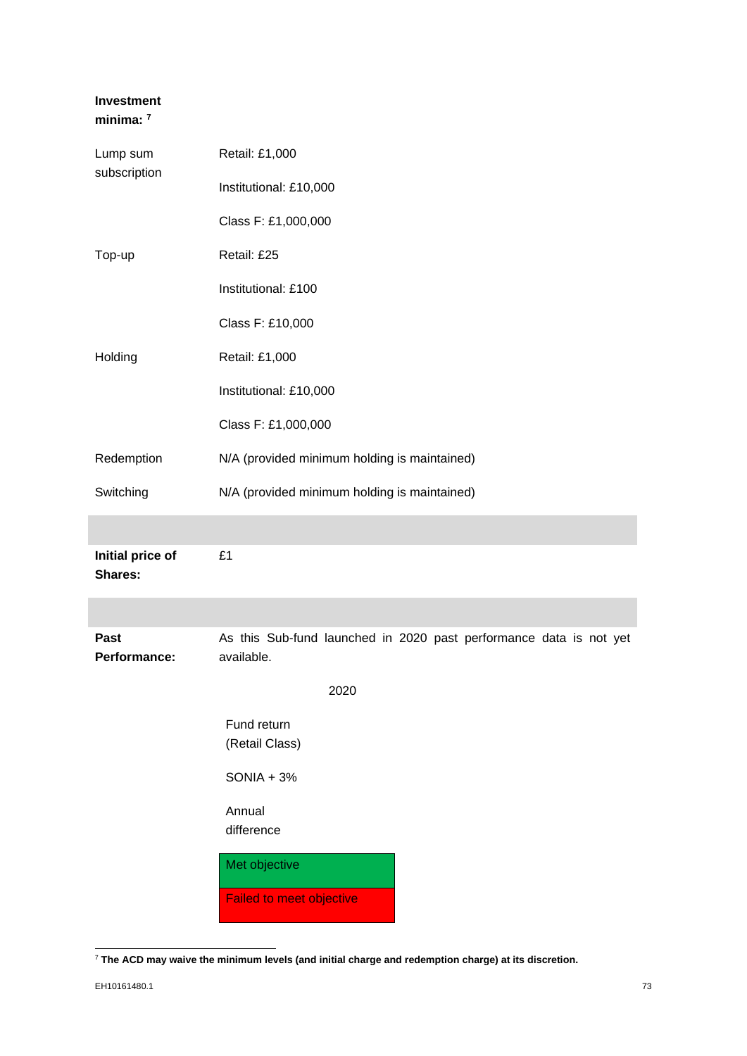# **Investment minima: <sup>7</sup>**

| Lump sum<br>subscription           | Retail: £1,000                                                                   |  |  |
|------------------------------------|----------------------------------------------------------------------------------|--|--|
|                                    | Institutional: £10,000                                                           |  |  |
|                                    | Class F: £1,000,000                                                              |  |  |
| Top-up                             | Retail: £25                                                                      |  |  |
|                                    | Institutional: £100                                                              |  |  |
|                                    | Class F: £10,000                                                                 |  |  |
| Holding                            | Retail: £1,000                                                                   |  |  |
|                                    | Institutional: £10,000                                                           |  |  |
|                                    | Class F: £1,000,000                                                              |  |  |
| Redemption                         | N/A (provided minimum holding is maintained)                                     |  |  |
| Switching                          | N/A (provided minimum holding is maintained)                                     |  |  |
|                                    |                                                                                  |  |  |
| Initial price of<br><b>Shares:</b> | £1                                                                               |  |  |
|                                    |                                                                                  |  |  |
| Past<br>Performance:               | As this Sub-fund launched in 2020 past performance data is not yet<br>available. |  |  |
|                                    | 2020                                                                             |  |  |
|                                    | Fund return                                                                      |  |  |
|                                    | (Retail Class)                                                                   |  |  |
|                                    | $SONIA + 3%$                                                                     |  |  |
|                                    | Annual<br>difference                                                             |  |  |
|                                    |                                                                                  |  |  |
|                                    | Met objective                                                                    |  |  |
|                                    | <b>Failed to meet objective</b>                                                  |  |  |

<sup>7</sup> **The ACD may waive the minimum levels (and initial charge and redemption charge) at its discretion.**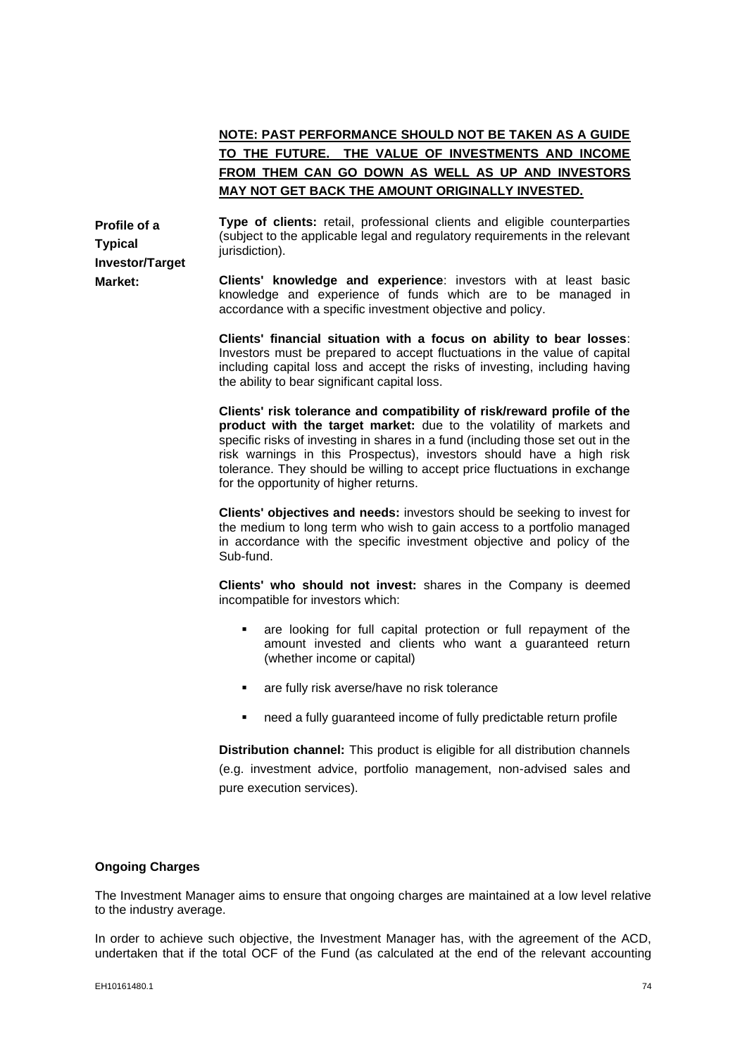# **NOTE: PAST PERFORMANCE SHOULD NOT BE TAKEN AS A GUIDE TO THE FUTURE. THE VALUE OF INVESTMENTS AND INCOME FROM THEM CAN GO DOWN AS WELL AS UP AND INVESTORS MAY NOT GET BACK THE AMOUNT ORIGINALLY INVESTED.**

**Profile of a Typical Investor/Target Market:**

**Type of clients:** retail, professional clients and eligible counterparties (subject to the applicable legal and regulatory requirements in the relevant jurisdiction).

**Clients' knowledge and experience**: investors with at least basic knowledge and experience of funds which are to be managed in accordance with a specific investment objective and policy.

**Clients' financial situation with a focus on ability to bear losses**: Investors must be prepared to accept fluctuations in the value of capital including capital loss and accept the risks of investing, including having the ability to bear significant capital loss.

**Clients' risk tolerance and compatibility of risk/reward profile of the product with the target market:** due to the volatility of markets and specific risks of investing in shares in a fund (including those set out in the risk warnings in this Prospectus), investors should have a high risk tolerance. They should be willing to accept price fluctuations in exchange for the opportunity of higher returns.

**Clients' objectives and needs:** investors should be seeking to invest for the medium to long term who wish to gain access to a portfolio managed in accordance with the specific investment objective and policy of the Sub-fund.

**Clients' who should not invest:** shares in the Company is deemed incompatible for investors which:

- are looking for full capital protection or full repayment of the amount invested and clients who want a guaranteed return (whether income or capital)
- are fully risk averse/have no risk tolerance
- need a fully guaranteed income of fully predictable return profile

**Distribution channel:** This product is eligible for all distribution channels (e.g. investment advice, portfolio management, non-advised sales and pure execution services).

#### **Ongoing Charges**

The Investment Manager aims to ensure that ongoing charges are maintained at a low level relative to the industry average.

In order to achieve such objective, the Investment Manager has, with the agreement of the ACD, undertaken that if the total OCF of the Fund (as calculated at the end of the relevant accounting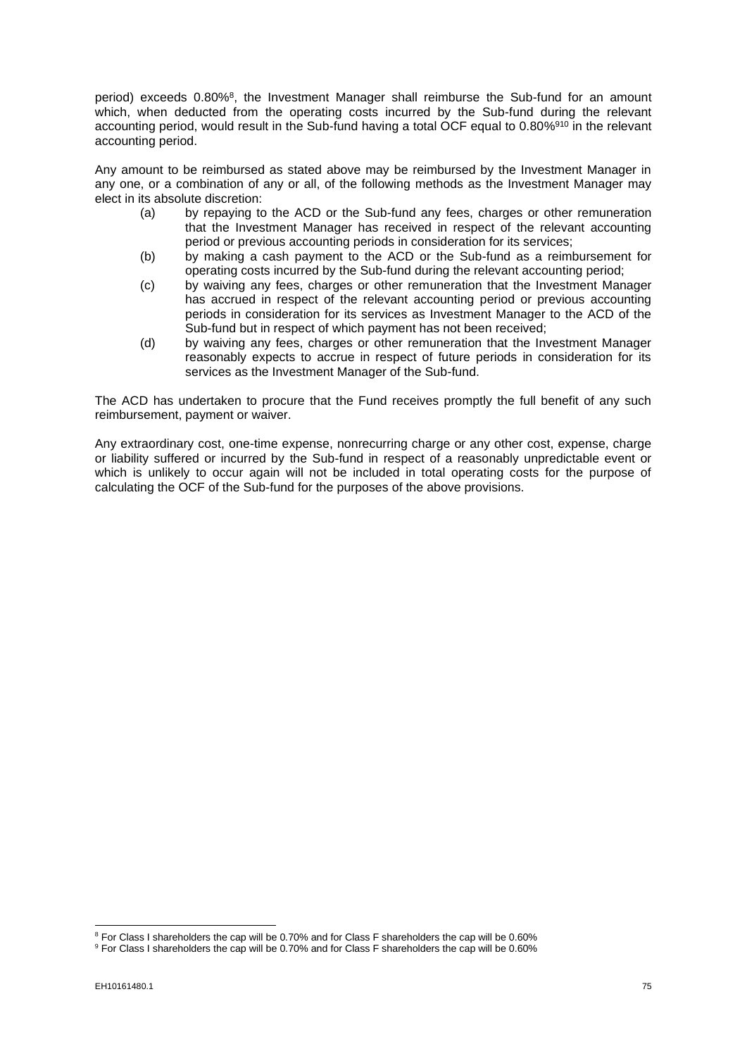period) exceeds 0.80%<sup>8</sup>, the Investment Manager shall reimburse the Sub-fund for an amount which, when deducted from the operating costs incurred by the Sub-fund during the relevant accounting period, would result in the Sub-fund having a total OCF equal to 0.80%<sup>910</sup> in the relevant accounting period.

Any amount to be reimbursed as stated above may be reimbursed by the Investment Manager in any one, or a combination of any or all, of the following methods as the Investment Manager may elect in its absolute discretion:

- (a) by repaying to the ACD or the Sub-fund any fees, charges or other remuneration that the Investment Manager has received in respect of the relevant accounting period or previous accounting periods in consideration for its services;
- (b) by making a cash payment to the ACD or the Sub-fund as a reimbursement for operating costs incurred by the Sub-fund during the relevant accounting period;
- (c) by waiving any fees, charges or other remuneration that the Investment Manager has accrued in respect of the relevant accounting period or previous accounting periods in consideration for its services as Investment Manager to the ACD of the Sub-fund but in respect of which payment has not been received;
- (d) by waiving any fees, charges or other remuneration that the Investment Manager reasonably expects to accrue in respect of future periods in consideration for its services as the Investment Manager of the Sub-fund.

The ACD has undertaken to procure that the Fund receives promptly the full benefit of any such reimbursement, payment or waiver.

Any extraordinary cost, one-time expense, nonrecurring charge or any other cost, expense, charge or liability suffered or incurred by the Sub-fund in respect of a reasonably unpredictable event or which is unlikely to occur again will not be included in total operating costs for the purpose of calculating the OCF of the Sub-fund for the purposes of the above provisions.

<sup>8</sup> For Class I shareholders the cap will be 0.70% and for Class F shareholders the cap will be 0.60%

<sup>&</sup>lt;sup>9</sup> For Class I shareholders the cap will be 0.70% and for Class F shareholders the cap will be 0.60%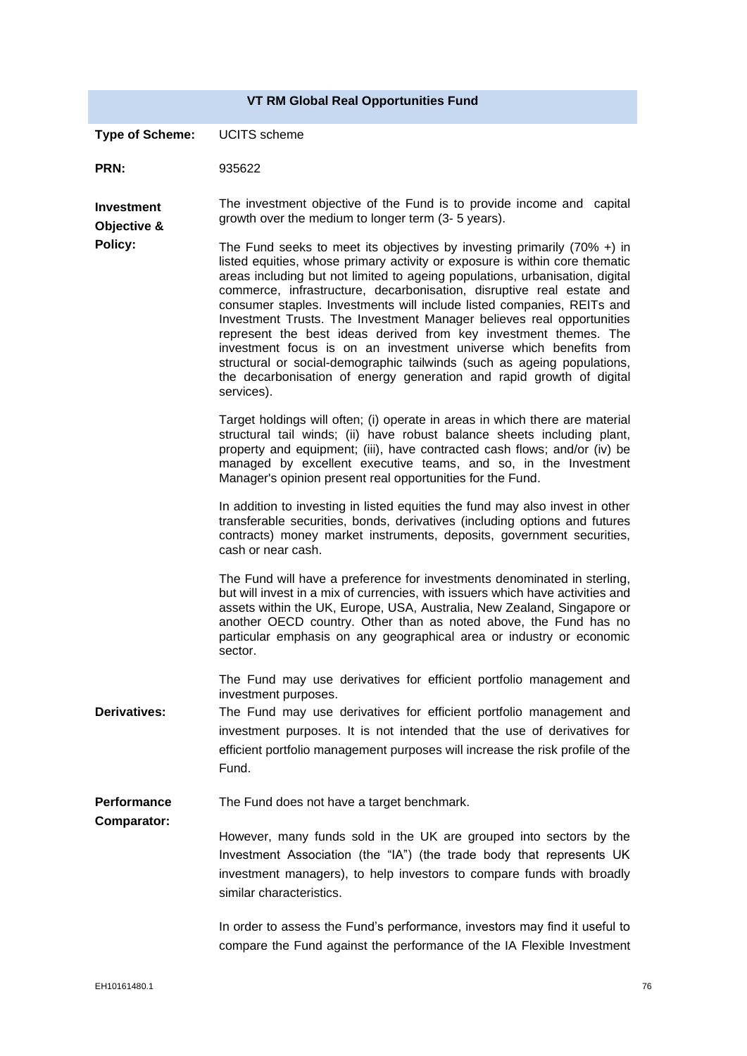|                                  | <b>VT RM Global Real Opportunities Fund</b>                                                                                                                                                                                                                                                                                                                                                                                                                                                                                                                                                                                                                                                                                                                                     |
|----------------------------------|---------------------------------------------------------------------------------------------------------------------------------------------------------------------------------------------------------------------------------------------------------------------------------------------------------------------------------------------------------------------------------------------------------------------------------------------------------------------------------------------------------------------------------------------------------------------------------------------------------------------------------------------------------------------------------------------------------------------------------------------------------------------------------|
| <b>Type of Scheme:</b>           | <b>UCITS</b> scheme                                                                                                                                                                                                                                                                                                                                                                                                                                                                                                                                                                                                                                                                                                                                                             |
| PRN:                             | 935622                                                                                                                                                                                                                                                                                                                                                                                                                                                                                                                                                                                                                                                                                                                                                                          |
| <b>Investment</b><br>Objective & | The investment objective of the Fund is to provide income and capital<br>growth over the medium to longer term (3- 5 years).                                                                                                                                                                                                                                                                                                                                                                                                                                                                                                                                                                                                                                                    |
| Policy:                          | The Fund seeks to meet its objectives by investing primarily $(70\% +)$ in<br>listed equities, whose primary activity or exposure is within core thematic<br>areas including but not limited to ageing populations, urbanisation, digital<br>commerce, infrastructure, decarbonisation, disruptive real estate and<br>consumer staples. Investments will include listed companies, REITs and<br>Investment Trusts. The Investment Manager believes real opportunities<br>represent the best ideas derived from key investment themes. The<br>investment focus is on an investment universe which benefits from<br>structural or social-demographic tailwinds (such as ageing populations,<br>the decarbonisation of energy generation and rapid growth of digital<br>services). |
|                                  | Target holdings will often; (i) operate in areas in which there are material<br>structural tail winds; (ii) have robust balance sheets including plant,<br>property and equipment; (iii), have contracted cash flows; and/or (iv) be<br>managed by excellent executive teams, and so, in the Investment<br>Manager's opinion present real opportunities for the Fund.                                                                                                                                                                                                                                                                                                                                                                                                           |
|                                  | In addition to investing in listed equities the fund may also invest in other<br>transferable securities, bonds, derivatives (including options and futures<br>contracts) money market instruments, deposits, government securities,<br>cash or near cash.                                                                                                                                                                                                                                                                                                                                                                                                                                                                                                                      |
|                                  | The Fund will have a preference for investments denominated in sterling,<br>but will invest in a mix of currencies, with issuers which have activities and<br>assets within the UK, Europe, USA, Australia, New Zealand, Singapore or<br>another OECD country. Other than as noted above, the Fund has no<br>particular emphasis on any geographical area or industry or economic<br>sector.                                                                                                                                                                                                                                                                                                                                                                                    |
|                                  | The Fund may use derivatives for efficient portfolio management and<br>investment purposes.                                                                                                                                                                                                                                                                                                                                                                                                                                                                                                                                                                                                                                                                                     |
| <b>Derivatives:</b>              | The Fund may use derivatives for efficient portfolio management and<br>investment purposes. It is not intended that the use of derivatives for<br>efficient portfolio management purposes will increase the risk profile of the<br>Fund.                                                                                                                                                                                                                                                                                                                                                                                                                                                                                                                                        |
| Performance                      | The Fund does not have a target benchmark.                                                                                                                                                                                                                                                                                                                                                                                                                                                                                                                                                                                                                                                                                                                                      |
| <b>Comparator:</b>               | However, many funds sold in the UK are grouped into sectors by the<br>Investment Association (the "IA") (the trade body that represents UK<br>investment managers), to help investors to compare funds with broadly<br>similar characteristics.                                                                                                                                                                                                                                                                                                                                                                                                                                                                                                                                 |
|                                  | In order to assess the Fund's performance, investors may find it useful to<br>compare the Fund against the performance of the IA Flexible Investment                                                                                                                                                                                                                                                                                                                                                                                                                                                                                                                                                                                                                            |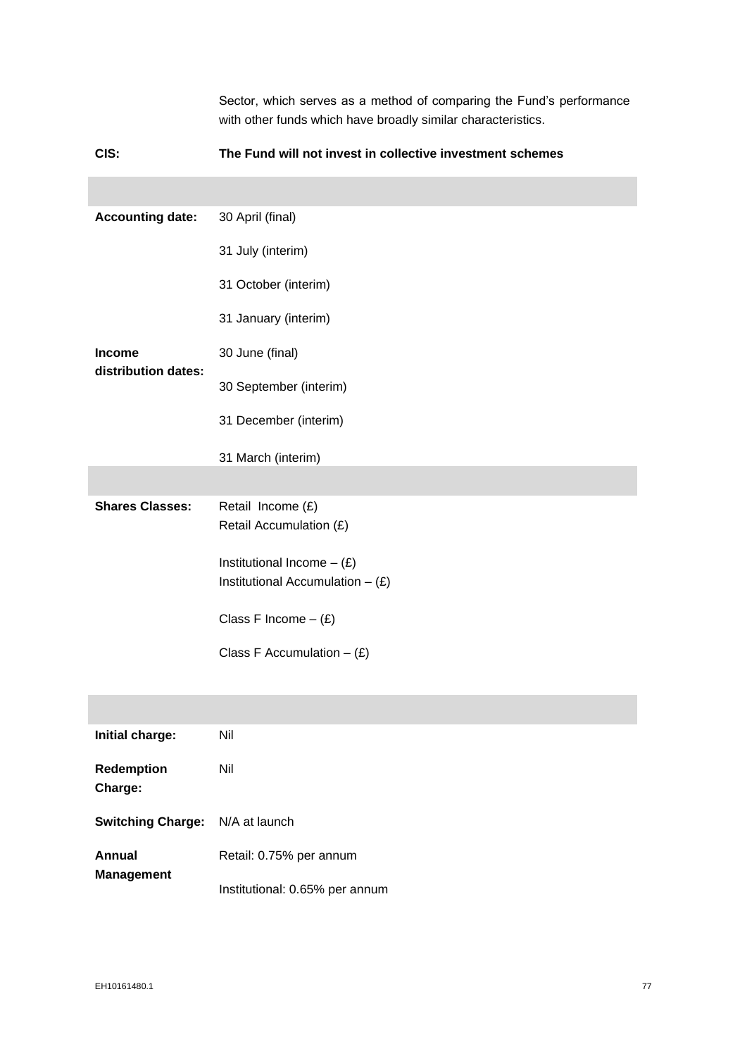|                         | Sector, which serves as a method of comparing the Fund's performance<br>with other funds which have broadly similar characteristics. |  |
|-------------------------|--------------------------------------------------------------------------------------------------------------------------------------|--|
| CIS:                    | The Fund will not invest in collective investment schemes                                                                            |  |
|                         |                                                                                                                                      |  |
| <b>Accounting date:</b> | 30 April (final)                                                                                                                     |  |
|                         | 31 July (interim)                                                                                                                    |  |
|                         | 31 October (interim)                                                                                                                 |  |
|                         | 31 January (interim)                                                                                                                 |  |
| <b>Income</b>           | 30 June (final)                                                                                                                      |  |
| distribution dates:     | 30 September (interim)                                                                                                               |  |
|                         | 31 December (interim)                                                                                                                |  |
|                         | 31 March (interim)                                                                                                                   |  |
|                         |                                                                                                                                      |  |
| <b>Shares Classes:</b>  | Retail Income (£)<br>Retail Accumulation (£)                                                                                         |  |
|                         | Institutional Income $-$ (£)                                                                                                         |  |
|                         | Institutional Accumulation $-$ (£)                                                                                                   |  |
|                         | Class F Income $-$ (£)                                                                                                               |  |
|                         | Class F Accumulation $-(E)$                                                                                                          |  |
|                         |                                                                                                                                      |  |
|                         |                                                                                                                                      |  |
| Initial charge:         | Nil                                                                                                                                  |  |
| Redemption<br>Charge:   | Nil                                                                                                                                  |  |

| <b>Switching Charge:</b> N/A at launch |                                |
|----------------------------------------|--------------------------------|
| Annual                                 | Retail: 0.75% per annum        |
| <b>Management</b>                      | Institutional: 0.65% per annum |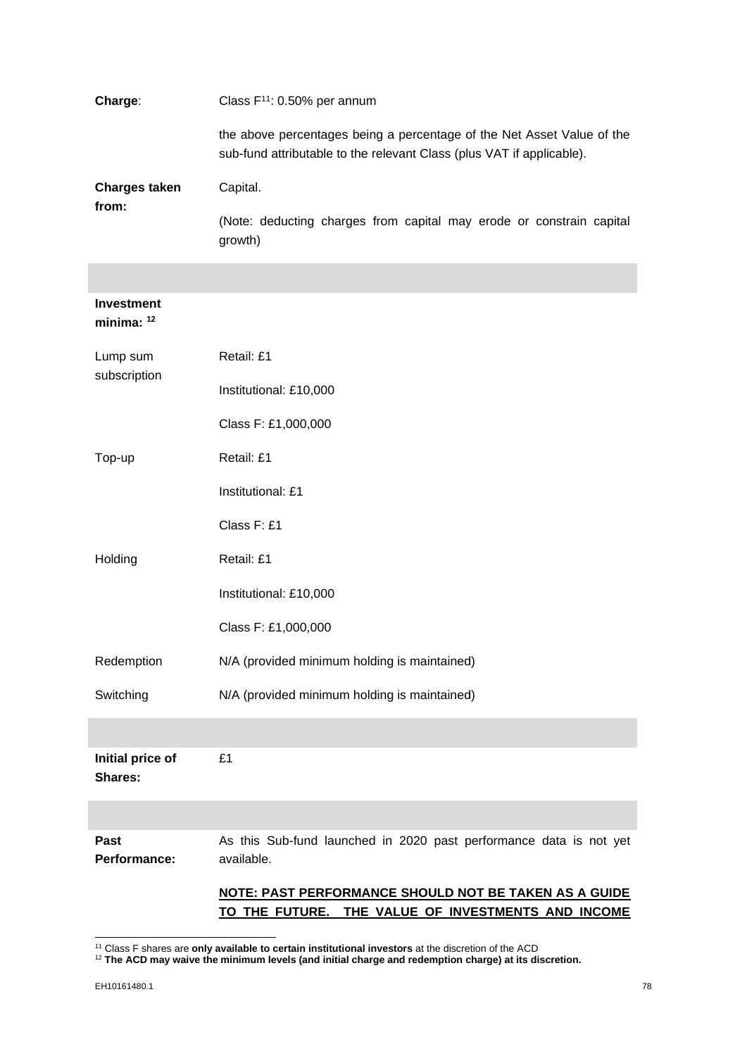| Charge:                            | Class $F^{11}$ : 0.50% per annum                                                                                                                |  |
|------------------------------------|-------------------------------------------------------------------------------------------------------------------------------------------------|--|
|                                    | the above percentages being a percentage of the Net Asset Value of the<br>sub-fund attributable to the relevant Class (plus VAT if applicable). |  |
| <b>Charges taken</b><br>from:      | Capital.                                                                                                                                        |  |
|                                    | (Note: deducting charges from capital may erode or constrain capital<br>growth)                                                                 |  |
|                                    |                                                                                                                                                 |  |
| <b>Investment</b><br>minima: $12$  |                                                                                                                                                 |  |
| Lump sum                           | Retail: £1                                                                                                                                      |  |
| subscription                       | Institutional: £10,000                                                                                                                          |  |
|                                    | Class F: £1,000,000                                                                                                                             |  |
| Top-up                             | Retail: £1                                                                                                                                      |  |
|                                    | Institutional: £1                                                                                                                               |  |
|                                    | Class F: £1                                                                                                                                     |  |
| Holding                            | Retail: £1                                                                                                                                      |  |
|                                    | Institutional: £10,000                                                                                                                          |  |
|                                    | Class F: £1,000,000                                                                                                                             |  |
| Redemption                         | N/A (provided minimum holding is maintained)                                                                                                    |  |
| Switching                          | N/A (provided minimum holding is maintained)                                                                                                    |  |
|                                    |                                                                                                                                                 |  |
| Initial price of<br><b>Shares:</b> | £1                                                                                                                                              |  |
|                                    |                                                                                                                                                 |  |
| Past<br>Performance:               | As this Sub-fund launched in 2020 past performance data is not yet<br>available.                                                                |  |
|                                    | NOTE: PAST PERFORMANCE SHOULD NOT BE TAKEN AS A GUIDE<br>THE VALUE OF INVESTMENTS AND INCOME<br>TO THE FUTURE.                                  |  |

<sup>11</sup> Class F shares are **only available to certain institutional investors** at the discretion of the ACD

<sup>12</sup> **The ACD may waive the minimum levels (and initial charge and redemption charge) at its discretion.**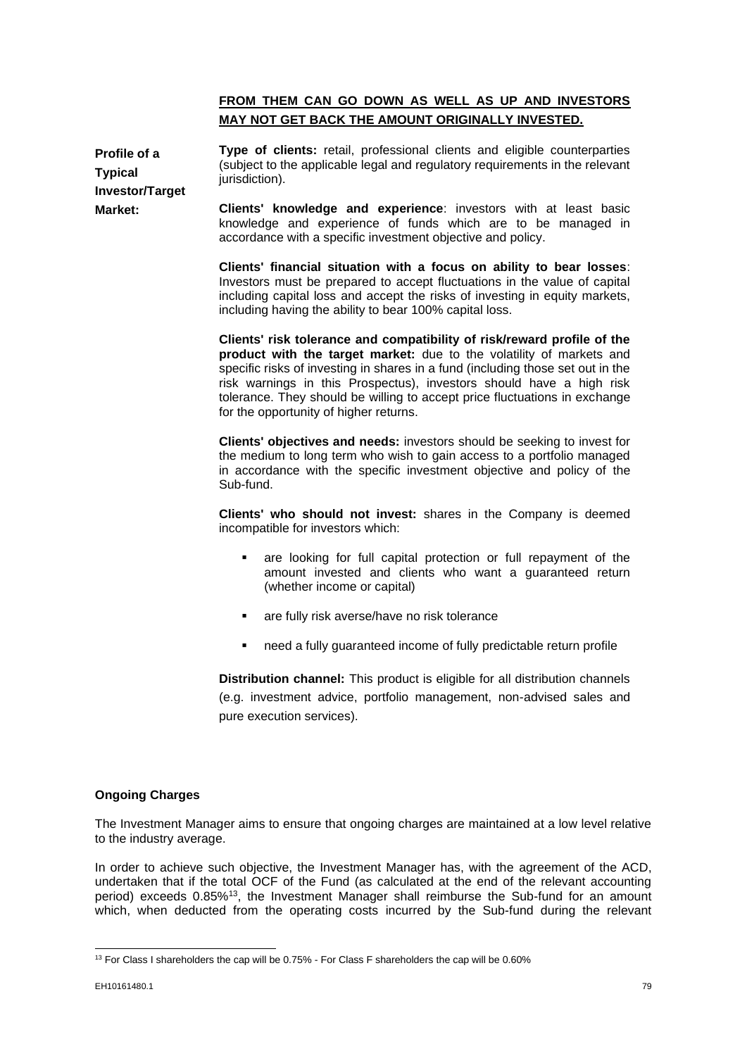# **FROM THEM CAN GO DOWN AS WELL AS UP AND INVESTORS MAY NOT GET BACK THE AMOUNT ORIGINALLY INVESTED.**

**Profile of a Typical Investor/Target Market: Type of clients:** retail, professional clients and eligible counterparties (subject to the applicable legal and regulatory requirements in the relevant jurisdiction).

**Clients' knowledge and experience**: investors with at least basic knowledge and experience of funds which are to be managed in accordance with a specific investment objective and policy.

**Clients' financial situation with a focus on ability to bear losses**: Investors must be prepared to accept fluctuations in the value of capital including capital loss and accept the risks of investing in equity markets, including having the ability to bear 100% capital loss.

**Clients' risk tolerance and compatibility of risk/reward profile of the product with the target market:** due to the volatility of markets and specific risks of investing in shares in a fund (including those set out in the risk warnings in this Prospectus), investors should have a high risk tolerance. They should be willing to accept price fluctuations in exchange for the opportunity of higher returns.

**Clients' objectives and needs:** investors should be seeking to invest for the medium to long term who wish to gain access to a portfolio managed in accordance with the specific investment objective and policy of the Sub-fund.

**Clients' who should not invest:** shares in the Company is deemed incompatible for investors which:

- are looking for full capital protection or full repayment of the amount invested and clients who want a guaranteed return (whether income or capital)
- are fully risk averse/have no risk tolerance
- need a fully guaranteed income of fully predictable return profile

**Distribution channel:** This product is eligible for all distribution channels (e.g. investment advice, portfolio management, non-advised sales and pure execution services).

# **Ongoing Charges**

The Investment Manager aims to ensure that ongoing charges are maintained at a low level relative to the industry average.

In order to achieve such objective, the Investment Manager has, with the agreement of the ACD, undertaken that if the total OCF of the Fund (as calculated at the end of the relevant accounting period) exceeds 0.85%<sup>13</sup>, the Investment Manager shall reimburse the Sub-fund for an amount which, when deducted from the operating costs incurred by the Sub-fund during the relevant

<sup>&</sup>lt;sup>13</sup> For Class I shareholders the cap will be 0.75% - For Class F shareholders the cap will be 0.60%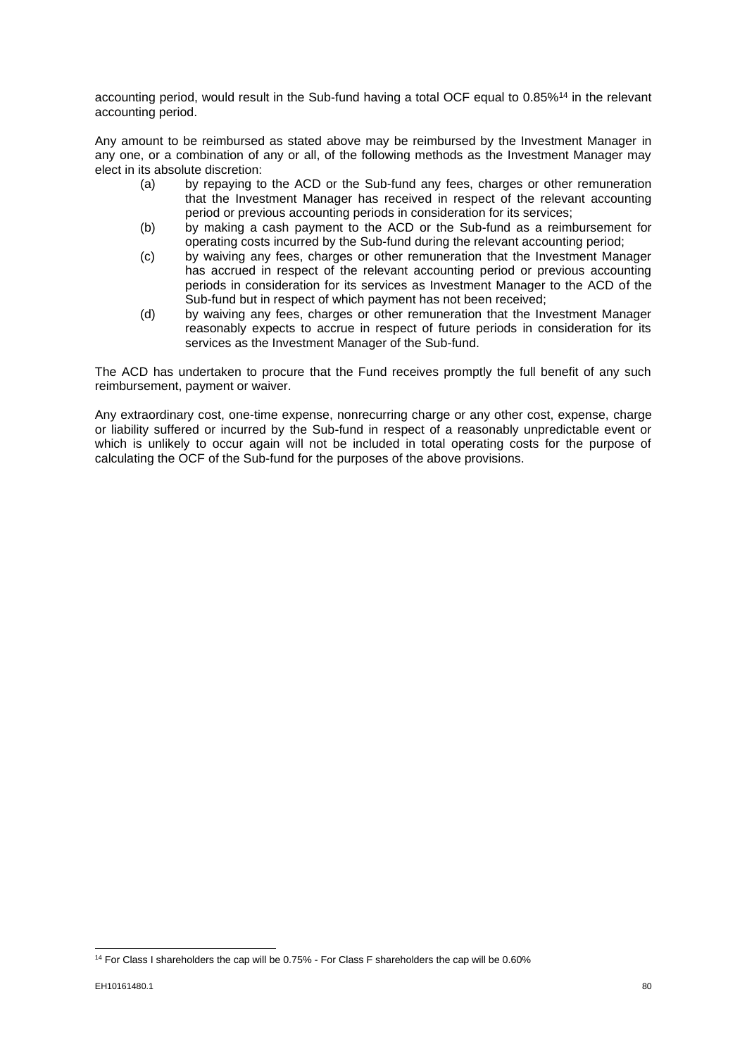accounting period, would result in the Sub-fund having a total OCF equal to 0.85%<sup>14</sup> in the relevant accounting period.

Any amount to be reimbursed as stated above may be reimbursed by the Investment Manager in any one, or a combination of any or all, of the following methods as the Investment Manager may elect in its absolute discretion:

- (a) by repaying to the ACD or the Sub-fund any fees, charges or other remuneration that the Investment Manager has received in respect of the relevant accounting period or previous accounting periods in consideration for its services;
- (b) by making a cash payment to the ACD or the Sub-fund as a reimbursement for operating costs incurred by the Sub-fund during the relevant accounting period;
- (c) by waiving any fees, charges or other remuneration that the Investment Manager has accrued in respect of the relevant accounting period or previous accounting periods in consideration for its services as Investment Manager to the ACD of the Sub-fund but in respect of which payment has not been received;
- (d) by waiving any fees, charges or other remuneration that the Investment Manager reasonably expects to accrue in respect of future periods in consideration for its services as the Investment Manager of the Sub-fund.

The ACD has undertaken to procure that the Fund receives promptly the full benefit of any such reimbursement, payment or waiver.

Any extraordinary cost, one-time expense, nonrecurring charge or any other cost, expense, charge or liability suffered or incurred by the Sub-fund in respect of a reasonably unpredictable event or which is unlikely to occur again will not be included in total operating costs for the purpose of calculating the OCF of the Sub-fund for the purposes of the above provisions.

<sup>&</sup>lt;sup>14</sup> For Class I shareholders the cap will be 0.75% - For Class F shareholders the cap will be 0.60%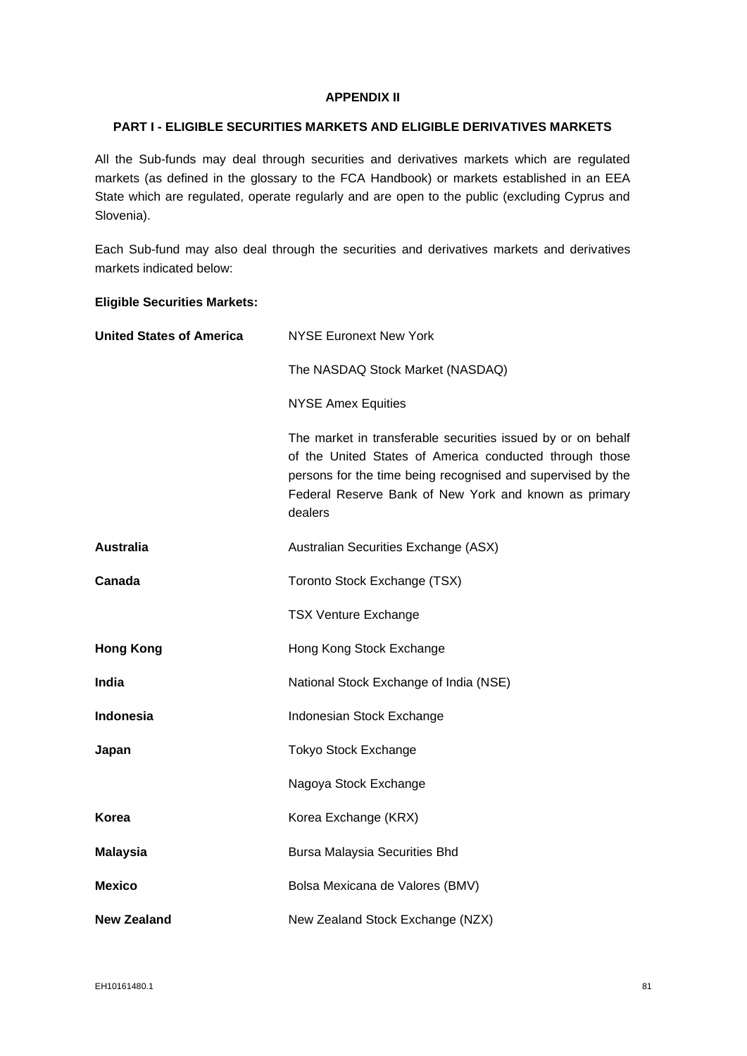# **APPENDIX II**

# **PART I - ELIGIBLE SECURITIES MARKETS AND ELIGIBLE DERIVATIVES MARKETS**

All the Sub-funds may deal through securities and derivatives markets which are regulated markets (as defined in the glossary to the FCA Handbook) or markets established in an EEA State which are regulated, operate regularly and are open to the public (excluding Cyprus and Slovenia).

Each Sub-fund may also deal through the securities and derivatives markets and derivatives markets indicated below:

# **Eligible Securities Markets:**

| <b>United States of America</b> | <b>NYSE Euronext New York</b>                                                                                                                                                                                                                              |
|---------------------------------|------------------------------------------------------------------------------------------------------------------------------------------------------------------------------------------------------------------------------------------------------------|
|                                 | The NASDAQ Stock Market (NASDAQ)                                                                                                                                                                                                                           |
|                                 | <b>NYSE Amex Equities</b>                                                                                                                                                                                                                                  |
|                                 | The market in transferable securities issued by or on behalf<br>of the United States of America conducted through those<br>persons for the time being recognised and supervised by the<br>Federal Reserve Bank of New York and known as primary<br>dealers |
| <b>Australia</b>                | Australian Securities Exchange (ASX)                                                                                                                                                                                                                       |
| Canada                          | Toronto Stock Exchange (TSX)                                                                                                                                                                                                                               |
|                                 | <b>TSX Venture Exchange</b>                                                                                                                                                                                                                                |
| <b>Hong Kong</b>                | Hong Kong Stock Exchange                                                                                                                                                                                                                                   |
| India                           | National Stock Exchange of India (NSE)                                                                                                                                                                                                                     |
| Indonesia                       | Indonesian Stock Exchange                                                                                                                                                                                                                                  |
| Japan                           | <b>Tokyo Stock Exchange</b>                                                                                                                                                                                                                                |
|                                 | Nagoya Stock Exchange                                                                                                                                                                                                                                      |
| Korea                           | Korea Exchange (KRX)                                                                                                                                                                                                                                       |
| <b>Malaysia</b>                 | <b>Bursa Malaysia Securities Bhd</b>                                                                                                                                                                                                                       |
| <b>Mexico</b>                   | Bolsa Mexicana de Valores (BMV)                                                                                                                                                                                                                            |
| New Zealand                     | New Zealand Stock Exchange (NZX)                                                                                                                                                                                                                           |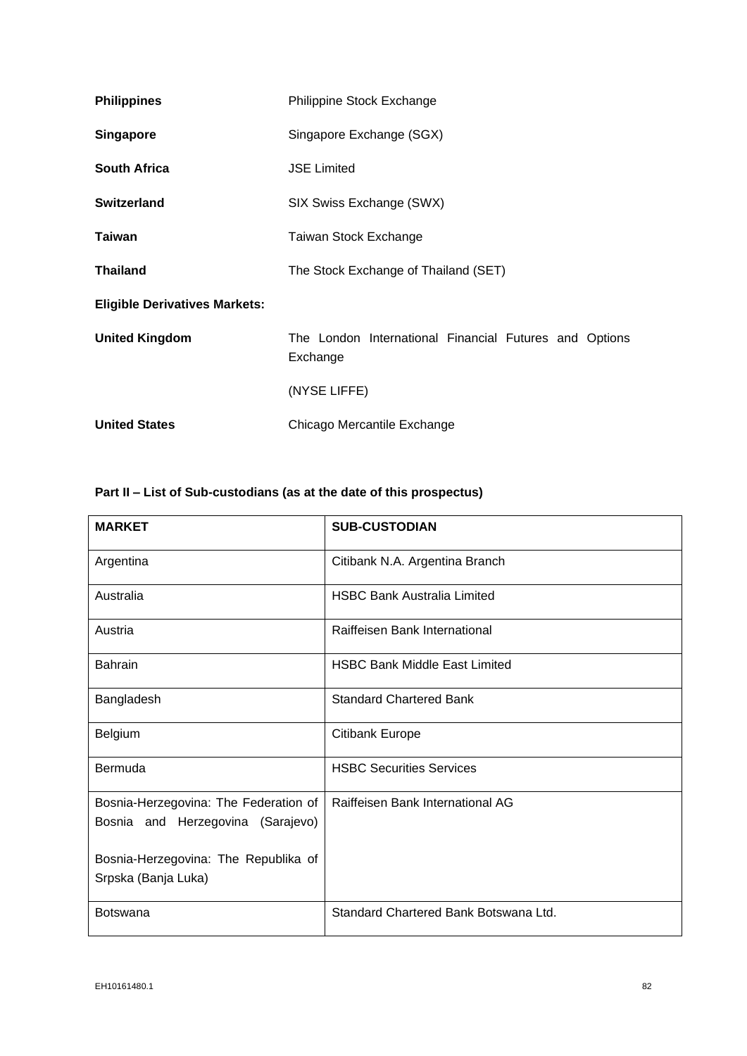| <b>Philippines</b>                   | Philippine Stock Exchange                                          |  |
|--------------------------------------|--------------------------------------------------------------------|--|
| <b>Singapore</b>                     | Singapore Exchange (SGX)                                           |  |
| <b>South Africa</b>                  | <b>JSE Limited</b>                                                 |  |
| Switzerland                          | SIX Swiss Exchange (SWX)                                           |  |
| <b>Taiwan</b>                        | Taiwan Stock Exchange                                              |  |
| <b>Thailand</b>                      | The Stock Exchange of Thailand (SET)                               |  |
| <b>Eligible Derivatives Markets:</b> |                                                                    |  |
| <b>United Kingdom</b>                | The London International Financial Futures and Options<br>Exchange |  |
|                                      | (NYSE LIFFE)                                                       |  |
| <b>United States</b>                 | Chicago Mercantile Exchange                                        |  |

# **Part II – List of Sub-custodians (as at the date of this prospectus)**

| <b>MARKET</b>                                                                                                      | <b>SUB-CUSTODIAN</b>                  |
|--------------------------------------------------------------------------------------------------------------------|---------------------------------------|
| Argentina                                                                                                          | Citibank N.A. Argentina Branch        |
| Australia                                                                                                          | <b>HSBC Bank Australia Limited</b>    |
| Austria                                                                                                            | Raiffeisen Bank International         |
| <b>Bahrain</b>                                                                                                     | <b>HSBC Bank Middle East Limited</b>  |
| Bangladesh                                                                                                         | <b>Standard Chartered Bank</b>        |
| Belgium                                                                                                            | <b>Citibank Europe</b>                |
| Bermuda                                                                                                            | <b>HSBC Securities Services</b>       |
| Bosnia-Herzegovina: The Federation of<br>Bosnia and Herzegovina (Sarajevo)<br>Bosnia-Herzegovina: The Republika of | Raiffeisen Bank International AG      |
| Srpska (Banja Luka)                                                                                                |                                       |
| <b>Botswana</b>                                                                                                    | Standard Chartered Bank Botswana Ltd. |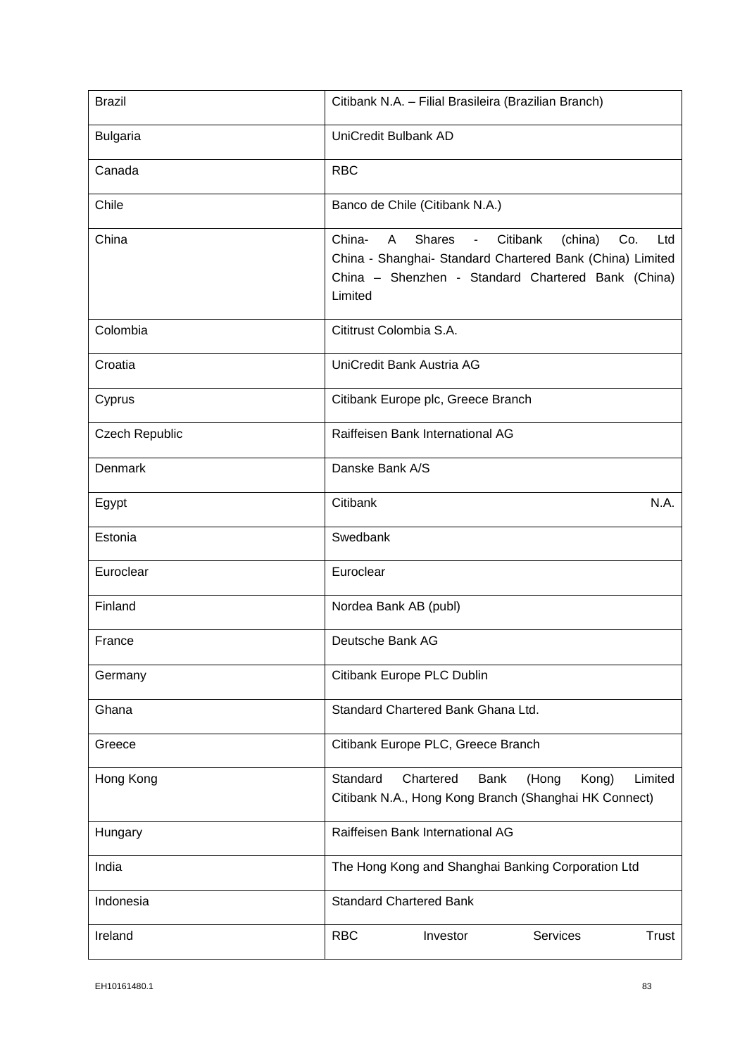| <b>Brazil</b>         | Citibank N.A. - Filial Brasileira (Brazilian Branch)                                                                                                                                                                        |
|-----------------------|-----------------------------------------------------------------------------------------------------------------------------------------------------------------------------------------------------------------------------|
| <b>Bulgaria</b>       | UniCredit Bulbank AD                                                                                                                                                                                                        |
| Canada                | <b>RBC</b>                                                                                                                                                                                                                  |
| Chile                 | Banco de Chile (Citibank N.A.)                                                                                                                                                                                              |
| China                 | Citibank<br>China-<br><b>Shares</b><br>(china)<br>Co.<br>Ltd<br>A<br>$\overline{\phantom{a}}$<br>China - Shanghai- Standard Chartered Bank (China) Limited<br>China - Shenzhen - Standard Chartered Bank (China)<br>Limited |
| Colombia              | Cititrust Colombia S.A.                                                                                                                                                                                                     |
| Croatia               | UniCredit Bank Austria AG                                                                                                                                                                                                   |
| Cyprus                | Citibank Europe plc, Greece Branch                                                                                                                                                                                          |
| <b>Czech Republic</b> | Raiffeisen Bank International AG                                                                                                                                                                                            |
| Denmark               | Danske Bank A/S                                                                                                                                                                                                             |
| Egypt                 | N.A.<br>Citibank                                                                                                                                                                                                            |
| Estonia               | Swedbank                                                                                                                                                                                                                    |
| Euroclear             | Euroclear                                                                                                                                                                                                                   |
| Finland               | Nordea Bank AB (publ)                                                                                                                                                                                                       |
| France                | Deutsche Bank AG                                                                                                                                                                                                            |
| Germany               | Citibank Europe PLC Dublin                                                                                                                                                                                                  |
| Ghana                 | Standard Chartered Bank Ghana Ltd.                                                                                                                                                                                          |
| Greece                | Citibank Europe PLC, Greece Branch                                                                                                                                                                                          |
| Hong Kong             | Standard<br>Chartered<br>Limited<br><b>Bank</b><br>(Hong<br>Kong)<br>Citibank N.A., Hong Kong Branch (Shanghai HK Connect)                                                                                                  |
| Hungary               | Raiffeisen Bank International AG                                                                                                                                                                                            |
| India                 | The Hong Kong and Shanghai Banking Corporation Ltd                                                                                                                                                                          |
| Indonesia             | <b>Standard Chartered Bank</b>                                                                                                                                                                                              |
| Ireland               | <b>RBC</b><br>Investor<br><b>Services</b><br>Trust                                                                                                                                                                          |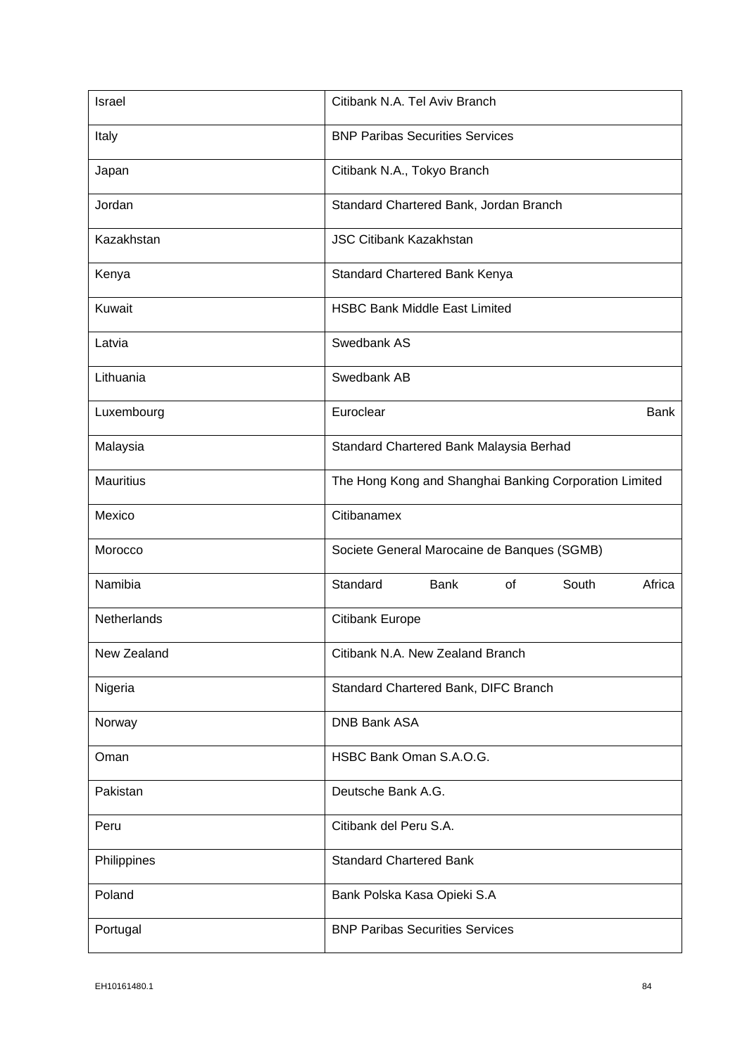| Israel           | Citibank N.A. Tel Aviv Branch                          |
|------------------|--------------------------------------------------------|
| Italy            | <b>BNP Paribas Securities Services</b>                 |
| Japan            | Citibank N.A., Tokyo Branch                            |
| Jordan           | Standard Chartered Bank, Jordan Branch                 |
| Kazakhstan       | <b>JSC Citibank Kazakhstan</b>                         |
| Kenya            | Standard Chartered Bank Kenya                          |
| Kuwait           | <b>HSBC Bank Middle East Limited</b>                   |
| Latvia           | Swedbank AS                                            |
| Lithuania        | Swedbank AB                                            |
| Luxembourg       | Euroclear<br>Bank                                      |
| Malaysia         | Standard Chartered Bank Malaysia Berhad                |
| <b>Mauritius</b> | The Hong Kong and Shanghai Banking Corporation Limited |
| Mexico           | Citibanamex                                            |
| Morocco          | Societe General Marocaine de Banques (SGMB)            |
| Namibia          | Standard<br>South<br>Bank<br>of<br>Africa              |
| Netherlands      | Citibank Europe                                        |
| New Zealand      | Citibank N.A. New Zealand Branch                       |
| Nigeria          | Standard Chartered Bank, DIFC Branch                   |
| Norway           | <b>DNB Bank ASA</b>                                    |
| Oman             | HSBC Bank Oman S.A.O.G.                                |
| Pakistan         | Deutsche Bank A.G.                                     |
| Peru             | Citibank del Peru S.A.                                 |
| Philippines      | <b>Standard Chartered Bank</b>                         |
| Poland           | Bank Polska Kasa Opieki S.A                            |
| Portugal         | <b>BNP Paribas Securities Services</b>                 |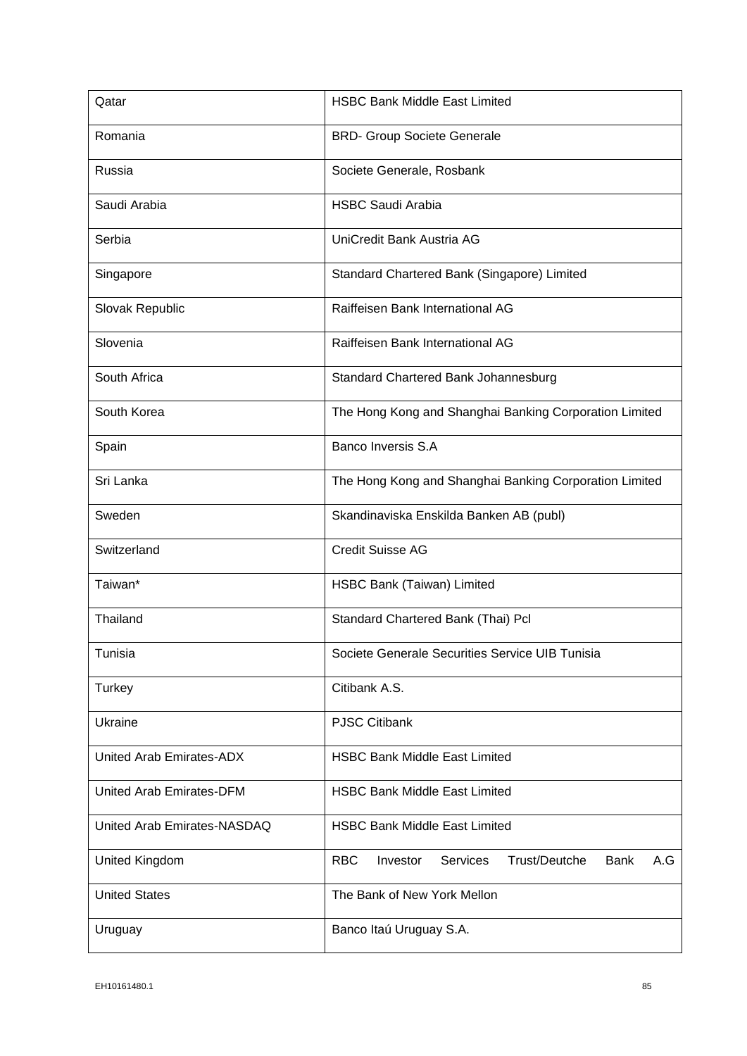| Qatar                       | <b>HSBC Bank Middle East Limited</b>                                             |
|-----------------------------|----------------------------------------------------------------------------------|
| Romania                     | <b>BRD- Group Societe Generale</b>                                               |
| Russia                      | Societe Generale, Rosbank                                                        |
| Saudi Arabia                | <b>HSBC Saudi Arabia</b>                                                         |
| Serbia                      | UniCredit Bank Austria AG                                                        |
| Singapore                   | Standard Chartered Bank (Singapore) Limited                                      |
| Slovak Republic             | Raiffeisen Bank International AG                                                 |
| Slovenia                    | Raiffeisen Bank International AG                                                 |
| South Africa                | Standard Chartered Bank Johannesburg                                             |
| South Korea                 | The Hong Kong and Shanghai Banking Corporation Limited                           |
| Spain                       | <b>Banco Inversis S.A</b>                                                        |
| Sri Lanka                   | The Hong Kong and Shanghai Banking Corporation Limited                           |
| Sweden                      | Skandinaviska Enskilda Banken AB (publ)                                          |
| Switzerland                 | <b>Credit Suisse AG</b>                                                          |
| Taiwan*                     | HSBC Bank (Taiwan) Limited                                                       |
| Thailand                    | Standard Chartered Bank (Thai) Pcl                                               |
| Tunisia                     | Societe Generale Securities Service UIB Tunisia                                  |
| Turkey                      | Citibank A.S.                                                                    |
| Ukraine                     | <b>PJSC Citibank</b>                                                             |
| United Arab Emirates-ADX    | <b>HSBC Bank Middle East Limited</b>                                             |
| United Arab Emirates-DFM    | <b>HSBC Bank Middle East Limited</b>                                             |
| United Arab Emirates-NASDAQ | <b>HSBC Bank Middle East Limited</b>                                             |
| <b>United Kingdom</b>       | <b>RBC</b><br>Trust/Deutche<br>Investor<br><b>Services</b><br><b>Bank</b><br>A.G |
| <b>United States</b>        | The Bank of New York Mellon                                                      |
| Uruguay                     | Banco Itaú Uruguay S.A.                                                          |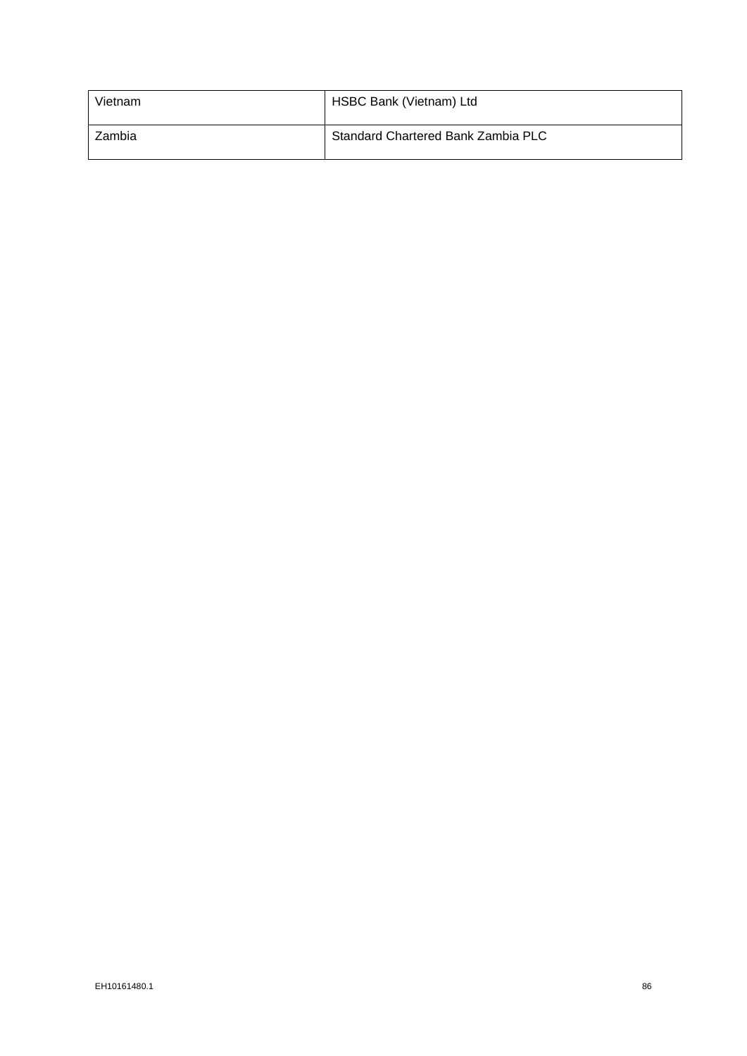| Vietnam | HSBC Bank (Vietnam) Ltd            |
|---------|------------------------------------|
| Zambia  | Standard Chartered Bank Zambia PLC |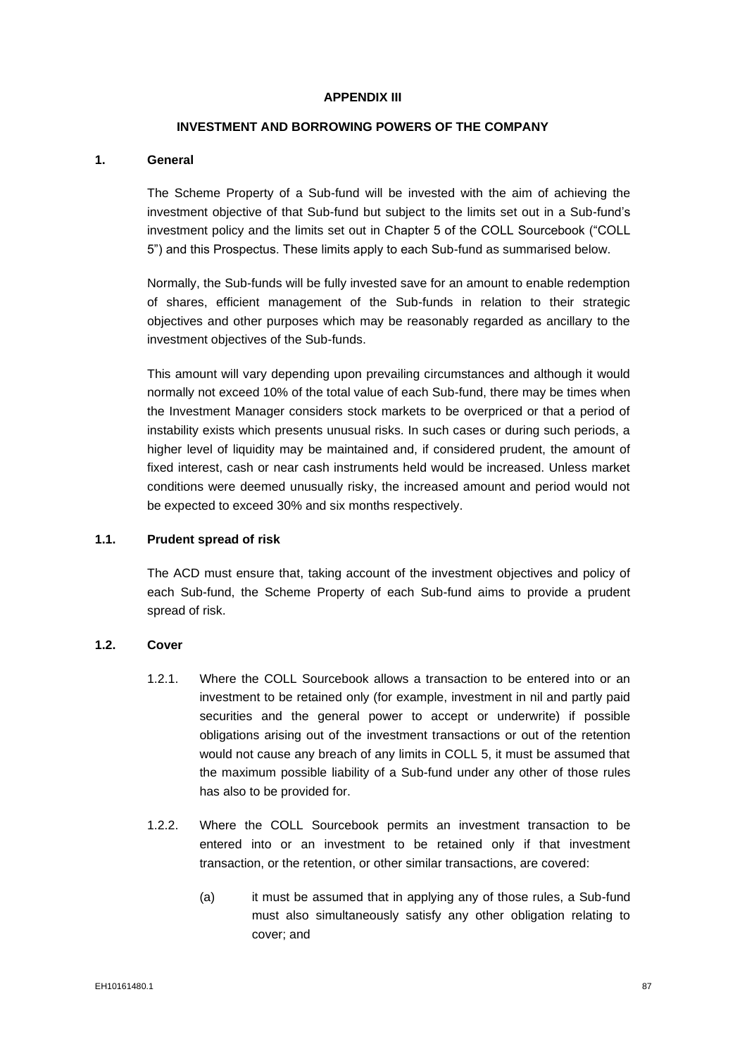#### **APPENDIX III**

# **INVESTMENT AND BORROWING POWERS OF THE COMPANY**

# **1. General**

The Scheme Property of a Sub-fund will be invested with the aim of achieving the investment objective of that Sub-fund but subject to the limits set out in a Sub-fund's investment policy and the limits set out in Chapter 5 of the COLL Sourcebook ("COLL 5") and this Prospectus. These limits apply to each Sub-fund as summarised below.

Normally, the Sub-funds will be fully invested save for an amount to enable redemption of shares, efficient management of the Sub-funds in relation to their strategic objectives and other purposes which may be reasonably regarded as ancillary to the investment objectives of the Sub-funds.

This amount will vary depending upon prevailing circumstances and although it would normally not exceed 10% of the total value of each Sub-fund, there may be times when the Investment Manager considers stock markets to be overpriced or that a period of instability exists which presents unusual risks. In such cases or during such periods, a higher level of liquidity may be maintained and, if considered prudent, the amount of fixed interest, cash or near cash instruments held would be increased. Unless market conditions were deemed unusually risky, the increased amount and period would not be expected to exceed 30% and six months respectively.

#### **1.1. Prudent spread of risk**

The ACD must ensure that, taking account of the investment objectives and policy of each Sub-fund, the Scheme Property of each Sub-fund aims to provide a prudent spread of risk.

# **1.2. Cover**

- 1.2.1. Where the COLL Sourcebook allows a transaction to be entered into or an investment to be retained only (for example, investment in nil and partly paid securities and the general power to accept or underwrite) if possible obligations arising out of the investment transactions or out of the retention would not cause any breach of any limits in COLL 5, it must be assumed that the maximum possible liability of a Sub-fund under any other of those rules has also to be provided for.
- 1.2.2. Where the COLL Sourcebook permits an investment transaction to be entered into or an investment to be retained only if that investment transaction, or the retention, or other similar transactions, are covered:
	- (a) it must be assumed that in applying any of those rules, a Sub-fund must also simultaneously satisfy any other obligation relating to cover; and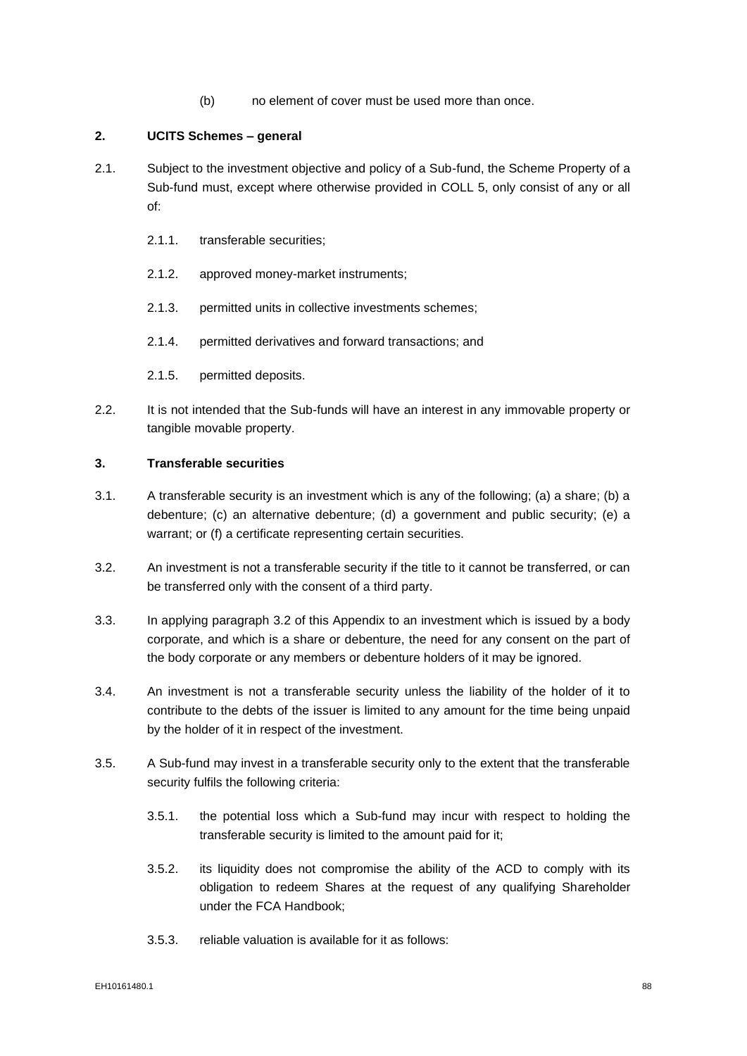(b) no element of cover must be used more than once.

# **2. UCITS Schemes – general**

- 2.1. Subject to the investment objective and policy of a Sub-fund, the Scheme Property of a Sub-fund must, except where otherwise provided in COLL 5, only consist of any or all of:
	- 2.1.1. transferable securities;
	- 2.1.2. approved money-market instruments;
	- 2.1.3. permitted units in collective investments schemes;
	- 2.1.4. permitted derivatives and forward transactions; and
	- 2.1.5. permitted deposits.
- 2.2. It is not intended that the Sub-funds will have an interest in any immovable property or tangible movable property.

# **3. Transferable securities**

- 3.1. A transferable security is an investment which is any of the following; (a) a share; (b) a debenture; (c) an alternative debenture; (d) a government and public security; (e) a warrant; or (f) a certificate representing certain securities.
- <span id="page-89-0"></span>3.2. An investment is not a transferable security if the title to it cannot be transferred, or can be transferred only with the consent of a third party.
- 3.3. In applying paragraph [3.2](#page-89-0) of this Appendix to an investment which is issued by a body corporate, and which is a share or debenture, the need for any consent on the part of the body corporate or any members or debenture holders of it may be ignored.
- 3.4. An investment is not a transferable security unless the liability of the holder of it to contribute to the debts of the issuer is limited to any amount for the time being unpaid by the holder of it in respect of the investment.
- <span id="page-89-1"></span>3.5. A Sub-fund may invest in a transferable security only to the extent that the transferable security fulfils the following criteria:
	- 3.5.1. the potential loss which a Sub-fund may incur with respect to holding the transferable security is limited to the amount paid for it;
	- 3.5.2. its liquidity does not compromise the ability of the ACD to comply with its obligation to redeem Shares at the request of any qualifying Shareholder under the FCA Handbook;
	- 3.5.3. reliable valuation is available for it as follows: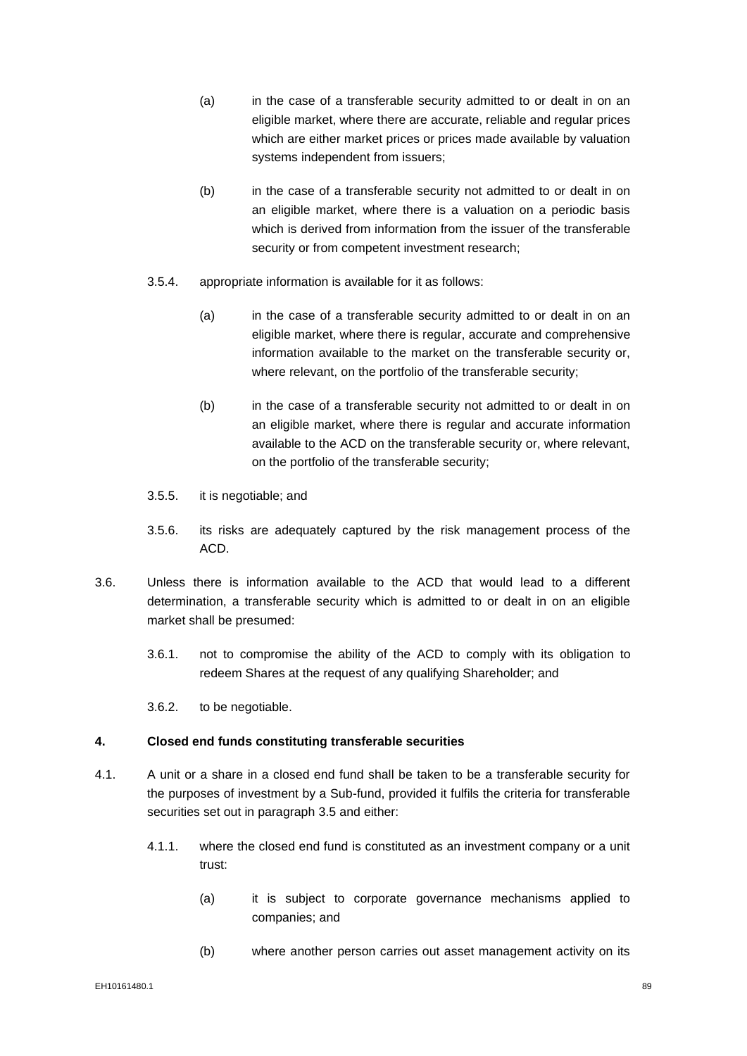- (a) in the case of a transferable security admitted to or dealt in on an eligible market, where there are accurate, reliable and regular prices which are either market prices or prices made available by valuation systems independent from issuers;
- (b) in the case of a transferable security not admitted to or dealt in on an eligible market, where there is a valuation on a periodic basis which is derived from information from the issuer of the transferable security or from competent investment research;
- 3.5.4. appropriate information is available for it as follows:
	- (a) in the case of a transferable security admitted to or dealt in on an eligible market, where there is regular, accurate and comprehensive information available to the market on the transferable security or, where relevant, on the portfolio of the transferable security;
	- (b) in the case of a transferable security not admitted to or dealt in on an eligible market, where there is regular and accurate information available to the ACD on the transferable security or, where relevant, on the portfolio of the transferable security;
- 3.5.5. it is negotiable; and
- 3.5.6. its risks are adequately captured by the risk management process of the ACD.
- 3.6. Unless there is information available to the ACD that would lead to a different determination, a transferable security which is admitted to or dealt in on an eligible market shall be presumed:
	- 3.6.1. not to compromise the ability of the ACD to comply with its obligation to redeem Shares at the request of any qualifying Shareholder; and

3.6.2. to be negotiable.

#### **4. Closed end funds constituting transferable securities**

- 4.1. A unit or a share in a closed end fund shall be taken to be a transferable security for the purposes of investment by a Sub-fund, provided it fulfils the criteria for transferable securities set out in paragraph [3.5](#page-89-1) and either:
	- 4.1.1. where the closed end fund is constituted as an investment company or a unit trust:
		- (a) it is subject to corporate governance mechanisms applied to companies; and
		- (b) where another person carries out asset management activity on its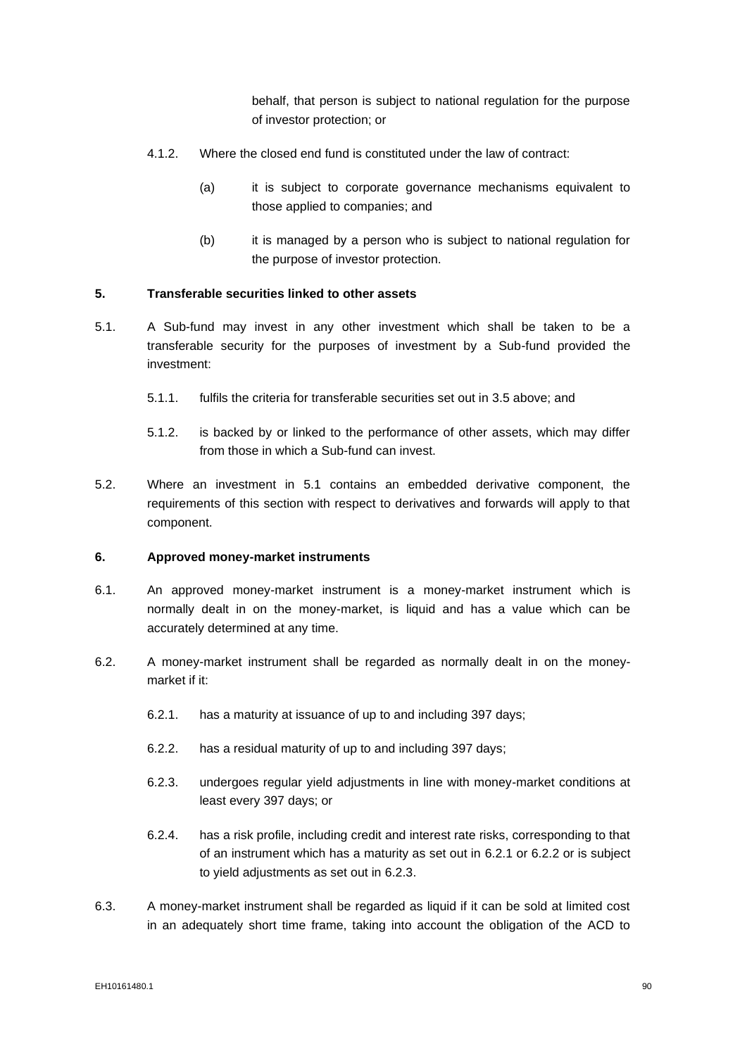behalf, that person is subject to national regulation for the purpose of investor protection; or

- 4.1.2. Where the closed end fund is constituted under the law of contract:
	- (a) it is subject to corporate governance mechanisms equivalent to those applied to companies; and
	- (b) it is managed by a person who is subject to national regulation for the purpose of investor protection.

# **5. Transferable securities linked to other assets**

- <span id="page-91-0"></span>5.1. A Sub-fund may invest in any other investment which shall be taken to be a transferable security for the purposes of investment by a Sub-fund provided the investment:
	- 5.1.1. fulfils the criteria for transferable securities set out in [3.5](#page-89-1) above; and
	- 5.1.2. is backed by or linked to the performance of other assets, which may differ from those in which a Sub-fund can invest.
- 5.2. Where an investment in [5.1](#page-91-0) contains an embedded derivative component, the requirements of this section with respect to derivatives and forwards will apply to that component.

# **6. Approved money-market instruments**

- 6.1. An approved money-market instrument is a money-market instrument which is normally dealt in on the money-market, is liquid and has a value which can be accurately determined at any time.
- <span id="page-91-3"></span><span id="page-91-2"></span><span id="page-91-1"></span>6.2. A money-market instrument shall be regarded as normally dealt in on the moneymarket if it:
	- 6.2.1. has a maturity at issuance of up to and including 397 days;
	- 6.2.2. has a residual maturity of up to and including 397 days;
	- 6.2.3. undergoes regular yield adjustments in line with money-market conditions at least every 397 days; or
	- 6.2.4. has a risk profile, including credit and interest rate risks, corresponding to that of an instrument which has a maturity as set out in [6.2.1](#page-91-1) or [6.2.2](#page-91-2) or is subject to yield adjustments as set out in [6.2.3.](#page-91-3)
- 6.3. A money-market instrument shall be regarded as liquid if it can be sold at limited cost in an adequately short time frame, taking into account the obligation of the ACD to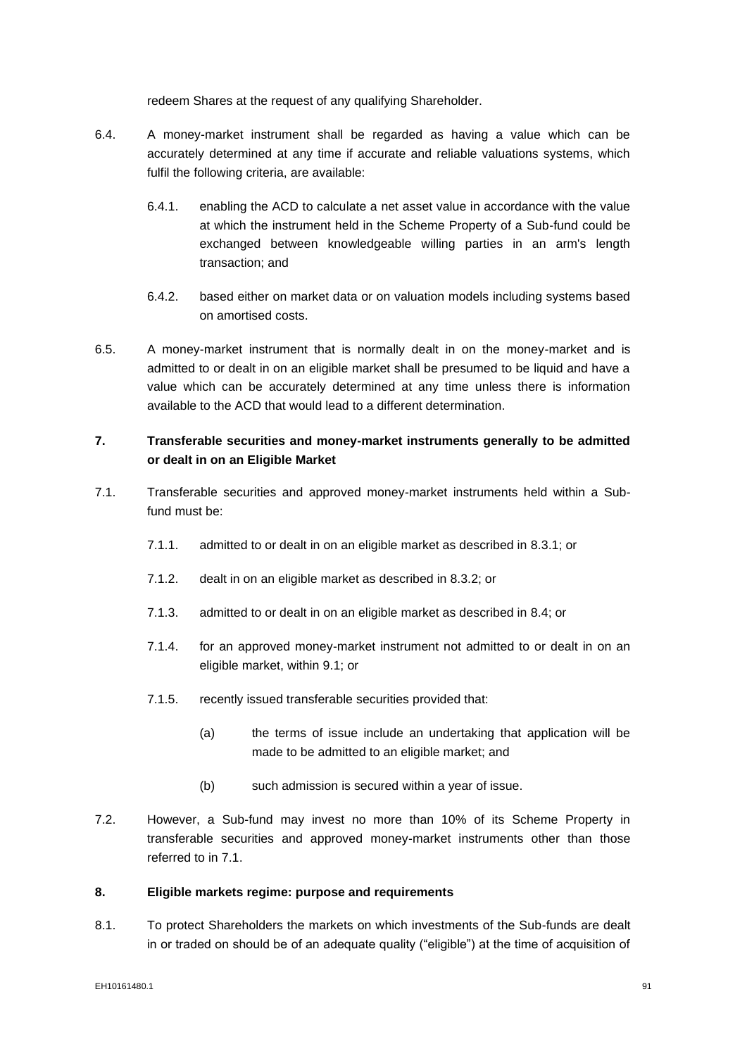redeem Shares at the request of any qualifying Shareholder.

- 6.4. A money-market instrument shall be regarded as having a value which can be accurately determined at any time if accurate and reliable valuations systems, which fulfil the following criteria, are available:
	- 6.4.1. enabling the ACD to calculate a net asset value in accordance with the value at which the instrument held in the Scheme Property of a Sub-fund could be exchanged between knowledgeable willing parties in an arm's length transaction; and
	- 6.4.2. based either on market data or on valuation models including systems based on amortised costs.
- 6.5. A money-market instrument that is normally dealt in on the money-market and is admitted to or dealt in on an eligible market shall be presumed to be liquid and have a value which can be accurately determined at any time unless there is information available to the ACD that would lead to a different determination.

# **7. Transferable securities and money-market instruments generally to be admitted or dealt in on an Eligible Market**

- <span id="page-92-2"></span><span id="page-92-0"></span>7.1. Transferable securities and approved money-market instruments held within a Subfund must be:
	- 7.1.1. admitted to or dealt in on an eligible market as described in [8.3.1;](#page-93-0) or
	- 7.1.2. dealt in on an eligible market as described in 8.3.2; or
	- 7.1.3. admitted to or dealt in on an eligible market as described in [8.4;](#page-93-1) or
	- 7.1.4. for an approved money-market instrument not admitted to or dealt in on an eligible market, within [9.1;](#page-93-2) or
	- 7.1.5. recently issued transferable securities provided that:
		- (a) the terms of issue include an undertaking that application will be made to be admitted to an eligible market; and
		- (b) such admission is secured within a year of issue.
- <span id="page-92-1"></span>7.2. However, a Sub-fund may invest no more than 10% of its Scheme Property in transferable securities and approved money-market instruments other than those referred to in [7.1.](#page-92-0)

#### **8. Eligible markets regime: purpose and requirements**

8.1. To protect Shareholders the markets on which investments of the Sub-funds are dealt in or traded on should be of an adequate quality ("eligible") at the time of acquisition of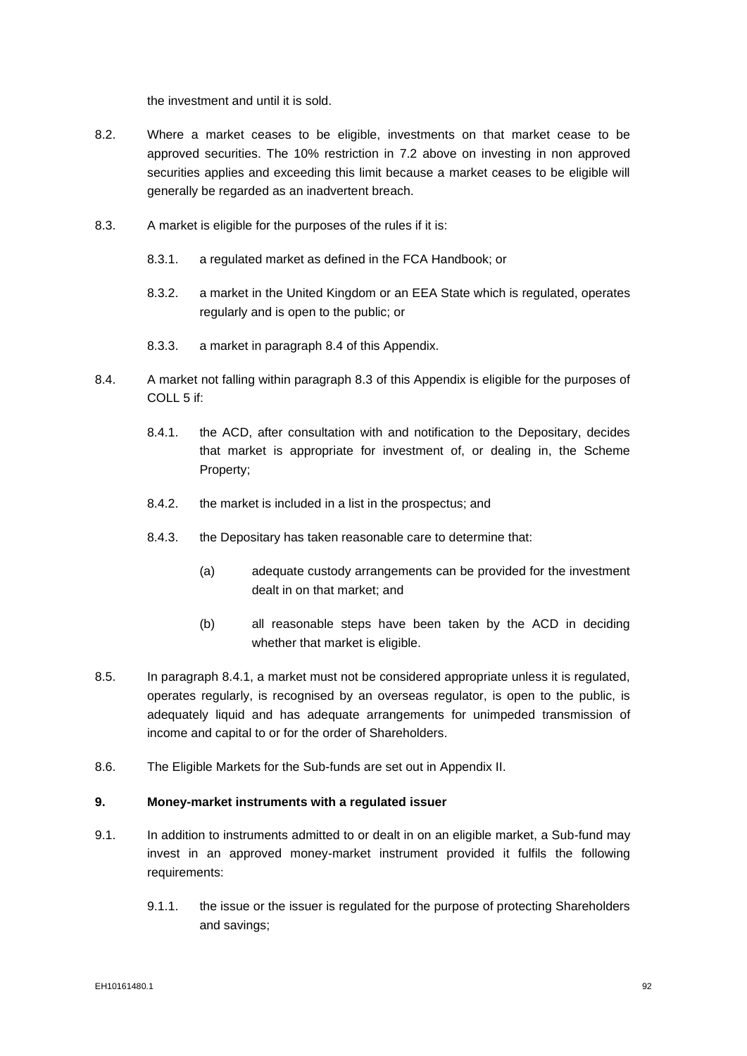the investment and until it is sold.

- 8.2. Where a market ceases to be eligible, investments on that market cease to be approved securities. The 10% restriction in [7.2](#page-92-1) above on investing in non approved securities applies and exceeding this limit because a market ceases to be eligible will generally be regarded as an inadvertent breach.
- <span id="page-93-0"></span>8.3. A market is eligible for the purposes of the rules if it is:
	- 8.3.1. a regulated market as defined in the FCA Handbook; or
	- 8.3.2. a market in the United Kingdom or an EEA State which is regulated, operates regularly and is open to the public; or
	- 8.3.3. a market in paragraph 8.4 of this Appendix.
- <span id="page-93-3"></span><span id="page-93-1"></span>8.4. A market not falling within paragraph 8.3 of this Appendix is eligible for the purposes of COLL 5 if:
	- 8.4.1. the ACD, after consultation with and notification to the Depositary, decides that market is appropriate for investment of, or dealing in, the Scheme Property;
	- 8.4.2. the market is included in a list in the prospectus; and
	- 8.4.3. the Depositary has taken reasonable care to determine that:
		- (a) adequate custody arrangements can be provided for the investment dealt in on that market; and
		- (b) all reasonable steps have been taken by the ACD in deciding whether that market is eligible.
- 8.5. In paragraph [8.4.1,](#page-93-3) a market must not be considered appropriate unless it is regulated, operates regularly, is recognised by an overseas regulator, is open to the public, is adequately liquid and has adequate arrangements for unimpeded transmission of income and capital to or for the order of Shareholders.
- 8.6. The Eligible Markets for the Sub-funds are set out in Appendix II.

# **9. Money-market instruments with a regulated issuer**

- <span id="page-93-2"></span>9.1. In addition to instruments admitted to or dealt in on an eligible market, a Sub-fund may invest in an approved money-market instrument provided it fulfils the following requirements:
	- 9.1.1. the issue or the issuer is regulated for the purpose of protecting Shareholders and savings;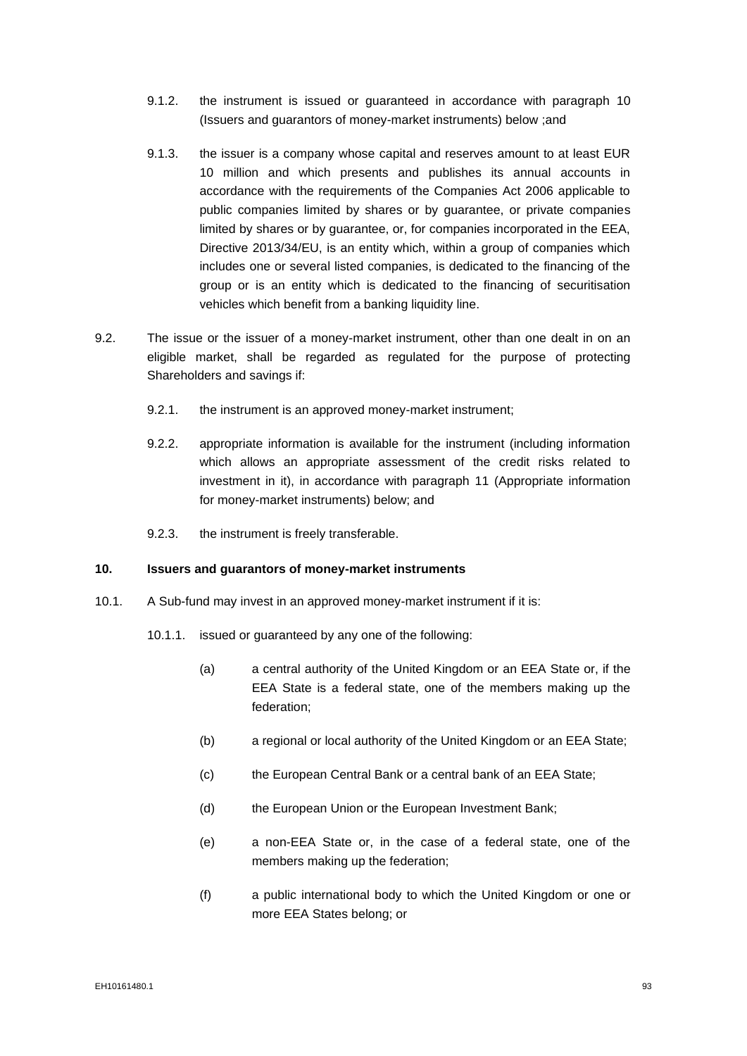- 9.1.2. the instrument is issued or guaranteed in accordance with paragraph [10](#page-94-0) (Issuers and guarantors of money-market instruments) below ;and
- 9.1.3. the issuer is a company whose capital and reserves amount to at least EUR 10 million and which presents and publishes its annual accounts in accordance with the requirements of the Companies Act 2006 applicable to public companies limited by shares or by guarantee, or private companies limited by shares or by guarantee, or, for companies incorporated in the EEA, Directive 2013/34/EU, is an entity which, within a group of companies which includes one or several listed companies, is dedicated to the financing of the group or is an entity which is dedicated to the financing of securitisation vehicles which benefit from a banking liquidity line.
- 9.2. The issue or the issuer of a money-market instrument, other than one dealt in on an eligible market, shall be regarded as regulated for the purpose of protecting Shareholders and savings if:
	- 9.2.1. the instrument is an approved money-market instrument;
	- 9.2.2. appropriate information is available for the instrument (including information which allows an appropriate assessment of the credit risks related to investment in it), in accordance with paragraph [11](#page-95-0) (Appropriate information for money-market instruments) below; and
	- 9.2.3. the instrument is freely transferable.

# <span id="page-94-0"></span>**10. Issuers and guarantors of money-market instruments**

- <span id="page-94-5"></span><span id="page-94-4"></span><span id="page-94-3"></span><span id="page-94-2"></span><span id="page-94-1"></span>10.1. A Sub-fund may invest in an approved money-market instrument if it is:
	- 10.1.1. issued or guaranteed by any one of the following:
		- (a) a central authority of the United Kingdom or an EEA State or, if the EEA State is a federal state, one of the members making up the federation;
		- (b) a regional or local authority of the United Kingdom or an EEA State;
		- (c) the European Central Bank or a central bank of an EEA State;
		- (d) the European Union or the European Investment Bank;
		- (e) a non-EEA State or, in the case of a federal state, one of the members making up the federation;
		- (f) a public international body to which the United Kingdom or one or more EEA States belong; or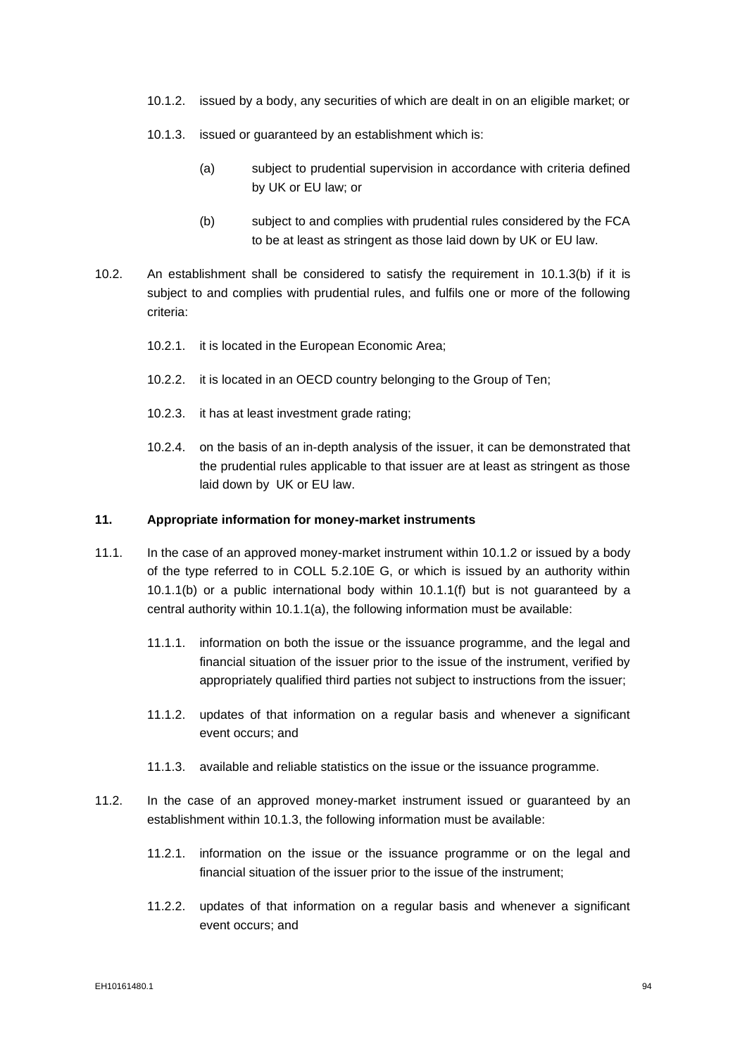- <span id="page-95-2"></span>10.1.2. issued by a body, any securities of which are dealt in on an eligible market; or
- <span id="page-95-3"></span>10.1.3. issued or guaranteed by an establishment which is:
	- (a) subject to prudential supervision in accordance with criteria defined by UK or EU law; or
	- (b) subject to and complies with prudential rules considered by the FCA to be at least as stringent as those laid down by UK or EU law.
- <span id="page-95-1"></span>10.2. An establishment shall be considered to satisfy the requirement in [10.1.3\(b\)](#page-95-1) if it is subject to and complies with prudential rules, and fulfils one or more of the following criteria:
	- 10.2.1. it is located in the European Economic Area;
	- 10.2.2. it is located in an OECD country belonging to the Group of Ten;
	- 10.2.3. it has at least investment grade rating;
	- 10.2.4. on the basis of an in-depth analysis of the issuer, it can be demonstrated that the prudential rules applicable to that issuer are at least as stringent as those laid down by UK or EU law.

# <span id="page-95-0"></span>**11. Appropriate information for money-market instruments**

- 11.1. In the case of an approved money-market instrument within [10.1.2](#page-95-2) or issued by a body of the type referred to in COLL 5.2.10E G, or which is issued by an authority within [10.1.1\(b\)](#page-94-1) or a public international body within [10.1.1\(f\)](#page-94-2) but is not guaranteed by a central authority within [10.1.1\(a\),](#page-94-3) the following information must be available:
	- 11.1.1. information on both the issue or the issuance programme, and the legal and financial situation of the issuer prior to the issue of the instrument, verified by appropriately qualified third parties not subject to instructions from the issuer;
	- 11.1.2. updates of that information on a regular basis and whenever a significant event occurs; and
	- 11.1.3. available and reliable statistics on the issue or the issuance programme.
- 11.2. In the case of an approved money-market instrument issued or guaranteed by an establishment within [10.1.3,](#page-95-3) the following information must be available:
	- 11.2.1. information on the issue or the issuance programme or on the legal and financial situation of the issuer prior to the issue of the instrument;
	- 11.2.2. updates of that information on a regular basis and whenever a significant event occurs; and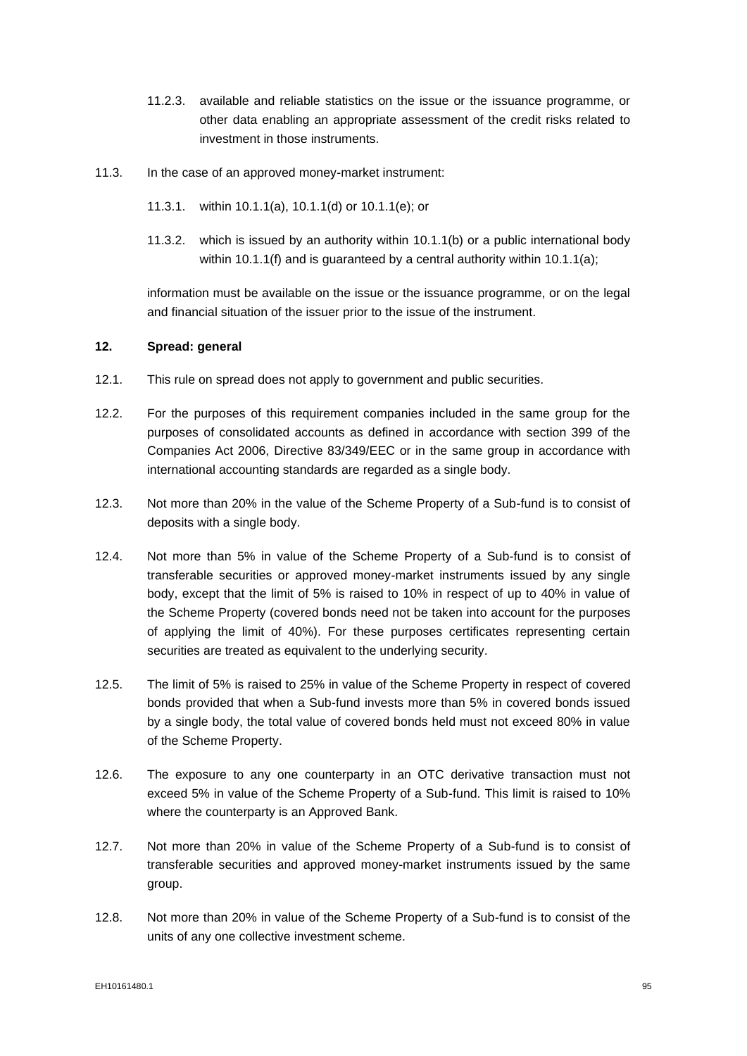- 11.2.3. available and reliable statistics on the issue or the issuance programme, or other data enabling an appropriate assessment of the credit risks related to investment in those instruments.
- 11.3. In the case of an approved money-market instrument:
	- 11.3.1. within [10.1.1\(a\),](#page-94-3) [10.1.1\(d\)](#page-94-4) or [10.1.1\(e\);](#page-94-5) or
	- 11.3.2. which is issued by an authority within [10.1.1\(b\)](#page-94-1) or a public international body within [10.1.1\(f\)](#page-94-2) and is quaranteed by a central authority within [10.1.1\(a\);](#page-94-3)

information must be available on the issue or the issuance programme, or on the legal and financial situation of the issuer prior to the issue of the instrument.

# <span id="page-96-5"></span>**12. Spread: general**

- <span id="page-96-4"></span>12.1. This rule on spread does not apply to government and public securities.
- 12.2. For the purposes of this requirement companies included in the same group for the purposes of consolidated accounts as defined in accordance with section 399 of the Companies Act 2006, Directive 83/349/EEC or in the same group in accordance with international accounting standards are regarded as a single body.
- <span id="page-96-0"></span>12.3. Not more than 20% in the value of the Scheme Property of a Sub-fund is to consist of deposits with a single body.
- <span id="page-96-1"></span>12.4. Not more than 5% in value of the Scheme Property of a Sub-fund is to consist of transferable securities or approved money-market instruments issued by any single body, except that the limit of 5% is raised to 10% in respect of up to 40% in value of the Scheme Property (covered bonds need not be taken into account for the purposes of applying the limit of 40%). For these purposes certificates representing certain securities are treated as equivalent to the underlying security.
- <span id="page-96-3"></span>12.5. The limit of 5% is raised to 25% in value of the Scheme Property in respect of covered bonds provided that when a Sub-fund invests more than 5% in covered bonds issued by a single body, the total value of covered bonds held must not exceed 80% in value of the Scheme Property.
- <span id="page-96-2"></span>12.6. The exposure to any one counterparty in an OTC derivative transaction must not exceed 5% in value of the Scheme Property of a Sub-fund. This limit is raised to 10% where the counterparty is an Approved Bank.
- 12.7. Not more than 20% in value of the Scheme Property of a Sub-fund is to consist of transferable securities and approved money-market instruments issued by the same group.
- 12.8. Not more than 20% in value of the Scheme Property of a Sub-fund is to consist of the units of any one collective investment scheme.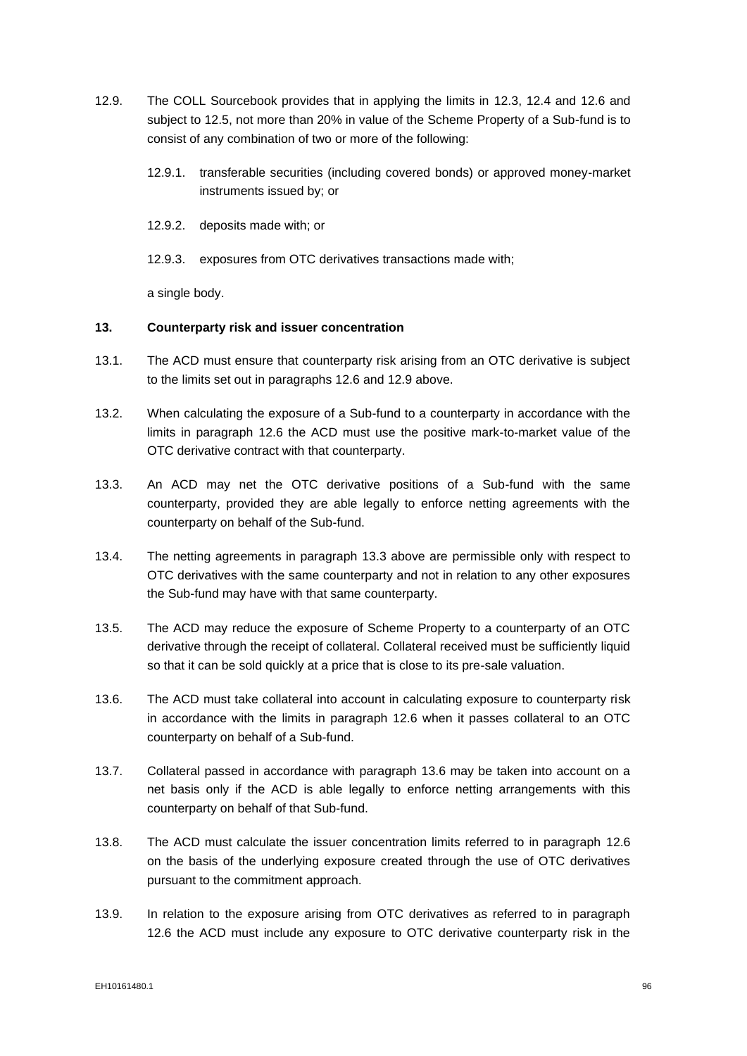- <span id="page-97-0"></span>12.9. The COLL Sourcebook provides that in applying the limits in [12.3,](#page-96-0) [12.4](#page-96-1) and [12.6](#page-96-2) and subject to [12.5,](#page-96-3) not more than 20% in value of the Scheme Property of a Sub-fund is to consist of any combination of two or more of the following:
	- 12.9.1. transferable securities (including covered bonds) or approved money-market instruments issued by; or
	- 12.9.2. deposits made with; or
	- 12.9.3. exposures from OTC derivatives transactions made with;

a single body.

# **13. Counterparty risk and issuer concentration**

- 13.1. The ACD must ensure that counterparty risk arising from an OTC derivative is subject to the limits set out in paragraphs 12.6 and 12.9 above.
- 13.2. When calculating the exposure of a Sub-fund to a counterparty in accordance with the limits in paragraph 12.6 the ACD must use the positive mark-to-market value of the OTC derivative contract with that counterparty.
- 13.3. An ACD may net the OTC derivative positions of a Sub-fund with the same counterparty, provided they are able legally to enforce netting agreements with the counterparty on behalf of the Sub-fund.
- 13.4. The netting agreements in paragraph 13.3 above are permissible only with respect to OTC derivatives with the same counterparty and not in relation to any other exposures the Sub-fund may have with that same counterparty.
- 13.5. The ACD may reduce the exposure of Scheme Property to a counterparty of an OTC derivative through the receipt of collateral. Collateral received must be sufficiently liquid so that it can be sold quickly at a price that is close to its pre-sale valuation.
- 13.6. The ACD must take collateral into account in calculating exposure to counterparty risk in accordance with the limits in paragraph 12.6 when it passes collateral to an OTC counterparty on behalf of a Sub-fund.
- 13.7. Collateral passed in accordance with paragraph 13.6 may be taken into account on a net basis only if the ACD is able legally to enforce netting arrangements with this counterparty on behalf of that Sub-fund.
- 13.8. The ACD must calculate the issuer concentration limits referred to in paragraph 12.6 on the basis of the underlying exposure created through the use of OTC derivatives pursuant to the commitment approach.
- 13.9. In relation to the exposure arising from OTC derivatives as referred to in paragraph 12.6 the ACD must include any exposure to OTC derivative counterparty risk in the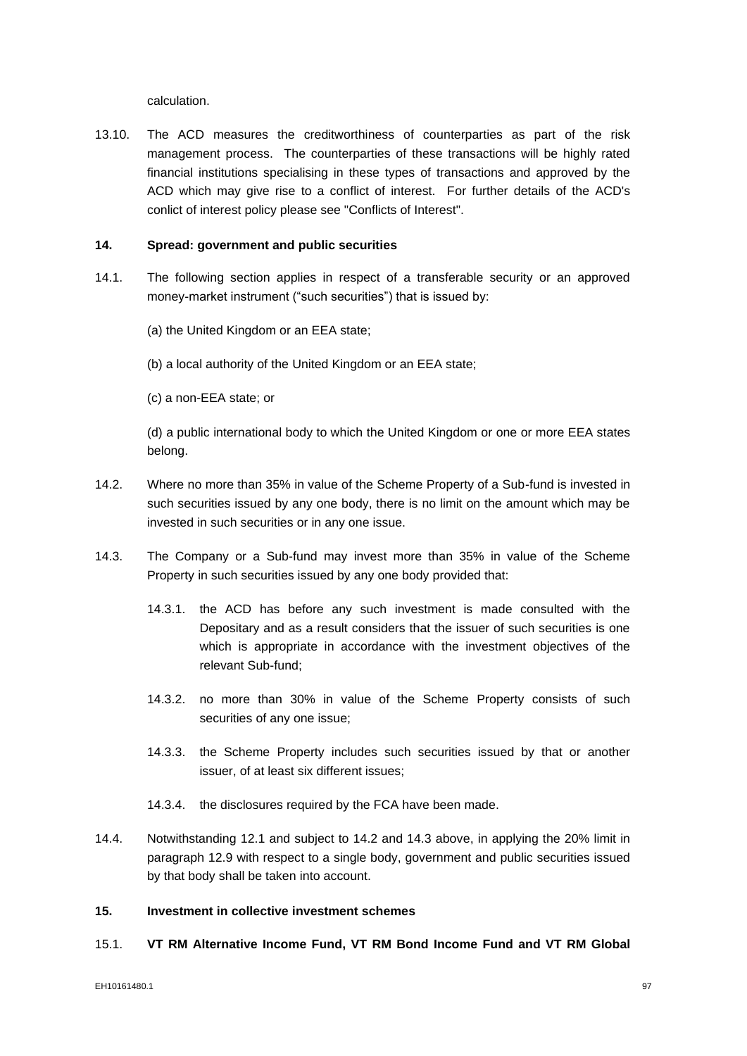calculation.

13.10. The ACD measures the creditworthiness of counterparties as part of the risk management process. The counterparties of these transactions will be highly rated financial institutions specialising in these types of transactions and approved by the ACD which may give rise to a conflict of interest. For further details of the ACD's conlict of interest policy please see "Conflicts of Interest".

# **14. Spread: government and public securities**

- 14.1. The following section applies in respect of a transferable security or an approved money-market instrument ("such securities") that is issued by:
	- (a) the United Kingdom or an EEA state;
	- (b) a local authority of the United Kingdom or an EEA state;
	- (c) a non-EEA state; or

(d) a public international body to which the United Kingdom or one or more EEA states belong.

- 14.2. Where no more than 35% in value of the Scheme Property of a Sub-fund is invested in such securities issued by any one body, there is no limit on the amount which may be invested in such securities or in any one issue.
- 14.3. The Company or a Sub-fund may invest more than 35% in value of the Scheme Property in such securities issued by any one body provided that:
	- 14.3.1. the ACD has before any such investment is made consulted with the Depositary and as a result considers that the issuer of such securities is one which is appropriate in accordance with the investment objectives of the relevant Sub-fund;
	- 14.3.2. no more than 30% in value of the Scheme Property consists of such securities of any one issue;
	- 14.3.3. the Scheme Property includes such securities issued by that or another issuer, of at least six different issues;
	- 14.3.4. the disclosures required by the FCA have been made.
- 14.4. Notwithstanding [12.1](#page-96-4) and subject to 14.2 and 14.3 above, in applying the 20% limit in paragraph [12.9](#page-97-0) with respect to a single body, government and public securities issued by that body shall be taken into account.

# **15. Investment in collective investment schemes**

15.1. **VT RM Alternative Income Fund, VT RM Bond Income Fund and VT RM Global**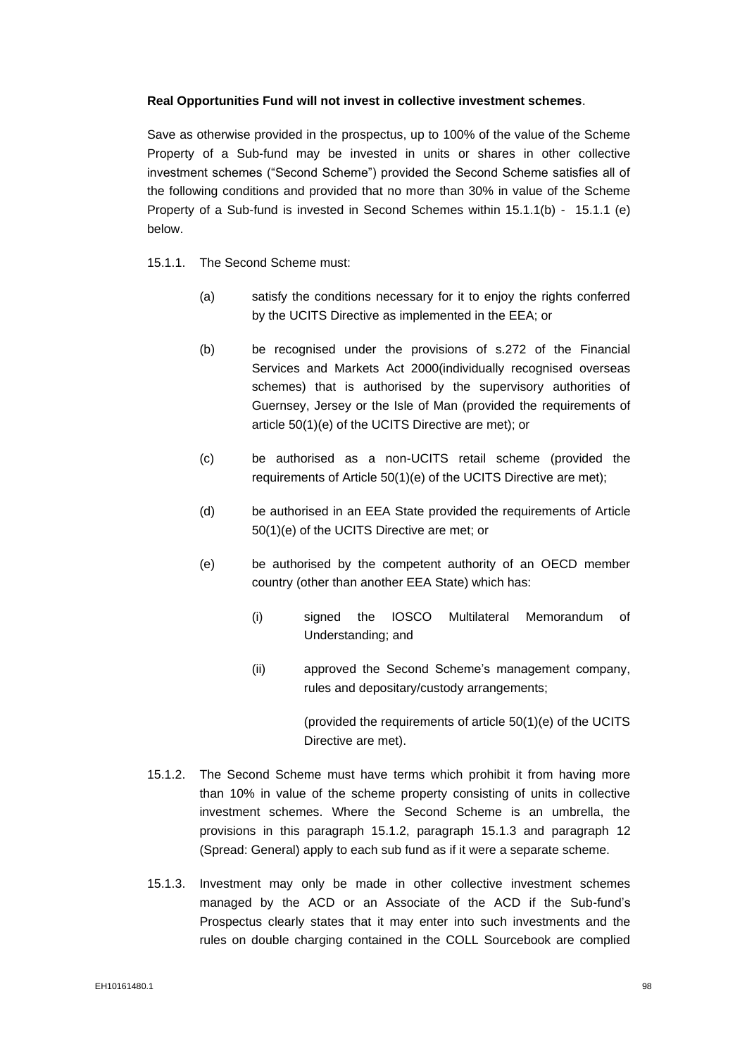# **Real Opportunities Fund will not invest in collective investment schemes**.

Save as otherwise provided in the prospectus, up to 100% of the value of the Scheme Property of a Sub-fund may be invested in units or shares in other collective investment schemes ("Second Scheme") provided the Second Scheme satisfies all of the following conditions and provided that no more than 30% in value of the Scheme Property of a Sub-fund is invested in Second Schemes within 15.1.1(b) - 15.1.1 (e) below.

- 15.1.1. The Second Scheme must:
	- (a) satisfy the conditions necessary for it to enjoy the rights conferred by the UCITS Directive as implemented in the EEA; or
	- (b) be recognised under the provisions of s.272 of the Financial Services and Markets Act 2000(individually recognised overseas schemes) that is authorised by the supervisory authorities of Guernsey, Jersey or the Isle of Man (provided the requirements of article 50(1)(e) of the UCITS Directive are met); or
	- (c) be authorised as a non-UCITS retail scheme (provided the requirements of Article 50(1)(e) of the UCITS Directive are met);
	- (d) be authorised in an EEA State provided the requirements of Article 50(1)(e) of the UCITS Directive are met; or
	- (e) be authorised by the competent authority of an OECD member country (other than another EEA State) which has:
		- (i) signed the IOSCO Multilateral Memorandum of Understanding; and
		- (ii) approved the Second Scheme's management company, rules and depositary/custody arrangements;

(provided the requirements of article 50(1)(e) of the UCITS Directive are met).

- 15.1.2. The Second Scheme must have terms which prohibit it from having more than 10% in value of the scheme property consisting of units in collective investment schemes. Where the Second Scheme is an umbrella, the provisions in this paragraph 15.1.2, paragraph 15.1.3 and paragraph [12](#page-96-5) (Spread: General) apply to each sub fund as if it were a separate scheme.
- 15.1.3. Investment may only be made in other collective investment schemes managed by the ACD or an Associate of the ACD if the Sub-fund's Prospectus clearly states that it may enter into such investments and the rules on double charging contained in the COLL Sourcebook are complied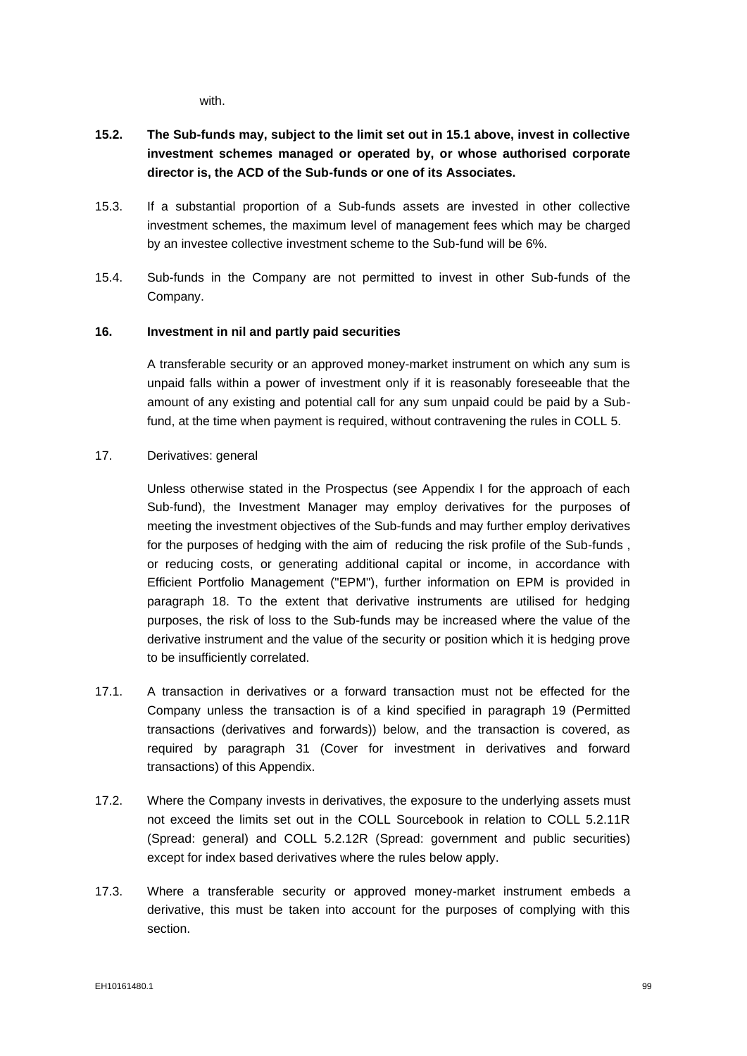with.

- **15.2. The Sub-funds may, subject to the limit set out in 15.1 above, invest in collective investment schemes managed or operated by, or whose authorised corporate director is, the ACD of the Sub-funds or one of its Associates.**
- 15.3. If a substantial proportion of a Sub-funds assets are invested in other collective investment schemes, the maximum level of management fees which may be charged by an investee collective investment scheme to the Sub-fund will be 6%.
- 15.4. Sub-funds in the Company are not permitted to invest in other Sub-funds of the Company.

# **16. Investment in nil and partly paid securities**

A transferable security or an approved money-market instrument on which any sum is unpaid falls within a power of investment only if it is reasonably foreseeable that the amount of any existing and potential call for any sum unpaid could be paid by a Subfund, at the time when payment is required, without contravening the rules in COLL 5.

# 17. Derivatives: general

Unless otherwise stated in the Prospectus (see Appendix I for the approach of each Sub-fund), the Investment Manager may employ derivatives for the purposes of meeting the investment objectives of the Sub-funds and may further employ derivatives for the purposes of hedging with the aim of reducing the risk profile of the Sub-funds , or reducing costs, or generating additional capital or income, in accordance with Efficient Portfolio Management ("EPM"), further information on EPM is provided in paragraph 18. To the extent that derivative instruments are utilised for hedging purposes, the risk of loss to the Sub-funds may be increased where the value of the derivative instrument and the value of the security or position which it is hedging prove to be insufficiently correlated.

- 17.1. A transaction in derivatives or a forward transaction must not be effected for the Company unless the transaction is of a kind specified in paragraph 19 (Permitted transactions (derivatives and forwards)) below, and the transaction is covered, as required by paragraph 31 (Cover for investment in derivatives and forward transactions) of this Appendix.
- 17.2. Where the Company invests in derivatives, the exposure to the underlying assets must not exceed the limits set out in the COLL Sourcebook in relation to COLL 5.2.11R (Spread: general) and COLL 5.2.12R (Spread: government and public securities) except for index based derivatives where the rules below apply.
- 17.3. Where a transferable security or approved money-market instrument embeds a derivative, this must be taken into account for the purposes of complying with this section.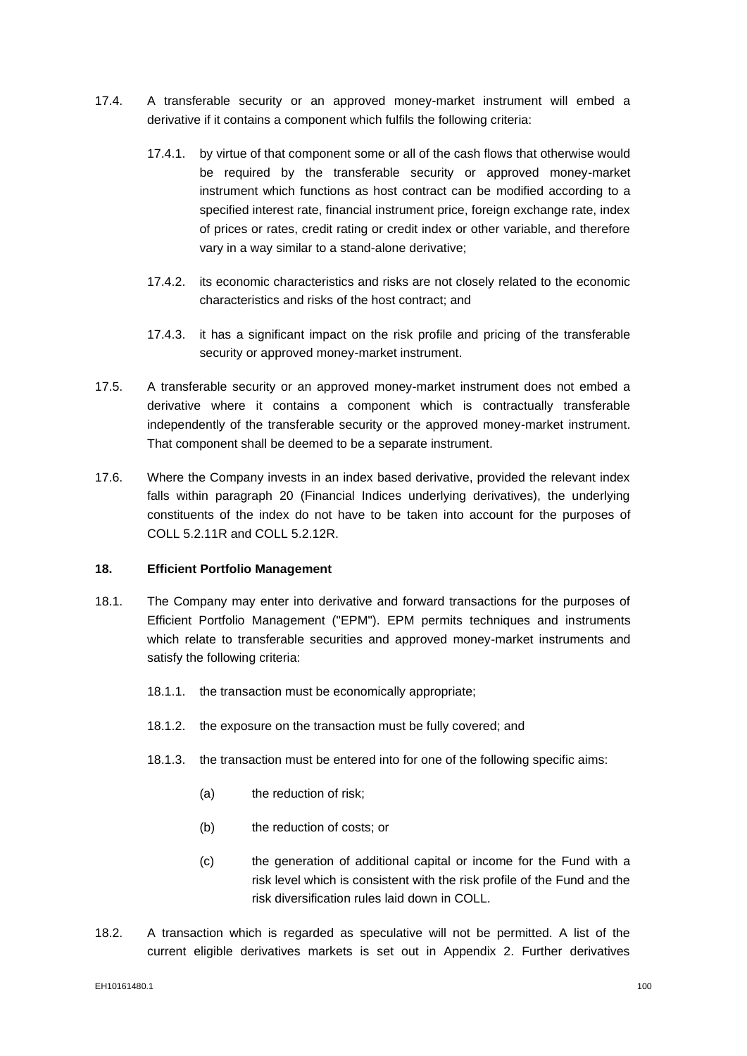- 17.4. A transferable security or an approved money-market instrument will embed a derivative if it contains a component which fulfils the following criteria:
	- 17.4.1. by virtue of that component some or all of the cash flows that otherwise would be required by the transferable security or approved money-market instrument which functions as host contract can be modified according to a specified interest rate, financial instrument price, foreign exchange rate, index of prices or rates, credit rating or credit index or other variable, and therefore vary in a way similar to a stand-alone derivative;
	- 17.4.2. its economic characteristics and risks are not closely related to the economic characteristics and risks of the host contract; and
	- 17.4.3. it has a significant impact on the risk profile and pricing of the transferable security or approved money-market instrument.
- 17.5. A transferable security or an approved money-market instrument does not embed a derivative where it contains a component which is contractually transferable independently of the transferable security or the approved money-market instrument. That component shall be deemed to be a separate instrument.
- 17.6. Where the Company invests in an index based derivative, provided the relevant index falls within paragraph 20 (Financial Indices underlying derivatives), the underlying constituents of the index do not have to be taken into account for the purposes of COLL 5.2.11R and COLL 5.2.12R.

# **18. Efficient Portfolio Management**

- 18.1. The Company may enter into derivative and forward transactions for the purposes of Efficient Portfolio Management ("EPM"). EPM permits techniques and instruments which relate to transferable securities and approved money-market instruments and satisfy the following criteria:
	- 18.1.1. the transaction must be economically appropriate;
	- 18.1.2. the exposure on the transaction must be fully covered; and
	- 18.1.3. the transaction must be entered into for one of the following specific aims:
		- (a) the reduction of risk:
		- (b) the reduction of costs; or
		- (c) the generation of additional capital or income for the Fund with a risk level which is consistent with the risk profile of the Fund and the risk diversification rules laid down in COLL.
- 18.2. A transaction which is regarded as speculative will not be permitted. A list of the current eligible derivatives markets is set out in Appendix 2. Further derivatives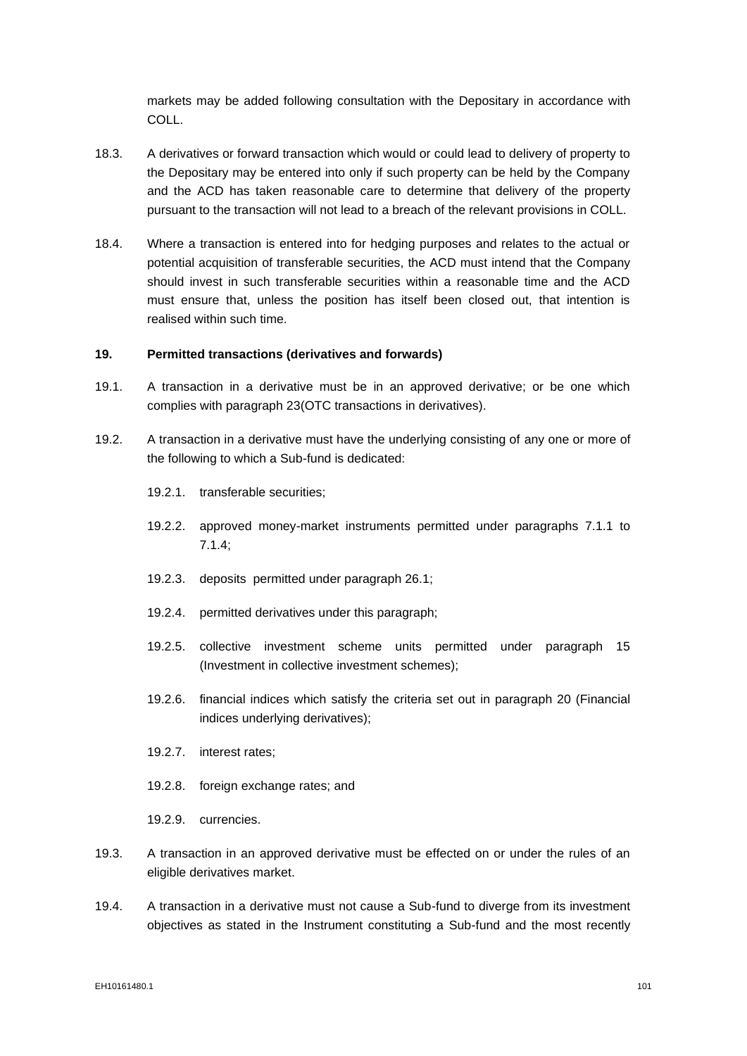markets may be added following consultation with the Depositary in accordance with COLL.

- 18.3. A derivatives or forward transaction which would or could lead to delivery of property to the Depositary may be entered into only if such property can be held by the Company and the ACD has taken reasonable care to determine that delivery of the property pursuant to the transaction will not lead to a breach of the relevant provisions in COLL.
- 18.4. Where a transaction is entered into for hedging purposes and relates to the actual or potential acquisition of transferable securities, the ACD must intend that the Company should invest in such transferable securities within a reasonable time and the ACD must ensure that, unless the position has itself been closed out, that intention is realised within such time.

# **19. Permitted transactions (derivatives and forwards)**

- 19.1. A transaction in a derivative must be in an approved derivative; or be one which complies with paragraph 23(OTC transactions in derivatives).
- 19.2. A transaction in a derivative must have the underlying consisting of any one or more of the following to which a Sub-fund is dedicated:
	- 19.2.1. transferable securities;
	- 19.2.2. approved money-market instruments permitted under paragraphs 7.1.1 to [7.1.4;](#page-92-2)
	- 19.2.3. deposits permitted under paragraph 26.1;
	- 19.2.4. permitted derivatives under this paragraph;
	- 19.2.5. collective investment scheme units permitted under paragraph 15 (Investment in collective investment schemes);
	- 19.2.6. financial indices which satisfy the criteria set out in paragraph 20 (Financial indices underlying derivatives);
	- 19.2.7. interest rates;
	- 19.2.8. foreign exchange rates; and
	- 19.2.9. currencies.
- 19.3. A transaction in an approved derivative must be effected on or under the rules of an eligible derivatives market.
- 19.4. A transaction in a derivative must not cause a Sub-fund to diverge from its investment objectives as stated in the Instrument constituting a Sub-fund and the most recently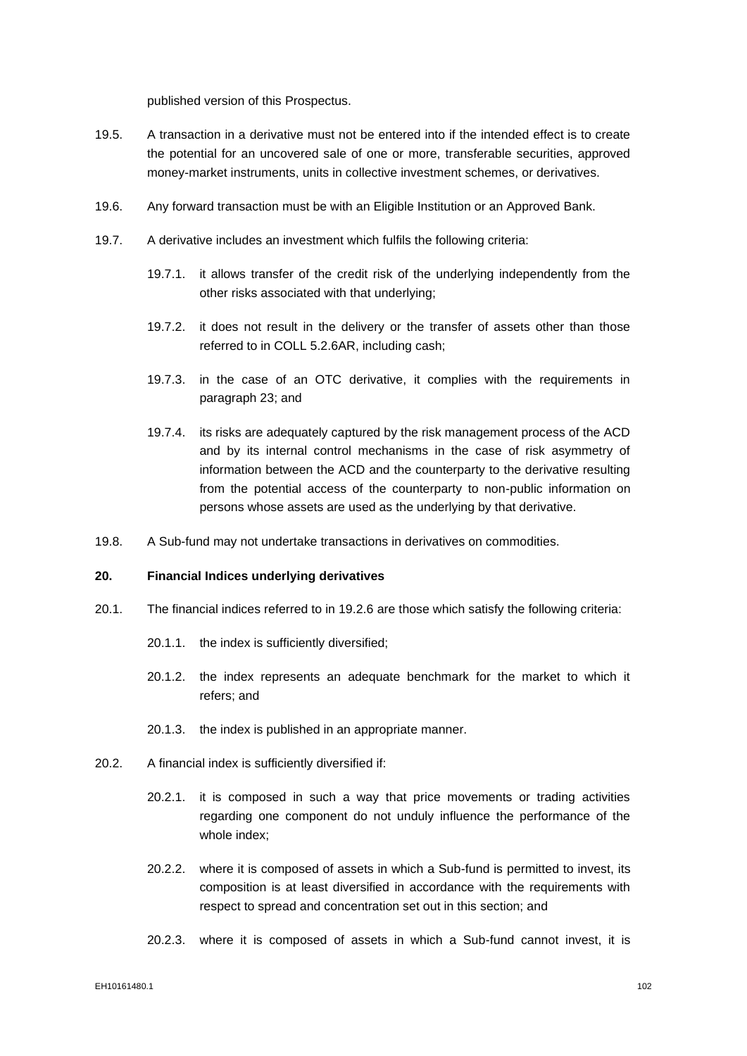published version of this Prospectus.

- 19.5. A transaction in a derivative must not be entered into if the intended effect is to create the potential for an uncovered sale of one or more, transferable securities, approved money-market instruments, units in collective investment schemes, or derivatives.
- 19.6. Any forward transaction must be with an Eligible Institution or an Approved Bank.
- 19.7. A derivative includes an investment which fulfils the following criteria:
	- 19.7.1. it allows transfer of the credit risk of the underlying independently from the other risks associated with that underlying;
	- 19.7.2. it does not result in the delivery or the transfer of assets other than those referred to in COLL 5.2.6AR, including cash;
	- 19.7.3. in the case of an OTC derivative, it complies with the requirements in paragraph 23; and
	- 19.7.4. its risks are adequately captured by the risk management process of the ACD and by its internal control mechanisms in the case of risk asymmetry of information between the ACD and the counterparty to the derivative resulting from the potential access of the counterparty to non-public information on persons whose assets are used as the underlying by that derivative.
- 19.8. A Sub-fund may not undertake transactions in derivatives on commodities.

# **20. Financial Indices underlying derivatives**

- 20.1. The financial indices referred to in 19.2.6 are those which satisfy the following criteria:
	- 20.1.1. the index is sufficiently diversified;
	- 20.1.2. the index represents an adequate benchmark for the market to which it refers; and
	- 20.1.3. the index is published in an appropriate manner.
- 20.2. A financial index is sufficiently diversified if:
	- 20.2.1. it is composed in such a way that price movements or trading activities regarding one component do not unduly influence the performance of the whole index;
	- 20.2.2. where it is composed of assets in which a Sub-fund is permitted to invest, its composition is at least diversified in accordance with the requirements with respect to spread and concentration set out in this section; and
	- 20.2.3. where it is composed of assets in which a Sub-fund cannot invest, it is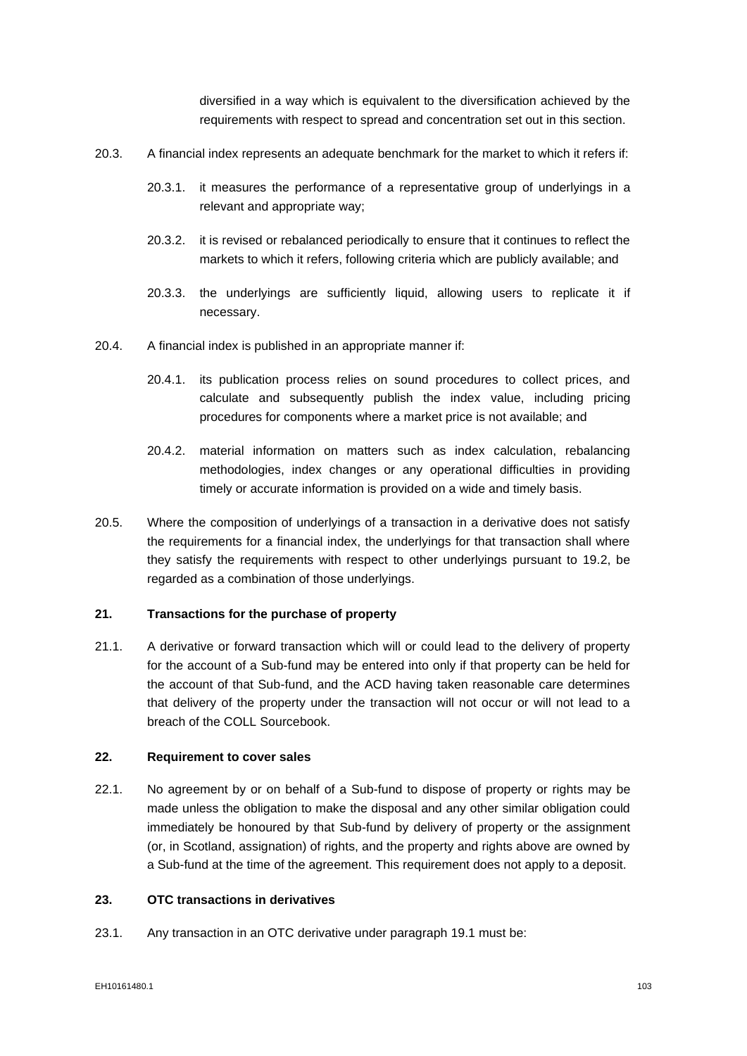diversified in a way which is equivalent to the diversification achieved by the requirements with respect to spread and concentration set out in this section.

- 20.3. A financial index represents an adequate benchmark for the market to which it refers if:
	- 20.3.1. it measures the performance of a representative group of underlyings in a relevant and appropriate way;
	- 20.3.2. it is revised or rebalanced periodically to ensure that it continues to reflect the markets to which it refers, following criteria which are publicly available; and
	- 20.3.3. the underlyings are sufficiently liquid, allowing users to replicate it if necessary.
- 20.4. A financial index is published in an appropriate manner if:
	- 20.4.1. its publication process relies on sound procedures to collect prices, and calculate and subsequently publish the index value, including pricing procedures for components where a market price is not available; and
	- 20.4.2. material information on matters such as index calculation, rebalancing methodologies, index changes or any operational difficulties in providing timely or accurate information is provided on a wide and timely basis.
- 20.5. Where the composition of underlyings of a transaction in a derivative does not satisfy the requirements for a financial index, the underlyings for that transaction shall where they satisfy the requirements with respect to other underlyings pursuant to 19.2, be regarded as a combination of those underlyings.

# **21. Transactions for the purchase of property**

21.1. A derivative or forward transaction which will or could lead to the delivery of property for the account of a Sub-fund may be entered into only if that property can be held for the account of that Sub-fund, and the ACD having taken reasonable care determines that delivery of the property under the transaction will not occur or will not lead to a breach of the COLL Sourcebook.

#### **22. Requirement to cover sales**

22.1. No agreement by or on behalf of a Sub-fund to dispose of property or rights may be made unless the obligation to make the disposal and any other similar obligation could immediately be honoured by that Sub-fund by delivery of property or the assignment (or, in Scotland, assignation) of rights, and the property and rights above are owned by a Sub-fund at the time of the agreement. This requirement does not apply to a deposit.

# **23. OTC transactions in derivatives**

23.1. Any transaction in an OTC derivative under paragraph 19.1 must be: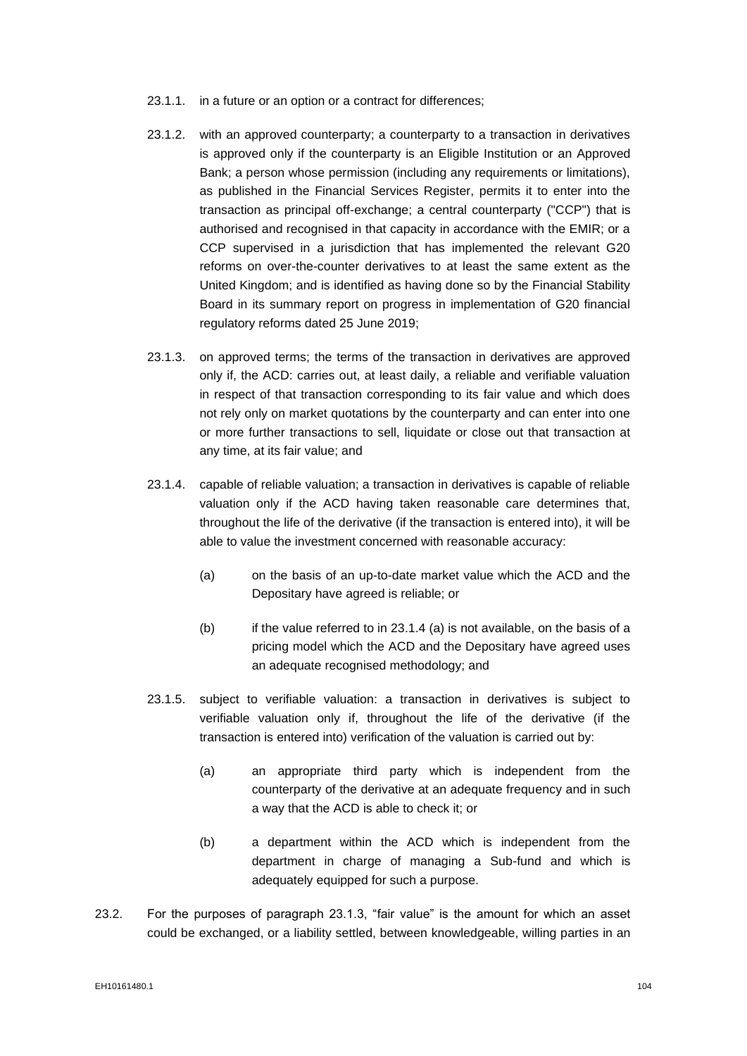- 23.1.1. in a future or an option or a contract for differences;
- 23.1.2. with an approved counterparty; a counterparty to a transaction in derivatives is approved only if the counterparty is an Eligible Institution or an Approved Bank; a person whose permission (including any requirements or limitations), as published in the Financial Services Register, permits it to enter into the transaction as principal off-exchange; a central counterparty ("CCP") that is authorised and recognised in that capacity in accordance with the EMIR; or a CCP supervised in a jurisdiction that has implemented the relevant G20 reforms on over-the-counter derivatives to at least the same extent as the United Kingdom; and is identified as having done so by the Financial Stability Board in its summary report on progress in implementation of G20 financial regulatory reforms dated 25 June 2019;
- 23.1.3. on approved terms; the terms of the transaction in derivatives are approved only if, the ACD: carries out, at least daily, a reliable and verifiable valuation in respect of that transaction corresponding to its fair value and which does not rely only on market quotations by the counterparty and can enter into one or more further transactions to sell, liquidate or close out that transaction at any time, at its fair value; and
- 23.1.4. capable of reliable valuation; a transaction in derivatives is capable of reliable valuation only if the ACD having taken reasonable care determines that, throughout the life of the derivative (if the transaction is entered into), it will be able to value the investment concerned with reasonable accuracy:
	- (a) on the basis of an up-to-date market value which the ACD and the Depositary have agreed is reliable; or
	- $(b)$  if the value referred to in 23.1.4 (a) is not available, on the basis of a pricing model which the ACD and the Depositary have agreed uses an adequate recognised methodology; and
- 23.1.5. subject to verifiable valuation: a transaction in derivatives is subject to verifiable valuation only if, throughout the life of the derivative (if the transaction is entered into) verification of the valuation is carried out by:
	- (a) an appropriate third party which is independent from the counterparty of the derivative at an adequate frequency and in such a way that the ACD is able to check it; or
	- (b) a department within the ACD which is independent from the department in charge of managing a Sub-fund and which is adequately equipped for such a purpose.
- 23.2. For the purposes of paragraph 23.1.3, "fair value" is the amount for which an asset could be exchanged, or a liability settled, between knowledgeable, willing parties in an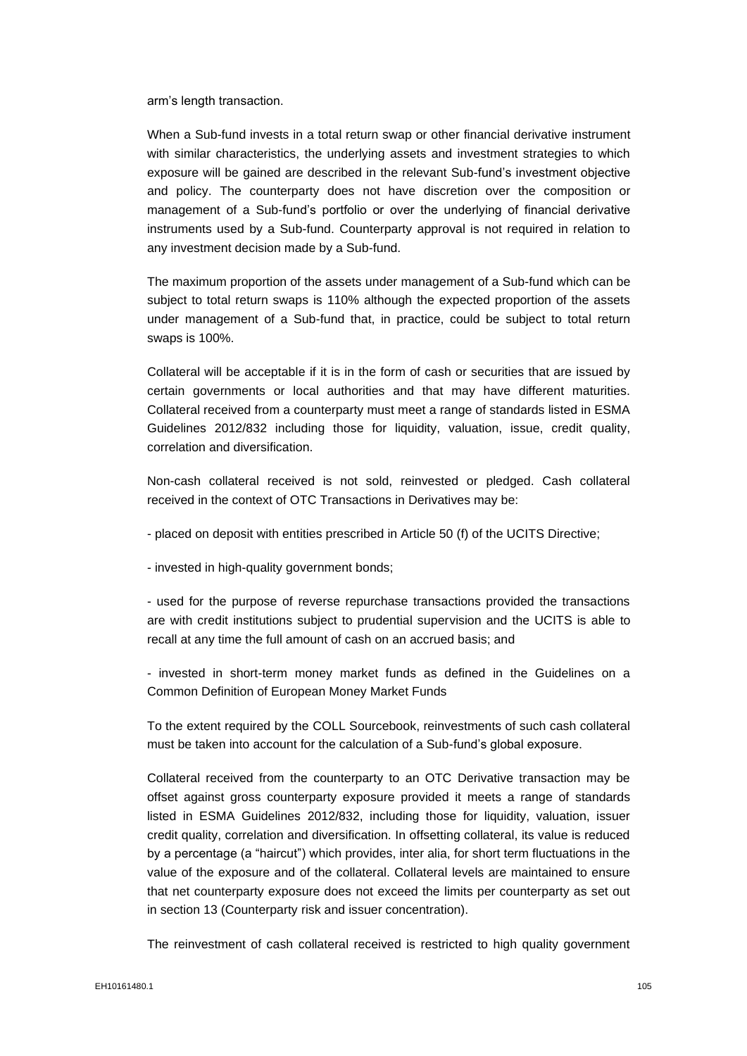arm's length transaction.

When a Sub-fund invests in a total return swap or other financial derivative instrument with similar characteristics, the underlying assets and investment strategies to which exposure will be gained are described in the relevant Sub-fund's investment objective and policy. The counterparty does not have discretion over the composition or management of a Sub-fund's portfolio or over the underlying of financial derivative instruments used by a Sub-fund. Counterparty approval is not required in relation to any investment decision made by a Sub-fund.

The maximum proportion of the assets under management of a Sub-fund which can be subject to total return swaps is 110% although the expected proportion of the assets under management of a Sub-fund that, in practice, could be subject to total return swaps is 100%.

Collateral will be acceptable if it is in the form of cash or securities that are issued by certain governments or local authorities and that may have different maturities. Collateral received from a counterparty must meet a range of standards listed in ESMA Guidelines 2012/832 including those for liquidity, valuation, issue, credit quality, correlation and diversification.

Non-cash collateral received is not sold, reinvested or pledged. Cash collateral received in the context of OTC Transactions in Derivatives may be:

- placed on deposit with entities prescribed in Article 50 (f) of the UCITS Directive;
- invested in high-quality government bonds;

- used for the purpose of reverse repurchase transactions provided the transactions are with credit institutions subject to prudential supervision and the UCITS is able to recall at any time the full amount of cash on an accrued basis; and

- invested in short-term money market funds as defined in the Guidelines on a Common Definition of European Money Market Funds

To the extent required by the COLL Sourcebook, reinvestments of such cash collateral must be taken into account for the calculation of a Sub-fund's global exposure.

Collateral received from the counterparty to an OTC Derivative transaction may be offset against gross counterparty exposure provided it meets a range of standards listed in ESMA Guidelines 2012/832, including those for liquidity, valuation, issuer credit quality, correlation and diversification. In offsetting collateral, its value is reduced by a percentage (a "haircut") which provides, inter alia, for short term fluctuations in the value of the exposure and of the collateral. Collateral levels are maintained to ensure that net counterparty exposure does not exceed the limits per counterparty as set out in section 13 (Counterparty risk and issuer concentration).

The reinvestment of cash collateral received is restricted to high quality government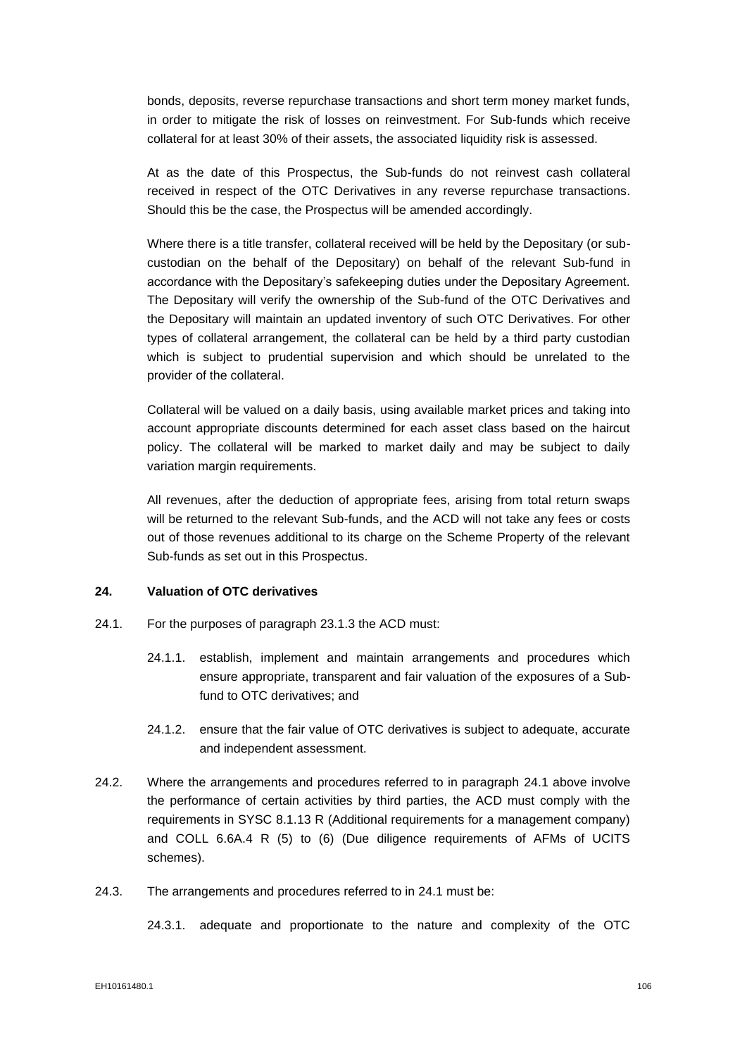bonds, deposits, reverse repurchase transactions and short term money market funds, in order to mitigate the risk of losses on reinvestment. For Sub-funds which receive collateral for at least 30% of their assets, the associated liquidity risk is assessed.

At as the date of this Prospectus, the Sub-funds do not reinvest cash collateral received in respect of the OTC Derivatives in any reverse repurchase transactions. Should this be the case, the Prospectus will be amended accordingly.

Where there is a title transfer, collateral received will be held by the Depositary (or subcustodian on the behalf of the Depositary) on behalf of the relevant Sub-fund in accordance with the Depositary's safekeeping duties under the Depositary Agreement. The Depositary will verify the ownership of the Sub-fund of the OTC Derivatives and the Depositary will maintain an updated inventory of such OTC Derivatives. For other types of collateral arrangement, the collateral can be held by a third party custodian which is subject to prudential supervision and which should be unrelated to the provider of the collateral.

Collateral will be valued on a daily basis, using available market prices and taking into account appropriate discounts determined for each asset class based on the haircut policy. The collateral will be marked to market daily and may be subject to daily variation margin requirements.

All revenues, after the deduction of appropriate fees, arising from total return swaps will be returned to the relevant Sub-funds, and the ACD will not take any fees or costs out of those revenues additional to its charge on the Scheme Property of the relevant Sub-funds as set out in this Prospectus.

# **24. Valuation of OTC derivatives**

- 24.1. For the purposes of paragraph 23.1.3 the ACD must:
	- 24.1.1. establish, implement and maintain arrangements and procedures which ensure appropriate, transparent and fair valuation of the exposures of a Subfund to OTC derivatives; and
	- 24.1.2. ensure that the fair value of OTC derivatives is subject to adequate, accurate and independent assessment.
- 24.2. Where the arrangements and procedures referred to in paragraph 24.1 above involve the performance of certain activities by third parties, the ACD must comply with the requirements in SYSC 8.1.13 R (Additional requirements for a management company) and COLL 6.6A.4 R (5) to (6) (Due diligence requirements of AFMs of UCITS schemes).
- 24.3. The arrangements and procedures referred to in 24.1 must be:

24.3.1. adequate and proportionate to the nature and complexity of the OTC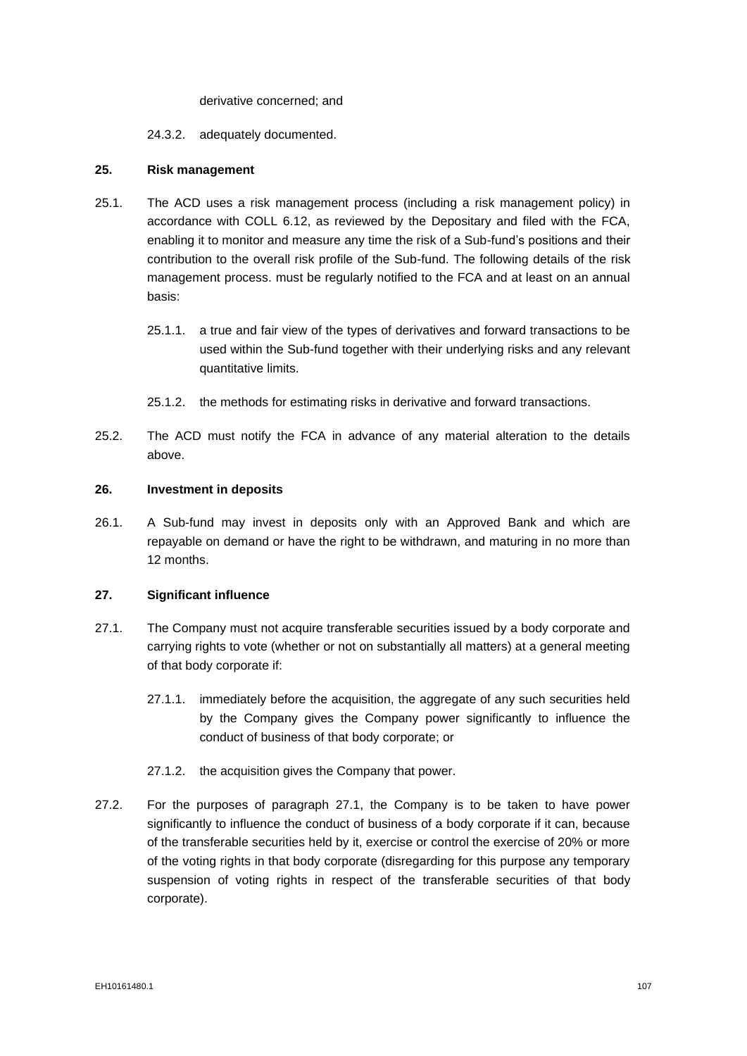#### derivative concerned; and

# 24.3.2. adequately documented.

## **25. Risk management**

- 25.1. The ACD uses a risk management process (including a risk management policy) in accordance with COLL 6.12, as reviewed by the Depositary and filed with the FCA, enabling it to monitor and measure any time the risk of a Sub-fund's positions and their contribution to the overall risk profile of the Sub-fund. The following details of the risk management process. must be regularly notified to the FCA and at least on an annual basis:
	- 25.1.1. a true and fair view of the types of derivatives and forward transactions to be used within the Sub-fund together with their underlying risks and any relevant quantitative limits.
	- 25.1.2. the methods for estimating risks in derivative and forward transactions.
- 25.2. The ACD must notify the FCA in advance of any material alteration to the details above.

#### **26. Investment in deposits**

26.1. A Sub-fund may invest in deposits only with an Approved Bank and which are repayable on demand or have the right to be withdrawn, and maturing in no more than 12 months.

#### **27. Significant influence**

- 27.1. The Company must not acquire transferable securities issued by a body corporate and carrying rights to vote (whether or not on substantially all matters) at a general meeting of that body corporate if:
	- 27.1.1. immediately before the acquisition, the aggregate of any such securities held by the Company gives the Company power significantly to influence the conduct of business of that body corporate; or
	- 27.1.2. the acquisition gives the Company that power.
- 27.2. For the purposes of paragraph 27.1, the Company is to be taken to have power significantly to influence the conduct of business of a body corporate if it can, because of the transferable securities held by it, exercise or control the exercise of 20% or more of the voting rights in that body corporate (disregarding for this purpose any temporary suspension of voting rights in respect of the transferable securities of that body corporate).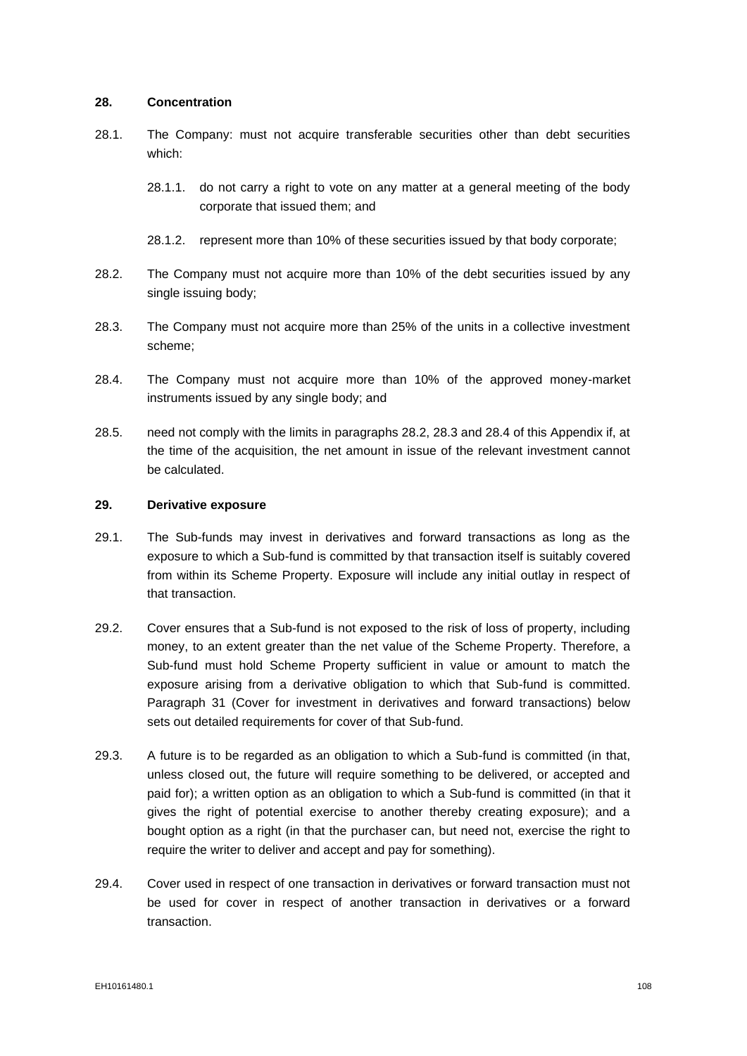## **28. Concentration**

- 28.1. The Company: must not acquire transferable securities other than debt securities which:
	- 28.1.1. do not carry a right to vote on any matter at a general meeting of the body corporate that issued them; and
	- 28.1.2. represent more than 10% of these securities issued by that body corporate;
- 28.2. The Company must not acquire more than 10% of the debt securities issued by any single issuing body;
- 28.3. The Company must not acquire more than 25% of the units in a collective investment scheme;
- 28.4. The Company must not acquire more than 10% of the approved money-market instruments issued by any single body; and
- 28.5. need not comply with the limits in paragraphs 28.2, 28.3 and 28.4 of this Appendix if, at the time of the acquisition, the net amount in issue of the relevant investment cannot be calculated.

# **29. Derivative exposure**

- 29.1. The Sub-funds may invest in derivatives and forward transactions as long as the exposure to which a Sub-fund is committed by that transaction itself is suitably covered from within its Scheme Property. Exposure will include any initial outlay in respect of that transaction.
- 29.2. Cover ensures that a Sub-fund is not exposed to the risk of loss of property, including money, to an extent greater than the net value of the Scheme Property. Therefore, a Sub-fund must hold Scheme Property sufficient in value or amount to match the exposure arising from a derivative obligation to which that Sub-fund is committed. Paragraph 31 (Cover for investment in derivatives and forward transactions) below sets out detailed requirements for cover of that Sub-fund.
- 29.3. A future is to be regarded as an obligation to which a Sub-fund is committed (in that, unless closed out, the future will require something to be delivered, or accepted and paid for); a written option as an obligation to which a Sub-fund is committed (in that it gives the right of potential exercise to another thereby creating exposure); and a bought option as a right (in that the purchaser can, but need not, exercise the right to require the writer to deliver and accept and pay for something).
- 29.4. Cover used in respect of one transaction in derivatives or forward transaction must not be used for cover in respect of another transaction in derivatives or a forward transaction.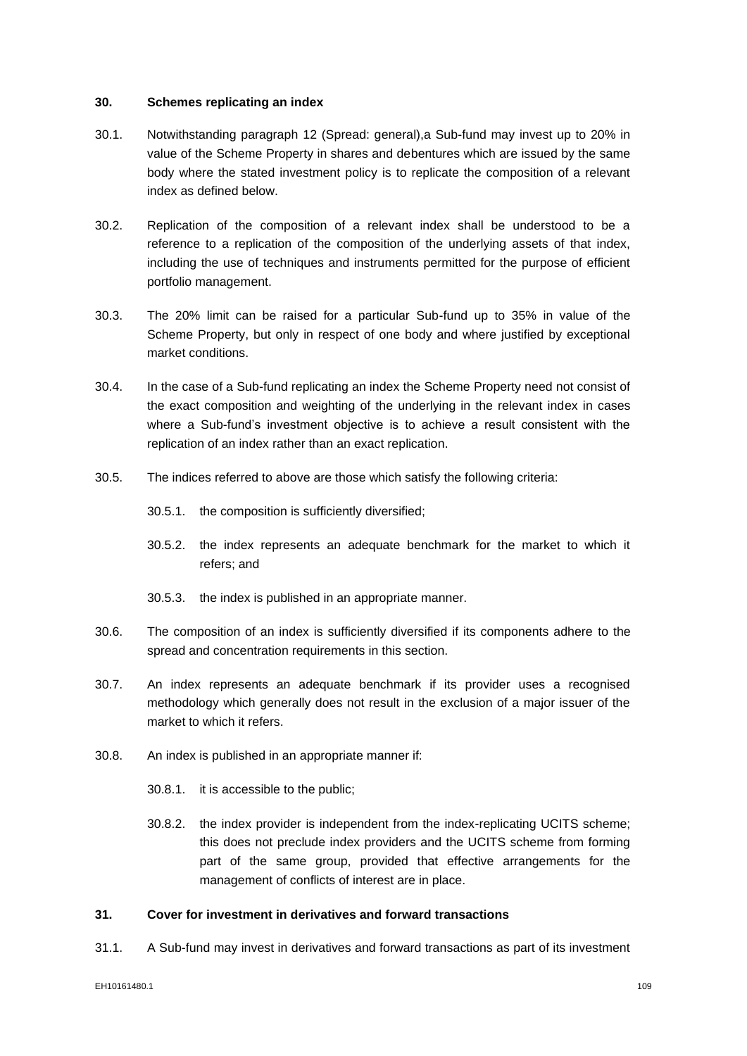## **30. Schemes replicating an index**

- 30.1. Notwithstanding paragraph [12](#page-96-0) (Spread: general),a Sub-fund may invest up to 20% in value of the Scheme Property in shares and debentures which are issued by the same body where the stated investment policy is to replicate the composition of a relevant index as defined below.
- 30.2. Replication of the composition of a relevant index shall be understood to be a reference to a replication of the composition of the underlying assets of that index, including the use of techniques and instruments permitted for the purpose of efficient portfolio management.
- 30.3. The 20% limit can be raised for a particular Sub-fund up to 35% in value of the Scheme Property, but only in respect of one body and where justified by exceptional market conditions.
- 30.4. In the case of a Sub-fund replicating an index the Scheme Property need not consist of the exact composition and weighting of the underlying in the relevant index in cases where a Sub-fund's investment objective is to achieve a result consistent with the replication of an index rather than an exact replication.
- 30.5. The indices referred to above are those which satisfy the following criteria:
	- 30.5.1. the composition is sufficiently diversified;
	- 30.5.2. the index represents an adequate benchmark for the market to which it refers; and
	- 30.5.3. the index is published in an appropriate manner.
- 30.6. The composition of an index is sufficiently diversified if its components adhere to the spread and concentration requirements in this section.
- 30.7. An index represents an adequate benchmark if its provider uses a recognised methodology which generally does not result in the exclusion of a major issuer of the market to which it refers.
- 30.8. An index is published in an appropriate manner if:
	- 30.8.1. it is accessible to the public;
	- 30.8.2. the index provider is independent from the index-replicating UCITS scheme; this does not preclude index providers and the UCITS scheme from forming part of the same group, provided that effective arrangements for the management of conflicts of interest are in place.

## **31. Cover for investment in derivatives and forward transactions**

31.1. A Sub-fund may invest in derivatives and forward transactions as part of its investment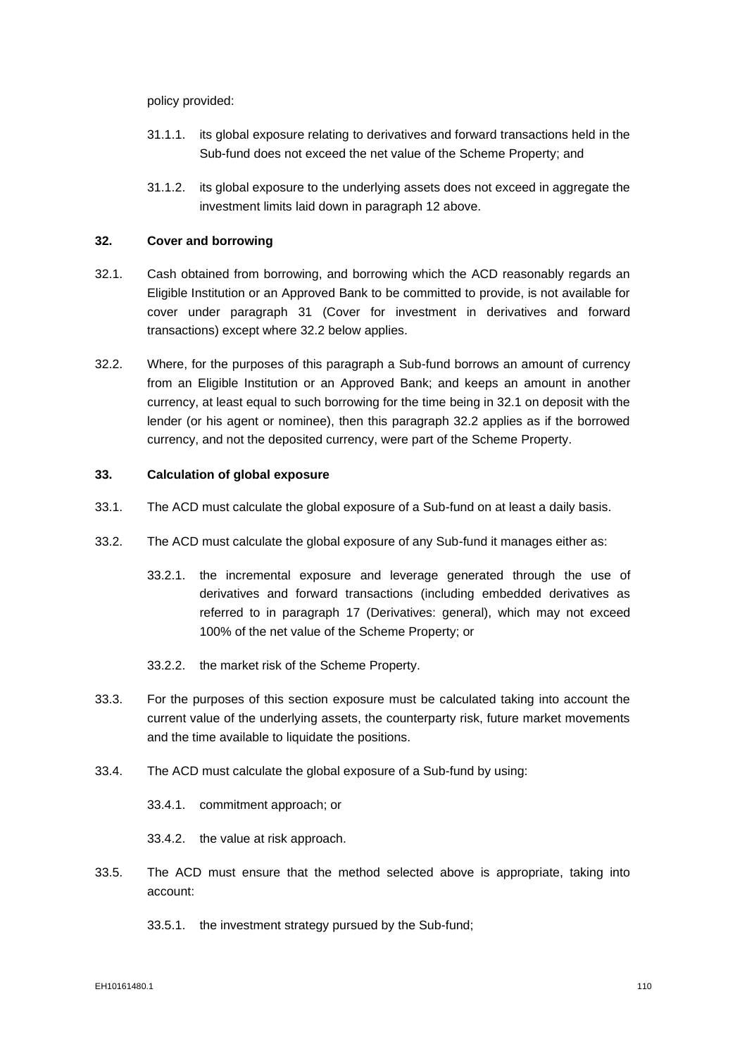policy provided:

- 31.1.1. its global exposure relating to derivatives and forward transactions held in the Sub-fund does not exceed the net value of the Scheme Property; and
- 31.1.2. its global exposure to the underlying assets does not exceed in aggregate the investment limits laid down in paragraph 12 above.

## **32. Cover and borrowing**

- 32.1. Cash obtained from borrowing, and borrowing which the ACD reasonably regards an Eligible Institution or an Approved Bank to be committed to provide, is not available for cover under paragraph 31 (Cover for investment in derivatives and forward transactions) except where 32.2 below applies.
- 32.2. Where, for the purposes of this paragraph a Sub-fund borrows an amount of currency from an Eligible Institution or an Approved Bank; and keeps an amount in another currency, at least equal to such borrowing for the time being in 32.1 on deposit with the lender (or his agent or nominee), then this paragraph 32.2 applies as if the borrowed currency, and not the deposited currency, were part of the Scheme Property.

## **33. Calculation of global exposure**

- 33.1. The ACD must calculate the global exposure of a Sub-fund on at least a daily basis.
- 33.2. The ACD must calculate the global exposure of any Sub-fund it manages either as:
	- 33.2.1. the incremental exposure and leverage generated through the use of derivatives and forward transactions (including embedded derivatives as referred to in paragraph 17 (Derivatives: general), which may not exceed 100% of the net value of the Scheme Property; or
	- 33.2.2. the market risk of the Scheme Property.
- 33.3. For the purposes of this section exposure must be calculated taking into account the current value of the underlying assets, the counterparty risk, future market movements and the time available to liquidate the positions.
- 33.4. The ACD must calculate the global exposure of a Sub-fund by using:

33.4.1. commitment approach; or

33.4.2. the value at risk approach.

33.5. The ACD must ensure that the method selected above is appropriate, taking into account:

33.5.1. the investment strategy pursued by the Sub-fund;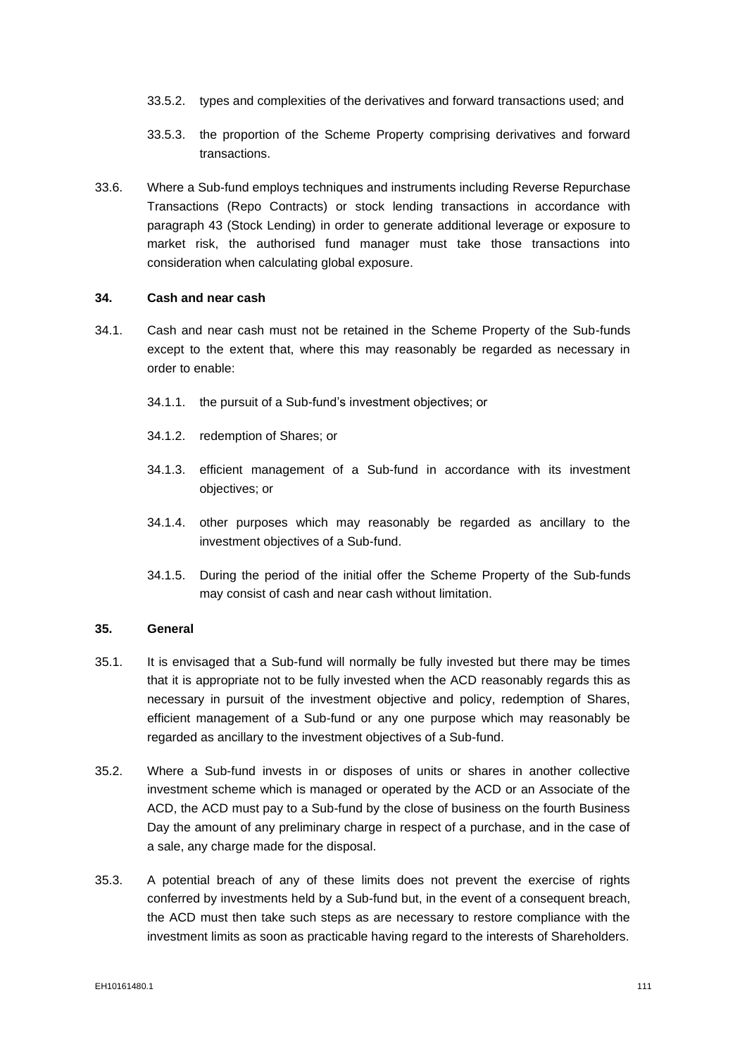- 33.5.2. types and complexities of the derivatives and forward transactions used; and
- 33.5.3. the proportion of the Scheme Property comprising derivatives and forward transactions.
- 33.6. Where a Sub-fund employs techniques and instruments including Reverse Repurchase Transactions (Repo Contracts) or stock lending transactions in accordance with paragraph 43 (Stock Lending) in order to generate additional leverage or exposure to market risk, the authorised fund manager must take those transactions into consideration when calculating global exposure.

#### **34. Cash and near cash**

- 34.1. Cash and near cash must not be retained in the Scheme Property of the Sub-funds except to the extent that, where this may reasonably be regarded as necessary in order to enable:
	- 34.1.1. the pursuit of a Sub-fund's investment objectives; or
	- 34.1.2. redemption of Shares; or
	- 34.1.3. efficient management of a Sub-fund in accordance with its investment objectives; or
	- 34.1.4. other purposes which may reasonably be regarded as ancillary to the investment objectives of a Sub-fund.
	- 34.1.5. During the period of the initial offer the Scheme Property of the Sub-funds may consist of cash and near cash without limitation.

#### **35. General**

- 35.1. It is envisaged that a Sub-fund will normally be fully invested but there may be times that it is appropriate not to be fully invested when the ACD reasonably regards this as necessary in pursuit of the investment objective and policy, redemption of Shares, efficient management of a Sub-fund or any one purpose which may reasonably be regarded as ancillary to the investment objectives of a Sub-fund.
- 35.2. Where a Sub-fund invests in or disposes of units or shares in another collective investment scheme which is managed or operated by the ACD or an Associate of the ACD, the ACD must pay to a Sub-fund by the close of business on the fourth Business Day the amount of any preliminary charge in respect of a purchase, and in the case of a sale, any charge made for the disposal.
- 35.3. A potential breach of any of these limits does not prevent the exercise of rights conferred by investments held by a Sub-fund but, in the event of a consequent breach, the ACD must then take such steps as are necessary to restore compliance with the investment limits as soon as practicable having regard to the interests of Shareholders.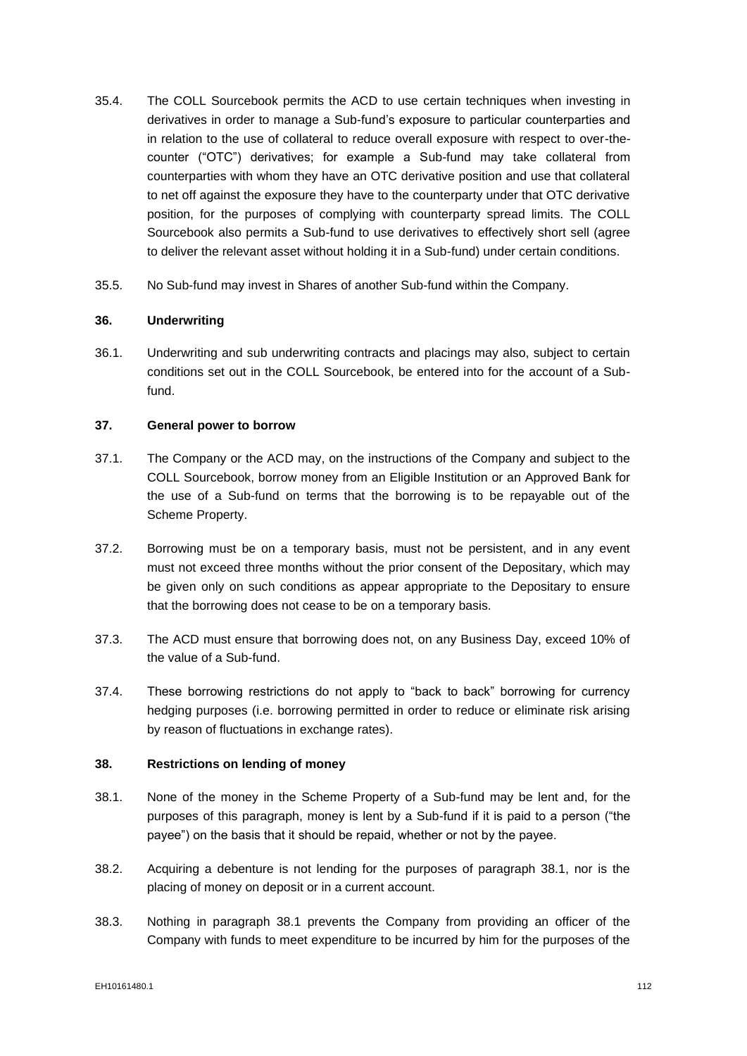- 35.4. The COLL Sourcebook permits the ACD to use certain techniques when investing in derivatives in order to manage a Sub-fund's exposure to particular counterparties and in relation to the use of collateral to reduce overall exposure with respect to over-thecounter ("OTC") derivatives; for example a Sub-fund may take collateral from counterparties with whom they have an OTC derivative position and use that collateral to net off against the exposure they have to the counterparty under that OTC derivative position, for the purposes of complying with counterparty spread limits. The COLL Sourcebook also permits a Sub-fund to use derivatives to effectively short sell (agree to deliver the relevant asset without holding it in a Sub-fund) under certain conditions.
- 35.5. No Sub-fund may invest in Shares of another Sub-fund within the Company.

## **36. Underwriting**

36.1. Underwriting and sub underwriting contracts and placings may also, subject to certain conditions set out in the COLL Sourcebook, be entered into for the account of a Subfund.

## **37. General power to borrow**

- 37.1. The Company or the ACD may, on the instructions of the Company and subject to the COLL Sourcebook, borrow money from an Eligible Institution or an Approved Bank for the use of a Sub-fund on terms that the borrowing is to be repayable out of the Scheme Property.
- 37.2. Borrowing must be on a temporary basis, must not be persistent, and in any event must not exceed three months without the prior consent of the Depositary, which may be given only on such conditions as appear appropriate to the Depositary to ensure that the borrowing does not cease to be on a temporary basis.
- 37.3. The ACD must ensure that borrowing does not, on any Business Day, exceed 10% of the value of a Sub-fund.
- 37.4. These borrowing restrictions do not apply to "back to back" borrowing for currency hedging purposes (i.e. borrowing permitted in order to reduce or eliminate risk arising by reason of fluctuations in exchange rates).

## **38. Restrictions on lending of money**

- 38.1. None of the money in the Scheme Property of a Sub-fund may be lent and, for the purposes of this paragraph, money is lent by a Sub-fund if it is paid to a person ("the payee") on the basis that it should be repaid, whether or not by the payee.
- 38.2. Acquiring a debenture is not lending for the purposes of paragraph 38.1, nor is the placing of money on deposit or in a current account.
- 38.3. Nothing in paragraph 38.1 prevents the Company from providing an officer of the Company with funds to meet expenditure to be incurred by him for the purposes of the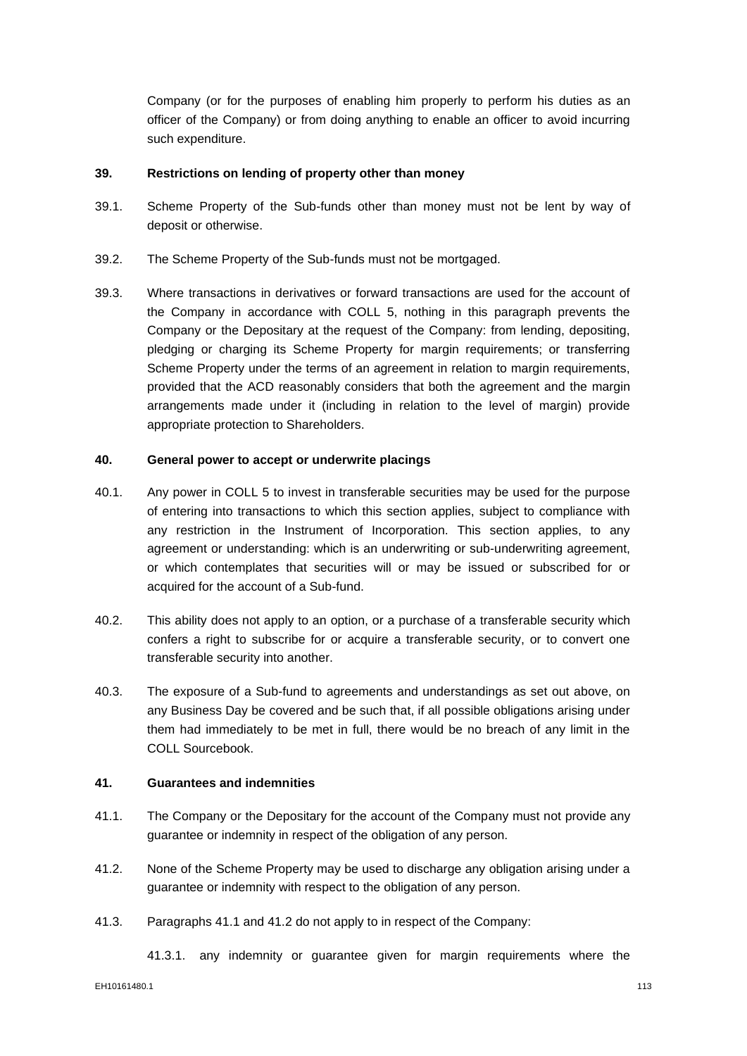Company (or for the purposes of enabling him properly to perform his duties as an officer of the Company) or from doing anything to enable an officer to avoid incurring such expenditure.

#### **39. Restrictions on lending of property other than money**

- 39.1. Scheme Property of the Sub-funds other than money must not be lent by way of deposit or otherwise.
- 39.2. The Scheme Property of the Sub-funds must not be mortgaged.
- 39.3. Where transactions in derivatives or forward transactions are used for the account of the Company in accordance with COLL 5, nothing in this paragraph prevents the Company or the Depositary at the request of the Company: from lending, depositing, pledging or charging its Scheme Property for margin requirements; or transferring Scheme Property under the terms of an agreement in relation to margin requirements, provided that the ACD reasonably considers that both the agreement and the margin arrangements made under it (including in relation to the level of margin) provide appropriate protection to Shareholders.

#### **40. General power to accept or underwrite placings**

- 40.1. Any power in COLL 5 to invest in transferable securities may be used for the purpose of entering into transactions to which this section applies, subject to compliance with any restriction in the Instrument of Incorporation. This section applies, to any agreement or understanding: which is an underwriting or sub-underwriting agreement, or which contemplates that securities will or may be issued or subscribed for or acquired for the account of a Sub-fund.
- 40.2. This ability does not apply to an option, or a purchase of a transferable security which confers a right to subscribe for or acquire a transferable security, or to convert one transferable security into another.
- 40.3. The exposure of a Sub-fund to agreements and understandings as set out above, on any Business Day be covered and be such that, if all possible obligations arising under them had immediately to be met in full, there would be no breach of any limit in the COLL Sourcebook.

#### **41. Guarantees and indemnities**

- 41.1. The Company or the Depositary for the account of the Company must not provide any guarantee or indemnity in respect of the obligation of any person.
- 41.2. None of the Scheme Property may be used to discharge any obligation arising under a guarantee or indemnity with respect to the obligation of any person.
- 41.3. Paragraphs 41.1 and 41.2 do not apply to in respect of the Company:

41.3.1. any indemnity or guarantee given for margin requirements where the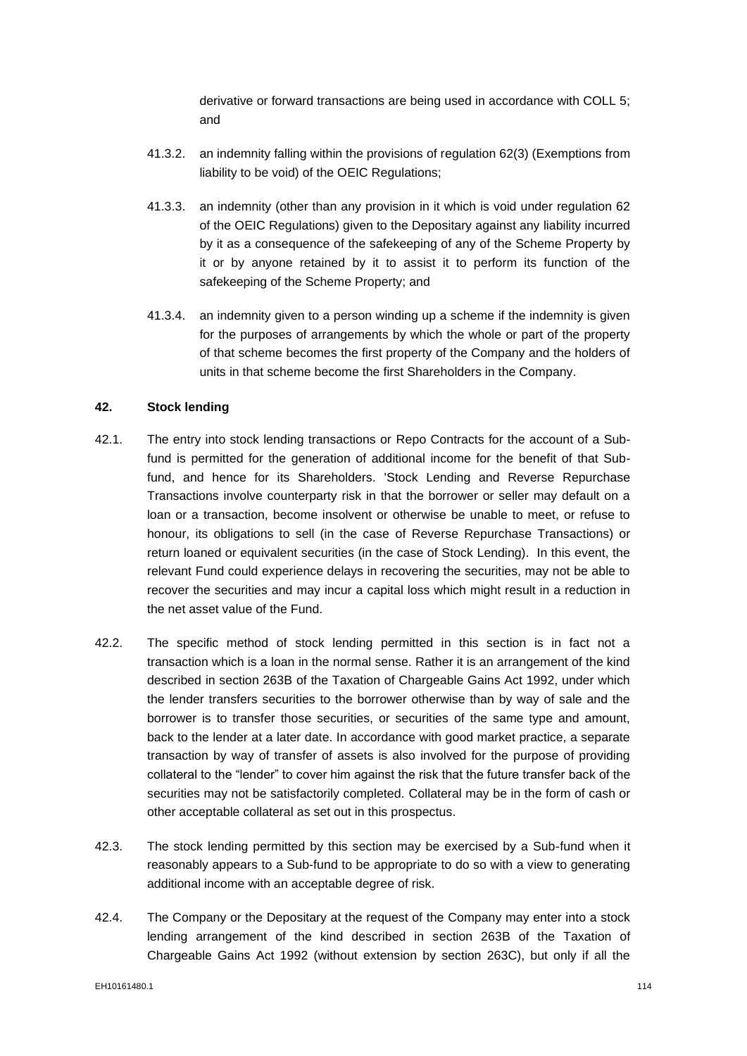derivative or forward transactions are being used in accordance with COLL 5; and

- 41.3.2. an indemnity falling within the provisions of regulation 62(3) (Exemptions from liability to be void) of the OEIC Regulations;
- 41.3.3. an indemnity (other than any provision in it which is void under regulation 62 of the OEIC Regulations) given to the Depositary against any liability incurred by it as a consequence of the safekeeping of any of the Scheme Property by it or by anyone retained by it to assist it to perform its function of the safekeeping of the Scheme Property; and
- 41.3.4. an indemnity given to a person winding up a scheme if the indemnity is given for the purposes of arrangements by which the whole or part of the property of that scheme becomes the first property of the Company and the holders of units in that scheme become the first Shareholders in the Company.

# **42. Stock lending**

- 42.1. The entry into stock lending transactions or Repo Contracts for the account of a Subfund is permitted for the generation of additional income for the benefit of that Subfund, and hence for its Shareholders. 'Stock Lending and Reverse Repurchase Transactions involve counterparty risk in that the borrower or seller may default on a loan or a transaction, become insolvent or otherwise be unable to meet, or refuse to honour, its obligations to sell (in the case of Reverse Repurchase Transactions) or return loaned or equivalent securities (in the case of Stock Lending). In this event, the relevant Fund could experience delays in recovering the securities, may not be able to recover the securities and may incur a capital loss which might result in a reduction in the net asset value of the Fund.
- 42.2. The specific method of stock lending permitted in this section is in fact not a transaction which is a loan in the normal sense. Rather it is an arrangement of the kind described in section 263B of the Taxation of Chargeable Gains Act 1992, under which the lender transfers securities to the borrower otherwise than by way of sale and the borrower is to transfer those securities, or securities of the same type and amount, back to the lender at a later date. In accordance with good market practice, a separate transaction by way of transfer of assets is also involved for the purpose of providing collateral to the "lender" to cover him against the risk that the future transfer back of the securities may not be satisfactorily completed. Collateral may be in the form of cash or other acceptable collateral as set out in this prospectus.
- 42.3. The stock lending permitted by this section may be exercised by a Sub-fund when it reasonably appears to a Sub-fund to be appropriate to do so with a view to generating additional income with an acceptable degree of risk.
- 42.4. The Company or the Depositary at the request of the Company may enter into a stock lending arrangement of the kind described in section 263B of the Taxation of Chargeable Gains Act 1992 (without extension by section 263C), but only if all the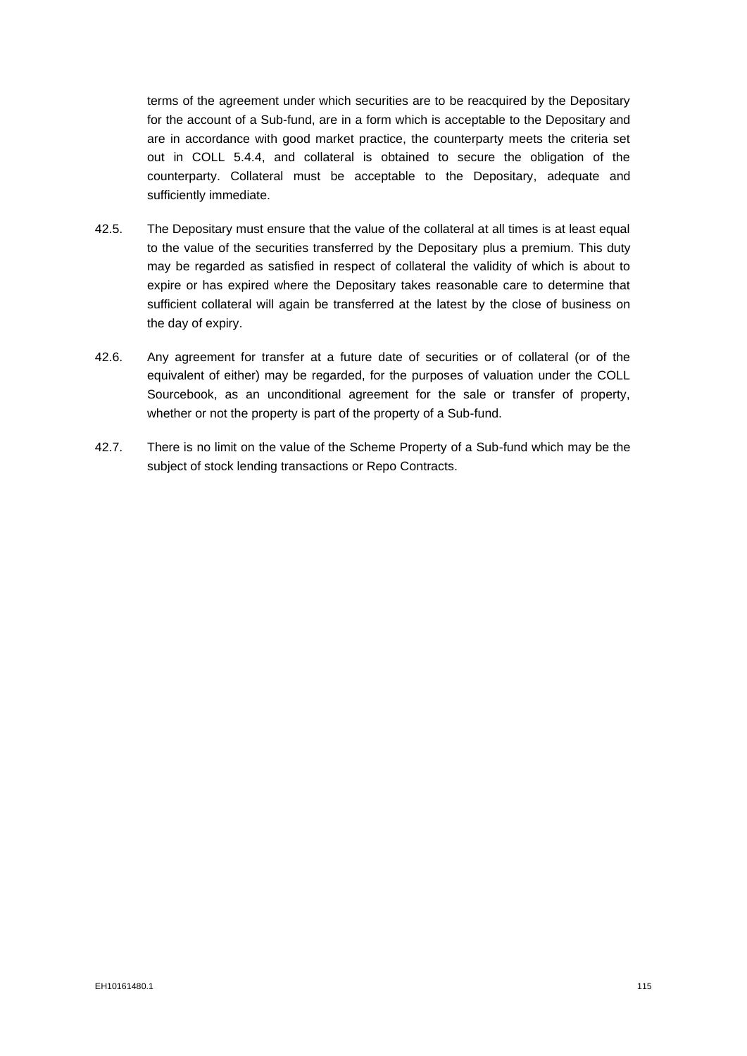terms of the agreement under which securities are to be reacquired by the Depositary for the account of a Sub-fund, are in a form which is acceptable to the Depositary and are in accordance with good market practice, the counterparty meets the criteria set out in COLL 5.4.4, and collateral is obtained to secure the obligation of the counterparty. Collateral must be acceptable to the Depositary, adequate and sufficiently immediate.

- 42.5. The Depositary must ensure that the value of the collateral at all times is at least equal to the value of the securities transferred by the Depositary plus a premium. This duty may be regarded as satisfied in respect of collateral the validity of which is about to expire or has expired where the Depositary takes reasonable care to determine that sufficient collateral will again be transferred at the latest by the close of business on the day of expiry.
- 42.6. Any agreement for transfer at a future date of securities or of collateral (or of the equivalent of either) may be regarded, for the purposes of valuation under the COLL Sourcebook, as an unconditional agreement for the sale or transfer of property, whether or not the property is part of the property of a Sub-fund.
- 42.7. There is no limit on the value of the Scheme Property of a Sub-fund which may be the subject of stock lending transactions or Repo Contracts.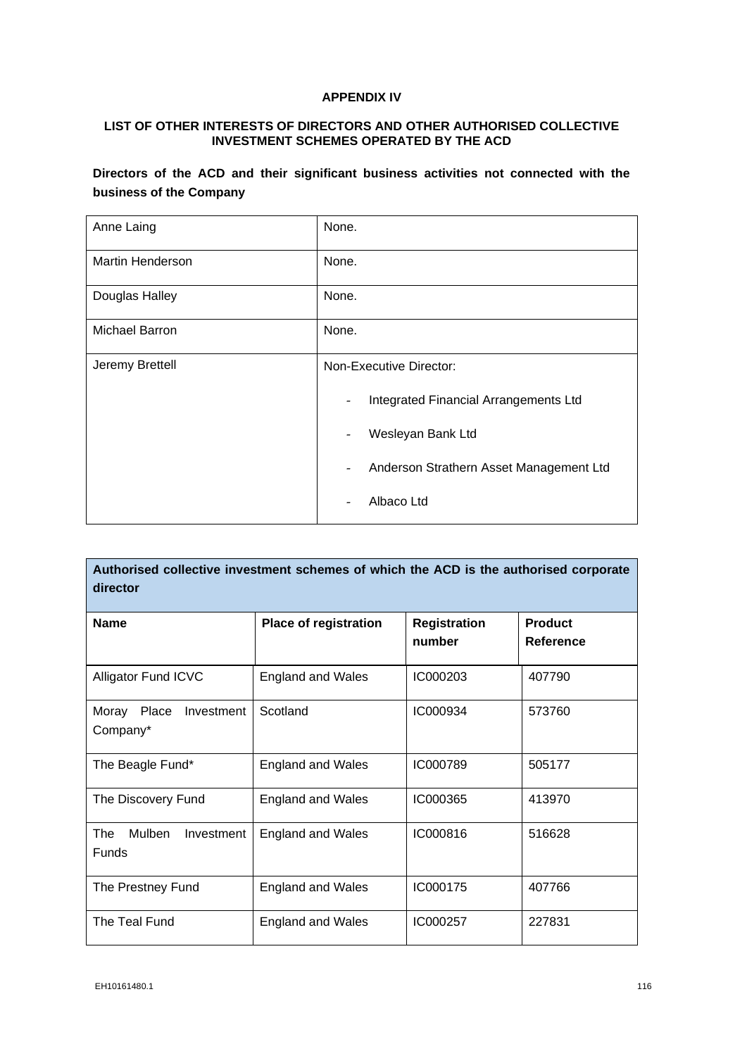# **APPENDIX IV**

# **LIST OF OTHER INTERESTS OF DIRECTORS AND OTHER AUTHORISED COLLECTIVE INVESTMENT SCHEMES OPERATED BY THE ACD**

**Directors of the ACD and their significant business activities not connected with the business of the Company**

| Anne Laing              | None.                                                               |  |
|-------------------------|---------------------------------------------------------------------|--|
| <b>Martin Henderson</b> | None.                                                               |  |
| Douglas Halley          | None.                                                               |  |
| Michael Barron          | None.                                                               |  |
| Jeremy Brettell         | Non-Executive Director:                                             |  |
|                         | Integrated Financial Arrangements Ltd                               |  |
|                         | Wesleyan Bank Ltd                                                   |  |
|                         | Anderson Strathern Asset Management Ltd<br>$\overline{\phantom{0}}$ |  |
|                         | Albaco Ltd                                                          |  |

| Authorised collective investment schemes of which the ACD is the authorised corporate<br>director |                              |                               |                             |
|---------------------------------------------------------------------------------------------------|------------------------------|-------------------------------|-----------------------------|
| <b>Name</b>                                                                                       | <b>Place of registration</b> | <b>Registration</b><br>number | <b>Product</b><br>Reference |
| <b>Alligator Fund ICVC</b>                                                                        | <b>England and Wales</b>     | IC000203                      | 407790                      |
| Moray<br>Place<br>Investment<br>Company*                                                          | Scotland                     | IC000934                      | 573760                      |
| The Beagle Fund*                                                                                  | <b>England and Wales</b>     | IC000789                      | 505177                      |
| The Discovery Fund                                                                                | <b>England and Wales</b>     | IC000365                      | 413970                      |
| The<br>Mulben<br>Investment<br><b>Funds</b>                                                       | <b>England and Wales</b>     | IC000816                      | 516628                      |
| The Prestney Fund                                                                                 | <b>England and Wales</b>     | IC000175                      | 407766                      |
| The Teal Fund                                                                                     | <b>England and Wales</b>     | IC000257                      | 227831                      |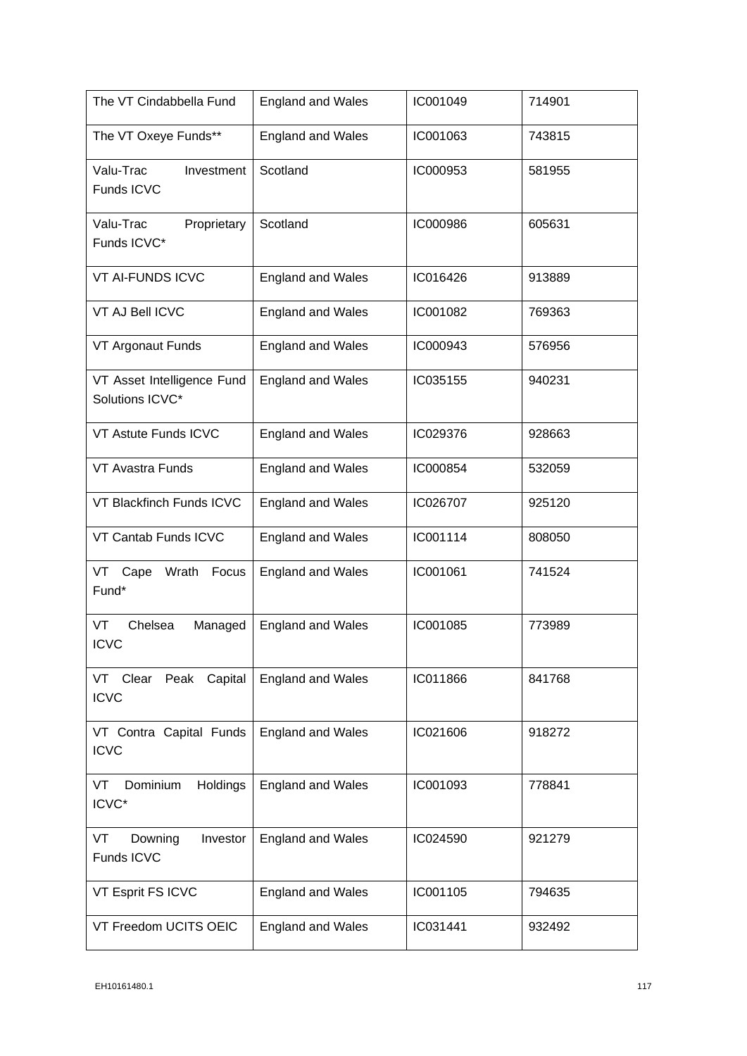| The VT Cindabbella Fund                       | <b>England and Wales</b> | IC001049 | 714901 |
|-----------------------------------------------|--------------------------|----------|--------|
| The VT Oxeye Funds**                          | <b>England and Wales</b> | IC001063 | 743815 |
| Valu-Trac<br>Investment<br>Funds ICVC         | Scotland                 | IC000953 | 581955 |
| Valu-Trac<br>Proprietary<br>Funds ICVC*       | Scotland                 | IC000986 | 605631 |
| <b>VT AI-FUNDS ICVC</b>                       | <b>England and Wales</b> | IC016426 | 913889 |
| VT AJ Bell ICVC                               | <b>England and Wales</b> | IC001082 | 769363 |
| VT Argonaut Funds                             | <b>England and Wales</b> | IC000943 | 576956 |
| VT Asset Intelligence Fund<br>Solutions ICVC* | <b>England and Wales</b> | IC035155 | 940231 |
| VT Astute Funds ICVC                          | <b>England and Wales</b> | IC029376 | 928663 |
| <b>VT Avastra Funds</b>                       | <b>England and Wales</b> | IC000854 | 532059 |
| VT Blackfinch Funds ICVC                      | <b>England and Wales</b> | IC026707 | 925120 |
| VT Cantab Funds ICVC                          | <b>England and Wales</b> | IC001114 | 808050 |
| Cape<br>Wrath<br>Focus<br>VT<br>Fund*         | <b>England and Wales</b> | IC001061 | 741524 |
| VT<br>Chelsea<br>Managed<br><b>ICVC</b>       | <b>England and Wales</b> | IC001085 | 773989 |
| VT Clear Peak<br>Capital<br><b>ICVC</b>       | <b>England and Wales</b> | IC011866 | 841768 |
| VT Contra Capital Funds<br><b>ICVC</b>        | <b>England and Wales</b> | IC021606 | 918272 |
| Dominium<br>Holdings<br>VT<br>ICVC*           | <b>England and Wales</b> | IC001093 | 778841 |
| Downing<br>Investor<br>VT<br>Funds ICVC       | <b>England and Wales</b> | IC024590 | 921279 |
| VT Esprit FS ICVC                             | <b>England and Wales</b> | IC001105 | 794635 |
| VT Freedom UCITS OEIC                         | <b>England and Wales</b> | IC031441 | 932492 |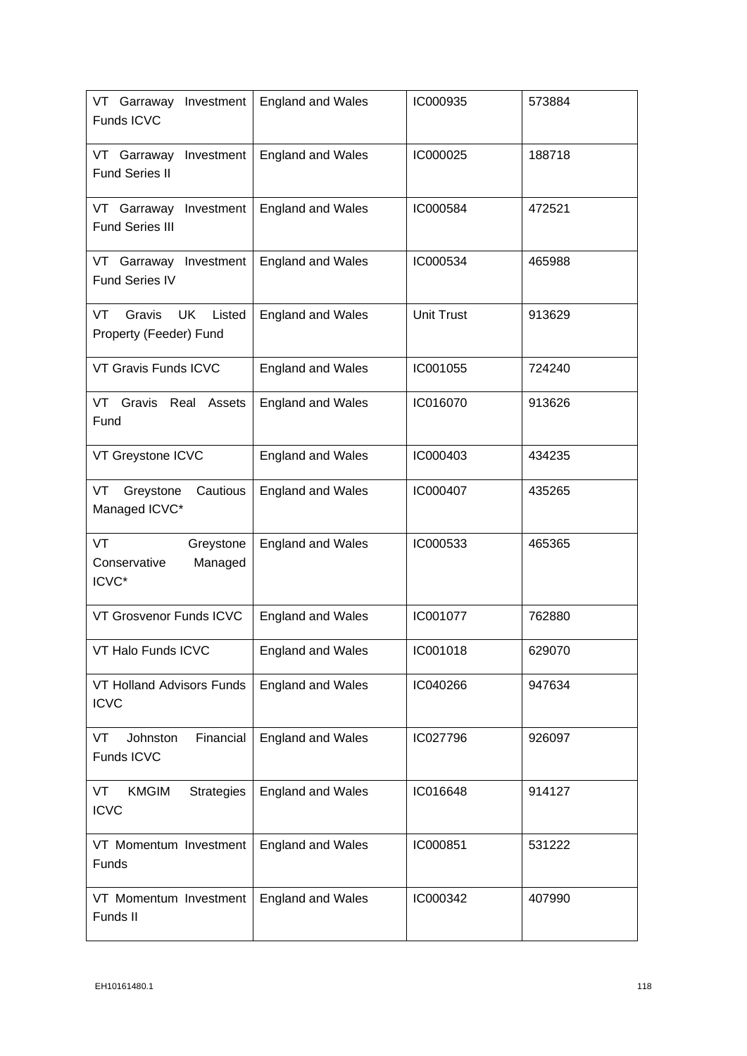| VT Garraway<br>Investment<br>Funds ICVC                | <b>England and Wales</b> | IC000935          | 573884 |
|--------------------------------------------------------|--------------------------|-------------------|--------|
| Investment<br>VT Garraway<br><b>Fund Series II</b>     | <b>England and Wales</b> | IC000025          | 188718 |
| VT Garraway Investment<br><b>Fund Series III</b>       | <b>England and Wales</b> | IC000584          | 472521 |
| VT Garraway Investment<br>Fund Series IV               | <b>England and Wales</b> | IC000534          | 465988 |
| VT<br>Gravis<br>UK<br>Listed<br>Property (Feeder) Fund | <b>England and Wales</b> | <b>Unit Trust</b> | 913629 |
| VT Gravis Funds ICVC                                   | <b>England and Wales</b> | IC001055          | 724240 |
| VT Gravis Real Assets<br>Fund                          | <b>England and Wales</b> | IC016070          | 913626 |
| VT Greystone ICVC                                      | <b>England and Wales</b> | IC000403          | 434235 |
| Cautious<br>VT<br>Greystone<br>Managed ICVC*           | <b>England and Wales</b> | IC000407          | 435265 |
| VT<br>Greystone<br>Conservative<br>Managed<br>ICVC*    | <b>England and Wales</b> | IC000533          | 465365 |
| VT Grosvenor Funds ICVC                                | <b>England and Wales</b> | IC001077          | 762880 |
| VT Halo Funds ICVC                                     | England and Wales        | IC001018          | 629070 |
| VT Holland Advisors Funds<br><b>ICVC</b>               | <b>England and Wales</b> | IC040266          | 947634 |
| Financial<br>Johnston<br>VT<br>Funds ICVC              | <b>England and Wales</b> | IC027796          | 926097 |
| VT<br><b>KMGIM</b><br><b>Strategies</b><br><b>ICVC</b> | <b>England and Wales</b> | IC016648          | 914127 |
| VT Momentum Investment<br>Funds                        | <b>England and Wales</b> | IC000851          | 531222 |
| VT Momentum Investment<br>Funds II                     | <b>England and Wales</b> | IC000342          | 407990 |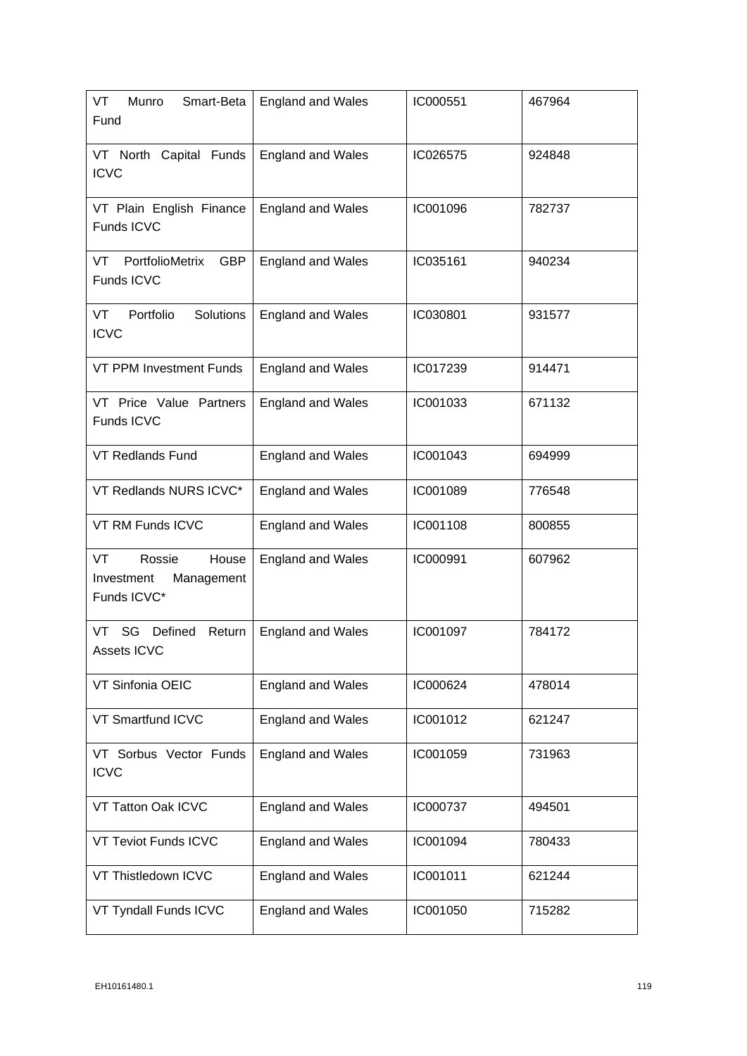| VT<br>Smart-Beta<br>Munro<br>Fund                                | <b>England and Wales</b> | IC000551 | 467964 |
|------------------------------------------------------------------|--------------------------|----------|--------|
| VT North Capital Funds<br><b>ICVC</b>                            | <b>England and Wales</b> | IC026575 | 924848 |
| VT Plain English Finance<br>Funds ICVC                           | <b>England and Wales</b> | IC001096 | 782737 |
| PortfolioMetrix<br><b>GBP</b><br>VT<br>Funds ICVC                | <b>England and Wales</b> | IC035161 | 940234 |
| Portfolio<br>Solutions<br>VT<br><b>ICVC</b>                      | <b>England and Wales</b> | IC030801 | 931577 |
| VT PPM Investment Funds                                          | <b>England and Wales</b> | IC017239 | 914471 |
| VT Price Value Partners<br>Funds ICVC                            | <b>England and Wales</b> | IC001033 | 671132 |
| <b>VT Redlands Fund</b>                                          | <b>England and Wales</b> | IC001043 | 694999 |
| VT Redlands NURS ICVC*                                           | <b>England and Wales</b> | IC001089 | 776548 |
| VT RM Funds ICVC                                                 | <b>England and Wales</b> | IC001108 | 800855 |
| VT<br>Rossie<br>House<br>Investment<br>Management<br>Funds ICVC* | <b>England and Wales</b> | IC000991 | 607962 |
| SG Defined<br>Return<br>VT.<br>Assets ICVC                       | <b>England and Wales</b> | IC001097 | 784172 |
| VT Sinfonia OEIC                                                 | <b>England and Wales</b> | IC000624 | 478014 |
| VT Smartfund ICVC                                                | <b>England and Wales</b> | IC001012 | 621247 |
| VT Sorbus Vector Funds<br><b>ICVC</b>                            | <b>England and Wales</b> | IC001059 | 731963 |
| VT Tatton Oak ICVC                                               | <b>England and Wales</b> | IC000737 | 494501 |
| VT Teviot Funds ICVC                                             | <b>England and Wales</b> | IC001094 | 780433 |
| VT Thistledown ICVC                                              | <b>England and Wales</b> | IC001011 | 621244 |
| VT Tyndall Funds ICVC                                            | <b>England and Wales</b> | IC001050 | 715282 |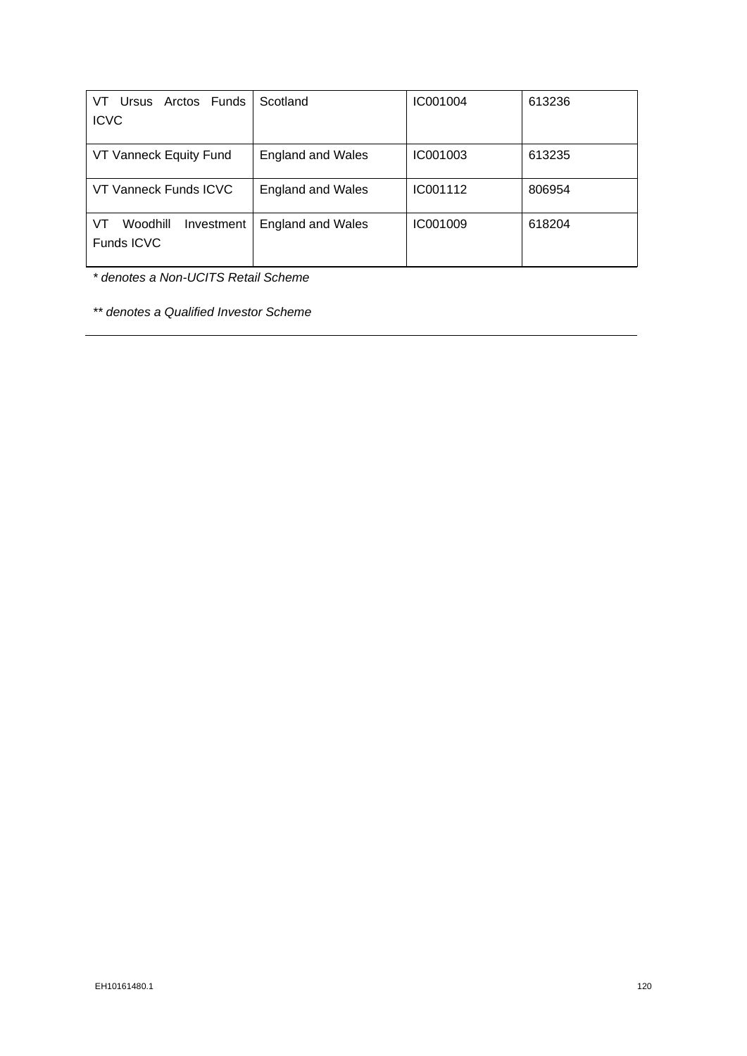| Arctos Funds<br>Ursus<br>VT.               | Scotland                 | IC001004 | 613236 |
|--------------------------------------------|--------------------------|----------|--------|
| <b>ICVC</b>                                |                          |          |        |
|                                            |                          |          |        |
| VT Vanneck Equity Fund                     | <b>England and Wales</b> | IC001003 | 613235 |
| VT Vanneck Funds ICVC                      | <b>England and Wales</b> | IC001112 | 806954 |
| VT<br>Woodhill<br>Investment<br>Funds ICVC | <b>England and Wales</b> | IC001009 | 618204 |

*\* denotes a Non-UCITS Retail Scheme*

*\*\* denotes a Qualified Investor Scheme*